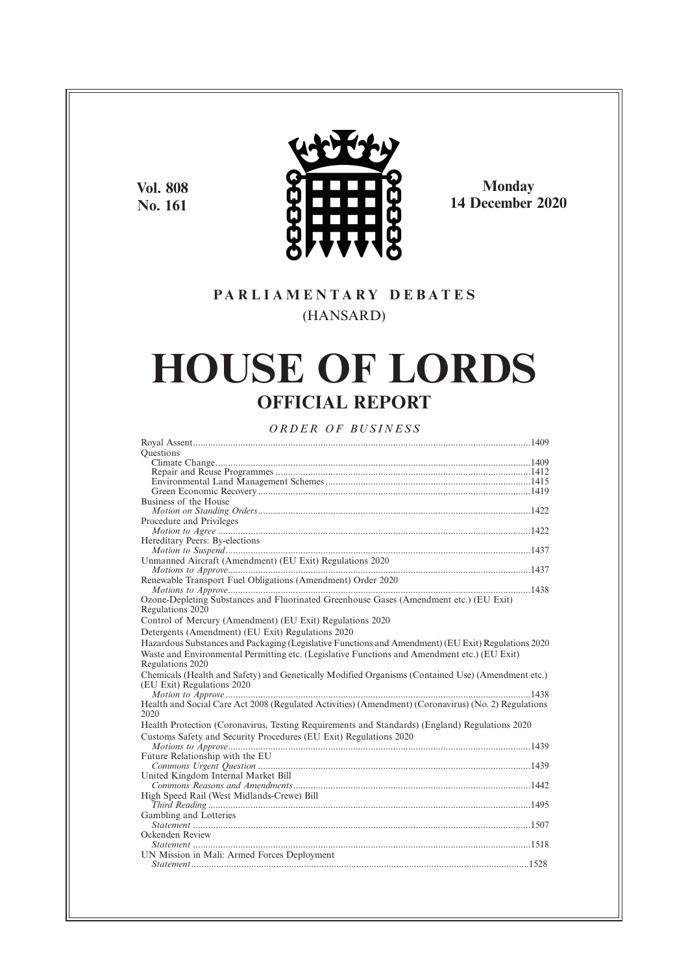**Vol. 808 No. 161**



**Monday 14 December 2020**

# **P A R L I A M E N T A R Y D E B A T E S** (HANSARD)

# **HOUSE OF LORDS OFFICIAL REPORT**

*O R D E R O F BU S I N E S S*

| <b>Ouestions</b>                                                                                     |
|------------------------------------------------------------------------------------------------------|
|                                                                                                      |
|                                                                                                      |
|                                                                                                      |
|                                                                                                      |
| Business of the House                                                                                |
|                                                                                                      |
| Procedure and Privileges                                                                             |
|                                                                                                      |
| Hereditary Peers: By-elections                                                                       |
|                                                                                                      |
| Unmanned Aircraft (Amendment) (EU Exit) Regulations 2020                                             |
|                                                                                                      |
| Renewable Transport Fuel Obligations (Amendment) Order 2020                                          |
|                                                                                                      |
| Ozone-Depleting Substances and Fluorinated Greenhouse Gases (Amendment etc.) (EU Exit)               |
| Regulations 2020                                                                                     |
| Control of Mercury (Amendment) (EU Exit) Regulations 2020                                            |
| Detergents (Amendment) (EU Exit) Regulations 2020                                                    |
| Hazardous Substances and Packaging (Legislative Functions and Amendment) (EU Exit) Regulations 2020  |
| Waste and Environmental Permitting etc. (Legislative Functions and Amendment etc.) (EU Exit)         |
| Regulations 2020                                                                                     |
| Chemicals (Health and Safety) and Genetically Modified Organisms (Contained Use) (Amendment etc.)    |
| (EU Exit) Regulations 2020                                                                           |
|                                                                                                      |
| Health and Social Care Act 2008 (Regulated Activities) (Amendment) (Coronavirus) (No. 2) Regulations |
| 2020                                                                                                 |
| Health Protection (Coronavirus, Testing Requirements and Standards) (England) Regulations 2020       |
|                                                                                                      |
| Customs Safety and Security Procedures (EU Exit) Regulations 2020                                    |
|                                                                                                      |
| Future Relationship with the EU                                                                      |
| United Kingdom Internal Market Bill                                                                  |
|                                                                                                      |
|                                                                                                      |
| High Speed Rail (West Midlands-Crewe) Bill                                                           |
|                                                                                                      |
| Gambling and Lotteries                                                                               |
| Ockenden Review                                                                                      |
|                                                                                                      |
| UN Mission in Mali: Armed Forces Deployment                                                          |
|                                                                                                      |
|                                                                                                      |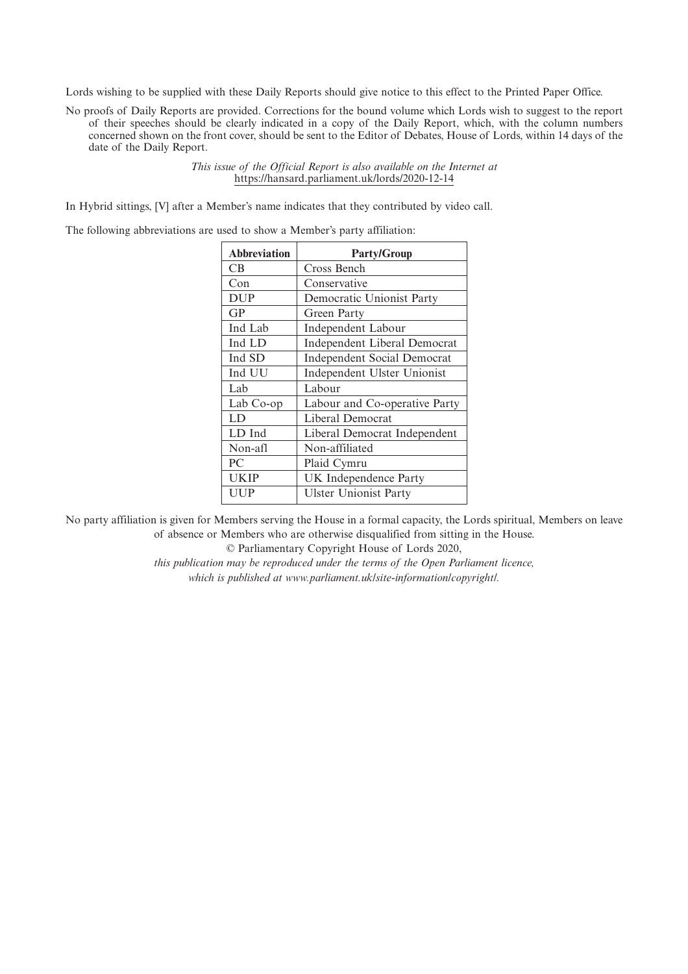Lords wishing to be supplied with these Daily Reports should give notice to this effect to the Printed Paper Office.

No proofs of Daily Reports are provided. Corrections for the bound volume which Lords wish to suggest to the report of their speeches should be clearly indicated in a copy of the Daily Report, which, with the column numbers concerned shown on the front cover, should be sent to the Editor of Debates, House of Lords, within 14 days of the date of the Daily Report.

> *This issue of the Official Report is also available on the Internet at* https://hansard.parliament.uk/lords/2020-12-14

In Hybrid sittings, [V] after a Member's name indicates that they contributed by video call.

The following abbreviations are used to show a Member's party affiliation:

| <b>Abbreviation</b> | <b>Party/Group</b>                 |
|---------------------|------------------------------------|
| CВ                  | Cross Bench                        |
| Con                 | Conservative                       |
| <b>DUP</b>          | Democratic Unionist Party          |
| GP                  | Green Party                        |
| Ind Lab             | Independent Labour                 |
| Ind LD              | Independent Liberal Democrat       |
| Ind SD              | <b>Independent Social Democrat</b> |
| Ind UU              | Independent Ulster Unionist        |
| Lab                 | Labour                             |
| Lab Co-op           | Labour and Co-operative Party      |
| LD                  | Liberal Democrat                   |
| LD Ind              | Liberal Democrat Independent       |
| Non-afl             | Non-affiliated                     |
| PC.                 | Plaid Cymru                        |
| UKIP                | UK Independence Party              |
| UUP                 | <b>Ulster Unionist Party</b>       |
|                     |                                    |

No party affiliation is given for Members serving the House in a formal capacity, the Lords spiritual, Members on leave of absence or Members who are otherwise disqualified from sitting in the House.

© Parliamentary Copyright House of Lords 2020,

*this publication may be reproduced under the terms of the Open Parliament licence, which is published at www.parliament.uk/site-information/copyright/.*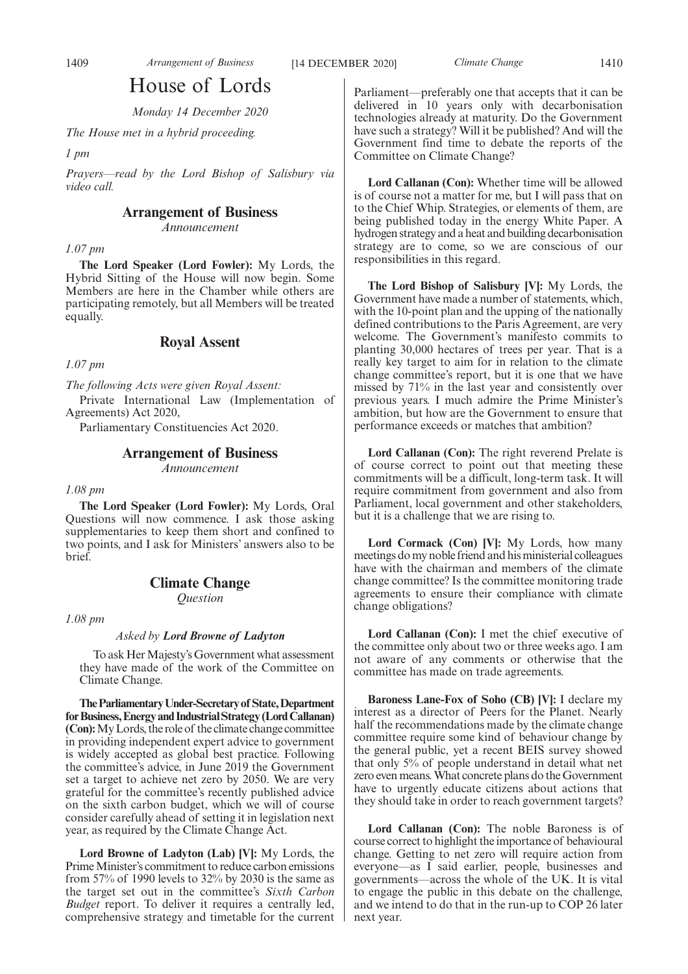# House of Lords

*Monday 14 December 2020*

*The House met in a hybrid proceeding.*

*1 pm*

*Prayers—read by the Lord Bishop of Salisbury via video call.*

# **Arrangement of Business**

*Announcement*

### *1.07 pm*

**The Lord Speaker (Lord Fowler):** My Lords, the Hybrid Sitting of the House will now begin. Some Members are here in the Chamber while others are participating remotely, but all Members will be treated equally.

# **Royal Assent**

*1.07 pm*

*The following Acts were given Royal Assent:*

Private International Law (Implementation of Agreements) Act 2020,

Parliamentary Constituencies Act 2020.

# **Arrangement of Business**

*Announcement*

*1.08 pm*

**The Lord Speaker (Lord Fowler):** My Lords, Oral Questions will now commence. I ask those asking supplementaries to keep them short and confined to two points, and I ask for Ministers' answers also to be brief.

# **Climate Change**

*Question*

*1.08 pm*

### *Asked by Lord Browne of Ladyton*

To ask Her Majesty's Government what assessment they have made of the work of the Committee on Climate Change.

**TheParliamentaryUnder-Secretaryof State,Department forBusiness,EnergyandIndustrialStrategy(LordCallanan) (Con):**My Lords, the role of the climate change committee in providing independent expert advice to government is widely accepted as global best practice. Following the committee's advice, in June 2019 the Government set a target to achieve net zero by 2050. We are very grateful for the committee's recently published advice on the sixth carbon budget, which we will of course consider carefully ahead of setting it in legislation next year, as required by the Climate Change Act.

**Lord Browne of Ladyton (Lab) [V]:** My Lords, the Prime Minister's commitment to reduce carbon emissions from 57% of 1990 levels to 32% by 2030 is the same as the target set out in the committee's *Sixth Carbon Budget* report. To deliver it requires a centrally led, comprehensive strategy and timetable for the current Parliament—preferably one that accepts that it can be delivered in 10 years only with decarbonisation technologies already at maturity. Do the Government have such a strategy? Will it be published? And will the Government find time to debate the reports of the Committee on Climate Change?

**Lord Callanan (Con):** Whether time will be allowed is of course not a matter for me, but I will pass that on to the Chief Whip. Strategies, or elements of them, are being published today in the energy White Paper. A hydrogen strategy and a heat and building decarbonisation strategy are to come, so we are conscious of our responsibilities in this regard.

**The Lord Bishop of Salisbury [V]:** My Lords, the Government have made a number of statements, which, with the 10-point plan and the upping of the nationally defined contributions to the Paris Agreement, are very welcome. The Government's manifesto commits to planting 30,000 hectares of trees per year. That is a really key target to aim for in relation to the climate change committee's report, but it is one that we have missed by 71% in the last year and consistently over previous years. I much admire the Prime Minister's ambition, but how are the Government to ensure that performance exceeds or matches that ambition?

**Lord Callanan (Con):** The right reverend Prelate is of course correct to point out that meeting these commitments will be a difficult, long-term task. It will require commitment from government and also from Parliament, local government and other stakeholders, but it is a challenge that we are rising to.

**Lord Cormack (Con) [V]:** My Lords, how many meetings do my noble friend and his ministerial colleagues have with the chairman and members of the climate change committee? Is the committee monitoring trade agreements to ensure their compliance with climate change obligations?

**Lord Callanan (Con):** I met the chief executive of the committee only about two or three weeks ago. I am not aware of any comments or otherwise that the committee has made on trade agreements.

**Baroness Lane-Fox of Soho (CB) [V]:** I declare my interest as a director of Peers for the Planet. Nearly half the recommendations made by the climate change committee require some kind of behaviour change by the general public, yet a recent BEIS survey showed that only 5% of people understand in detail what net zero even means. What concrete plans do the Government have to urgently educate citizens about actions that they should take in order to reach government targets?

**Lord Callanan (Con):** The noble Baroness is of course correct to highlight the importance of behavioural change. Getting to net zero will require action from everyone—as I said earlier, people, businesses and governments—across the whole of the UK. It is vital to engage the public in this debate on the challenge, and we intend to do that in the run-up to COP 26 later next year.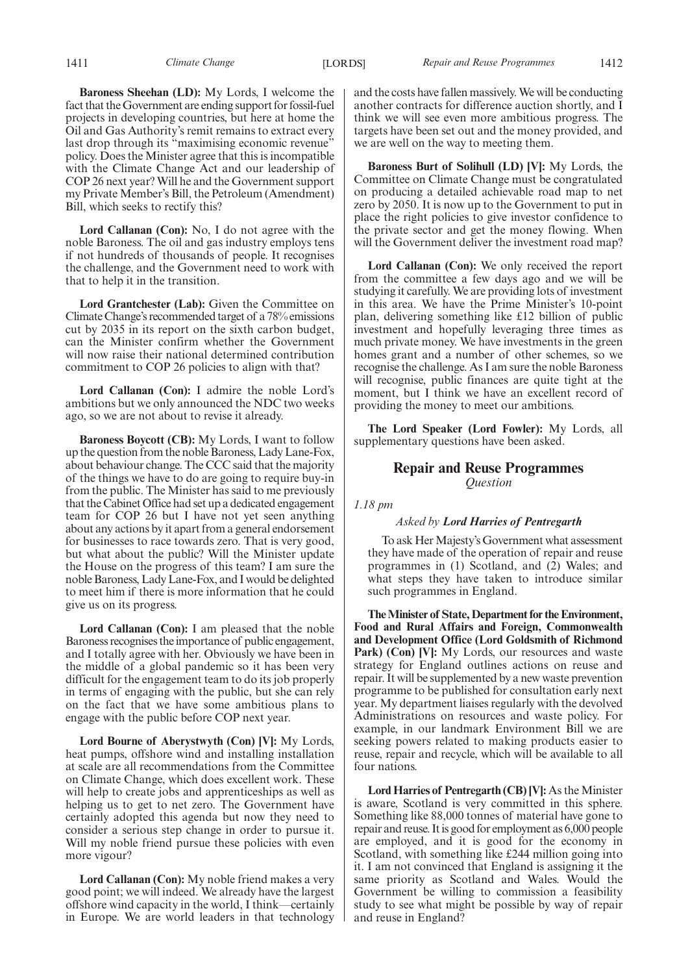**Baroness Sheehan (LD):** My Lords, I welcome the fact that the Government are ending support for fossil-fuel projects in developing countries, but here at home the Oil and Gas Authority's remit remains to extract every last drop through its "maximising economic revenue" policy. Does the Minister agree that this is incompatible with the Climate Change Act and our leadership of COP 26 next year? Will he and the Government support my Private Member's Bill, the Petroleum (Amendment) Bill, which seeks to rectify this?

**Lord Callanan (Con):** No, I do not agree with the noble Baroness. The oil and gas industry employs tens if not hundreds of thousands of people. It recognises the challenge, and the Government need to work with that to help it in the transition.

**Lord Grantchester (Lab):** Given the Committee on Climate Change's recommended target of a 78% emissions cut by 2035 in its report on the sixth carbon budget, can the Minister confirm whether the Government will now raise their national determined contribution commitment to COP 26 policies to align with that?

**Lord Callanan (Con):** I admire the noble Lord's ambitions but we only announced the NDC two weeks ago, so we are not about to revise it already.

**Baroness Boycott (CB):** My Lords, I want to follow up the question from the noble Baroness, Lady Lane-Fox, about behaviour change. The CCC said that the majority of the things we have to do are going to require buy-in from the public. The Minister has said to me previously that the Cabinet Office had set up a dedicated engagement team for COP 26 but I have not yet seen anything about any actions by it apart from a general endorsement for businesses to race towards zero. That is very good, but what about the public? Will the Minister update the House on the progress of this team? I am sure the noble Baroness, Lady Lane-Fox, and I would be delighted to meet him if there is more information that he could give us on its progress.

**Lord Callanan (Con):** I am pleased that the noble Baroness recognises the importance of public engagement, and I totally agree with her. Obviously we have been in the middle of a global pandemic so it has been very difficult for the engagement team to do its job properly in terms of engaging with the public, but she can rely on the fact that we have some ambitious plans to engage with the public before COP next year.

**Lord Bourne of Aberystwyth (Con) [V]:** My Lords, heat pumps, offshore wind and installing installation at scale are all recommendations from the Committee on Climate Change, which does excellent work. These will help to create jobs and apprenticeships as well as helping us to get to net zero. The Government have certainly adopted this agenda but now they need to consider a serious step change in order to pursue it. Will my noble friend pursue these policies with even more vigour?

**Lord Callanan (Con):** My noble friend makes a very good point; we will indeed. We already have the largest offshore wind capacity in the world, I think—certainly in Europe. We are world leaders in that technology and the costs have fallen massively. We will be conducting another contracts for difference auction shortly, and I think we will see even more ambitious progress. The targets have been set out and the money provided, and we are well on the way to meeting them.

**Baroness Burt of Solihull (LD) [V]:** My Lords, the Committee on Climate Change must be congratulated on producing a detailed achievable road map to net zero by 2050. It is now up to the Government to put in place the right policies to give investor confidence to the private sector and get the money flowing. When will the Government deliver the investment road map?

**Lord Callanan (Con):** We only received the report from the committee a few days ago and we will be studying it carefully. We are providing lots of investment in this area. We have the Prime Minister's 10-point plan, delivering something like £12 billion of public investment and hopefully leveraging three times as much private money. We have investments in the green homes grant and a number of other schemes, so we recognise the challenge. As I am sure the noble Baroness will recognise, public finances are quite tight at the moment, but I think we have an excellent record of providing the money to meet our ambitions.

**The Lord Speaker (Lord Fowler):** My Lords, all supplementary questions have been asked.

# **Repair and Reuse Programmes** *Question*

*1.18 pm*

#### *Asked by Lord Harries of Pentregarth*

To ask Her Majesty's Government what assessment they have made of the operation of repair and reuse programmes in (1) Scotland, and (2) Wales; and what steps they have taken to introduce similar such programmes in England.

**The Minister of State, Department for the Environment, Food and Rural Affairs and Foreign, Commonwealth and Development Office (Lord Goldsmith of Richmond Park) (Con) [V]:** My Lords, our resources and waste strategy for England outlines actions on reuse and repair. It will be supplemented by a new waste prevention programme to be published for consultation early next year. My department liaises regularly with the devolved Administrations on resources and waste policy. For example, in our landmark Environment Bill we are seeking powers related to making products easier to reuse, repair and recycle, which will be available to all four nations.

**Lord Harries of Pentregarth (CB) [V]:** As the Minister is aware, Scotland is very committed in this sphere. Something like 88,000 tonnes of material have gone to repair and reuse. It is good for employment as 6,000 people are employed, and it is good for the economy in Scotland, with something like £244 million going into it. I am not convinced that England is assigning it the same priority as Scotland and Wales. Would the Government be willing to commission a feasibility study to see what might be possible by way of repair and reuse in England?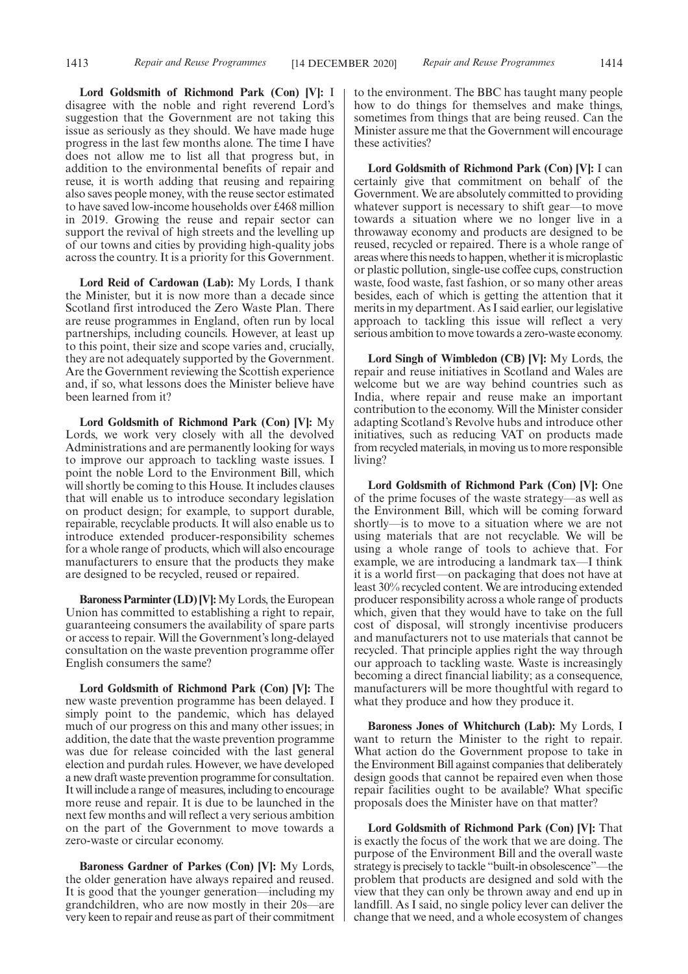**Lord Goldsmith of Richmond Park (Con) [V]:** I disagree with the noble and right reverend Lord's suggestion that the Government are not taking this issue as seriously as they should. We have made huge progress in the last few months alone. The time I have does not allow me to list all that progress but, in addition to the environmental benefits of repair and reuse, it is worth adding that reusing and repairing also saves people money, with the reuse sector estimated to have saved low-income households over £468 million in 2019. Growing the reuse and repair sector can support the revival of high streets and the levelling up of our towns and cities by providing high-quality jobs across the country. It is a priority for this Government.

**Lord Reid of Cardowan (Lab):** My Lords, I thank the Minister, but it is now more than a decade since Scotland first introduced the Zero Waste Plan. There are reuse programmes in England, often run by local partnerships, including councils. However, at least up to this point, their size and scope varies and, crucially, they are not adequately supported by the Government. Are the Government reviewing the Scottish experience and, if so, what lessons does the Minister believe have been learned from it?

**Lord Goldsmith of Richmond Park (Con) [V]:** My Lords, we work very closely with all the devolved Administrations and are permanently looking for ways to improve our approach to tackling waste issues. I point the noble Lord to the Environment Bill, which will shortly be coming to this House. It includes clauses that will enable us to introduce secondary legislation on product design; for example, to support durable, repairable, recyclable products. It will also enable us to introduce extended producer-responsibility schemes for a whole range of products, which will also encourage manufacturers to ensure that the products they make are designed to be recycled, reused or repaired.

**Baroness Parminter (LD) [V]:**My Lords, the European Union has committed to establishing a right to repair, guaranteeing consumers the availability of spare parts or access to repair. Will the Government's long-delayed consultation on the waste prevention programme offer English consumers the same?

**Lord Goldsmith of Richmond Park (Con) [V]:** The new waste prevention programme has been delayed. I simply point to the pandemic, which has delayed much of our progress on this and many other issues; in addition, the date that the waste prevention programme was due for release coincided with the last general election and purdah rules. However, we have developed a new draft waste prevention programme for consultation. It will include a range of measures, including to encourage more reuse and repair. It is due to be launched in the next few months and will reflect a very serious ambition on the part of the Government to move towards a zero-waste or circular economy.

**Baroness Gardner of Parkes (Con) [V]:** My Lords, the older generation have always repaired and reused. It is good that the younger generation—including my grandchildren, who are now mostly in their 20s—are very keen to repair and reuse as part of their commitment to the environment. The BBC has taught many people how to do things for themselves and make things, sometimes from things that are being reused. Can the Minister assure me that the Government will encourage these activities?

**Lord Goldsmith of Richmond Park (Con) [V]:** I can certainly give that commitment on behalf of the Government. We are absolutely committed to providing whatever support is necessary to shift gear—to move towards a situation where we no longer live in a throwaway economy and products are designed to be reused, recycled or repaired. There is a whole range of areas where this needs to happen, whether it is microplastic or plastic pollution, single-use coffee cups, construction waste, food waste, fast fashion, or so many other areas besides, each of which is getting the attention that it merits in my department. As I said earlier, our legislative approach to tackling this issue will reflect a very serious ambition to move towards a zero-waste economy.

**Lord Singh of Wimbledon (CB) [V]:** My Lords, the repair and reuse initiatives in Scotland and Wales are welcome but we are way behind countries such as India, where repair and reuse make an important contribution to the economy. Will the Minister consider adapting Scotland's Revolve hubs and introduce other initiatives, such as reducing VAT on products made from recycled materials, in moving us to more responsible living?

**Lord Goldsmith of Richmond Park (Con) [V]:** One of the prime focuses of the waste strategy—as well as the Environment Bill, which will be coming forward shortly—is to move to a situation where we are not using materials that are not recyclable. We will be using a whole range of tools to achieve that. For example, we are introducing a landmark tax—I think it is a world first—on packaging that does not have at least 30% recycled content. We are introducing extended producer responsibility across a whole range of products which, given that they would have to take on the full cost of disposal, will strongly incentivise producers and manufacturers not to use materials that cannot be recycled. That principle applies right the way through our approach to tackling waste. Waste is increasingly becoming a direct financial liability; as a consequence, manufacturers will be more thoughtful with regard to what they produce and how they produce it.

**Baroness Jones of Whitchurch (Lab):** My Lords, I want to return the Minister to the right to repair. What action do the Government propose to take in the Environment Bill against companies that deliberately design goods that cannot be repaired even when those repair facilities ought to be available? What specific proposals does the Minister have on that matter?

**Lord Goldsmith of Richmond Park (Con) [V]:** That is exactly the focus of the work that we are doing. The purpose of the Environment Bill and the overall waste strategy is precisely to tackle "built-in obsolescence"—the problem that products are designed and sold with the view that they can only be thrown away and end up in landfill. As I said, no single policy lever can deliver the change that we need, and a whole ecosystem of changes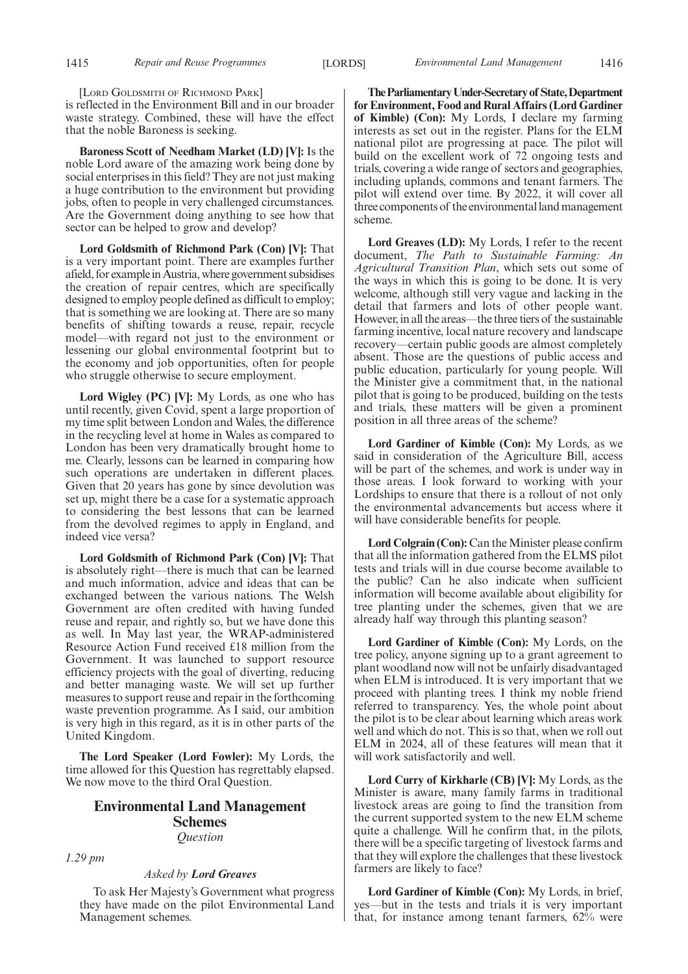[LORD GOLDSMITH OF RICHMOND PARK]

is reflected in the Environment Bill and in our broader waste strategy. Combined, these will have the effect that the noble Baroness is seeking.

**Baroness Scott of Needham Market (LD) [V]:** Is the noble Lord aware of the amazing work being done by social enterprises in this field? They are not just making a huge contribution to the environment but providing jobs, often to people in very challenged circumstances. Are the Government doing anything to see how that sector can be helped to grow and develop?

**Lord Goldsmith of Richmond Park (Con) [V]:** That is a very important point. There are examples further afield, for example in Austria, where government subsidises the creation of repair centres, which are specifically designed to employ people defined as difficult to employ; that is something we are looking at. There are so many benefits of shifting towards a reuse, repair, recycle model—with regard not just to the environment or lessening our global environmental footprint but to the economy and job opportunities, often for people who struggle otherwise to secure employment.

**Lord Wigley (PC) [V]:** My Lords, as one who has until recently, given Covid, spent a large proportion of my time split between London and Wales, the difference in the recycling level at home in Wales as compared to London has been very dramatically brought home to me. Clearly, lessons can be learned in comparing how such operations are undertaken in different places. Given that 20 years has gone by since devolution was set up, might there be a case for a systematic approach to considering the best lessons that can be learned from the devolved regimes to apply in England, and indeed vice versa?

**Lord Goldsmith of Richmond Park (Con) [V]:** That is absolutely right—there is much that can be learned and much information, advice and ideas that can be exchanged between the various nations. The Welsh Government are often credited with having funded reuse and repair, and rightly so, but we have done this as well. In May last year, the WRAP-administered Resource Action Fund received £18 million from the Government. It was launched to support resource efficiency projects with the goal of diverting, reducing and better managing waste. We will set up further measures to support reuse and repair in the forthcoming waste prevention programme. As I said, our ambition is very high in this regard, as it is in other parts of the United Kingdom.

**The Lord Speaker (Lord Fowler):** My Lords, the time allowed for this Question has regrettably elapsed. We now move to the third Oral Question.

# **Environmental Land Management Schemes** *Question*

*1.29 pm*

*Asked by Lord Greaves*

To ask Her Majesty's Government what progress they have made on the pilot Environmental Land Management schemes.

**TheParliamentaryUnder-Secretaryof State,Department for Environment, Food and Rural Affairs (Lord Gardiner of Kimble) (Con):** My Lords, I declare my farming interests as set out in the register. Plans for the ELM national pilot are progressing at pace. The pilot will build on the excellent work of 72 ongoing tests and trials, covering a wide range of sectors and geographies, including uplands, commons and tenant farmers. The pilot will extend over time. By 2022, it will cover all three components of the environmental land management scheme.

**Lord Greaves (LD):** My Lords, I refer to the recent document, *The Path to Sustainable Farming: An Agricultural Transition Plan*, which sets out some of the ways in which this is going to be done. It is very welcome, although still very vague and lacking in the detail that farmers and lots of other people want. However, in all the areas—the three tiers of the sustainable farming incentive, local nature recovery and landscape recovery—certain public goods are almost completely absent. Those are the questions of public access and public education, particularly for young people. Will the Minister give a commitment that, in the national pilot that is going to be produced, building on the tests and trials, these matters will be given a prominent position in all three areas of the scheme?

**Lord Gardiner of Kimble (Con):** My Lords, as we said in consideration of the Agriculture Bill, access will be part of the schemes, and work is under way in those areas. I look forward to working with your Lordships to ensure that there is a rollout of not only the environmental advancements but access where it will have considerable benefits for people.

**Lord Colgrain (Con):** Can the Minister please confirm that all the information gathered from the ELMS pilot tests and trials will in due course become available to the public? Can he also indicate when sufficient information will become available about eligibility for tree planting under the schemes, given that we are already half way through this planting season?

**Lord Gardiner of Kimble (Con):** My Lords, on the tree policy, anyone signing up to a grant agreement to plant woodland now will not be unfairly disadvantaged when ELM is introduced. It is very important that we proceed with planting trees. I think my noble friend referred to transparency. Yes, the whole point about the pilot is to be clear about learning which areas work well and which do not. This is so that, when we roll out ELM in 2024, all of these features will mean that it will work satisfactorily and well.

**Lord Curry of Kirkharle (CB) [V]:** My Lords, as the Minister is aware, many family farms in traditional livestock areas are going to find the transition from the current supported system to the new ELM scheme quite a challenge. Will he confirm that, in the pilots, there will be a specific targeting of livestock farms and that they will explore the challenges that these livestock farmers are likely to face?

**Lord Gardiner of Kimble (Con):** My Lords, in brief, yes—but in the tests and trials it is very important that, for instance among tenant farmers, 62% were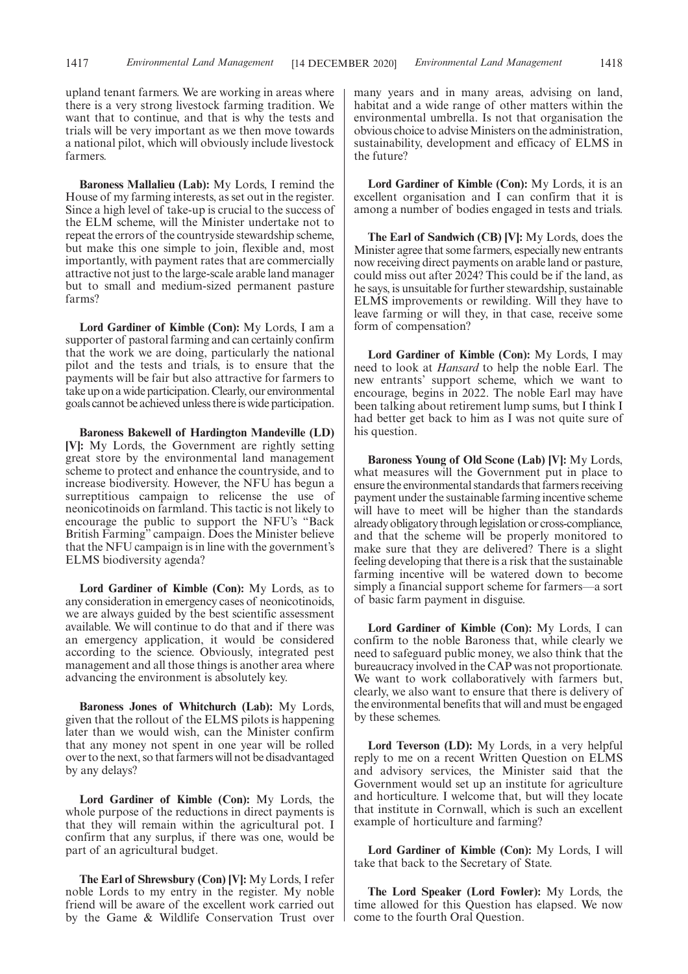upland tenant farmers. We are working in areas where there is a very strong livestock farming tradition. We want that to continue, and that is why the tests and trials will be very important as we then move towards a national pilot, which will obviously include livestock farmers.

**Baroness Mallalieu (Lab):** My Lords, I remind the House of my farming interests, as set out in the register. Since a high level of take-up is crucial to the success of the ELM scheme, will the Minister undertake not to repeat the errors of the countryside stewardship scheme, but make this one simple to join, flexible and, most importantly, with payment rates that are commercially attractive not just to the large-scale arable land manager but to small and medium-sized permanent pasture farms?

**Lord Gardiner of Kimble (Con):** My Lords, I am a supporter of pastoral farming and can certainly confirm that the work we are doing, particularly the national pilot and the tests and trials, is to ensure that the payments will be fair but also attractive for farmers to take up on a wide participation. Clearly, our environmental goals cannot be achieved unless there is wide participation.

**Baroness Bakewell of Hardington Mandeville (LD) [V]:** My Lords, the Government are rightly setting great store by the environmental land management scheme to protect and enhance the countryside, and to increase biodiversity. However, the NFU has begun a surreptitious campaign to relicense the use of neonicotinoids on farmland. This tactic is not likely to encourage the public to support the NFU's "Back British Farming" campaign. Does the Minister believe that the NFU campaign is in line with the government's ELMS biodiversity agenda?

**Lord Gardiner of Kimble (Con):** My Lords, as to any consideration in emergency cases of neonicotinoids, we are always guided by the best scientific assessment available. We will continue to do that and if there was an emergency application, it would be considered according to the science. Obviously, integrated pest management and all those things is another area where advancing the environment is absolutely key.

**Baroness Jones of Whitchurch (Lab):** My Lords, given that the rollout of the ELMS pilots is happening later than we would wish, can the Minister confirm that any money not spent in one year will be rolled over to the next, so that farmers will not be disadvantaged by any delays?

**Lord Gardiner of Kimble (Con):** My Lords, the whole purpose of the reductions in direct payments is that they will remain within the agricultural pot. I confirm that any surplus, if there was one, would be part of an agricultural budget.

**The Earl of Shrewsbury (Con) [V]:** My Lords, I refer noble Lords to my entry in the register. My noble friend will be aware of the excellent work carried out by the Game & Wildlife Conservation Trust over many years and in many areas, advising on land, habitat and a wide range of other matters within the environmental umbrella. Is not that organisation the obvious choice to advise Ministers on the administration, sustainability, development and efficacy of ELMS in the future?

**Lord Gardiner of Kimble (Con):** My Lords, it is an excellent organisation and I can confirm that it is among a number of bodies engaged in tests and trials.

**The Earl of Sandwich (CB) [V]:** My Lords, does the Minister agree that some farmers, especially new entrants now receiving direct payments on arable land or pasture, could miss out after 2024? This could be if the land, as he says, is unsuitable for further stewardship, sustainable ELMS improvements or rewilding. Will they have to leave farming or will they, in that case, receive some form of compensation?

**Lord Gardiner of Kimble (Con):** My Lords, I may need to look at *Hansard* to help the noble Earl. The new entrants' support scheme, which we want to encourage, begins in 2022. The noble Earl may have been talking about retirement lump sums, but I think I had better get back to him as I was not quite sure of his question.

**Baroness Young of Old Scone (Lab) [V]:** My Lords, what measures will the Government put in place to ensure the environmental standards that farmers receiving payment under the sustainable farming incentive scheme will have to meet will be higher than the standards already obligatory through legislation or cross-compliance, and that the scheme will be properly monitored to make sure that they are delivered? There is a slight feeling developing that there is a risk that the sustainable farming incentive will be watered down to become simply a financial support scheme for farmers—a sort of basic farm payment in disguise.

**Lord Gardiner of Kimble (Con):** My Lords, I can confirm to the noble Baroness that, while clearly we need to safeguard public money, we also think that the bureaucracy involved in the CAP was not proportionate. We want to work collaboratively with farmers but, clearly, we also want to ensure that there is delivery of the environmental benefits that will and must be engaged by these schemes.

**Lord Teverson (LD):** My Lords, in a very helpful reply to me on a recent Written Question on ELMS and advisory services, the Minister said that the Government would set up an institute for agriculture and horticulture. I welcome that, but will they locate that institute in Cornwall, which is such an excellent example of horticulture and farming?

**Lord Gardiner of Kimble (Con):** My Lords, I will take that back to the Secretary of State.

**The Lord Speaker (Lord Fowler):** My Lords, the time allowed for this Question has elapsed. We now come to the fourth Oral Question.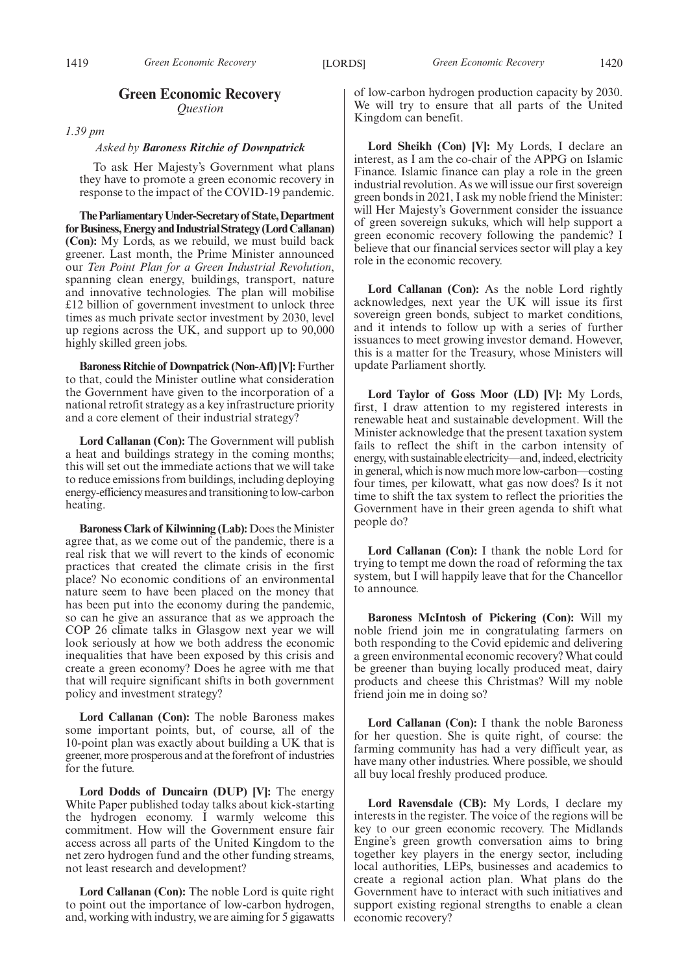# **Green Economic Recovery** *Question*

*1.39 pm*

#### *Asked by Baroness Ritchie of Downpatrick*

To ask Her Majesty's Government what plans they have to promote a green economic recovery in response to the impact of the COVID-19 pandemic.

**TheParliamentaryUnder-Secretaryof State,Department forBusiness,EnergyandIndustrialStrategy(LordCallanan) (Con):** My Lords, as we rebuild, we must build back greener. Last month, the Prime Minister announced our *Ten Point Plan for a Green Industrial Revolution*, spanning clean energy, buildings, transport, nature and innovative technologies. The plan will mobilise £12 billion of government investment to unlock three times as much private sector investment by 2030, level up regions across the UK, and support up to 90,000 highly skilled green jobs.

**Baroness Ritchie of Downpatrick (Non-Afl) [V]:**Further to that, could the Minister outline what consideration the Government have given to the incorporation of a national retrofit strategy as a key infrastructure priority and a core element of their industrial strategy?

**Lord Callanan (Con):** The Government will publish a heat and buildings strategy in the coming months; this will set out the immediate actions that we will take to reduce emissions from buildings, including deploying energy-efficiency measures and transitioning to low-carbon heating.

**Baroness Clark of Kilwinning (Lab):** Does the Minister agree that, as we come out of the pandemic, there is a real risk that we will revert to the kinds of economic practices that created the climate crisis in the first place? No economic conditions of an environmental nature seem to have been placed on the money that has been put into the economy during the pandemic, so can he give an assurance that as we approach the COP 26 climate talks in Glasgow next year we will look seriously at how we both address the economic inequalities that have been exposed by this crisis and create a green economy? Does he agree with me that that will require significant shifts in both government policy and investment strategy?

**Lord Callanan (Con):** The noble Baroness makes some important points, but, of course, all of the 10-point plan was exactly about building a UK that is greener, more prosperous and at the forefront of industries for the future.

**Lord Dodds of Duncairn (DUP) [V]:** The energy White Paper published today talks about kick-starting the hydrogen economy. I warmly welcome this commitment. How will the Government ensure fair access across all parts of the United Kingdom to the net zero hydrogen fund and the other funding streams, not least research and development?

**Lord Callanan (Con):** The noble Lord is quite right to point out the importance of low-carbon hydrogen, and, working with industry, we are aiming for 5 gigawatts of low-carbon hydrogen production capacity by 2030. We will try to ensure that all parts of the United Kingdom can benefit.

**Lord Sheikh (Con) [V]:** My Lords, I declare an interest, as I am the co-chair of the APPG on Islamic Finance. Islamic finance can play a role in the green industrial revolution. As we will issue our first sovereign green bonds in 2021, I ask my noble friend the Minister: will Her Majesty's Government consider the issuance of green sovereign sukuks, which will help support a green economic recovery following the pandemic? I believe that our financial services sector will play a key role in the economic recovery.

**Lord Callanan (Con):** As the noble Lord rightly acknowledges, next year the UK will issue its first sovereign green bonds, subject to market conditions, and it intends to follow up with a series of further issuances to meet growing investor demand. However, this is a matter for the Treasury, whose Ministers will update Parliament shortly.

**Lord Taylor of Goss Moor (LD) [V]:** My Lords, first, I draw attention to my registered interests in renewable heat and sustainable development. Will the Minister acknowledge that the present taxation system fails to reflect the shift in the carbon intensity of energy, with sustainable electricity—and, indeed, electricity in general, which is now much more low-carbon—costing four times, per kilowatt, what gas now does? Is it not time to shift the tax system to reflect the priorities the Government have in their green agenda to shift what people do?

**Lord Callanan (Con):** I thank the noble Lord for trying to tempt me down the road of reforming the tax system, but I will happily leave that for the Chancellor to announce.

**Baroness McIntosh of Pickering (Con):** Will my noble friend join me in congratulating farmers on both responding to the Covid epidemic and delivering a green environmental economic recovery? What could be greener than buying locally produced meat, dairy products and cheese this Christmas? Will my noble friend join me in doing so?

**Lord Callanan (Con):** I thank the noble Baroness for her question. She is quite right, of course: the farming community has had a very difficult year, as have many other industries. Where possible, we should all buy local freshly produced produce.

**Lord Ravensdale (CB):** My Lords, I declare my interests in the register. The voice of the regions will be key to our green economic recovery. The Midlands Engine's green growth conversation aims to bring together key players in the energy sector, including local authorities, LEPs, businesses and academics to create a regional action plan. What plans do the Government have to interact with such initiatives and support existing regional strengths to enable a clean economic recovery?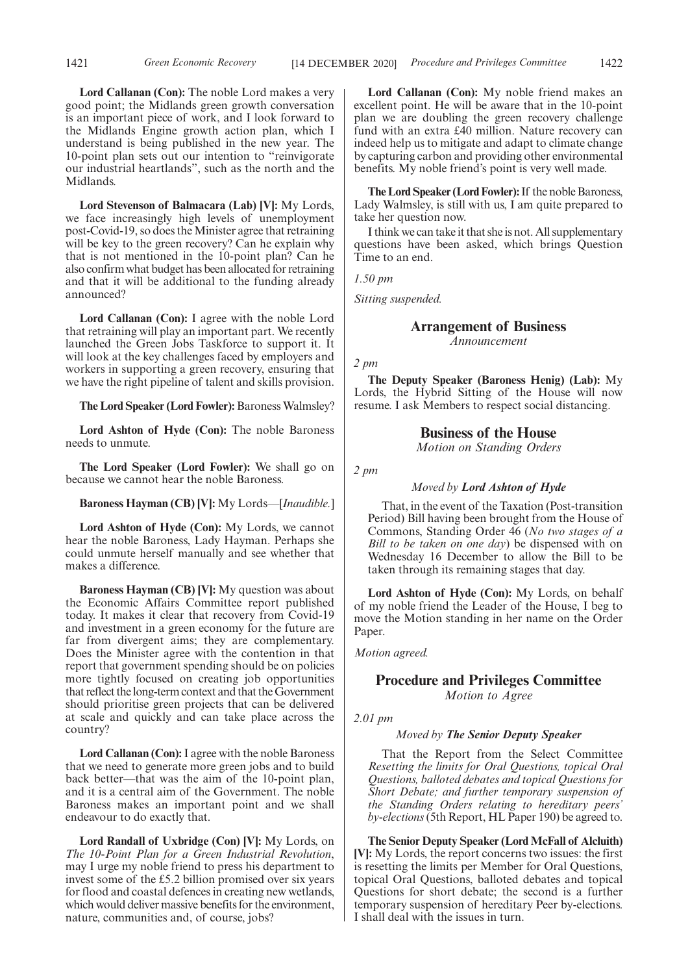**Lord Callanan (Con):** The noble Lord makes a very good point; the Midlands green growth conversation is an important piece of work, and I look forward to the Midlands Engine growth action plan, which I understand is being published in the new year. The 10-point plan sets out our intention to "reinvigorate our industrial heartlands", such as the north and the Midlands.

**Lord Stevenson of Balmacara (Lab) [V]:** My Lords, we face increasingly high levels of unemployment post-Covid-19, so does the Minister agree that retraining will be key to the green recovery? Can he explain why that is not mentioned in the 10-point plan? Can he also confirm what budget has been allocated for retraining and that it will be additional to the funding already announced?

**Lord Callanan (Con):** I agree with the noble Lord that retraining will play an important part. We recently launched the Green Jobs Taskforce to support it. It will look at the key challenges faced by employers and workers in supporting a green recovery, ensuring that we have the right pipeline of talent and skills provision.

**The Lord Speaker (Lord Fowler):** Baroness Walmsley?

**Lord Ashton of Hyde (Con):** The noble Baroness needs to unmute.

**The Lord Speaker (Lord Fowler):** We shall go on because we cannot hear the noble Baroness.

**Baroness Hayman (CB) [V]:** My Lords—[*Inaudible.*]

**Lord Ashton of Hyde (Con):** My Lords, we cannot hear the noble Baroness, Lady Hayman. Perhaps she could unmute herself manually and see whether that makes a difference.

**Baroness Hayman (CB) [V]:** My question was about the Economic Affairs Committee report published today. It makes it clear that recovery from Covid-19 and investment in a green economy for the future are far from divergent aims; they are complementary. Does the Minister agree with the contention in that report that government spending should be on policies more tightly focused on creating job opportunities that reflect the long-term context and that the Government should prioritise green projects that can be delivered at scale and quickly and can take place across the country?

**Lord Callanan (Con):**I agree with the noble Baroness that we need to generate more green jobs and to build back better—that was the aim of the 10-point plan, and it is a central aim of the Government. The noble Baroness makes an important point and we shall endeavour to do exactly that.

**Lord Randall of Uxbridge (Con) [V]:** My Lords, on *The 10-Point Plan for a Green Industrial Revolution*, may I urge my noble friend to press his department to invest some of the £5.2 billion promised over six years for flood and coastal defences in creating new wetlands, which would deliver massive benefits for the environment, nature, communities and, of course, jobs?

**Lord Callanan (Con):** My noble friend makes an excellent point. He will be aware that in the 10-point plan we are doubling the green recovery challenge fund with an extra £40 million. Nature recovery can indeed help us to mitigate and adapt to climate change by capturing carbon and providing other environmental benefits. My noble friend's point is very well made.

**The Lord Speaker (Lord Fowler):**If the noble Baroness, Lady Walmsley, is still with us, I am quite prepared to take her question now.

I think we can take it that she is not. All supplementary questions have been asked, which brings Question Time to an end.

*1.50 pm*

*Sitting suspended.*

# **Arrangement of Business**

*Announcement*

*2 pm*

**The Deputy Speaker (Baroness Henig) (Lab):** My Lords, the Hybrid Sitting of the House will now resume. I ask Members to respect social distancing.

### **Business of the House**

*Motion on Standing Orders*

*2 pm*

# *Moved by Lord Ashton of Hyde*

That, in the event of the Taxation (Post-transition Period) Bill having been brought from the House of Commons, Standing Order 46 (*No two stages of a Bill to be taken on one day*) be dispensed with on Wednesday 16 December to allow the Bill to be taken through its remaining stages that day.

**Lord Ashton of Hyde (Con):** My Lords, on behalf of my noble friend the Leader of the House, I beg to move the Motion standing in her name on the Order Paper.

*Motion agreed.*

# **Procedure and Privileges Committee** *Motion to Agree*

*2.01 pm*

### *Moved by The Senior Deputy Speaker*

That the Report from the Select Committee *Resetting the limits for Oral Questions, topical Oral Questions, balloted debates and topical Questions for Short Debate; and further temporary suspension of the Standing Orders relating to hereditary peers' by-elections*(5th Report, HL Paper 190) be agreed to.

**The Senior Deputy Speaker (Lord McFall of Alcluith) [V]:** My Lords, the report concerns two issues: the first is resetting the limits per Member for Oral Questions, topical Oral Questions, balloted debates and topical Questions for short debate; the second is a further temporary suspension of hereditary Peer by-elections. I shall deal with the issues in turn.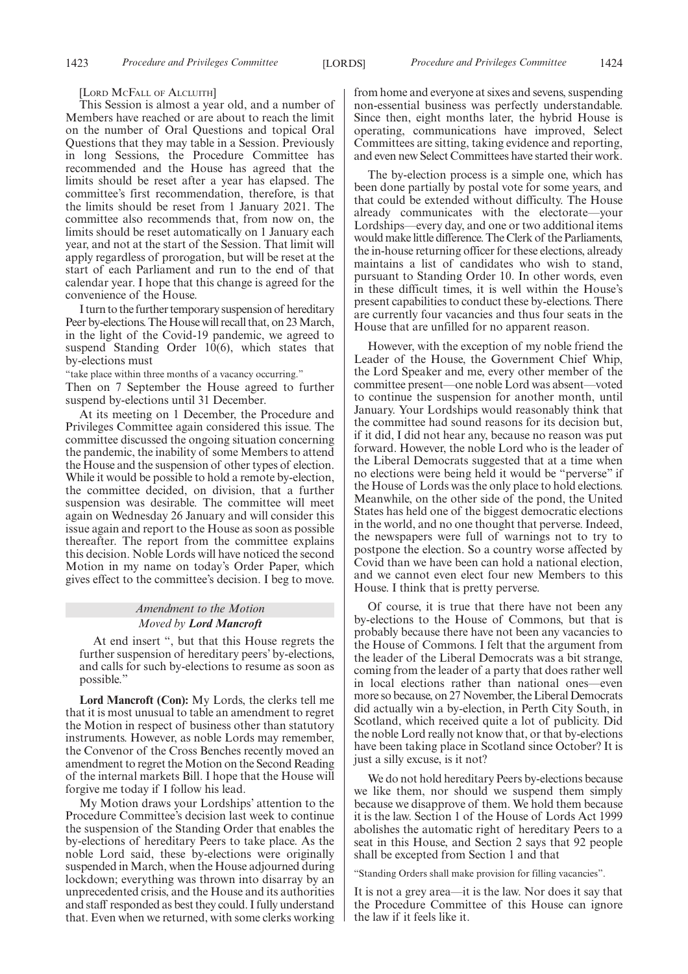#### [LORD MCFALL OF ALCLUITH]

This Session is almost a year old, and a number of Members have reached or are about to reach the limit on the number of Oral Questions and topical Oral Questions that they may table in a Session. Previously in long Sessions, the Procedure Committee has recommended and the House has agreed that the limits should be reset after a year has elapsed. The committee's first recommendation, therefore, is that the limits should be reset from 1 January 2021. The committee also recommends that, from now on, the limits should be reset automatically on 1 January each year, and not at the start of the Session. That limit will apply regardless of prorogation, but will be reset at the start of each Parliament and run to the end of that calendar year. I hope that this change is agreed for the convenience of the House.

I turn to the further temporary suspension of hereditary Peer by-elections. The House will recall that, on 23 March, in the light of the Covid-19 pandemic, we agreed to suspend Standing Order 10(6), which states that by-elections must

"take place within three months of a vacancy occurring."

Then on 7 September the House agreed to further suspend by-elections until 31 December.

At its meeting on 1 December, the Procedure and Privileges Committee again considered this issue. The committee discussed the ongoing situation concerning the pandemic, the inability of some Members to attend the House and the suspension of other types of election. While it would be possible to hold a remote by-election, the committee decided, on division, that a further suspension was desirable. The committee will meet again on Wednesday 26 January and will consider this issue again and report to the House as soon as possible thereafter. The report from the committee explains this decision. Noble Lords will have noticed the second Motion in my name on today's Order Paper, which gives effect to the committee's decision. I beg to move.

# *Amendment to the Motion Moved by Lord Mancroft*

At end insert ", but that this House regrets the further suspension of hereditary peers' by-elections, and calls for such by-elections to resume as soon as possible."

**Lord Mancroft (Con):** My Lords, the clerks tell me that it is most unusual to table an amendment to regret the Motion in respect of business other than statutory instruments. However, as noble Lords may remember, the Convenor of the Cross Benches recently moved an amendment to regret the Motion on the Second Reading of the internal markets Bill. I hope that the House will forgive me today if I follow his lead.

My Motion draws your Lordships' attention to the Procedure Committee's decision last week to continue the suspension of the Standing Order that enables the by-elections of hereditary Peers to take place. As the noble Lord said, these by-elections were originally suspended in March, when the House adjourned during lockdown; everything was thrown into disarray by an unprecedented crisis, and the House and its authorities and staff responded as best they could. I fully understand that. Even when we returned, with some clerks working from home and everyone at sixes and sevens, suspending non-essential business was perfectly understandable. Since then, eight months later, the hybrid House is operating, communications have improved, Select Committees are sitting, taking evidence and reporting, and even new Select Committees have started their work.

The by-election process is a simple one, which has been done partially by postal vote for some years, and that could be extended without difficulty. The House already communicates with the electorate—your Lordships—every day, and one or two additional items would make little difference. The Clerk of the Parliaments, the in-house returning officer for these elections, already maintains a list of candidates who wish to stand, pursuant to Standing Order 10. In other words, even in these difficult times, it is well within the House's present capabilities to conduct these by-elections. There are currently four vacancies and thus four seats in the House that are unfilled for no apparent reason.

However, with the exception of my noble friend the Leader of the House, the Government Chief Whip, the Lord Speaker and me, every other member of the committee present—one noble Lord was absent—voted to continue the suspension for another month, until January. Your Lordships would reasonably think that the committee had sound reasons for its decision but, if it did, I did not hear any, because no reason was put forward. However, the noble Lord who is the leader of the Liberal Democrats suggested that at a time when no elections were being held it would be "perverse" if the House of Lords was the only place to hold elections. Meanwhile, on the other side of the pond, the United States has held one of the biggest democratic elections in the world, and no one thought that perverse. Indeed, the newspapers were full of warnings not to try to postpone the election. So a country worse affected by Covid than we have been can hold a national election, and we cannot even elect four new Members to this House. I think that is pretty perverse.

Of course, it is true that there have not been any by-elections to the House of Commons, but that is probably because there have not been any vacancies to the House of Commons. I felt that the argument from the leader of the Liberal Democrats was a bit strange, coming from the leader of a party that does rather well in local elections rather than national ones—even more so because, on 27 November, the Liberal Democrats did actually win a by-election, in Perth City South, in Scotland, which received quite a lot of publicity. Did the noble Lord really not know that, or that by-elections have been taking place in Scotland since October? It is just a silly excuse, is it not?

We do not hold hereditary Peers by-elections because we like them, nor should we suspend them simply because we disapprove of them. We hold them because it is the law. Section 1 of the House of Lords Act 1999 abolishes the automatic right of hereditary Peers to a seat in this House, and Section 2 says that 92 people shall be excepted from Section 1 and that

"Standing Orders shall make provision for filling vacancies".

It is not a grey area—it is the law. Nor does it say that the Procedure Committee of this House can ignore the law if it feels like it.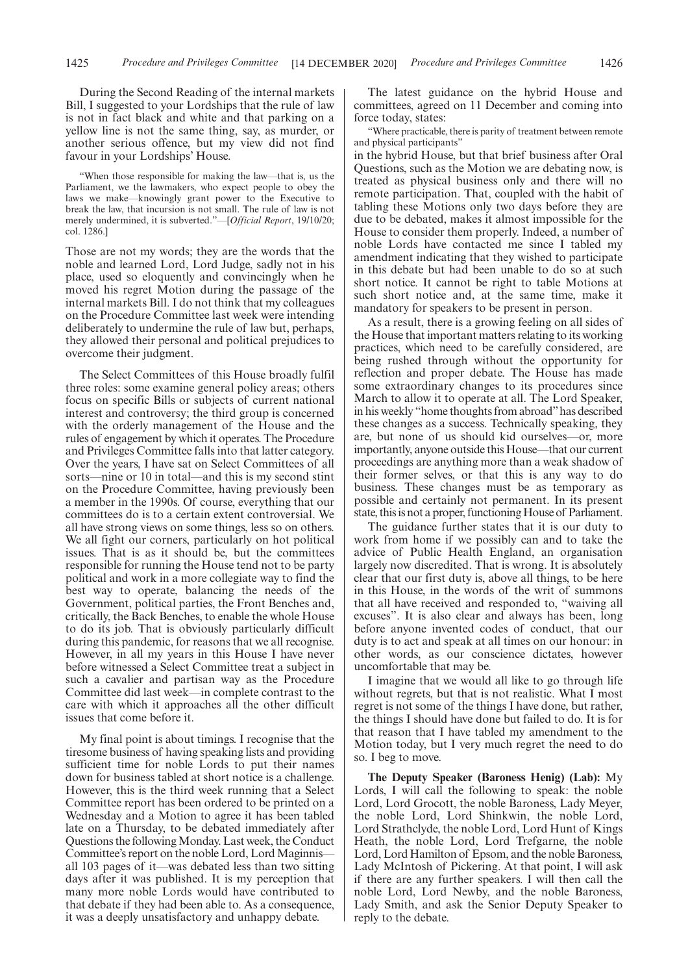During the Second Reading of the internal markets Bill, I suggested to your Lordships that the rule of law is not in fact black and white and that parking on a yellow line is not the same thing, say, as murder, or another serious offence, but my view did not find favour in your Lordships' House.

"When those responsible for making the law—that is, us the Parliament, we the lawmakers, who expect people to obey the laws we make—knowingly grant power to the Executive to break the law, that incursion is not small. The rule of law is not merely undermined, it is subverted."—[*Official Report*, 19/10/20; col. 1286.]

Those are not my words; they are the words that the noble and learned Lord, Lord Judge, sadly not in his place, used so eloquently and convincingly when he moved his regret Motion during the passage of the internal markets Bill. I do not think that my colleagues on the Procedure Committee last week were intending deliberately to undermine the rule of law but, perhaps, they allowed their personal and political prejudices to overcome their judgment.

The Select Committees of this House broadly fulfil three roles: some examine general policy areas; others focus on specific Bills or subjects of current national interest and controversy; the third group is concerned with the orderly management of the House and the rules of engagement by which it operates. The Procedure and Privileges Committee falls into that latter category. Over the years, I have sat on Select Committees of all sorts—nine or 10 in total—and this is my second stint on the Procedure Committee, having previously been a member in the 1990s. Of course, everything that our committees do is to a certain extent controversial. We all have strong views on some things, less so on others. We all fight our corners, particularly on hot political issues. That is as it should be, but the committees responsible for running the House tend not to be party political and work in a more collegiate way to find the best way to operate, balancing the needs of the Government, political parties, the Front Benches and, critically, the Back Benches, to enable the whole House to do its job. That is obviously particularly difficult during this pandemic, for reasons that we all recognise. However, in all my years in this House I have never before witnessed a Select Committee treat a subject in such a cavalier and partisan way as the Procedure Committee did last week—in complete contrast to the care with which it approaches all the other difficult issues that come before it.

My final point is about timings. I recognise that the tiresome business of having speaking lists and providing sufficient time for noble Lords to put their names down for business tabled at short notice is a challenge. However, this is the third week running that a Select Committee report has been ordered to be printed on a Wednesday and a Motion to agree it has been tabled late on a Thursday, to be debated immediately after Questions the following Monday. Last week, the Conduct Committee's report on the noble Lord, Lord Maginnis all 103 pages of it—was debated less than two sitting days after it was published. It is my perception that many more noble Lords would have contributed to that debate if they had been able to. As a consequence, it was a deeply unsatisfactory and unhappy debate.

The latest guidance on the hybrid House and committees, agreed on 11 December and coming into force today, states:

"Where practicable, there is parity of treatment between remote and physical participants"

in the hybrid House, but that brief business after Oral Questions, such as the Motion we are debating now, is treated as physical business only and there will no remote participation. That, coupled with the habit of tabling these Motions only two days before they are due to be debated, makes it almost impossible for the House to consider them properly. Indeed, a number of noble Lords have contacted me since I tabled my amendment indicating that they wished to participate in this debate but had been unable to do so at such short notice. It cannot be right to table Motions at such short notice and, at the same time, make it mandatory for speakers to be present in person.

As a result, there is a growing feeling on all sides of the House that important matters relating to its working practices, which need to be carefully considered, are being rushed through without the opportunity for reflection and proper debate. The House has made some extraordinary changes to its procedures since March to allow it to operate at all. The Lord Speaker, in his weekly "home thoughts from abroad"has described these changes as a success. Technically speaking, they are, but none of us should kid ourselves—or, more importantly, anyone outside this House—that our current proceedings are anything more than a weak shadow of their former selves, or that this is any way to do business. These changes must be as temporary as possible and certainly not permanent. In its present state, this is not a proper, functioning House of Parliament.

The guidance further states that it is our duty to work from home if we possibly can and to take the advice of Public Health England, an organisation largely now discredited. That is wrong. It is absolutely clear that our first duty is, above all things, to be here in this House, in the words of the writ of summons that all have received and responded to, "waiving all excuses". It is also clear and always has been, long before anyone invented codes of conduct, that our duty is to act and speak at all times on our honour: in other words, as our conscience dictates, however uncomfortable that may be.

I imagine that we would all like to go through life without regrets, but that is not realistic. What I most regret is not some of the things I have done, but rather, the things I should have done but failed to do. It is for that reason that I have tabled my amendment to the Motion today, but I very much regret the need to do so. I beg to move.

**The Deputy Speaker (Baroness Henig) (Lab):** My Lords, I will call the following to speak: the noble Lord, Lord Grocott, the noble Baroness, Lady Meyer, the noble Lord, Lord Shinkwin, the noble Lord, Lord Strathclyde, the noble Lord, Lord Hunt of Kings Heath, the noble Lord, Lord Trefgarne, the noble Lord, Lord Hamilton of Epsom, and the noble Baroness, Lady McIntosh of Pickering. At that point, I will ask if there are any further speakers. I will then call the noble Lord, Lord Newby, and the noble Baroness, Lady Smith, and ask the Senior Deputy Speaker to reply to the debate.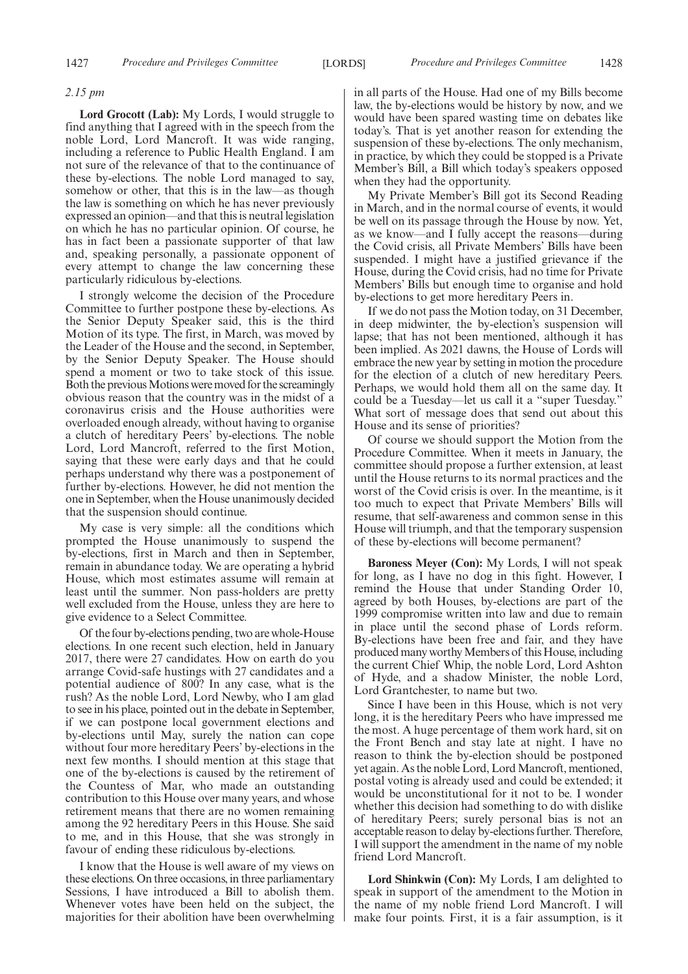### *2.15 pm*

**Lord Grocott (Lab):** My Lords, I would struggle to find anything that I agreed with in the speech from the noble Lord, Lord Mancroft. It was wide ranging, including a reference to Public Health England. I am not sure of the relevance of that to the continuance of these by-elections. The noble Lord managed to say, somehow or other, that this is in the law—as though the law is something on which he has never previously expressed an opinion—and that this is neutral legislation on which he has no particular opinion. Of course, he has in fact been a passionate supporter of that law and, speaking personally, a passionate opponent of every attempt to change the law concerning these particularly ridiculous by-elections.

I strongly welcome the decision of the Procedure Committee to further postpone these by-elections. As the Senior Deputy Speaker said, this is the third Motion of its type. The first, in March, was moved by the Leader of the House and the second, in September, by the Senior Deputy Speaker. The House should spend a moment or two to take stock of this issue. Both the previous Motions were moved for the screamingly obvious reason that the country was in the midst of a coronavirus crisis and the House authorities were overloaded enough already, without having to organise a clutch of hereditary Peers' by-elections. The noble Lord, Lord Mancroft, referred to the first Motion, saying that these were early days and that he could perhaps understand why there was a postponement of further by-elections. However, he did not mention the one in September, when the House unanimously decided that the suspension should continue.

My case is very simple: all the conditions which prompted the House unanimously to suspend the by-elections, first in March and then in September, remain in abundance today. We are operating a hybrid House, which most estimates assume will remain at least until the summer. Non pass-holders are pretty well excluded from the House, unless they are here to give evidence to a Select Committee.

Of the four by-elections pending, two are whole-House elections. In one recent such election, held in January 2017, there were 27 candidates. How on earth do you arrange Covid-safe hustings with 27 candidates and a potential audience of 800? In any case, what is the rush? As the noble Lord, Lord Newby, who I am glad to see in his place, pointed out in the debate in September, if we can postpone local government elections and by-elections until May, surely the nation can cope without four more hereditary Peers' by-elections in the next few months. I should mention at this stage that one of the by-elections is caused by the retirement of the Countess of Mar, who made an outstanding contribution to this House over many years, and whose retirement means that there are no women remaining among the 92 hereditary Peers in this House. She said to me, and in this House, that she was strongly in favour of ending these ridiculous by-elections.

I know that the House is well aware of my views on these elections. On three occasions, in three parliamentary Sessions, I have introduced a Bill to abolish them. Whenever votes have been held on the subject, the majorities for their abolition have been overwhelming in all parts of the House. Had one of my Bills become law, the by-elections would be history by now, and we would have been spared wasting time on debates like today's. That is yet another reason for extending the suspension of these by-elections. The only mechanism, in practice, by which they could be stopped is a Private Member's Bill, a Bill which today's speakers opposed when they had the opportunity.

My Private Member's Bill got its Second Reading in March, and in the normal course of events, it would be well on its passage through the House by now. Yet, as we know—and I fully accept the reasons—during the Covid crisis, all Private Members' Bills have been suspended. I might have a justified grievance if the House, during the Covid crisis, had no time for Private Members' Bills but enough time to organise and hold by-elections to get more hereditary Peers in.

If we do not pass the Motion today, on 31 December, in deep midwinter, the by-election's suspension will lapse; that has not been mentioned, although it has been implied. As 2021 dawns, the House of Lords will embrace the new year by setting in motion the procedure for the election of a clutch of new hereditary Peers. Perhaps, we would hold them all on the same day. It could be a Tuesday—let us call it a "super Tuesday." What sort of message does that send out about this House and its sense of priorities?

Of course we should support the Motion from the Procedure Committee. When it meets in January, the committee should propose a further extension, at least until the House returns to its normal practices and the worst of the Covid crisis is over. In the meantime, is it too much to expect that Private Members' Bills will resume, that self-awareness and common sense in this House will triumph, and that the temporary suspension of these by-elections will become permanent?

**Baroness Meyer (Con):** My Lords, I will not speak for long, as I have no dog in this fight. However, I remind the House that under Standing Order 10, agreed by both Houses, by-elections are part of the 1999 compromise written into law and due to remain in place until the second phase of Lords reform. By-elections have been free and fair, and they have produced many worthy Members of this House, including the current Chief Whip, the noble Lord, Lord Ashton of Hyde, and a shadow Minister, the noble Lord, Lord Grantchester, to name but two.

Since I have been in this House, which is not very long, it is the hereditary Peers who have impressed me the most. A huge percentage of them work hard, sit on the Front Bench and stay late at night. I have no reason to think the by-election should be postponed yet again. As the noble Lord, Lord Mancroft, mentioned, postal voting is already used and could be extended; it would be unconstitutional for it not to be. I wonder whether this decision had something to do with dislike of hereditary Peers; surely personal bias is not an acceptable reason to delay by-elections further. Therefore, I will support the amendment in the name of my noble friend Lord Mancroft.

**Lord Shinkwin (Con):** My Lords, I am delighted to speak in support of the amendment to the Motion in the name of my noble friend Lord Mancroft. I will make four points. First, it is a fair assumption, is it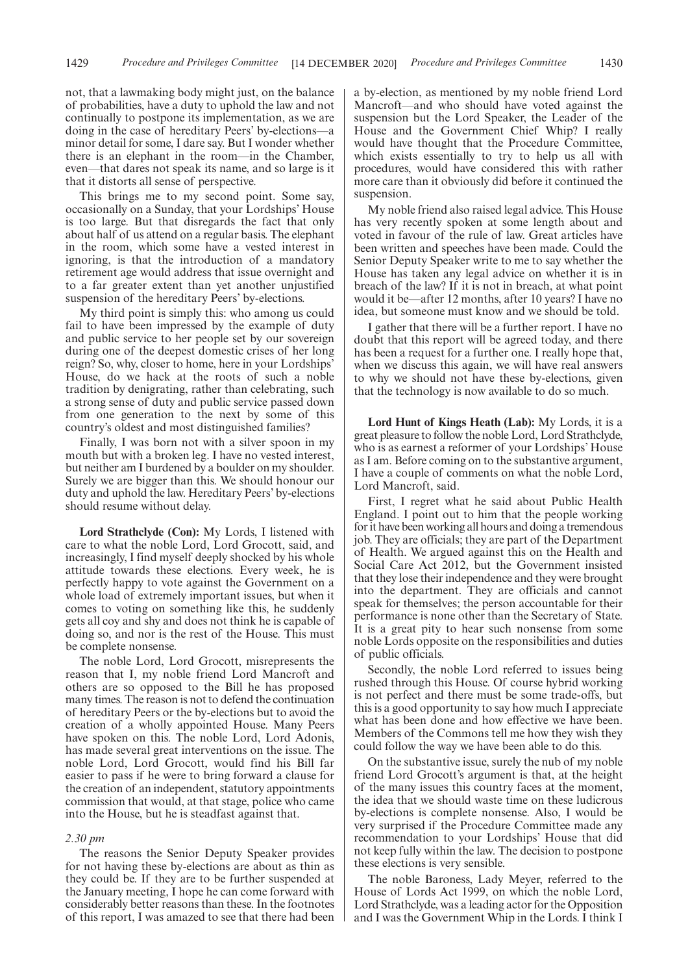not, that a lawmaking body might just, on the balance of probabilities, have a duty to uphold the law and not continually to postpone its implementation, as we are doing in the case of hereditary Peers' by-elections—a minor detail for some, I dare say. But I wonder whether there is an elephant in the room—in the Chamber, even—that dares not speak its name, and so large is it that it distorts all sense of perspective.

This brings me to my second point. Some say, occasionally on a Sunday, that your Lordships' House is too large. But that disregards the fact that only about half of us attend on a regular basis. The elephant in the room, which some have a vested interest in ignoring, is that the introduction of a mandatory retirement age would address that issue overnight and to a far greater extent than yet another unjustified suspension of the hereditary Peers' by-elections.

My third point is simply this: who among us could fail to have been impressed by the example of duty and public service to her people set by our sovereign during one of the deepest domestic crises of her long reign? So, why, closer to home, here in your Lordships' House, do we hack at the roots of such a noble tradition by denigrating, rather than celebrating, such a strong sense of duty and public service passed down from one generation to the next by some of this country's oldest and most distinguished families?

Finally, I was born not with a silver spoon in my mouth but with a broken leg. I have no vested interest, but neither am I burdened by a boulder on my shoulder. Surely we are bigger than this. We should honour our duty and uphold the law. Hereditary Peers' by-elections should resume without delay.

**Lord Strathclyde (Con):** My Lords, I listened with care to what the noble Lord, Lord Grocott, said, and increasingly, I find myself deeply shocked by his whole attitude towards these elections. Every week, he is perfectly happy to vote against the Government on a whole load of extremely important issues, but when it comes to voting on something like this, he suddenly gets all coy and shy and does not think he is capable of doing so, and nor is the rest of the House. This must be complete nonsense.

The noble Lord, Lord Grocott, misrepresents the reason that I, my noble friend Lord Mancroft and others are so opposed to the Bill he has proposed many times. The reason is not to defend the continuation of hereditary Peers or the by-elections but to avoid the creation of a wholly appointed House. Many Peers have spoken on this. The noble Lord, Lord Adonis, has made several great interventions on the issue. The noble Lord, Lord Grocott, would find his Bill far easier to pass if he were to bring forward a clause for the creation of an independent, statutory appointments commission that would, at that stage, police who came into the House, but he is steadfast against that.

# *2.30 pm*

The reasons the Senior Deputy Speaker provides for not having these by-elections are about as thin as they could be. If they are to be further suspended at the January meeting, I hope he can come forward with considerably better reasons than these. In the footnotes of this report, I was amazed to see that there had been

a by-election, as mentioned by my noble friend Lord Mancroft—and who should have voted against the suspension but the Lord Speaker, the Leader of the House and the Government Chief Whip? I really would have thought that the Procedure Committee, which exists essentially to try to help us all with procedures, would have considered this with rather more care than it obviously did before it continued the suspension.

My noble friend also raised legal advice. This House has very recently spoken at some length about and voted in favour of the rule of law. Great articles have been written and speeches have been made. Could the Senior Deputy Speaker write to me to say whether the House has taken any legal advice on whether it is in breach of the law? If it is not in breach, at what point would it be—after 12 months, after 10 years? I have no idea, but someone must know and we should be told.

I gather that there will be a further report. I have no doubt that this report will be agreed today, and there has been a request for a further one. I really hope that, when we discuss this again, we will have real answers to why we should not have these by-elections, given that the technology is now available to do so much.

**Lord Hunt of Kings Heath (Lab):** My Lords, it is a great pleasure to follow the noble Lord, Lord Strathclyde, who is as earnest a reformer of your Lordships' House as I am. Before coming on to the substantive argument, I have a couple of comments on what the noble Lord, Lord Mancroft, said.

First, I regret what he said about Public Health England. I point out to him that the people working for it have been working all hours and doing a tremendous job. They are officials; they are part of the Department of Health. We argued against this on the Health and Social Care Act 2012, but the Government insisted that they lose their independence and they were brought into the department. They are officials and cannot speak for themselves; the person accountable for their performance is none other than the Secretary of State. It is a great pity to hear such nonsense from some noble Lords opposite on the responsibilities and duties of public officials.

Secondly, the noble Lord referred to issues being rushed through this House. Of course hybrid working is not perfect and there must be some trade-offs, but this is a good opportunity to say how much I appreciate what has been done and how effective we have been. Members of the Commons tell me how they wish they could follow the way we have been able to do this.

On the substantive issue, surely the nub of my noble friend Lord Grocott's argument is that, at the height of the many issues this country faces at the moment, the idea that we should waste time on these ludicrous by-elections is complete nonsense. Also, I would be very surprised if the Procedure Committee made any recommendation to your Lordships' House that did not keep fully within the law. The decision to postpone these elections is very sensible.

The noble Baroness, Lady Meyer, referred to the House of Lords Act 1999, on which the noble Lord, Lord Strathclyde, was a leading actor for the Opposition and I was the Government Whip in the Lords. I think I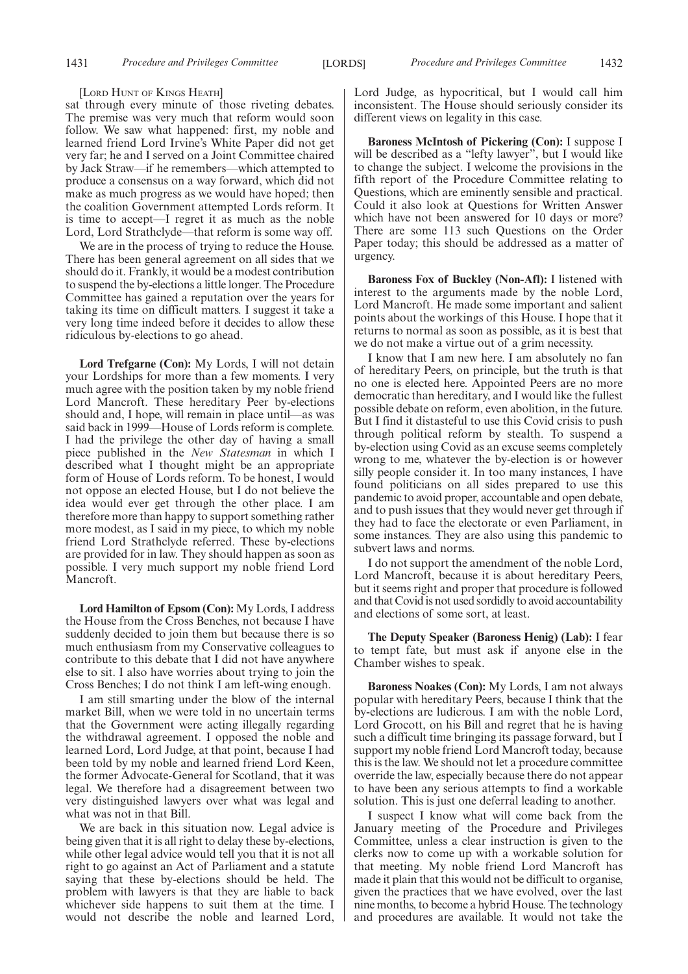#### [LORD HUNT OF KINGS HEATH]

sat through every minute of those riveting debates. The premise was very much that reform would soon follow. We saw what happened: first, my noble and learned friend Lord Irvine's White Paper did not get very far; he and I served on a Joint Committee chaired by Jack Straw—if he remembers—which attempted to produce a consensus on a way forward, which did not make as much progress as we would have hoped; then the coalition Government attempted Lords reform. It is time to accept—I regret it as much as the noble Lord, Lord Strathclyde—that reform is some way off.

We are in the process of trying to reduce the House. There has been general agreement on all sides that we should do it. Frankly, it would be a modest contribution to suspend the by-elections a little longer. The Procedure Committee has gained a reputation over the years for taking its time on difficult matters. I suggest it take a very long time indeed before it decides to allow these ridiculous by-elections to go ahead.

**Lord Trefgarne (Con):** My Lords, I will not detain your Lordships for more than a few moments. I very much agree with the position taken by my noble friend Lord Mancroft. These hereditary Peer by-elections should and, I hope, will remain in place until—as was said back in 1999—House of Lords reform is complete. I had the privilege the other day of having a small piece published in the *New Statesman* in which I described what I thought might be an appropriate form of House of Lords reform. To be honest, I would not oppose an elected House, but I do not believe the idea would ever get through the other place. I am therefore more than happy to support something rather more modest, as I said in my piece, to which my noble friend Lord Strathclyde referred. These by-elections are provided for in law. They should happen as soon as possible. I very much support my noble friend Lord Mancroft.

**Lord Hamilton of Epsom (Con):** My Lords, I address the House from the Cross Benches, not because I have suddenly decided to join them but because there is so much enthusiasm from my Conservative colleagues to contribute to this debate that I did not have anywhere else to sit. I also have worries about trying to join the Cross Benches; I do not think I am left-wing enough.

I am still smarting under the blow of the internal market Bill, when we were told in no uncertain terms that the Government were acting illegally regarding the withdrawal agreement. I opposed the noble and learned Lord, Lord Judge, at that point, because I had been told by my noble and learned friend Lord Keen, the former Advocate-General for Scotland, that it was legal. We therefore had a disagreement between two very distinguished lawyers over what was legal and what was not in that Bill.

We are back in this situation now. Legal advice is being given that it is all right to delay these by-elections, while other legal advice would tell you that it is not all right to go against an Act of Parliament and a statute saying that these by-elections should be held. The problem with lawyers is that they are liable to back whichever side happens to suit them at the time. I would not describe the noble and learned Lord, Lord Judge, as hypocritical, but I would call him inconsistent. The House should seriously consider its different views on legality in this case.

**Baroness McIntosh of Pickering (Con):** I suppose I will be described as a "lefty lawyer", but I would like to change the subject. I welcome the provisions in the fifth report of the Procedure Committee relating to Questions, which are eminently sensible and practical. Could it also look at Questions for Written Answer which have not been answered for 10 days or more? There are some 113 such Questions on the Order Paper today; this should be addressed as a matter of urgency.

**Baroness Fox of Buckley (Non-Afl):** I listened with interest to the arguments made by the noble Lord, Lord Mancroft. He made some important and salient points about the workings of this House. I hope that it returns to normal as soon as possible, as it is best that we do not make a virtue out of a grim necessity.

I know that I am new here. I am absolutely no fan of hereditary Peers, on principle, but the truth is that no one is elected here. Appointed Peers are no more democratic than hereditary, and I would like the fullest possible debate on reform, even abolition, in the future. But I find it distasteful to use this Covid crisis to push through political reform by stealth. To suspend a by-election using Covid as an excuse seems completely wrong to me, whatever the by-election is or however silly people consider it. In too many instances, I have found politicians on all sides prepared to use this pandemic to avoid proper, accountable and open debate, and to push issues that they would never get through if they had to face the electorate or even Parliament, in some instances. They are also using this pandemic to subvert laws and norms.

I do not support the amendment of the noble Lord, Lord Mancroft, because it is about hereditary Peers, but it seems right and proper that procedure is followed and that Covid is not used sordidly to avoid accountability and elections of some sort, at least.

**The Deputy Speaker (Baroness Henig) (Lab):** I fear to tempt fate, but must ask if anyone else in the Chamber wishes to speak.

**Baroness Noakes (Con):** My Lords, I am not always popular with hereditary Peers, because I think that the by-elections are ludicrous. I am with the noble Lord, Lord Grocott, on his Bill and regret that he is having such a difficult time bringing its passage forward, but I support my noble friend Lord Mancroft today, because this is the law. We should not let a procedure committee override the law, especially because there do not appear to have been any serious attempts to find a workable solution. This is just one deferral leading to another.

I suspect I know what will come back from the January meeting of the Procedure and Privileges Committee, unless a clear instruction is given to the clerks now to come up with a workable solution for that meeting. My noble friend Lord Mancroft has made it plain that this would not be difficult to organise, given the practices that we have evolved, over the last nine months, to become a hybrid House. The technology and procedures are available. It would not take the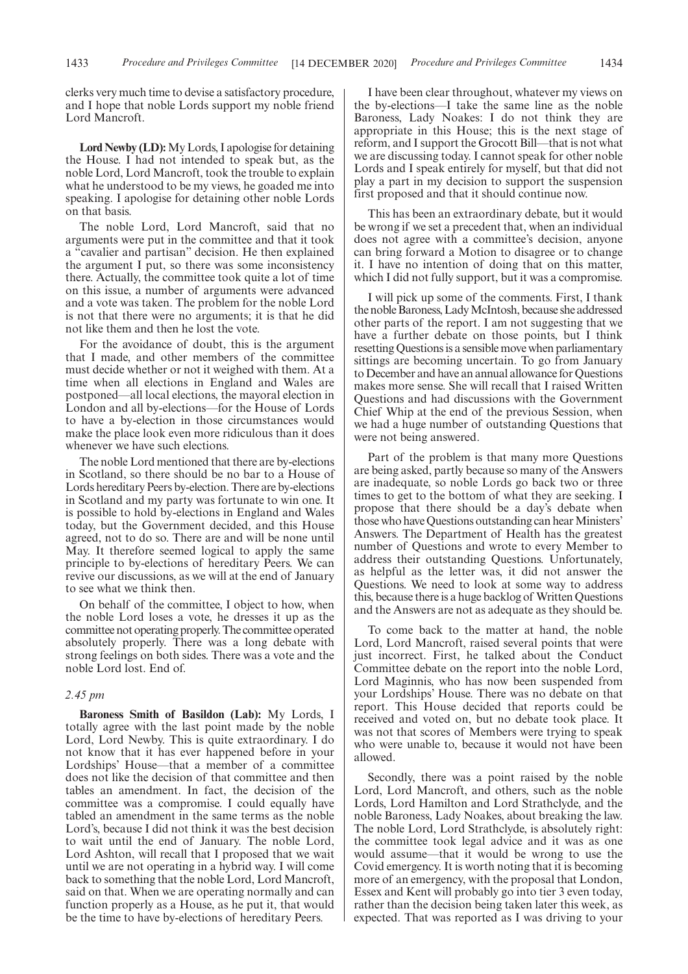clerks very much time to devise a satisfactory procedure, and I hope that noble Lords support my noble friend Lord Mancroft.

**Lord Newby (LD):**My Lords, I apologise for detaining the House. I had not intended to speak but, as the noble Lord, Lord Mancroft, took the trouble to explain what he understood to be my views, he goaded me into speaking. I apologise for detaining other noble Lords on that basis.

The noble Lord, Lord Mancroft, said that no arguments were put in the committee and that it took a "cavalier and partisan" decision. He then explained the argument I put, so there was some inconsistency there. Actually, the committee took quite a lot of time on this issue, a number of arguments were advanced and a vote was taken. The problem for the noble Lord is not that there were no arguments; it is that he did not like them and then he lost the vote.

For the avoidance of doubt, this is the argument that I made, and other members of the committee must decide whether or not it weighed with them. At a time when all elections in England and Wales are postponed—all local elections, the mayoral election in London and all by-elections—for the House of Lords to have a by-election in those circumstances would make the place look even more ridiculous than it does whenever we have such elections.

The noble Lord mentioned that there are by-elections in Scotland, so there should be no bar to a House of Lords hereditary Peers by-election. There are by-elections in Scotland and my party was fortunate to win one. It is possible to hold by-elections in England and Wales today, but the Government decided, and this House agreed, not to do so. There are and will be none until May. It therefore seemed logical to apply the same principle to by-elections of hereditary Peers. We can revive our discussions, as we will at the end of January to see what we think then.

On behalf of the committee, I object to how, when the noble Lord loses a vote, he dresses it up as the committee not operating properly. The committee operated absolutely properly. There was a long debate with strong feelings on both sides. There was a vote and the noble Lord lost. End of.

# *2.45 pm*

**Baroness Smith of Basildon (Lab):** My Lords, I totally agree with the last point made by the noble Lord, Lord Newby. This is quite extraordinary. I do not know that it has ever happened before in your Lordships' House—that a member of a committee does not like the decision of that committee and then tables an amendment. In fact, the decision of the committee was a compromise. I could equally have tabled an amendment in the same terms as the noble Lord's, because I did not think it was the best decision to wait until the end of January. The noble Lord, Lord Ashton, will recall that I proposed that we wait until we are not operating in a hybrid way. I will come back to something that the noble Lord, Lord Mancroft, said on that. When we are operating normally and can function properly as a House, as he put it, that would be the time to have by-elections of hereditary Peers.

I have been clear throughout, whatever my views on the by-elections—I take the same line as the noble Baroness, Lady Noakes: I do not think they are appropriate in this House; this is the next stage of reform, and I support the Grocott Bill—that is not what we are discussing today. I cannot speak for other noble Lords and I speak entirely for myself, but that did not play a part in my decision to support the suspension first proposed and that it should continue now.

This has been an extraordinary debate, but it would be wrong if we set a precedent that, when an individual does not agree with a committee's decision, anyone can bring forward a Motion to disagree or to change it. I have no intention of doing that on this matter, which I did not fully support, but it was a compromise.

I will pick up some of the comments. First, I thank the noble Baroness, Lady McIntosh, because she addressed other parts of the report. I am not suggesting that we have a further debate on those points, but I think resetting Questions is a sensible move when parliamentary sittings are becoming uncertain. To go from January to December and have an annual allowance for Questions makes more sense. She will recall that I raised Written Questions and had discussions with the Government Chief Whip at the end of the previous Session, when we had a huge number of outstanding Questions that were not being answered.

Part of the problem is that many more Questions are being asked, partly because so many of the Answers are inadequate, so noble Lords go back two or three times to get to the bottom of what they are seeking. I propose that there should be a day's debate when those who have Questions outstanding can hear Ministers' Answers. The Department of Health has the greatest number of Questions and wrote to every Member to address their outstanding Questions. Unfortunately, as helpful as the letter was, it did not answer the Questions. We need to look at some way to address this, because there is a huge backlog of Written Questions and the Answers are not as adequate as they should be.

To come back to the matter at hand, the noble Lord, Lord Mancroft, raised several points that were just incorrect. First, he talked about the Conduct Committee debate on the report into the noble Lord, Lord Maginnis, who has now been suspended from your Lordships' House. There was no debate on that report. This House decided that reports could be received and voted on, but no debate took place. It was not that scores of Members were trying to speak who were unable to, because it would not have been allowed.

Secondly, there was a point raised by the noble Lord, Lord Mancroft, and others, such as the noble Lords, Lord Hamilton and Lord Strathclyde, and the noble Baroness, Lady Noakes, about breaking the law. The noble Lord, Lord Strathclyde, is absolutely right: the committee took legal advice and it was as one would assume—that it would be wrong to use the Covid emergency. It is worth noting that it is becoming more of an emergency, with the proposal that London, Essex and Kent will probably go into tier 3 even today, rather than the decision being taken later this week, as expected. That was reported as I was driving to your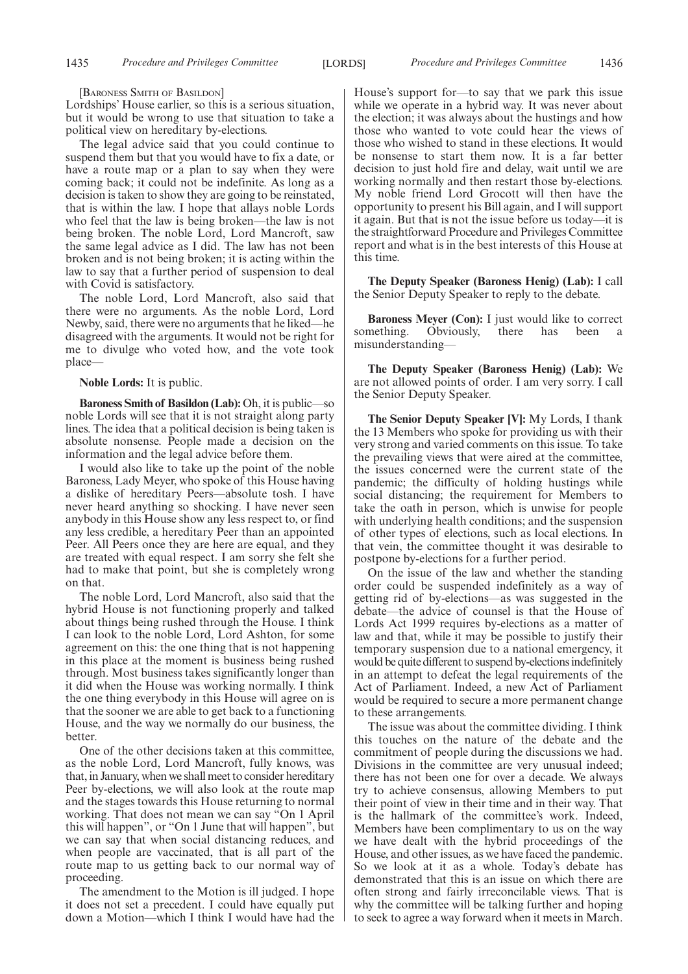[BARONESS SMITH OF BASILDON]

Lordships' House earlier, so this is a serious situation, but it would be wrong to use that situation to take a political view on hereditary by-elections.

The legal advice said that you could continue to suspend them but that you would have to fix a date, or have a route map or a plan to say when they were coming back; it could not be indefinite. As long as a decision is taken to show they are going to be reinstated, that is within the law. I hope that allays noble Lords who feel that the law is being broken—the law is not being broken. The noble Lord, Lord Mancroft, saw the same legal advice as I did. The law has not been broken and is not being broken; it is acting within the law to say that a further period of suspension to deal with Covid is satisfactory.

The noble Lord, Lord Mancroft, also said that there were no arguments. As the noble Lord, Lord Newby, said, there were no arguments that he liked—he disagreed with the arguments. It would not be right for me to divulge who voted how, and the vote took place—

**Noble Lords:** It is public.

**Baroness Smith of Basildon (Lab):** Oh, it is public—so noble Lords will see that it is not straight along party lines. The idea that a political decision is being taken is absolute nonsense. People made a decision on the information and the legal advice before them.

I would also like to take up the point of the noble Baroness, Lady Meyer, who spoke of this House having a dislike of hereditary Peers—absolute tosh. I have never heard anything so shocking. I have never seen anybody in this House show any less respect to, or find any less credible, a hereditary Peer than an appointed Peer. All Peers once they are here are equal, and they are treated with equal respect. I am sorry she felt she had to make that point, but she is completely wrong on that.

The noble Lord, Lord Mancroft, also said that the hybrid House is not functioning properly and talked about things being rushed through the House. I think I can look to the noble Lord, Lord Ashton, for some agreement on this: the one thing that is not happening in this place at the moment is business being rushed through. Most business takes significantly longer than it did when the House was working normally. I think the one thing everybody in this House will agree on is that the sooner we are able to get back to a functioning House, and the way we normally do our business, the better.

One of the other decisions taken at this committee, as the noble Lord, Lord Mancroft, fully knows, was that, in January, when we shall meet to consider hereditary Peer by-elections, we will also look at the route map and the stages towards this House returning to normal working. That does not mean we can say "On 1 April this will happen", or "On 1 June that will happen", but we can say that when social distancing reduces, and when people are vaccinated, that is all part of the route map to us getting back to our normal way of proceeding.

The amendment to the Motion is ill judged. I hope it does not set a precedent. I could have equally put down a Motion—which I think I would have had the House's support for—to say that we park this issue while we operate in a hybrid way. It was never about the election; it was always about the hustings and how those who wanted to vote could hear the views of those who wished to stand in these elections. It would be nonsense to start them now. It is a far better decision to just hold fire and delay, wait until we are working normally and then restart those by-elections. My noble friend Lord Grocott will then have the opportunity to present his Bill again, and I will support it again. But that is not the issue before us today—it is the straightforward Procedure and Privileges Committee report and what is in the best interests of this House at this time.

**The Deputy Speaker (Baroness Henig) (Lab):** I call the Senior Deputy Speaker to reply to the debate.

**Baroness Meyer (Con):** I just would like to correct something. Obviously, there has been misunderstanding—

**The Deputy Speaker (Baroness Henig) (Lab):** We are not allowed points of order. I am very sorry. I call the Senior Deputy Speaker.

**The Senior Deputy Speaker [V]:** My Lords, I thank the 13 Members who spoke for providing us with their very strong and varied comments on this issue. To take the prevailing views that were aired at the committee, the issues concerned were the current state of the pandemic; the difficulty of holding hustings while social distancing; the requirement for Members to take the oath in person, which is unwise for people with underlying health conditions; and the suspension of other types of elections, such as local elections. In that vein, the committee thought it was desirable to postpone by-elections for a further period.

On the issue of the law and whether the standing order could be suspended indefinitely as a way of getting rid of by-elections—as was suggested in the debate—the advice of counsel is that the House of Lords Act 1999 requires by-elections as a matter of law and that, while it may be possible to justify their temporary suspension due to a national emergency, it would be quite different to suspend by-elections indefinitely in an attempt to defeat the legal requirements of the Act of Parliament. Indeed, a new Act of Parliament would be required to secure a more permanent change to these arrangements.

The issue was about the committee dividing. I think this touches on the nature of the debate and the commitment of people during the discussions we had. Divisions in the committee are very unusual indeed; there has not been one for over a decade. We always try to achieve consensus, allowing Members to put their point of view in their time and in their way. That is the hallmark of the committee's work. Indeed, Members have been complimentary to us on the way we have dealt with the hybrid proceedings of the House, and other issues, as we have faced the pandemic. So we look at it as a whole. Today's debate has demonstrated that this is an issue on which there are often strong and fairly irreconcilable views. That is why the committee will be talking further and hoping to seek to agree a way forward when it meets in March.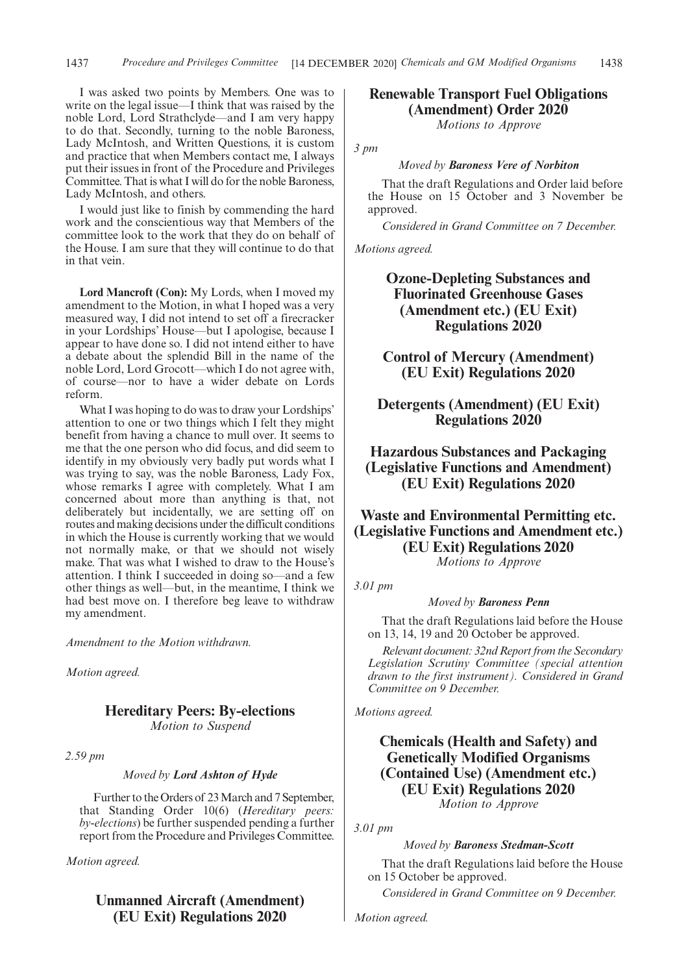I was asked two points by Members. One was to write on the legal issue—I think that was raised by the noble Lord, Lord Strathclyde—and I am very happy to do that. Secondly, turning to the noble Baroness, Lady McIntosh, and Written Questions, it is custom and practice that when Members contact me, I always put their issues in front of the Procedure and Privileges Committee. That is what I will do for the noble Baroness, Lady McIntosh, and others.

I would just like to finish by commending the hard work and the conscientious way that Members of the committee look to the work that they do on behalf of the House. I am sure that they will continue to do that in that vein.

**Lord Mancroft (Con):** My Lords, when I moved my amendment to the Motion, in what I hoped was a very measured way, I did not intend to set off a firecracker in your Lordships' House—but I apologise, because I appear to have done so. I did not intend either to have a debate about the splendid Bill in the name of the noble Lord, Lord Grocott—which I do not agree with, of course—nor to have a wider debate on Lords reform.

What I was hoping to do was to draw your Lordships' attention to one or two things which I felt they might benefit from having a chance to mull over. It seems to me that the one person who did focus, and did seem to identify in my obviously very badly put words what I was trying to say, was the noble Baroness, Lady Fox, whose remarks I agree with completely. What I am concerned about more than anything is that, not deliberately but incidentally, we are setting off on routes and making decisions under the difficult conditions in which the House is currently working that we would not normally make, or that we should not wisely make. That was what I wished to draw to the House's attention. I think I succeeded in doing so—and a few other things as well—but, in the meantime, I think we had best move on. I therefore beg leave to withdraw my amendment.

*Amendment to the Motion withdrawn.*

*Motion agreed.*

# **Hereditary Peers: By-elections**

*Motion to Suspend*

*2.59 pm*

#### *Moved by Lord Ashton of Hyde*

Further to the Orders of 23 March and 7 September, that Standing Order 10(6) (*Hereditary peers: by-elections*) be further suspended pending a further report from the Procedure and Privileges Committee.

*Motion agreed.*

# **Unmanned Aircraft (Amendment) (EU Exit) Regulations 2020**

# **Renewable Transport Fuel Obligations (Amendment) Order 2020**

*Motions to Approve*

*3 pm*

*Moved by Baroness Vere of Norbiton*

That the draft Regulations and Order laid before the House on 15 October and 3 November be approved.

*Considered in Grand Committee on 7 December.*

*Motions agreed.*

**Ozone-Depleting Substances and Fluorinated Greenhouse Gases (Amendment etc.) (EU Exit) Regulations 2020**

**Control of Mercury (Amendment) (EU Exit) Regulations 2020**

**Detergents (Amendment) (EU Exit) Regulations 2020**

**Hazardous Substances and Packaging (Legislative Functions and Amendment) (EU Exit) Regulations 2020**

**Waste and Environmental Permitting etc. (Legislative Functions and Amendment etc.) (EU Exit) Regulations 2020**

*Motions to Approve*

*3.01 pm*

### *Moved by Baroness Penn*

That the draft Regulations laid before the House on 13, 14, 19 and 20 October be approved.

*Relevant document: 32nd Report from the Secondary Legislation Scrutiny Committee (special attention drawn to the first instrument). Considered in Grand Committee on 9 December.*

*Motions agreed.*

# **Chemicals (Health and Safety) and Genetically Modified Organisms (Contained Use) (Amendment etc.) (EU Exit) Regulations 2020** *Motion to Approve*

*3.01 pm*

### *Moved by Baroness Stedman-Scott*

That the draft Regulations laid before the House on 15 October be approved.

*Considered in Grand Committee on 9 December.*

*Motion agreed.*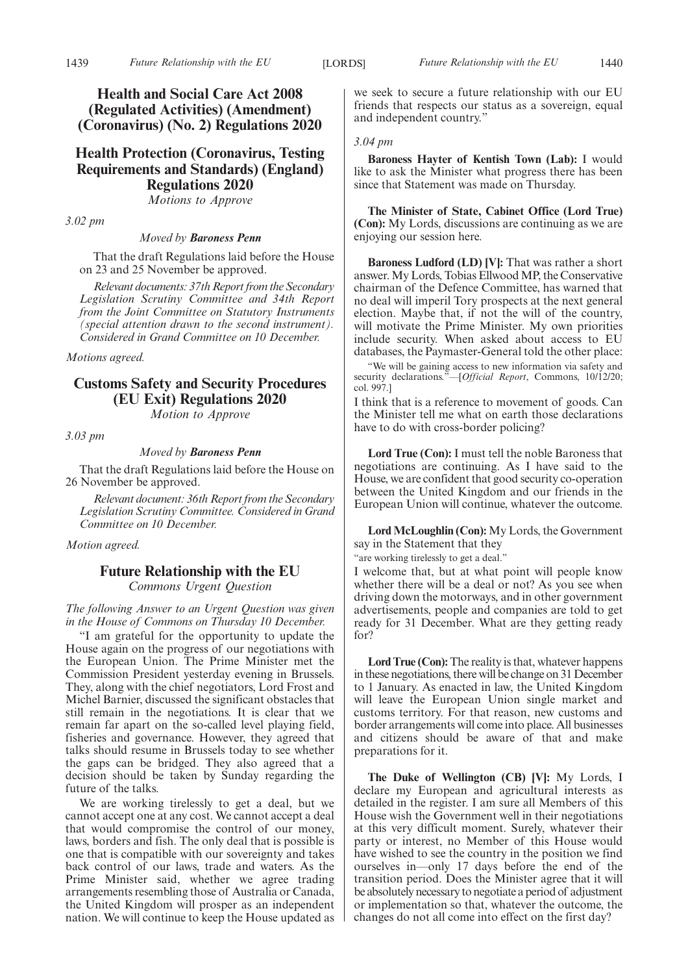**Health and Social Care Act 2008 (Regulated Activities) (Amendment) (Coronavirus) (No. 2) Regulations 2020**

**Health Protection (Coronavirus, Testing Requirements and Standards) (England) Regulations 2020**

*Motions to Approve*

*3.02 pm*

*Moved by Baroness Penn*

That the draft Regulations laid before the House on 23 and 25 November be approved.

*Relevant documents: 37th Report from the Secondary Legislation Scrutiny Committee and 34th Report from the Joint Committee on Statutory Instruments (special attention drawn to the second instrument). Considered in Grand Committee on 10 December.*

*Motions agreed.*

# **Customs Safety and Security Procedures (EU Exit) Regulations 2020**

*Motion to Approve*

*3.03 pm*

### *Moved by Baroness Penn*

That the draft Regulations laid before the House on 26 November be approved.

*Relevant document: 36th Report from the Secondary Legislation Scrutiny Committee. Considered in Grand Committee on 10 December.*

*Motion agreed.*

# **Future Relationship with the EU**

*Commons Urgent Question*

*The following Answer to an Urgent Question was given in the House of Commons on Thursday 10 December.*

"I am grateful for the opportunity to update the House again on the progress of our negotiations with the European Union. The Prime Minister met the Commission President yesterday evening in Brussels. They, along with the chief negotiators, Lord Frost and Michel Barnier, discussed the significant obstacles that still remain in the negotiations. It is clear that we remain far apart on the so-called level playing field, fisheries and governance. However, they agreed that talks should resume in Brussels today to see whether the gaps can be bridged. They also agreed that a decision should be taken by Sunday regarding the future of the talks.

We are working tirelessly to get a deal, but we cannot accept one at any cost. We cannot accept a deal that would compromise the control of our money, laws, borders and fish. The only deal that is possible is one that is compatible with our sovereignty and takes back control of our laws, trade and waters. As the Prime Minister said, whether we agree trading arrangements resembling those of Australia or Canada, the United Kingdom will prosper as an independent nation. We will continue to keep the House updated as we seek to secure a future relationship with our EU friends that respects our status as a sovereign, equal and independent country."

#### *3.04 pm*

**Baroness Hayter of Kentish Town (Lab):** I would like to ask the Minister what progress there has been since that Statement was made on Thursday.

**The Minister of State, Cabinet Office (Lord True) (Con):** My Lords, discussions are continuing as we are enjoying our session here.

**Baroness Ludford (LD) [V]:** That was rather a short answer. My Lords, Tobias Ellwood MP, the Conservative chairman of the Defence Committee, has warned that no deal will imperil Tory prospects at the next general election. Maybe that, if not the will of the country, will motivate the Prime Minister. My own priorities include security. When asked about access to EU databases, the Paymaster-General told the other place:

"We will be gaining access to new information via safety and security declarations."—[*Official Report*, Commons, 10/12/20; col. 997.]

I think that is a reference to movement of goods. Can the Minister tell me what on earth those declarations have to do with cross-border policing?

**Lord True (Con):** I must tell the noble Baroness that negotiations are continuing. As I have said to the House, we are confident that good security co-operation between the United Kingdom and our friends in the European Union will continue, whatever the outcome.

**Lord McLoughlin (Con):** My Lords, the Government say in the Statement that they

"are working tirelessly to get a deal."

I welcome that, but at what point will people know whether there will be a deal or not? As you see when driving down the motorways, and in other government advertisements, people and companies are told to get ready for 31 December. What are they getting ready for?

Lord True (Con): The reality is that, whatever happens in these negotiations, there will be change on 31 December to 1 January. As enacted in law, the United Kingdom will leave the European Union single market and customs territory. For that reason, new customs and border arrangements will come into place. All businesses and citizens should be aware of that and make preparations for it.

**The Duke of Wellington (CB) [V]:** My Lords, I declare my European and agricultural interests as detailed in the register. I am sure all Members of this House wish the Government well in their negotiations at this very difficult moment. Surely, whatever their party or interest, no Member of this House would have wished to see the country in the position we find ourselves in—only 17 days before the end of the transition period. Does the Minister agree that it will be absolutely necessary to negotiate a period of adjustment or implementation so that, whatever the outcome, the changes do not all come into effect on the first day?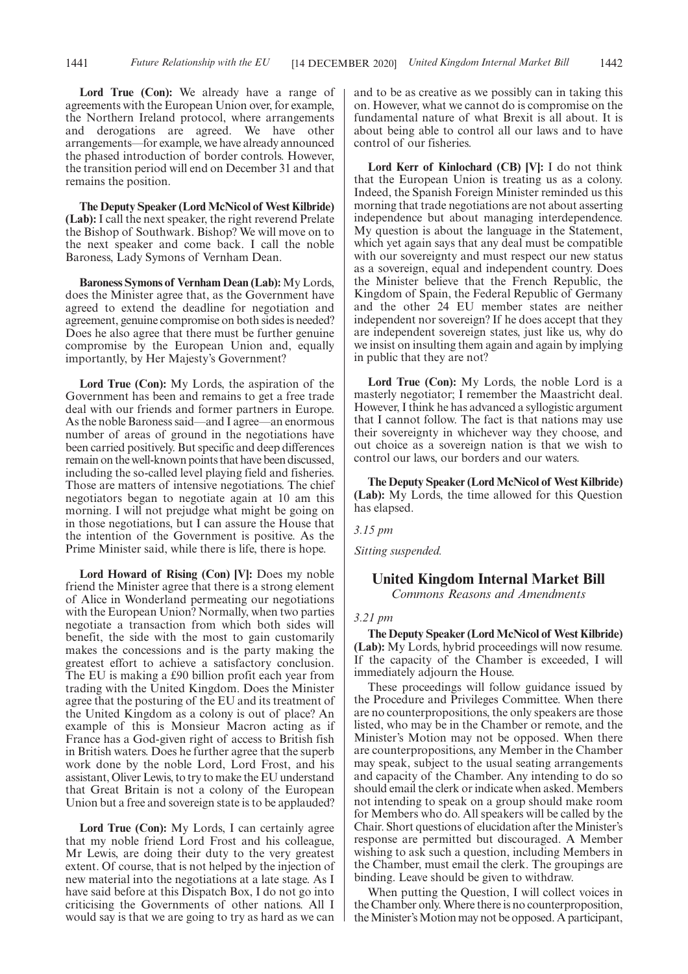Lord True (Con): We already have a range of agreements with the European Union over, for example, the Northern Ireland protocol, where arrangements and derogations are agreed. We have other arrangements—for example, we have already announced the phased introduction of border controls. However, the transition period will end on December 31 and that remains the position.

**The Deputy Speaker (Lord McNicol of West Kilbride) (Lab):** I call the next speaker, the right reverend Prelate the Bishop of Southwark. Bishop? We will move on to the next speaker and come back. I call the noble Baroness, Lady Symons of Vernham Dean.

**Baroness Symons of Vernham Dean (Lab):** My Lords, does the Minister agree that, as the Government have agreed to extend the deadline for negotiation and agreement, genuine compromise on both sides is needed? Does he also agree that there must be further genuine compromise by the European Union and, equally importantly, by Her Majesty's Government?

**Lord True (Con):** My Lords, the aspiration of the Government has been and remains to get a free trade deal with our friends and former partners in Europe. As the noble Baroness said—and I agree—an enormous number of areas of ground in the negotiations have been carried positively. But specific and deep differences remain on the well-known points that have been discussed, including the so-called level playing field and fisheries. Those are matters of intensive negotiations. The chief negotiators began to negotiate again at 10 am this morning. I will not prejudge what might be going on in those negotiations, but I can assure the House that the intention of the Government is positive. As the Prime Minister said, while there is life, there is hope.

**Lord Howard of Rising (Con) [V]:** Does my noble friend the Minister agree that there is a strong element of Alice in Wonderland permeating our negotiations with the European Union? Normally, when two parties negotiate a transaction from which both sides will benefit, the side with the most to gain customarily makes the concessions and is the party making the greatest effort to achieve a satisfactory conclusion. The EU is making a £90 billion profit each year from trading with the United Kingdom. Does the Minister agree that the posturing of the EU and its treatment of the United Kingdom as a colony is out of place? An example of this is Monsieur Macron acting as if France has a God-given right of access to British fish in British waters. Does he further agree that the superb work done by the noble Lord, Lord Frost, and his assistant, Oliver Lewis, to try to make the EU understand that Great Britain is not a colony of the European Union but a free and sovereign state is to be applauded?

**Lord True (Con):** My Lords, I can certainly agree that my noble friend Lord Frost and his colleague, Mr Lewis, are doing their duty to the very greatest extent. Of course, that is not helped by the injection of new material into the negotiations at a late stage. As I have said before at this Dispatch Box, I do not go into criticising the Governments of other nations. All I would say is that we are going to try as hard as we can and to be as creative as we possibly can in taking this on. However, what we cannot do is compromise on the fundamental nature of what Brexit is all about. It is about being able to control all our laws and to have control of our fisheries.

**Lord Kerr of Kinlochard (CB) [V]:** I do not think that the European Union is treating us as a colony. Indeed, the Spanish Foreign Minister reminded us this morning that trade negotiations are not about asserting independence but about managing interdependence. My question is about the language in the Statement, which yet again says that any deal must be compatible with our sovereignty and must respect our new status as a sovereign, equal and independent country. Does the Minister believe that the French Republic, the Kingdom of Spain, the Federal Republic of Germany and the other 24 EU member states are neither independent nor sovereign? If he does accept that they are independent sovereign states, just like us, why do we insist on insulting them again and again by implying in public that they are not?

**Lord True (Con):** My Lords, the noble Lord is a masterly negotiator; I remember the Maastricht deal. However, I think he has advanced a syllogistic argument that I cannot follow. The fact is that nations may use their sovereignty in whichever way they choose, and out choice as a sovereign nation is that we wish to control our laws, our borders and our waters.

**The Deputy Speaker (Lord McNicol of West Kilbride) (Lab):** My Lords, the time allowed for this Question has elapsed.

*3.15 pm*

*Sitting suspended.*

# **United Kingdom Internal Market Bill**

*Commons Reasons and Amendments*

#### *3.21 pm*

**The Deputy Speaker (Lord McNicol of West Kilbride) (Lab):** My Lords, hybrid proceedings will now resume. If the capacity of the Chamber is exceeded, I will immediately adjourn the House.

These proceedings will follow guidance issued by the Procedure and Privileges Committee. When there are no counterpropositions, the only speakers are those listed, who may be in the Chamber or remote, and the Minister's Motion may not be opposed. When there are counterpropositions, any Member in the Chamber may speak, subject to the usual seating arrangements and capacity of the Chamber. Any intending to do so should email the clerk or indicate when asked. Members not intending to speak on a group should make room for Members who do. All speakers will be called by the Chair. Short questions of elucidation after the Minister's response are permitted but discouraged. A Member wishing to ask such a question, including Members in the Chamber, must email the clerk. The groupings are binding. Leave should be given to withdraw.

When putting the Question, I will collect voices in the Chamber only. Where there is no counterproposition, the Minister's Motion may not be opposed. A participant,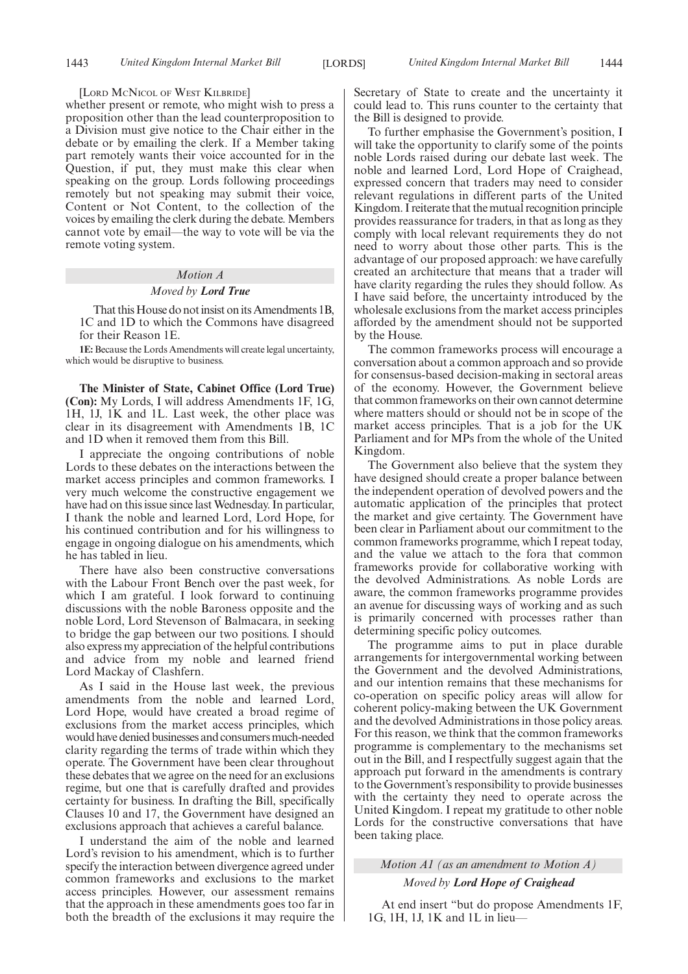#### [LORD MCNICOL OF WEST KILBRIDE]

whether present or remote, who might wish to press a proposition other than the lead counterproposition to a Division must give notice to the Chair either in the debate or by emailing the clerk. If a Member taking part remotely wants their voice accounted for in the Question, if put, they must make this clear when speaking on the group. Lords following proceedings remotely but not speaking may submit their voice, Content or Not Content, to the collection of the voices by emailing the clerk during the debate. Members cannot vote by email—the way to vote will be via the remote voting system.

# *Motion A*

### *Moved by Lord True*

That this House do not insist on its Amendments 1B, 1C and 1D to which the Commons have disagreed for their Reason 1E.

**1E:** Because the Lords Amendments will create legal uncertainty, which would be disruptive to business.

**The Minister of State, Cabinet Office (Lord True) (Con):** My Lords, I will address Amendments 1F, 1G, 1H, 1J, 1K and 1L. Last week, the other place was clear in its disagreement with Amendments 1B, 1C and 1D when it removed them from this Bill.

I appreciate the ongoing contributions of noble Lords to these debates on the interactions between the market access principles and common frameworks. I very much welcome the constructive engagement we have had on this issue since last Wednesday. In particular, I thank the noble and learned Lord, Lord Hope, for his continued contribution and for his willingness to engage in ongoing dialogue on his amendments, which he has tabled in lieu.

There have also been constructive conversations with the Labour Front Bench over the past week, for which I am grateful. I look forward to continuing discussions with the noble Baroness opposite and the noble Lord, Lord Stevenson of Balmacara, in seeking to bridge the gap between our two positions. I should also express my appreciation of the helpful contributions and advice from my noble and learned friend Lord Mackay of Clashfern.

As I said in the House last week, the previous amendments from the noble and learned Lord, Lord Hope, would have created a broad regime of exclusions from the market access principles, which would have denied businesses and consumers much-needed clarity regarding the terms of trade within which they operate. The Government have been clear throughout these debates that we agree on the need for an exclusions regime, but one that is carefully drafted and provides certainty for business. In drafting the Bill, specifically Clauses 10 and 17, the Government have designed an exclusions approach that achieves a careful balance.

I understand the aim of the noble and learned Lord's revision to his amendment, which is to further specify the interaction between divergence agreed under common frameworks and exclusions to the market access principles. However, our assessment remains that the approach in these amendments goes too far in both the breadth of the exclusions it may require the Secretary of State to create and the uncertainty it could lead to. This runs counter to the certainty that the Bill is designed to provide.

To further emphasise the Government's position, I will take the opportunity to clarify some of the points noble Lords raised during our debate last week. The noble and learned Lord, Lord Hope of Craighead, expressed concern that traders may need to consider relevant regulations in different parts of the United Kingdom. I reiterate that the mutual recognition principle provides reassurance for traders, in that as long as they comply with local relevant requirements they do not need to worry about those other parts. This is the advantage of our proposed approach: we have carefully created an architecture that means that a trader will have clarity regarding the rules they should follow. As I have said before, the uncertainty introduced by the wholesale exclusions from the market access principles afforded by the amendment should not be supported by the House.

The common frameworks process will encourage a conversation about a common approach and so provide for consensus-based decision-making in sectoral areas of the economy. However, the Government believe that common frameworks on their own cannot determine where matters should or should not be in scope of the market access principles. That is a job for the UK Parliament and for MPs from the whole of the United Kingdom.

The Government also believe that the system they have designed should create a proper balance between the independent operation of devolved powers and the automatic application of the principles that protect the market and give certainty. The Government have been clear in Parliament about our commitment to the common frameworks programme, which I repeat today, and the value we attach to the fora that common frameworks provide for collaborative working with the devolved Administrations. As noble Lords are aware, the common frameworks programme provides an avenue for discussing ways of working and as such is primarily concerned with processes rather than determining specific policy outcomes.

The programme aims to put in place durable arrangements for intergovernmental working between the Government and the devolved Administrations, and our intention remains that these mechanisms for co-operation on specific policy areas will allow for coherent policy-making between the UK Government and the devolved Administrations in those policy areas. For this reason, we think that the common frameworks programme is complementary to the mechanisms set out in the Bill, and I respectfully suggest again that the approach put forward in the amendments is contrary to the Government's responsibility to provide businesses with the certainty they need to operate across the United Kingdom. I repeat my gratitude to other noble Lords for the constructive conversations that have been taking place.

*Motion A1 (as an amendment to Motion A)*

### *Moved by Lord Hope of Craighead*

At end insert "but do propose Amendments 1F, 1G, 1H, 1J, 1K and 1L in lieu—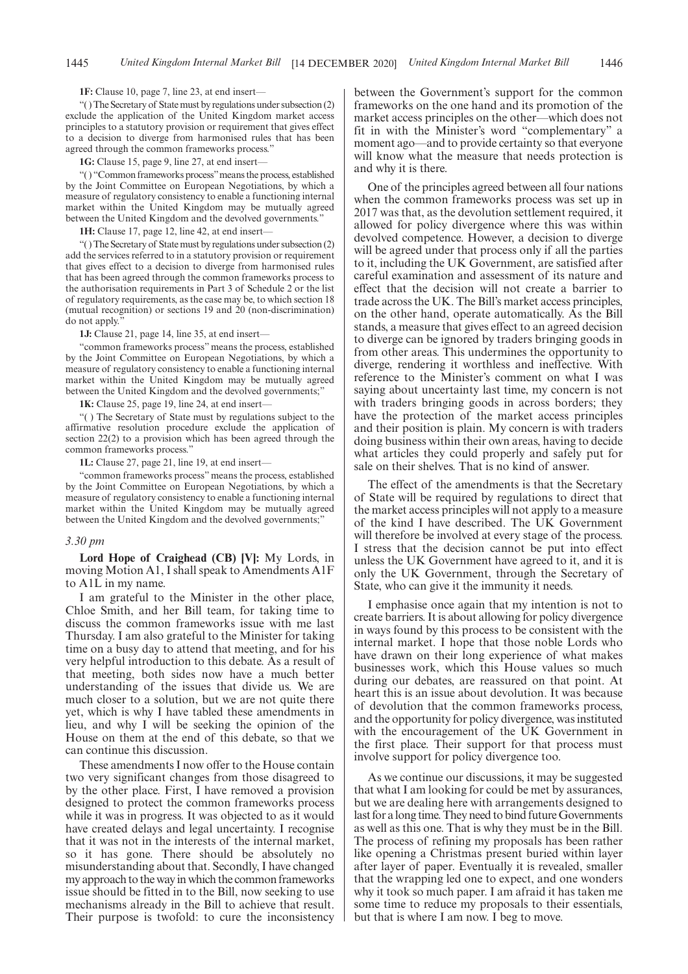#### **1F:** Clause 10, page 7, line 23, at end insert—

"( ) The Secretary of State must by regulations under subsection (2) exclude the application of the United Kingdom market access principles to a statutory provision or requirement that gives effect to a decision to diverge from harmonised rules that has been agreed through the common frameworks process.

**1G:** Clause 15, page 9, line 27, at end insert—

"( ) "Common frameworks process"means the process, established by the Joint Committee on European Negotiations, by which a measure of regulatory consistency to enable a functioning internal market within the United Kingdom may be mutually agreed between the United Kingdom and the devolved governments."

1H: Clause 17, page 12, line 42, at end insert-

"( ) The Secretary of State must by regulations under subsection (2) add the services referred to in a statutory provision or requirement that gives effect to a decision to diverge from harmonised rules that has been agreed through the common frameworks process to the authorisation requirements in Part 3 of Schedule 2 or the list of regulatory requirements, as the case may be, to which section 18 (mutual recognition) or sections 19 and 20 (non-discrimination) do not apply.

**1J:** Clause 21, page 14, line 35, at end insert—

"common frameworks process" means the process, established by the Joint Committee on European Negotiations, by which a measure of regulatory consistency to enable a functioning internal market within the United Kingdom may be mutually agreed between the United Kingdom and the devolved governments;"

**1K:** Clause 25, page 19, line 24, at end insert—

"( ) The Secretary of State must by regulations subject to the affirmative resolution procedure exclude the application of section 22(2) to a provision which has been agreed through the common frameworks process.'

**1L:** Clause 27, page 21, line 19, at end insert—

"common frameworks process" means the process, established by the Joint Committee on European Negotiations, by which a measure of regulatory consistency to enable a functioning internal market within the United Kingdom may be mutually agreed between the United Kingdom and the devolved governments;"

#### *3.30 pm*

**Lord Hope of Craighead (CB) [V]:** My Lords, in moving Motion A1, I shall speak to Amendments A1F to A1L in my name.

I am grateful to the Minister in the other place, Chloe Smith, and her Bill team, for taking time to discuss the common frameworks issue with me last Thursday. I am also grateful to the Minister for taking time on a busy day to attend that meeting, and for his very helpful introduction to this debate. As a result of that meeting, both sides now have a much better understanding of the issues that divide us. We are much closer to a solution, but we are not quite there yet, which is why I have tabled these amendments in lieu, and why I will be seeking the opinion of the House on them at the end of this debate, so that we can continue this discussion.

These amendments I now offer to the House contain two very significant changes from those disagreed to by the other place. First, I have removed a provision designed to protect the common frameworks process while it was in progress. It was objected to as it would have created delays and legal uncertainty. I recognise that it was not in the interests of the internal market, so it has gone. There should be absolutely no misunderstanding about that. Secondly, I have changed my approach to the way in which the common frameworks issue should be fitted in to the Bill, now seeking to use mechanisms already in the Bill to achieve that result. Their purpose is twofold: to cure the inconsistency between the Government's support for the common frameworks on the one hand and its promotion of the market access principles on the other—which does not fit in with the Minister's word "complementary" a moment ago—and to provide certainty so that everyone will know what the measure that needs protection is and why it is there.

One of the principles agreed between all four nations when the common frameworks process was set up in 2017 was that, as the devolution settlement required, it allowed for policy divergence where this was within devolved competence. However, a decision to diverge will be agreed under that process only if all the parties to it, including the UK Government, are satisfied after careful examination and assessment of its nature and effect that the decision will not create a barrier to trade across the UK. The Bill's market access principles, on the other hand, operate automatically. As the Bill stands, a measure that gives effect to an agreed decision to diverge can be ignored by traders bringing goods in from other areas. This undermines the opportunity to diverge, rendering it worthless and ineffective. With reference to the Minister's comment on what I was saying about uncertainty last time, my concern is not with traders bringing goods in across borders; they have the protection of the market access principles and their position is plain. My concern is with traders doing business within their own areas, having to decide what articles they could properly and safely put for sale on their shelves. That is no kind of answer.

The effect of the amendments is that the Secretary of State will be required by regulations to direct that the market access principles will not apply to a measure of the kind I have described. The UK Government will therefore be involved at every stage of the process. I stress that the decision cannot be put into effect unless the UK Government have agreed to it, and it is only the UK Government, through the Secretary of State, who can give it the immunity it needs.

I emphasise once again that my intention is not to create barriers. It is about allowing for policy divergence in ways found by this process to be consistent with the internal market. I hope that those noble Lords who have drawn on their long experience of what makes businesses work, which this House values so much during our debates, are reassured on that point. At heart this is an issue about devolution. It was because of devolution that the common frameworks process, and the opportunity for policy divergence, was instituted with the encouragement of the UK Government in the first place. Their support for that process must involve support for policy divergence too.

As we continue our discussions, it may be suggested that what I am looking for could be met by assurances, but we are dealing here with arrangements designed to last for a long time. They need to bind future Governments as well as this one. That is why they must be in the Bill. The process of refining my proposals has been rather like opening a Christmas present buried within layer after layer of paper. Eventually it is revealed, smaller that the wrapping led one to expect, and one wonders why it took so much paper. I am afraid it has taken me some time to reduce my proposals to their essentials, but that is where I am now. I beg to move.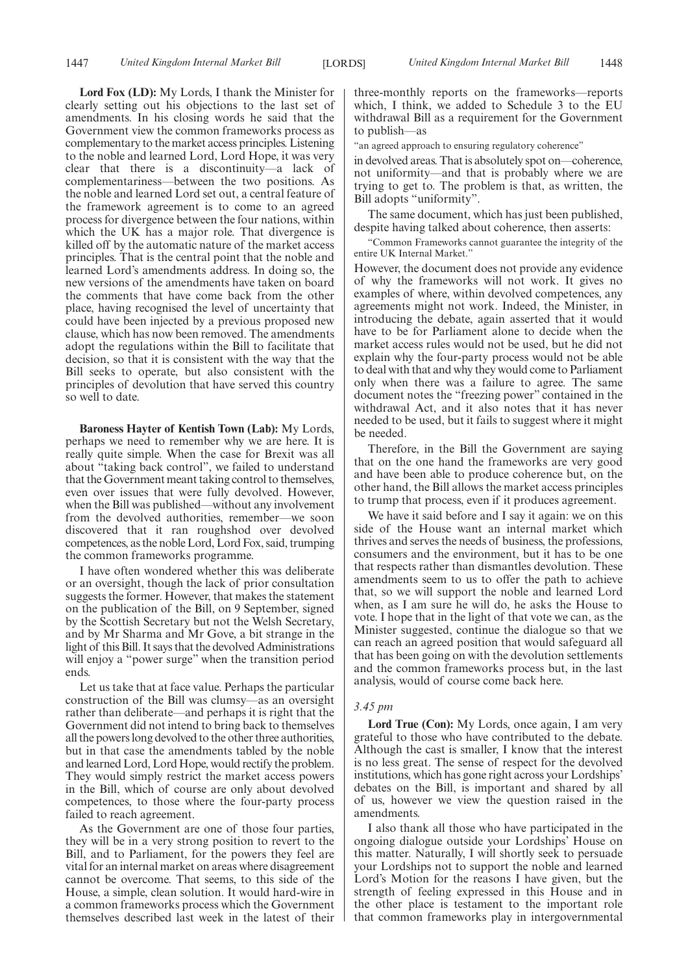**Lord Fox (LD):** My Lords, I thank the Minister for clearly setting out his objections to the last set of amendments. In his closing words he said that the Government view the common frameworks process as complementary to the market access principles. Listening to the noble and learned Lord, Lord Hope, it was very clear that there is a discontinuity—a lack of complementariness—between the two positions. As the noble and learned Lord set out, a central feature of the framework agreement is to come to an agreed process for divergence between the four nations, within which the UK has a major role. That divergence is killed off by the automatic nature of the market access principles. That is the central point that the noble and learned Lord's amendments address. In doing so, the new versions of the amendments have taken on board the comments that have come back from the other place, having recognised the level of uncertainty that could have been injected by a previous proposed new clause, which has now been removed. The amendments adopt the regulations within the Bill to facilitate that decision, so that it is consistent with the way that the Bill seeks to operate, but also consistent with the principles of devolution that have served this country so well to date.

**Baroness Hayter of Kentish Town (Lab):** My Lords, perhaps we need to remember why we are here. It is really quite simple. When the case for Brexit was all about "taking back control", we failed to understand that the Government meant taking control to themselves, even over issues that were fully devolved. However, when the Bill was published—without any involvement from the devolved authorities, remember—we soon discovered that it ran roughshod over devolved competences, as the noble Lord, Lord Fox, said, trumping the common frameworks programme.

I have often wondered whether this was deliberate or an oversight, though the lack of prior consultation suggests the former. However, that makes the statement on the publication of the Bill, on 9 September, signed by the Scottish Secretary but not the Welsh Secretary, and by Mr Sharma and Mr Gove, a bit strange in the light of this Bill. It says that the devolved Administrations will enjoy a "power surge" when the transition period ends.

Let us take that at face value. Perhaps the particular construction of the Bill was clumsy—as an oversight rather than deliberate—and perhaps it is right that the Government did not intend to bring back to themselves all the powers long devolved to the other three authorities, but in that case the amendments tabled by the noble and learned Lord, Lord Hope, would rectify the problem. They would simply restrict the market access powers in the Bill, which of course are only about devolved competences, to those where the four-party process failed to reach agreement.

As the Government are one of those four parties, they will be in a very strong position to revert to the Bill, and to Parliament, for the powers they feel are vital for an internal market on areas where disagreement cannot be overcome. That seems, to this side of the House, a simple, clean solution. It would hard-wire in a common frameworks process which the Government themselves described last week in the latest of their

three-monthly reports on the frameworks—reports which, I think, we added to Schedule 3 to the EU withdrawal Bill as a requirement for the Government to publish—as

"an agreed approach to ensuring regulatory coherence"

in devolved areas. That is absolutely spot on—coherence, not uniformity—and that is probably where we are trying to get to. The problem is that, as written, the Bill adopts "uniformity".

The same document, which has just been published, despite having talked about coherence, then asserts:

"Common Frameworks cannot guarantee the integrity of the entire UK Internal Market."

However, the document does not provide any evidence of why the frameworks will not work. It gives no examples of where, within devolved competences, any agreements might not work. Indeed, the Minister, in introducing the debate, again asserted that it would have to be for Parliament alone to decide when the market access rules would not be used, but he did not explain why the four-party process would not be able to deal with that and why they would come to Parliament only when there was a failure to agree. The same document notes the "freezing power" contained in the withdrawal Act, and it also notes that it has never needed to be used, but it fails to suggest where it might be needed.

Therefore, in the Bill the Government are saying that on the one hand the frameworks are very good and have been able to produce coherence but, on the other hand, the Bill allows the market access principles to trump that process, even if it produces agreement.

We have it said before and I say it again: we on this side of the House want an internal market which thrives and serves the needs of business, the professions, consumers and the environment, but it has to be one that respects rather than dismantles devolution. These amendments seem to us to offer the path to achieve that, so we will support the noble and learned Lord when, as I am sure he will do, he asks the House to vote. I hope that in the light of that vote we can, as the Minister suggested, continue the dialogue so that we can reach an agreed position that would safeguard all that has been going on with the devolution settlements and the common frameworks process but, in the last analysis, would of course come back here.

#### *3.45 pm*

**Lord True (Con):** My Lords, once again, I am very grateful to those who have contributed to the debate. Although the cast is smaller, I know that the interest is no less great. The sense of respect for the devolved institutions, which has gone right across your Lordships' debates on the Bill, is important and shared by all of us, however we view the question raised in the amendments.

I also thank all those who have participated in the ongoing dialogue outside your Lordships' House on this matter. Naturally, I will shortly seek to persuade your Lordships not to support the noble and learned Lord's Motion for the reasons I have given, but the strength of feeling expressed in this House and in the other place is testament to the important role that common frameworks play in intergovernmental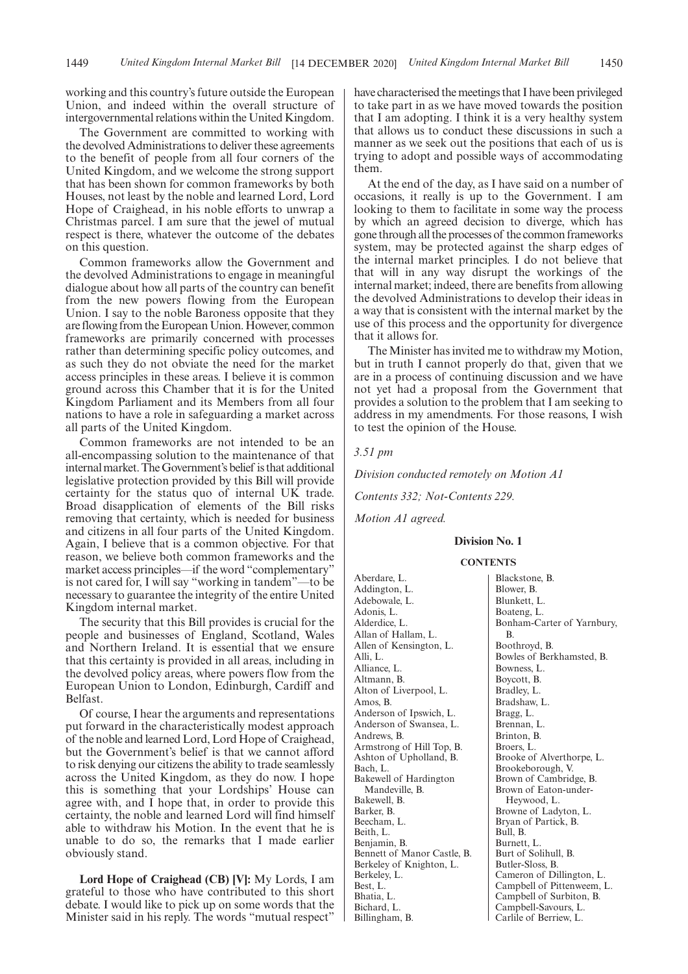working and this country's future outside the European Union, and indeed within the overall structure of intergovernmental relations within the United Kingdom.

The Government are committed to working with the devolved Administrations to deliver these agreements to the benefit of people from all four corners of the United Kingdom, and we welcome the strong support that has been shown for common frameworks by both Houses, not least by the noble and learned Lord, Lord Hope of Craighead, in his noble efforts to unwrap a Christmas parcel. I am sure that the jewel of mutual respect is there, whatever the outcome of the debates on this question.

Common frameworks allow the Government and the devolved Administrations to engage in meaningful dialogue about how all parts of the country can benefit from the new powers flowing from the European Union. I say to the noble Baroness opposite that they are flowing from the European Union. However, common frameworks are primarily concerned with processes rather than determining specific policy outcomes, and as such they do not obviate the need for the market access principles in these areas. I believe it is common ground across this Chamber that it is for the United Kingdom Parliament and its Members from all four nations to have a role in safeguarding a market across all parts of the United Kingdom.

Common frameworks are not intended to be an all-encompassing solution to the maintenance of that internal market. The Government's belief is that additional legislative protection provided by this Bill will provide certainty for the status quo of internal UK trade. Broad disapplication of elements of the Bill risks removing that certainty, which is needed for business and citizens in all four parts of the United Kingdom. Again, I believe that is a common objective. For that reason, we believe both common frameworks and the market access principles—if the word "complementary" is not cared for, I will say "working in tandem"—to be necessary to guarantee the integrity of the entire United Kingdom internal market.

The security that this Bill provides is crucial for the people and businesses of England, Scotland, Wales and Northern Ireland. It is essential that we ensure that this certainty is provided in all areas, including in the devolved policy areas, where powers flow from the European Union to London, Edinburgh, Cardiff and Belfast.

Of course, I hear the arguments and representations put forward in the characteristically modest approach of the noble and learned Lord, Lord Hope of Craighead, but the Government's belief is that we cannot afford to risk denying our citizens the ability to trade seamlessly across the United Kingdom, as they do now. I hope this is something that your Lordships' House can agree with, and I hope that, in order to provide this certainty, the noble and learned Lord will find himself able to withdraw his Motion. In the event that he is unable to do so, the remarks that I made earlier obviously stand.

**Lord Hope of Craighead (CB) [V]:** My Lords, I am grateful to those who have contributed to this short debate. I would like to pick up on some words that the Minister said in his reply. The words "mutual respect" have characterised the meetings that I have been privileged to take part in as we have moved towards the position that I am adopting. I think it is a very healthy system that allows us to conduct these discussions in such a manner as we seek out the positions that each of us is trying to adopt and possible ways of accommodating them.

At the end of the day, as I have said on a number of occasions, it really is up to the Government. I am looking to them to facilitate in some way the process by which an agreed decision to diverge, which has gone through all the processes of the common frameworks system, may be protected against the sharp edges of the internal market principles. I do not believe that that will in any way disrupt the workings of the internal market; indeed, there are benefits from allowing the devolved Administrations to develop their ideas in a way that is consistent with the internal market by the use of this process and the opportunity for divergence that it allows for.

The Minister has invited me to withdraw my Motion, but in truth I cannot properly do that, given that we are in a process of continuing discussion and we have not yet had a proposal from the Government that provides a solution to the problem that I am seeking to address in my amendments. For those reasons, I wish to test the opinion of the House.

#### *3.51 pm*

*Division conducted remotely on Motion A1*

*Contents 332; Not-Contents 229.*

*Motion A1 agreed.*

#### **Division No. 1**

#### **CONTENTS**

Aberdare, L. Addington, L. Adebowale, L. Adonis, L. Alderdice, L. Allan of Hallam, L. Allen of Kensington, L. Alli<sub>I</sub>. Alliance, L. Altmann, B. Alton of Liverpool, L. Amos, B. Anderson of Ipswich, L. Anderson of Swansea, L. Andrews, B. Armstrong of Hill Top, B. Ashton of Upholland, B. Bach, L. Bakewell of Hardington Mandeville, B. Bakewell, B. Barker, B. Beecham, L. Beith, L. Benjamin, B. Bennett of Manor Castle, B. Berkeley of Knighton, L. Berkeley, L. Best, L. Bhatia, L. Bichard, L. Billingham, B.

Blackstone, B. Blower, B. Blunkett, L. Boateng, L. Bonham-Carter of Yarnbury, B. Boothroyd, B. Bowles of Berkhamsted, B. Bowness, L. Boycott, B. Bradley, L. Bradshaw, L. Bragg, L. Brennan, L. Brinton, B. Broers, L. Brooke of Alverthorpe, L. Brookeborough, V. Brown of Cambridge, B. Brown of Eaton-under-Heywood, L. Browne of Ladyton, L. Bryan of Partick, B.  $\overline{\text{Bul}}$ , B. Burnett, L. Burt of Solihull, B. Butler-Sloss, B. Cameron of Dillington, L. Campbell of Pittenweem, L. Campbell of Surbiton, B. Campbell-Savours, L. Carlile of Berriew, L.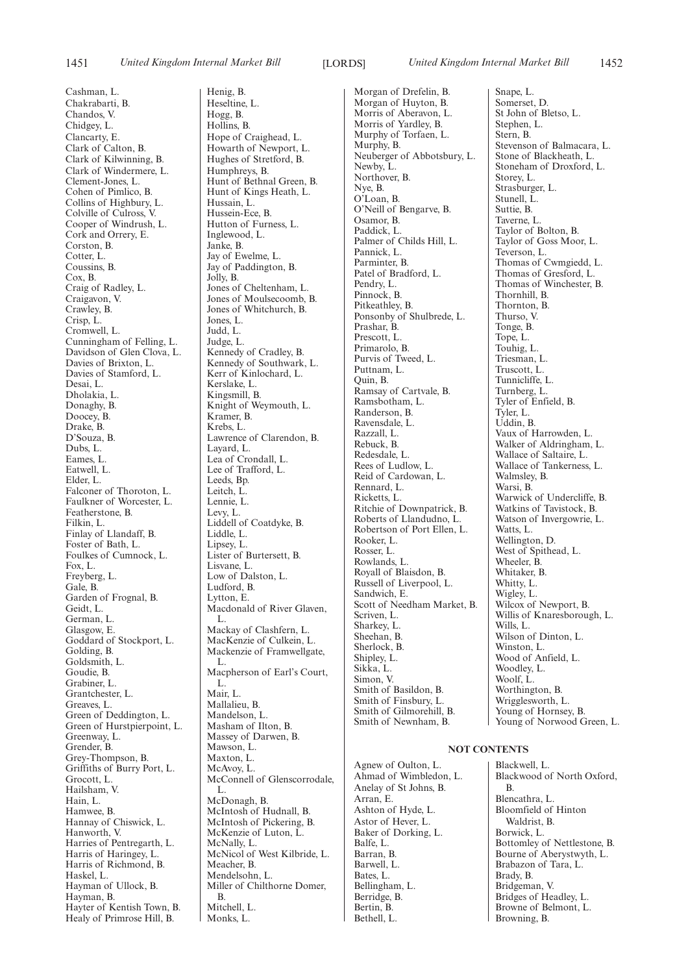Cashman, L. Chakrabarti, B. Chandos, V. Chidgey, L. Clancarty, E. Clark of Calton, B. Clark of Kilwinning, B. Clark of Windermere, L. Clement-Jones, L. Cohen of Pimlico, B. Collins of Highbury, L. Colville of Culross, V. Cooper of Windrush, L. Cork and Orrery, E. Corston, B. Cotter, L. Coussins, B. Cox, B. Craig of Radley, L. Craigavon, V. Crawley, B. Crisp, L. Cromwell, L. Cunningham of Felling, L. Davidson of Glen Clova, L. Davies of Brixton, L. Davies of Stamford, L. Desai, L. Dholakia, L. Donaghy, B. Doocey, B. Drake, B. D'Souza, B. Dubs, L. Eames, L. Eatwell, L. Elder, L. Falconer of Thoroton, L. Faulkner of Worcester, L. Featherstone, B. Filkin, L. Finlay of Llandaff, B. Foster of Bath, L. Foulkes of Cumnock, L. Fox, L. Freyberg, L. Gale, B. Garden of Frognal, B. Geidt, L. German, L. Glasgow, E. Goddard of Stockport, L. Golding, B. Goldsmith, L. Goudie, B. Grabiner, L. Grantchester, L. Greaves, L. Green of Deddington, L. Green of Hurstpierpoint, L. Greenway, L. Grender, B. Grey-Thompson, B. Griffiths of Burry Port, L. Grocott, L. Hailsham, V. Hain, L. Hamwee, B. Hannay of Chiswick, L. Hanworth, V. Harries of Pentregarth, L. Harris of Haringey, L. Harris of Richmond, B. Haskel, L. Hayman of Ullock, B. Hayman, B. Hayter of Kentish Town, B. Healy of Primrose Hill, B.

Henig, B. Heseltine, L. Hogg, B. Hollins, B. Hope of Craighead, L. Howarth of Newport, L. Hughes of Stretford, B. Humphreys, B. Hunt of Bethnal Green, B. Hunt of Kings Heath, L. Hussain, L. Hussein-Ece, B. Hutton of Furness, L. Inglewood, L. Janke, B. Jay of Ewelme, L. Jay of Paddington, B. Jolly, B. Jones of Cheltenham, L. Jones of Moulsecoomb, B. Jones of Whitchurch, B. Jones, L. Judd, L. Judge, L. Kennedy of Cradley, B. Kennedy of Southwark, L. Kerr of Kinlochard, L. Kerslake, L. Kingsmill, B. Knight of Weymouth, L. Kramer, B. Krebs, L. Lawrence of Clarendon, B. Layard, L. Lea of Crondall, L. Lee of Trafford, L. Leeds, Bp. Leitch, L. Lennie, L. Levy, L. Liddell of Coatdyke, B. Liddle, L. Lipsey, L. Lister of Burtersett, B. Lisvane, L. Low of Dalston, L. Ludford, B. Lytton, E. Macdonald of River Glaven. L. Mackay of Clashfern, L. MacKenzie of Culkein, L. Mackenzie of Framwellgate, L. Macpherson of Earl's Court, L. Mair<sub>I.</sub> Mallalieu, B. Mandelson, L. Masham of Ilton, B. Massey of Darwen, B. Mawson, L. Maxton, L. McAvoy, L. McConnell of Glenscorrodale, L. McDonagh, B. McIntosh of Hudnall, B. McIntosh of Pickering, B. McKenzie of Luton, L. McNally, L. McNicol of West Kilbride, L. Meacher, B. Mendelsohn, L. Miller of Chilthorne Domer, B. Mitchell, L. Monks, L.

Morgan of Drefelin, B. Morgan of Huyton, B. Morris of Aberavon, L. Morris of Yardley, B. Murphy of Torfaen, L. Murphy, B. Neuberger of Abbotsbury, L. Newby, L. Northover, B. Nye, B. O'Loan, B. O'Neill of Bengarve, B. Osamor, B. Paddick, L. Palmer of Childs Hill, L. Pannick, L. Parminter, B. Patel of Bradford, L. Pendry, L. Pinnock, B. Pitkeathley, B. Ponsonby of Shulbrede, L. Prashar, B. Prescott, L. Primarolo, B. Purvis of Tweed, L. Puttnam, L. Quin, B. Ramsay of Cartvale, B. Ramsbotham, L. Randerson, B. Ravensdale, L. Razzall, L. Rebuck, B. Redesdale, L. Rees of Ludlow, L. Reid of Cardowan, L. Rennard, L. Ricketts, L. Ritchie of Downpatrick, B. Roberts of Llandudno, L. Robertson of Port Ellen, L. Rooker, L. Rosser, L. Rowlands, L. Royall of Blaisdon, B. Russell of Liverpool, L. Sandwich, E. Scott of Needham Market, B. Scriven, L. Sharkey, L. Sheehan, B. Sherlock, B. Shipley, L. Sikka, L. Simon, V. Smith of Basildon, B. Smith of Finsbury, L. Smith of Gilmorehill, B. Smith of Newnham, B.

Agnew of Oulton, L. Ahmad of Wimbledon, L. Anelay of St Johns, B. Arran, E. Ashton of Hyde, L. Astor of Hever, L. Baker of Dorking, L. Balfe, L. Barran, B. Barwell, L. Bates, L. Bellingham, L. Berridge, B. Bertin, B. Bethell, L.

Snape, L. Somerset, D. St John of Bletso, L. Stephen, L. Stern, B. Stevenson of Balmacara, L. Stone of Blackheath, L. Stoneham of Droxford, L. Storey, L. Strasburger, L. Stunell, L. Suttie, B. Taverne, L. Taylor of Bolton, B. Taylor of Goss Moor, L. Teverson, L. Thomas of Cwmgiedd, L. Thomas of Gresford, L. Thomas of Winchester, B. Thornhill, B. Thornton, B. Thurso, V. Tonge, B. Tope, L. Touhig, L. Triesman, L. Truscott, L. Tunnicliffe, L. Turnberg, L. Tyler of Enfield, B. Tyler, L. Uddin, B. Vaux of Harrowden, L. Walker of Aldringham, L. Wallace of Saltaire, L. Wallace of Tankerness, L. Walmsley, B. Warsi, B. Warwick of Undercliffe, B. Watkins of Tavistock, B. Watson of Invergowrie, L. Watts, L. Wellington, D. West of Spithead, L. Wheeler, B. Whitaker, B. Whitty, L. Wigley, L. Wilcox of Newport, B. Willis of Knaresborough, L. Wills, L. Wilson of Dinton, L. Winston, L. Wood of Anfield, L. Woodley, L. Woolf, L. Worthington, B. Wrigglesworth, L. Young of Hornsey, B. Young of Norwood Green, L.

#### **NOT CONTENTS**

Blackwell, L. Blackwood of North Oxford, B. Blencathra, L. Bloomfield of Hinton Waldrist, B. Borwick, L. Bottomley of Nettlestone, B. Bourne of Aberystwyth, L. Brabazon of Tara, L. Brady, B. Bridgeman, V. Bridges of Headley, L. Browne of Belmont, L. Browning, B.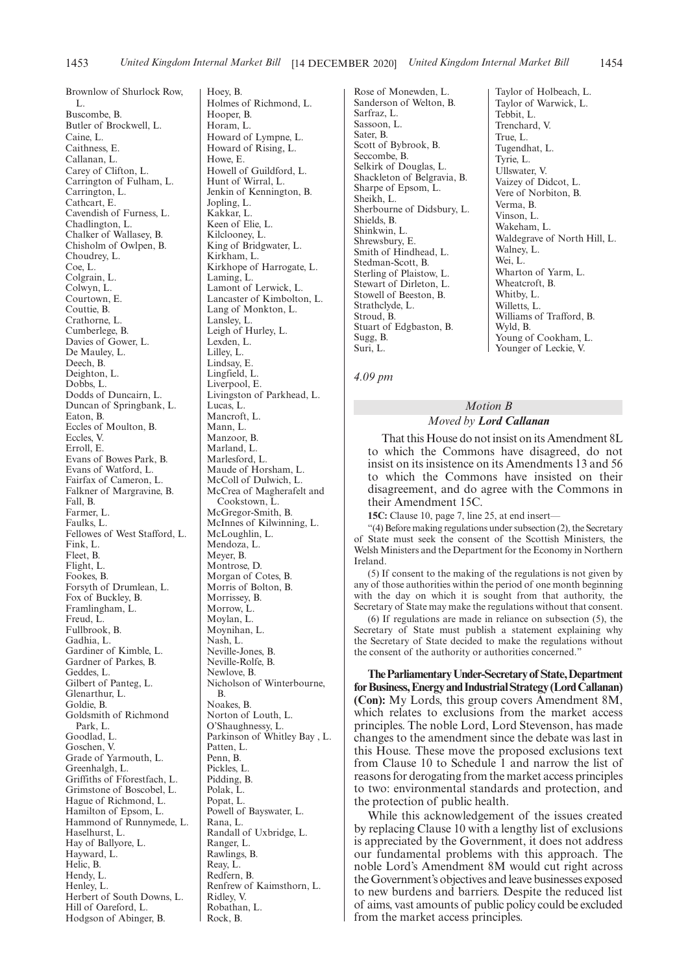Brownlow of Shurlock Row, L. Buscombe, B. Butler of Brockwell, L. Caine, L. Caithness, E. Callanan, L. Carey of Clifton, L. Carrington of Fulham, L. Carrington, L. Cathcart, E. Cavendish of Furness, L. Chadlington, L. Chalker of Wallasey, B. Chisholm of Owlpen, B. Choudrey, L. Coe, L. Colgrain, L. Colwyn, L. Courtown, E. Couttie, B. Crathorne, L. Cumberlege, B. Davies of Gower, L. De Mauley, L. Deech, B. Deighton, L. Dobbs, L. Dodds of Duncairn, L. Duncan of Springbank, L. Eaton, B. Eccles of Moulton, B. Eccles, V. Erroll, E. Evans of Bowes Park, B. Evans of Watford, L. Fairfax of Cameron, L. Falkner of Margravine, B. Fall, B. Farmer, L. Faulks, L. Fellowes of West Stafford, L. Fink, L. Fleet, B. Flight, L. Fookes, B. Forsyth of Drumlean, L. Fox of Buckley, B. Framlingham, L. Freud, L. Fullbrook, B. Gadhia, L. Gardiner of Kimble, L. Gardner of Parkes, B. Geddes, L. Gilbert of Panteg, L. Glenarthur, L. Goldie, B. Goldsmith of Richmond Park, L. Goodlad, L. Goschen, V. Grade of Yarmouth, L. Greenhalgh, L. Griffiths of Fforestfach, L. Grimstone of Boscobel, L. Hague of Richmond, L. Hamilton of Epsom, L. Hammond of Runnymede, L. Haselhurst, L. Hay of Ballyore, L. Hayward, L. Helic, B. Hendy, L. Henley, L. Herbert of South Downs, L. Hill of Oareford, L. Hodgson of Abinger, B.

Hoey, B. Holmes of Richmond, L. Hooper, B. Horam, L. Howard of Lympne, L. Howard of Rising, L. Howe, E. Howell of Guildford, L. Hunt of Wirral, L. Jenkin of Kennington, B. Jopling, L. Kakkar, L. Keen of Elie, L. Kilclooney, L. King of Bridgwater, L. Kirkham, L. Kirkhope of Harrogate, L. Laming, L. Lamont of Lerwick, L. Lancaster of Kimbolton, L. Lang of Monkton, L. Lansley, L. Leigh of Hurley, L. Lexden, L. Lilley, L. Lindsay, E. Lingfield, L. Liverpool, E. Livingston of Parkhead, L. Lucas, L. Mancroft, L. Mann, L. Manzoor, B. Marland, L. Marlesford, L. Maude of Horsham, L. McColl of Dulwich, L. McCrea of Magherafelt and Cookstown, L. McGregor-Smith, B. McInnes of Kilwinning, L. McLoughlin, L. Mendoza, L. Meyer, B. Montrose, D. Morgan of Cotes, B. Morris of Bolton, B. Morrissey, B. Morrow<sub>I</sub>. Moylan, L. Moynihan, L. Nash, L. Neville-Jones, B. Neville-Rolfe, B. Newlove, B. Nicholson of Winterbourne, B. Noakes, B. Norton of Louth, L. O'Shaughnessy, L. Parkinson of Whitley Bay , L. Patten, L. Penn, B. Pickles, L. Pidding, B. Polak, L. Popat, L. Powell of Bayswater, L. Rana, L. Randall of Uxbridge, L. Ranger, L. Rawlings, B. Reay, L. Redfern, B. Renfrew of Kaimsthorn, L. Ridley, V. Robathan, L.

Rock, B.

Rose of Monewden, L. Sanderson of Welton, B. Sarfraz, L. Sassoon, L. Sater, B. Scott of Bybrook, B. Seccombe, B. Selkirk of Douglas, L. Shackleton of Belgravia, B. Sharpe of Epsom, L. Sheikh, L. Sherbourne of Didsbury, L. Shields, B. Shinkwin, L. Shrewsbury, E. Smith of Hindhead, L. Stedman-Scott, B. Sterling of Plaistow, L. Stewart of Dirleton, L. Stowell of Beeston, B. Strathclyde, L. Stroud, B. Stuart of Edgbaston, B. Sugg, B. Suri, L.

Taylor of Holbeach, L. Taylor of Warwick, L. Tebbit, L. Trenchard, V. True, L. Tugendhat, L. Tyrie, L. Ullswater, V. Vaizey of Didcot, L. Vere of Norbiton, B. Verma, B. Vinson, L. Wakeham, L. Waldegrave of North Hill, L. Walney, L. Wei, L. Wharton of Yarm, L. Wheatcroft, B. Whitby, L. Willetts, L. Williams of Trafford, B. Wyld, B. Young of Cookham, L. Younger of Leckie, V.

*4.09 pm*

# *Motion B Moved by Lord Callanan*

That this House do not insist on its Amendment 8L to which the Commons have disagreed, do not insist on its insistence on its Amendments 13 and 56 to which the Commons have insisted on their disagreement, and do agree with the Commons in their Amendment 15C.

**15C:** Clause 10, page 7, line 25, at end insert—

"(4) Before making regulations under subsection (2), the Secretary of State must seek the consent of the Scottish Ministers, the Welsh Ministers and the Department for the Economy in Northern Ireland.

(5) If consent to the making of the regulations is not given by any of those authorities within the period of one month beginning with the day on which it is sought from that authority, the Secretary of State may make the regulations without that consent.

(6) If regulations are made in reliance on subsection (5), the Secretary of State must publish a statement explaining why the Secretary of State decided to make the regulations without the consent of the authority or authorities concerned."

**TheParliamentaryUnder-Secretaryof State,Department** for Business, Energy and Industrial Strategy (Lord Callanan) **(Con):** My Lords, this group covers Amendment 8M, which relates to exclusions from the market access principles. The noble Lord, Lord Stevenson, has made changes to the amendment since the debate was last in this House. These move the proposed exclusions text from Clause 10 to Schedule 1 and narrow the list of reasons for derogating from the market access principles to two: environmental standards and protection, and the protection of public health.

While this acknowledgement of the issues created by replacing Clause 10 with a lengthy list of exclusions is appreciated by the Government, it does not address our fundamental problems with this approach. The noble Lord's Amendment 8M would cut right across the Government's objectives and leave businesses exposed to new burdens and barriers. Despite the reduced list of aims, vast amounts of public policy could be excluded from the market access principles.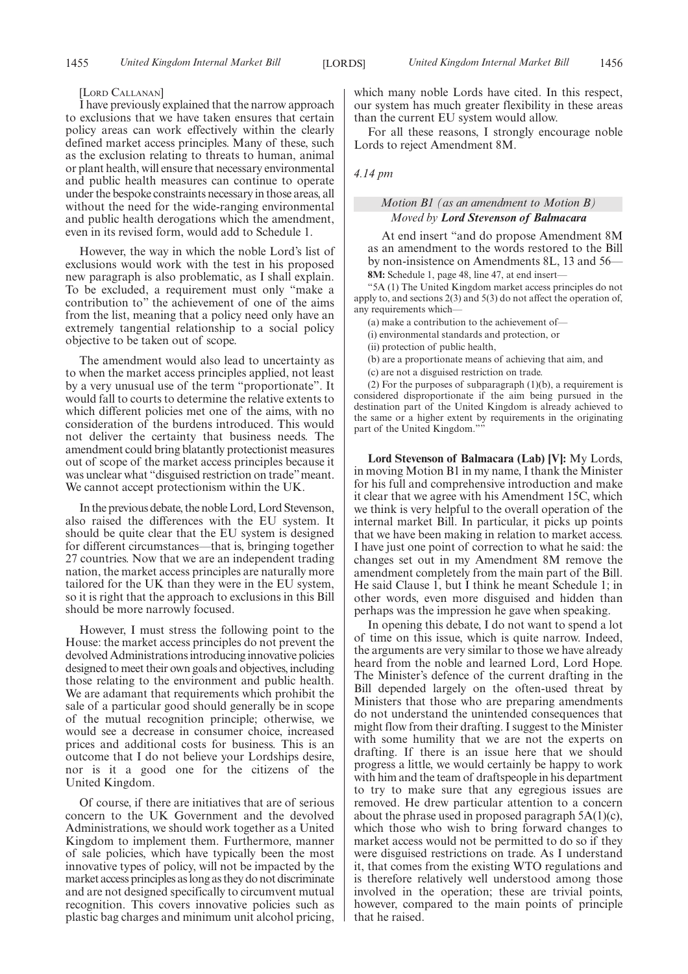#### [LORD CALLANAN]

I have previously explained that the narrow approach to exclusions that we have taken ensures that certain policy areas can work effectively within the clearly defined market access principles. Many of these, such as the exclusion relating to threats to human, animal or plant health, will ensure that necessary environmental and public health measures can continue to operate under the bespoke constraints necessary in those areas, all without the need for the wide-ranging environmental and public health derogations which the amendment, even in its revised form, would add to Schedule 1.

However, the way in which the noble Lord's list of exclusions would work with the test in his proposed new paragraph is also problematic, as I shall explain. To be excluded, a requirement must only "make a contribution to" the achievement of one of the aims from the list, meaning that a policy need only have an extremely tangential relationship to a social policy objective to be taken out of scope.

The amendment would also lead to uncertainty as to when the market access principles applied, not least by a very unusual use of the term "proportionate". It would fall to courts to determine the relative extents to which different policies met one of the aims, with no consideration of the burdens introduced. This would not deliver the certainty that business needs. The amendment could bring blatantly protectionist measures out of scope of the market access principles because it was unclear what "disguised restriction on trade" meant. We cannot accept protectionism within the UK.

In the previous debate, the noble Lord, Lord Stevenson, also raised the differences with the EU system. It should be quite clear that the EU system is designed for different circumstances—that is, bringing together 27 countries. Now that we are an independent trading nation, the market access principles are naturally more tailored for the UK than they were in the EU system, so it is right that the approach to exclusions in this Bill should be more narrowly focused.

However, I must stress the following point to the House: the market access principles do not prevent the devolved Administrations introducing innovative policies designed to meet their own goals and objectives, including those relating to the environment and public health. We are adamant that requirements which prohibit the sale of a particular good should generally be in scope of the mutual recognition principle; otherwise, we would see a decrease in consumer choice, increased prices and additional costs for business. This is an outcome that I do not believe your Lordships desire, nor is it a good one for the citizens of the United Kingdom.

Of course, if there are initiatives that are of serious concern to the UK Government and the devolved Administrations, we should work together as a United Kingdom to implement them. Furthermore, manner of sale policies, which have typically been the most innovative types of policy, will not be impacted by the market access principles as long as they do not discriminate and are not designed specifically to circumvent mutual recognition. This covers innovative policies such as plastic bag charges and minimum unit alcohol pricing, which many noble Lords have cited. In this respect, our system has much greater flexibility in these areas than the current EU system would allow.

For all these reasons, I strongly encourage noble Lords to reject Amendment 8M.

*4.14 pm*

# *Motion B1 (as an amendment to Motion B) Moved by Lord Stevenson of Balmacara*

At end insert "and do propose Amendment 8M as an amendment to the words restored to the Bill by non-insistence on Amendments 8L, 13 and 56— **8M:** Schedule 1, page 48, line 47, at end insert—

"5A (1) The United Kingdom market access principles do not apply to, and sections 2(3) and 5(3) do not affect the operation of, any requirements which—

(a) make a contribution to the achievement of—

(i) environmental standards and protection, or

(ii) protection of public health,

(b) are a proportionate means of achieving that aim, and

(c) are not a disguised restriction on trade.

(2) For the purposes of subparagraph  $(1)(b)$ , a requirement is considered disproportionate if the aim being pursued in the destination part of the United Kingdom is already achieved to the same or a higher extent by requirements in the originating part of the United Kingdom."

**Lord Stevenson of Balmacara (Lab) [V]:** My Lords, in moving Motion B1 in my name, I thank the Minister for his full and comprehensive introduction and make it clear that we agree with his Amendment 15C, which we think is very helpful to the overall operation of the internal market Bill. In particular, it picks up points that we have been making in relation to market access. I have just one point of correction to what he said: the changes set out in my Amendment 8M remove the amendment completely from the main part of the Bill. He said Clause 1, but I think he meant Schedule 1; in other words, even more disguised and hidden than perhaps was the impression he gave when speaking.

In opening this debate, I do not want to spend a lot of time on this issue, which is quite narrow. Indeed, the arguments are very similar to those we have already heard from the noble and learned Lord, Lord Hope. The Minister's defence of the current drafting in the Bill depended largely on the often-used threat by Ministers that those who are preparing amendments do not understand the unintended consequences that might flow from their drafting. I suggest to the Minister with some humility that we are not the experts on drafting. If there is an issue here that we should progress a little, we would certainly be happy to work with him and the team of draftspeople in his department to try to make sure that any egregious issues are removed. He drew particular attention to a concern about the phrase used in proposed paragraph  $5A(1)(c)$ , which those who wish to bring forward changes to market access would not be permitted to do so if they were disguised restrictions on trade. As I understand it, that comes from the existing WTO regulations and is therefore relatively well understood among those involved in the operation; these are trivial points, however, compared to the main points of principle that he raised.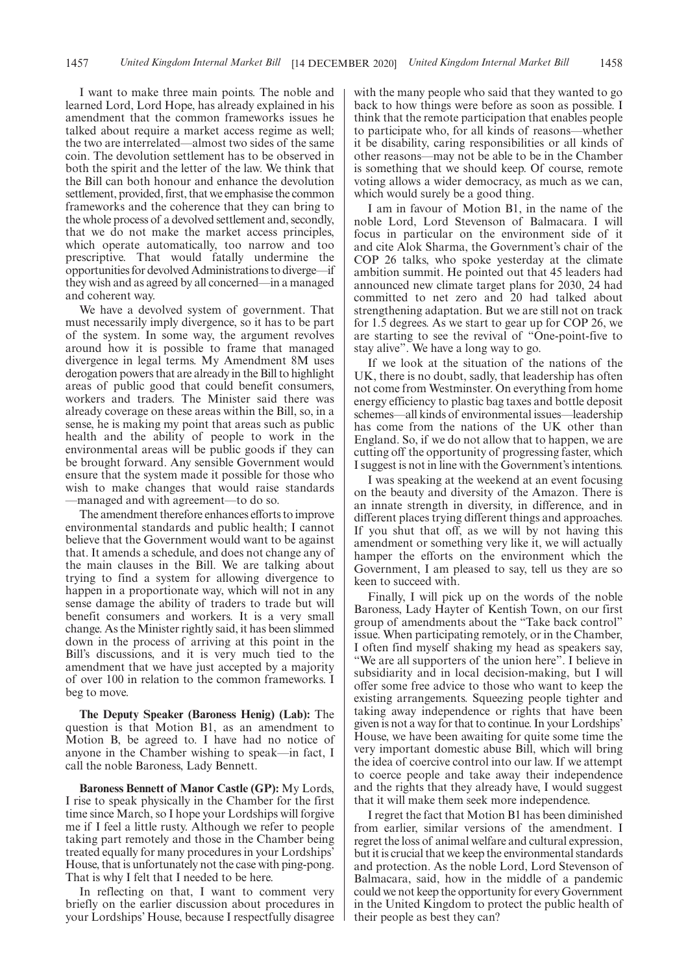I want to make three main points. The noble and learned Lord, Lord Hope, has already explained in his amendment that the common frameworks issues he talked about require a market access regime as well; the two are interrelated—almost two sides of the same coin. The devolution settlement has to be observed in both the spirit and the letter of the law. We think that the Bill can both honour and enhance the devolution settlement, provided, first, that we emphasise the common frameworks and the coherence that they can bring to the whole process of a devolved settlement and, secondly, that we do not make the market access principles, which operate automatically, too narrow and too prescriptive. That would fatally undermine the opportunities for devolved Administrations to diverge—if they wish and as agreed by all concerned—in a managed and coherent way.

We have a devolved system of government. That must necessarily imply divergence, so it has to be part of the system. In some way, the argument revolves around how it is possible to frame that managed divergence in legal terms. My Amendment 8M uses derogation powers that are already in the Bill to highlight areas of public good that could benefit consumers, workers and traders. The Minister said there was already coverage on these areas within the Bill, so, in a sense, he is making my point that areas such as public health and the ability of people to work in the environmental areas will be public goods if they can be brought forward. Any sensible Government would ensure that the system made it possible for those who wish to make changes that would raise standards —managed and with agreement—to do so.

The amendment therefore enhances efforts to improve environmental standards and public health; I cannot believe that the Government would want to be against that. It amends a schedule, and does not change any of the main clauses in the Bill. We are talking about trying to find a system for allowing divergence to happen in a proportionate way, which will not in any sense damage the ability of traders to trade but will benefit consumers and workers. It is a very small change. As the Minister rightly said, it has been slimmed down in the process of arriving at this point in the Bill's discussions, and it is very much tied to the amendment that we have just accepted by a majority of over 100 in relation to the common frameworks. I beg to move.

**The Deputy Speaker (Baroness Henig) (Lab):** The question is that Motion B1, as an amendment to Motion B, be agreed to. I have had no notice of anyone in the Chamber wishing to speak—in fact, I call the noble Baroness, Lady Bennett.

**Baroness Bennett of Manor Castle (GP):** My Lords, I rise to speak physically in the Chamber for the first time since March, so I hope your Lordships will forgive me if I feel a little rusty. Although we refer to people taking part remotely and those in the Chamber being treated equally for many procedures in your Lordships' House, that is unfortunately not the case with ping-pong. That is why I felt that I needed to be here.

In reflecting on that, I want to comment very briefly on the earlier discussion about procedures in your Lordships' House, because I respectfully disagree with the many people who said that they wanted to go back to how things were before as soon as possible. I think that the remote participation that enables people to participate who, for all kinds of reasons—whether it be disability, caring responsibilities or all kinds of other reasons—may not be able to be in the Chamber is something that we should keep. Of course, remote voting allows a wider democracy, as much as we can, which would surely be a good thing.

I am in favour of Motion B1, in the name of the noble Lord, Lord Stevenson of Balmacara. I will focus in particular on the environment side of it and cite Alok Sharma, the Government's chair of the COP 26 talks, who spoke yesterday at the climate ambition summit. He pointed out that 45 leaders had announced new climate target plans for 2030, 24 had committed to net zero and 20 had talked about strengthening adaptation. But we are still not on track for 1.5 degrees. As we start to gear up for COP 26, we are starting to see the revival of "One-point-five to stay alive". We have a long way to go.

If we look at the situation of the nations of the UK, there is no doubt, sadly, that leadership has often not come from Westminster. On everything from home energy efficiency to plastic bag taxes and bottle deposit schemes—all kinds of environmental issues—leadership has come from the nations of the UK other than England. So, if we do not allow that to happen, we are cutting off the opportunity of progressing faster, which I suggest is not in line with the Government's intentions.

I was speaking at the weekend at an event focusing on the beauty and diversity of the Amazon. There is an innate strength in diversity, in difference, and in different places trying different things and approaches. If you shut that off, as we will by not having this amendment or something very like it, we will actually hamper the efforts on the environment which the Government, I am pleased to say, tell us they are so keen to succeed with.

Finally, I will pick up on the words of the noble Baroness, Lady Hayter of Kentish Town, on our first group of amendments about the "Take back control" issue. When participating remotely, or in the Chamber, I often find myself shaking my head as speakers say, "We are all supporters of the union here". I believe in subsidiarity and in local decision-making, but I will offer some free advice to those who want to keep the existing arrangements. Squeezing people tighter and taking away independence or rights that have been given is not a way for that to continue. In your Lordships' House, we have been awaiting for quite some time the very important domestic abuse Bill, which will bring the idea of coercive control into our law. If we attempt to coerce people and take away their independence and the rights that they already have, I would suggest that it will make them seek more independence.

I regret the fact that Motion B1 has been diminished from earlier, similar versions of the amendment. I regret the loss of animal welfare and cultural expression, but it is crucial that we keep the environmental standards and protection. As the noble Lord, Lord Stevenson of Balmacara, said, how in the middle of a pandemic could we not keep the opportunity for every Government in the United Kingdom to protect the public health of their people as best they can?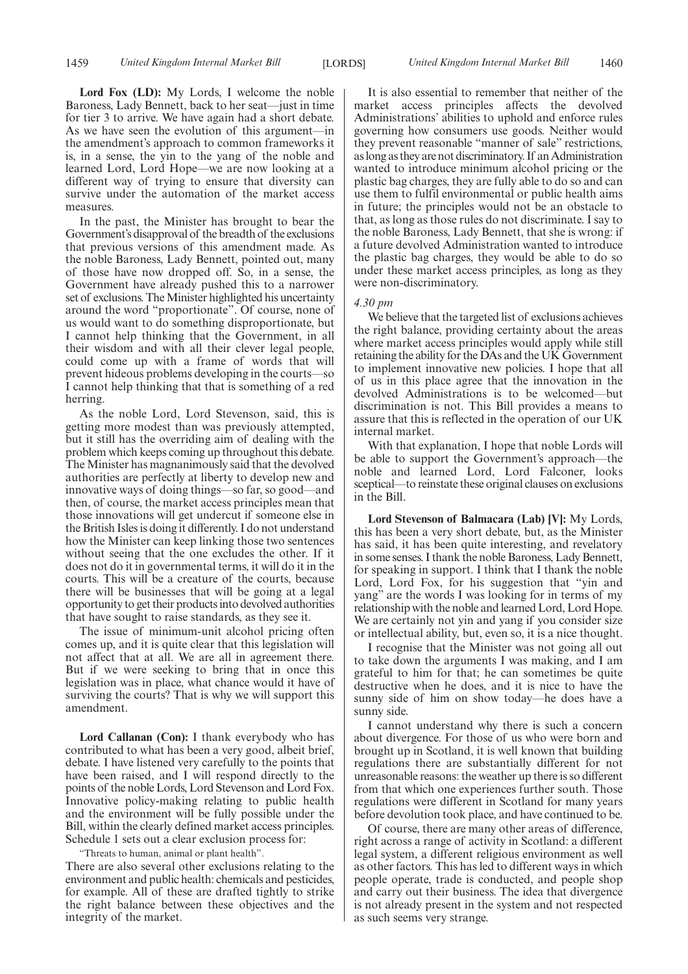**Lord Fox (LD):** My Lords, I welcome the noble Baroness, Lady Bennett, back to her seat—just in time for tier 3 to arrive. We have again had a short debate. As we have seen the evolution of this argument—in the amendment's approach to common frameworks it is, in a sense, the yin to the yang of the noble and learned Lord, Lord Hope—we are now looking at a different way of trying to ensure that diversity can survive under the automation of the market access measures.

In the past, the Minister has brought to bear the Government's disapproval of the breadth of the exclusions that previous versions of this amendment made. As the noble Baroness, Lady Bennett, pointed out, many of those have now dropped off. So, in a sense, the Government have already pushed this to a narrower set of exclusions. The Minister highlighted his uncertainty around the word "proportionate". Of course, none of us would want to do something disproportionate, but I cannot help thinking that the Government, in all their wisdom and with all their clever legal people, could come up with a frame of words that will prevent hideous problems developing in the courts—so I cannot help thinking that that is something of a red herring.

As the noble Lord, Lord Stevenson, said, this is getting more modest than was previously attempted, but it still has the overriding aim of dealing with the problem which keeps coming up throughout this debate. The Minister has magnanimously said that the devolved authorities are perfectly at liberty to develop new and innovative ways of doing things—so far, so good—and then, of course, the market access principles mean that those innovations will get undercut if someone else in the British Isles is doing it differently. I do not understand how the Minister can keep linking those two sentences without seeing that the one excludes the other. If it does not do it in governmental terms, it will do it in the courts. This will be a creature of the courts, because there will be businesses that will be going at a legal opportunity to get their products into devolved authorities that have sought to raise standards, as they see it.

The issue of minimum-unit alcohol pricing often comes up, and it is quite clear that this legislation will not affect that at all. We are all in agreement there. But if we were seeking to bring that in once this legislation was in place, what chance would it have of surviving the courts? That is why we will support this amendment.

**Lord Callanan (Con):** I thank everybody who has contributed to what has been a very good, albeit brief, debate. I have listened very carefully to the points that have been raised, and I will respond directly to the points of the noble Lords, Lord Stevenson and Lord Fox. Innovative policy-making relating to public health and the environment will be fully possible under the Bill, within the clearly defined market access principles. Schedule 1 sets out a clear exclusion process for:

"Threats to human, animal or plant health".

There are also several other exclusions relating to the environment and public health: chemicals and pesticides, for example. All of these are drafted tightly to strike the right balance between these objectives and the integrity of the market.

It is also essential to remember that neither of the market access principles affects the devolved Administrations' abilities to uphold and enforce rules governing how consumers use goods. Neither would they prevent reasonable "manner of sale" restrictions, as long as they are not discriminatory. If an Administration wanted to introduce minimum alcohol pricing or the plastic bag charges, they are fully able to do so and can use them to fulfil environmental or public health aims in future; the principles would not be an obstacle to that, as long as those rules do not discriminate. I say to the noble Baroness, Lady Bennett, that she is wrong: if a future devolved Administration wanted to introduce the plastic bag charges, they would be able to do so under these market access principles, as long as they were non-discriminatory.

#### *4.30 pm*

We believe that the targeted list of exclusions achieves the right balance, providing certainty about the areas where market access principles would apply while still retaining the ability for the DAs and the UK Government to implement innovative new policies. I hope that all of us in this place agree that the innovation in the devolved Administrations is to be welcomed—but discrimination is not. This Bill provides a means to assure that this is reflected in the operation of our UK internal market.

With that explanation, I hope that noble Lords will be able to support the Government's approach—the noble and learned Lord, Lord Falconer, looks sceptical—to reinstate these original clauses on exclusions in the Bill.

**Lord Stevenson of Balmacara (Lab) [V]:** My Lords, this has been a very short debate, but, as the Minister has said, it has been quite interesting, and revelatory in some senses. I thank the noble Baroness, Lady Bennett, for speaking in support. I think that I thank the noble Lord, Lord Fox, for his suggestion that "yin and yang" are the words I was looking for in terms of my relationship with the noble and learned Lord, Lord Hope. We are certainly not yin and yang if you consider size or intellectual ability, but, even so, it is a nice thought.

I recognise that the Minister was not going all out to take down the arguments I was making, and I am grateful to him for that; he can sometimes be quite destructive when he does, and it is nice to have the sunny side of him on show today—he does have a sunny side.

I cannot understand why there is such a concern about divergence. For those of us who were born and brought up in Scotland, it is well known that building regulations there are substantially different for not unreasonable reasons: the weather up there is so different from that which one experiences further south. Those regulations were different in Scotland for many years before devolution took place, and have continued to be.

Of course, there are many other areas of difference, right across a range of activity in Scotland: a different legal system, a different religious environment as well as other factors. This has led to different ways in which people operate, trade is conducted, and people shop and carry out their business. The idea that divergence is not already present in the system and not respected as such seems very strange.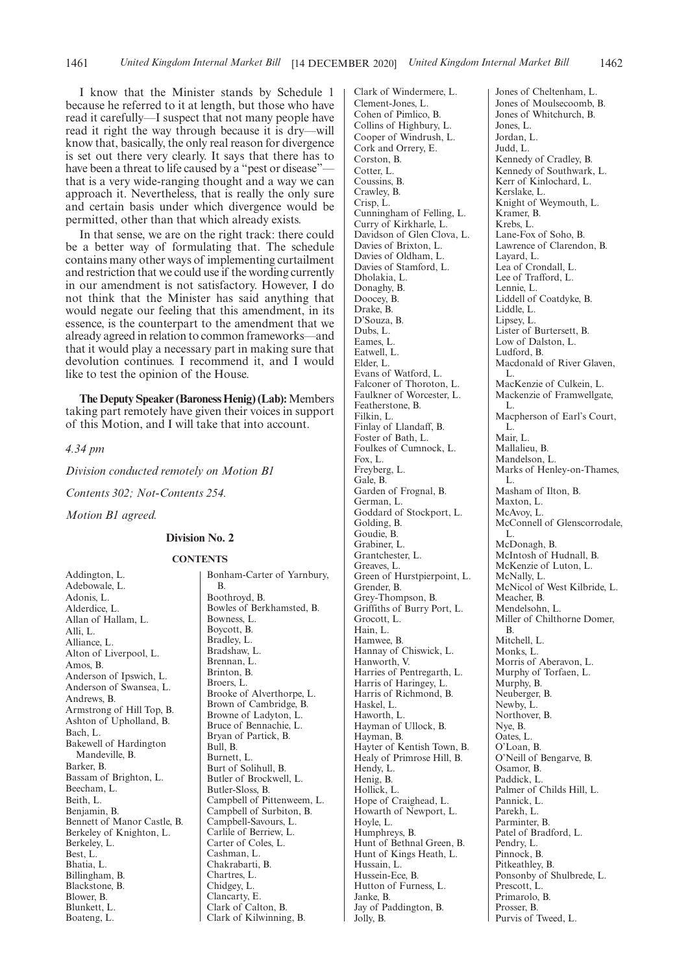I know that the Minister stands by Schedule 1 because he referred to it at length, but those who have read it carefully—I suspect that not many people have read it right the way through because it is dry—will know that, basically, the only real reason for divergence is set out there very clearly. It says that there has to have been a threat to life caused by a "pest or disease" that is a very wide-ranging thought and a way we can approach it. Nevertheless, that is really the only sure and certain basis under which divergence would be permitted, other than that which already exists.

In that sense, we are on the right track: there could be a better way of formulating that. The schedule contains many other ways of implementing curtailment and restriction that we could use if the wording currently in our amendment is not satisfactory. However, I do not think that the Minister has said anything that would negate our feeling that this amendment, in its essence, is the counterpart to the amendment that we already agreed in relation to common frameworks—and that it would play a necessary part in making sure that devolution continues. I recommend it, and I would like to test the opinion of the House.

**The Deputy Speaker (Baroness Henig) (Lab):** Members taking part remotely have given their voices in support of this Motion, and I will take that into account.

# *4.34 pm*

*Division conducted remotely on Motion B1*

*Contents 302; Not-Contents 254.*

*Motion B1 agreed.*

# **Division No. 2**

#### **CONTENTS**

Addington, L. Adebowale, L. Adonis, L. Alderdice, L. Allan of Hallam, L. Alli, L. Alliance, L. Alton of Liverpool, L. Amos, B. Anderson of Ipswich, L. Anderson of Swansea, L. Andrews, B. Armstrong of Hill Top, B. Ashton of Upholland, B. Bach, L. Bakewell of Hardington Mandeville, B. Barker, B. Bassam of Brighton, L. Beecham, L. Beith, L. Benjamin, B. Bennett of Manor Castle, B. Berkeley of Knighton, L. Berkeley, L. Best, L. Bhatia, L. Billingham, B. Blackstone, B. Blower, B. Blunkett, L. Boateng, L.

Bonham-Carter of Yarnbury, B. Boothroyd, B. Bowles of Berkhamsted, B. Bowness, L. Boycott, B. Bradley, L. Bradshaw, L. Brennan, L. Brinton, B. Broers, L. Brooke of Alverthorpe, L. Brown of Cambridge, B. Browne of Ladyton, L. Bruce of Bennachie, L. Bryan of Partick, B. Bull, B. Burnett, L. Burt of Solihull, B. Butler of Brockwell, L. Butler-Sloss, B. Campbell of Pittenweem, L. Campbell of Surbiton, B. Campbell-Savours, L. Carlile of Berriew, L. Carter of Coles, L. Cashman, L. Chakrabarti, B. Chartres, L. Chidgey, L. Clancarty, E. Clark of Calton, B. Clark of Kilwinning, B.

Clark of Windermere, L. Clement-Jones, L. Cohen of Pimlico, B. Collins of Highbury, L. Cooper of Windrush, L. Cork and Orrery, E. Corston, B. Cotter, L. Coussins, B. Crawley, B. Crisp, L. Cunningham of Felling, L. Curry of Kirkharle, L. Davidson of Glen Clova, L. Davies of Brixton, L. Davies of Oldham, L. Davies of Stamford, L. Dholakia, L. Donaghy, B. Doocey, B. Drake, B. D'Souza, B. Dubs, L. Eames, L. Eatwell, L. Elder, L. Evans of Watford, L. Falconer of Thoroton, L. Faulkner of Worcester, L. Featherstone, B. Filkin, L. Finlay of Llandaff, B. Foster of Bath, L. Foulkes of Cumnock, L. Fox, L. Freyberg, L. Gale, B. Garden of Frognal, B. German, L. Goddard of Stockport, L. Golding, B. Goudie, B. Grabiner, L. Grantchester, L. Greaves, L. Green of Hurstpierpoint, L. Grender, B. Grey-Thompson, B. Griffiths of Burry Port, L. Grocott, L. Hain, L. Hamwee, B. Hannay of Chiswick, L. Hanworth, V. Harries of Pentregarth, L. Harris of Haringey, L. Harris of Richmond, B. Haskel, L. Haworth, L. Hayman of Ullock, B. Hayman, B. Hayter of Kentish Town, B. Healy of Primrose Hill, B. Hendy, L. Henig, B. Hollick, L. Hope of Craighead, L. Howarth of Newport, L. Hoyle, L. Humphreys, B. Hunt of Bethnal Green, B. Hunt of Kings Heath, L. Hussain, L. Hussein-Ece, B. Hutton of Furness, L. Janke, B. Jay of Paddington, B. Jolly, B.

Jones of Cheltenham, L. Jones of Moulsecoomb, B. Jones of Whitchurch, B. Jones, L. Jordan, L. Judd, L. Kennedy of Cradley, B. Kennedy of Southwark, L. Kerr of Kinlochard, L. Kerslake, L. Knight of Weymouth, L. Kramer, B. Krebs, L. Lane-Fox of Soho, B. Lawrence of Clarendon, B. Layard, L. Lea of Crondall, L. Lee of Trafford, L. Lennie, L. Liddell of Coatdyke, B. Liddle, L. Lipsey, L. Lister of Burtersett, B. Low of Dalston, L. Ludford, B. Macdonald of River Glaven, L. MacKenzie of Culkein, L. Mackenzie of Framwellgate, L. Macpherson of Earl's Court, L. Mair, L. Mallalieu, B. Mandelson, L. Marks of Henley-on-Thames, L. Masham of Ilton, B. Maxton, L. McAvoy, L. McConnell of Glenscorrodale, L. McDonagh, B. McIntosh of Hudnall, B. McKenzie of Luton, L. McNally, L. McNicol of West Kilbride, L. Meacher, B. Mendelsohn, L. Miller of Chilthorne Domer, B. Mitchell, L. Monks, L. Morris of Aberavon, L. Murphy of Torfaen, L. Murphy, B. Neuberger, B. Newby, L. Northover, **B**. Nye, B. Oates, L. O'Loan, B. O'Neill of Bengarve, B. Osamor, B. Paddick, L. Palmer of Childs Hill, L. Pannick, L. Parekh, L. Parminter, B. Patel of Bradford, L. Pendry, L. Pinnock, B. Pitkeathley, B. Ponsonby of Shulbrede, L. Prescott, L. Primarolo, B. Prosser, B. Purvis of Tweed, L.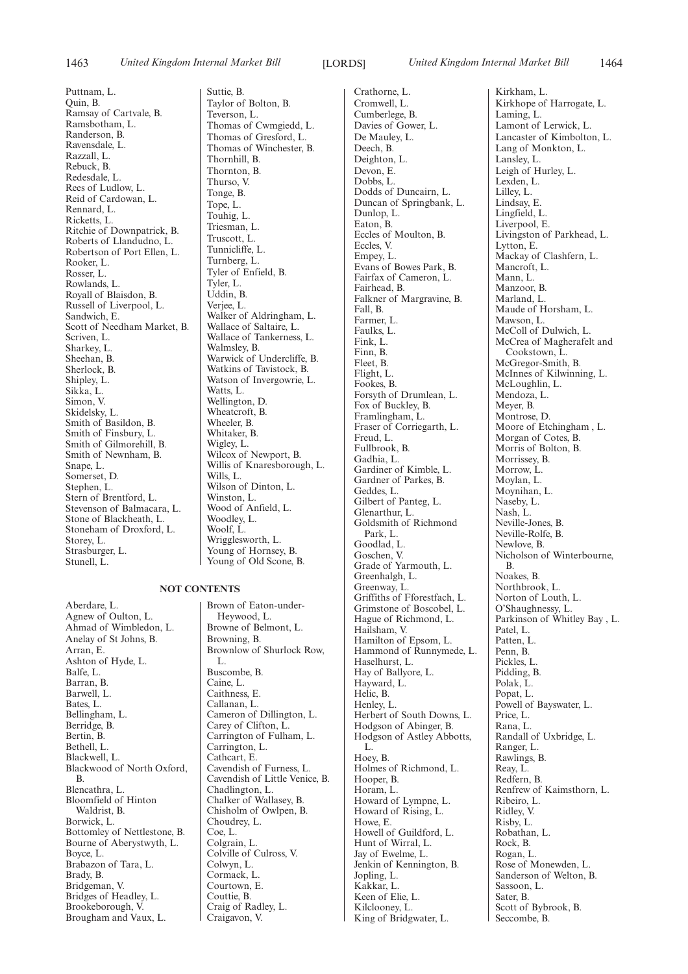Puttnam, L. Quin, B. Ramsay of Cartvale, B. Ramsbotham, L. Randerson, B. Ravensdale, L. Razzall, L. Rebuck, B. Redesdale, L. Rees of Ludlow, L. Reid of Cardowan, L. Rennard, L. Ricketts, L. Ritchie of Downpatrick, B. Roberts of Llandudno, L. Robertson of Port Ellen, L. Rooker, L. Rosser, L. Rowlands, L. Royall of Blaisdon, B. Russell of Liverpool, L. Sandwich, E. Scott of Needham Market, B. Scriven, L. Sharkey, L. Sheehan, B. Sherlock, B. Shipley, L. Sikka, L. Simon, V. Skidelsky, L. Smith of Basildon, B. Smith of Finsbury, L. Smith of Gilmorehill, B. Smith of Newnham, B. Snape, L. Somerset, D. Stephen, L. Stern of Brentford, L. Stevenson of Balmacara, L. Stone of Blackheath, L. Stoneham of Droxford, L. Storey, L. Strasburger, L. Stunell, L.

#### **NOT CONTENTS**

Aberdare, L. Agnew of Oulton, L. Ahmad of Wimbledon, L. Anelay of St Johns, B. Arran, E. Ashton of Hyde, L. Balfe, L. Barran, B. Barwell, L. Bates, L. Bellingham, L. Berridge, B. Bertin, B. Bethell, L. Blackwell, L. Blackwood of North Oxford, B. Blencathra, L. Bloomfield of Hinton Waldrist, B. Borwick, L. Bottomley of Nettlestone, B. Bourne of Aberystwyth, L. Boyce, L. Brabazon of Tara, L. Brady, B. Bridgeman, V. Bridges of Headley, L. Brookeborough, V. Brougham and Vaux, L.

Suttie, B. Taylor of Bolton, B. Teverson, L. Thomas of Cwmgiedd, L. Thomas of Gresford, L. Thomas of Winchester, B. Thornhill, B. Thornton, B. Thurso, V. Tonge, B. Tope, L. Touhig, L. Triesman, L. Truscott, L. Tunnicliffe, L. Turnberg, L. Tyler of Enfield, B. Tyler, L. Uddin, B. Verjee, L. Walker of Aldringham, L. Wallace of Saltaire, L. Wallace of Tankerness, L. Walmsley, B. Warwick of Undercliffe, B. Watkins of Tavistock, B. Watson of Invergowrie, L. Watts, L. Wellington, D. Wheatcroft, B. Wheeler, B. Whitaker, B. Wigley, L. Wilcox of Newport, B. Willis of Knaresborough, L. Wills, L. Wilson of Dinton, L. Winston, L. Wood of Anfield, L. Woodley, L. Woolf, L. Wrigglesworth, L. Young of Hornsey, B. Young of Old Scone, B.

Brown of Eaton-under-Heywood, L. Browne of Belmont, L. Browning, B. Brownlow of Shurlock Row, L. Buscombe, B. Caine, L. Caithness, F. Callanan, L. Cameron of Dillington, L. Carey of Clifton, L. Carrington of Fulham, L. Carrington, L. Cathcart, E. Cavendish of Furness, L. Cavendish of Little Venice, B. Chadlington, L. Chalker of Wallasey, B. Chisholm of Owlpen, B. Choudrey, L. Coe, L. Colgrain, L. Colville of Culross, V. Colwyn, L. Cormack, L. Courtown, E. Couttie, B. Craig of Radley, L. Craigavon, V.

Crathorne, L. Cromwell, L. Cumberlege, B. Davies of Gower, L. De Mauley, L. Deech, B. Deighton, L. Devon, E. Dobbs, L. Dodds of Duncairn, L. Duncan of Springbank, L. Dunlop, L. Eaton, B. Eccles of Moulton, B. Eccles, V. Empey, L. Evans of Bowes Park, B. Fairfax of Cameron, L. Fairhead, B. Falkner of Margravine, B. Fall, B. Farmer, L. Faulks, L. Fink, L. Finn, B. Fleet, B. Flight, L. Fookes, B. Forsyth of Drumlean, L. Fox of Buckley, B. Framlingham, L. Fraser of Corriegarth, L. Freud, L. Fullbrook, B. Gadhia, L. Gardiner of Kimble, L. Gardner of Parkes, B. Geddes, L. Gilbert of Panteg, L. Glenarthur, L. Goldsmith of Richmond Park, L. Goodlad, L. Goschen, V. Grade of Yarmouth, L. Greenhalgh, L. Greenway, L. Griffiths of Fforestfach, L. Grimstone of Boscobel, L. Hague of Richmond, L. Hailsham, V. Hamilton of Epsom, L. Hammond of Runnymede, L. Haselhurst, L. Hay of Ballyore, L. Hayward, L. Helic, B. Henley, L. Herbert of South Downs, L. Hodgson of Abinger, B. Hodgson of Astley Abbotts, L. Hoey, B. Holmes of Richmond, L. Hooper, B. Horam, L. Howard of Lympne, L. Howard of Rising, L. Howe, E. Howell of Guildford, L. Hunt of Wirral, L. Jay of Ewelme, L. Jenkin of Kennington, B. Jopling, L. Kakkar, L. Keen of Elie, L. Kilclooney, L. King of Bridgwater, L.

Kirkham, L. Kirkhope of Harrogate, L. Laming, L. Lamont of Lerwick, L. Lancaster of Kimbolton, L. Lang of Monkton, L. Lansley, L. Leigh of Hurley, L. Lexden, L. Lilley, L. Lindsay, E. Lingfield, L. Liverpool, E. Livingston of Parkhead, L. Lytton, E. Mackay of Clashfern, L. Mancroft, L. Mann, L. Manzoor, B. Marland, L. Maude of Horsham, L. Mawson, L. McColl of Dulwich, L. McCrea of Magherafelt and Cookstown, L. McGregor-Smith, B. McInnes of Kilwinning, L. McLoughlin, L. Mendoza, L. Meyer, B. Montrose, D. Moore of Etchingham, L. Morgan of Cotes, B. Morris of Bolton, B. Morrissey, B. Morrow, L. Moylan, L. Moynihan, L. Naseby, L. Nash, L. Neville-Jones, B. Neville-Rolfe, B. Newlove, B. Nicholson of Winterbourne, B. Noakes, B. Northbrook, L. Norton of Louth, L. O'Shaughnessy, L. Parkinson of Whitley Bay , L. Patel, L. Patten, L. Penn, B. Pickles, L. Pidding, B. Polak, L. Popat, L. Powell of Bayswater, L. Price, L. Rana, L. Randall of Uxbridge, L. Ranger, L. Rawlings, B. Reay, L. Redfern, B. Renfrew of Kaimsthorn, L. Ribeiro, L. Ridley, V. Risby, L. Robathan, L. Rock, B. Rogan, L. Rose of Monewden, L. Sanderson of Welton, B. Sassoon, L. Sater, B. Scott of Bybrook, B. Seccombe, B.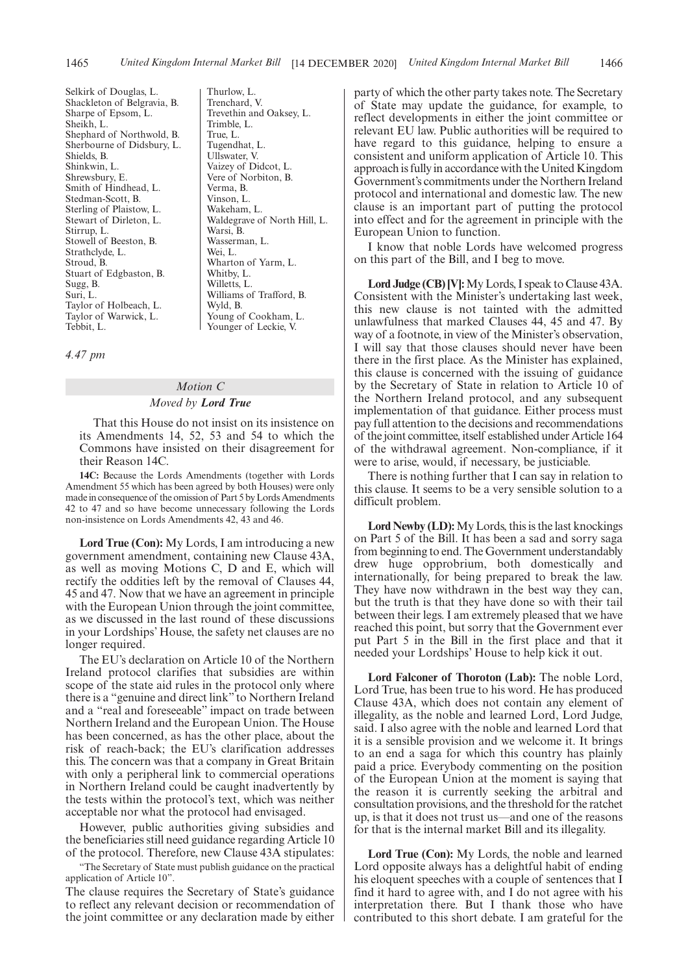Selkirk of Douglas, L. Shackleton of Belgravia, B. Sharpe of Epsom, L. Sheikh, L. Shephard of Northwold, B. Sherbourne of Didsbury, L. Shields, B. Shinkwin, L. Shrewsbury, E. Smith of Hindhead, L. Stedman-Scott, B. Sterling of Plaistow, L. Stewart of Dirleton, L. Stirrup, L. Stowell of Beeston, B. Strathclyde, L. Stroud, B. Stuart of Edgbaston, B. Sugg, B. Suri, L. Taylor of Holbeach, L. Taylor of Warwick, L. Tebbit, L.

Thurlow, L. Trenchard, V. Trevethin and Oaksey, L. Trimble, L. True, L. Tugendhat, L. Ullswater, V. Vaizey of Didcot, L. Vere of Norbiton, B. Verma, B. Vinson, L. Wakeham, L. Waldegrave of North Hill, L. Warsi, B. Wasserman, L. Wei, L. Wharton of Yarm, L. Whitby, L. Willetts, L. Williams of Trafford, B. Wyld, B. Young of Cookham, L. Younger of Leckie, V.

#### *4.47 pm*

# *Motion C Moved by Lord True*

That this House do not insist on its insistence on its Amendments 14, 52, 53 and 54 to which the Commons have insisted on their disagreement for their Reason 14C.

**14C:** Because the Lords Amendments (together with Lords Amendment 55 which has been agreed by both Houses) were only made in consequence of the omission of Part 5 by Lords Amendments 42 to 47 and so have become unnecessary following the Lords non-insistence on Lords Amendments 42, 43 and 46.

**Lord True (Con):** My Lords, I am introducing a new government amendment, containing new Clause 43A, as well as moving Motions C, D and E, which will rectify the oddities left by the removal of Clauses 44, 45 and 47. Now that we have an agreement in principle with the European Union through the joint committee, as we discussed in the last round of these discussions in your Lordships' House, the safety net clauses are no longer required.

The EU's declaration on Article 10 of the Northern Ireland protocol clarifies that subsidies are within scope of the state aid rules in the protocol only where there is a "genuine and direct link" to Northern Ireland and a "real and foreseeable" impact on trade between Northern Ireland and the European Union. The House has been concerned, as has the other place, about the risk of reach-back; the EU's clarification addresses this. The concern was that a company in Great Britain with only a peripheral link to commercial operations in Northern Ireland could be caught inadvertently by the tests within the protocol's text, which was neither acceptable nor what the protocol had envisaged.

However, public authorities giving subsidies and the beneficiaries still need guidance regarding Article 10 of the protocol. Therefore, new Clause 43A stipulates:

"The Secretary of State must publish guidance on the practical application of Article 10".

The clause requires the Secretary of State's guidance to reflect any relevant decision or recommendation of the joint committee or any declaration made by either party of which the other party takes note. The Secretary of State may update the guidance, for example, to reflect developments in either the joint committee or relevant EU law. Public authorities will be required to have regard to this guidance, helping to ensure a consistent and uniform application of Article 10. This approach is fully in accordance with the United Kingdom Government's commitments under the Northern Ireland protocol and international and domestic law. The new clause is an important part of putting the protocol into effect and for the agreement in principle with the European Union to function.

I know that noble Lords have welcomed progress on this part of the Bill, and I beg to move.

**Lord Judge (CB) [V]:**My Lords, I speak to Clause 43A. Consistent with the Minister's undertaking last week, this new clause is not tainted with the admitted unlawfulness that marked Clauses 44, 45 and 47. By way of a footnote, in view of the Minister's observation, I will say that those clauses should never have been there in the first place. As the Minister has explained, this clause is concerned with the issuing of guidance by the Secretary of State in relation to Article 10 of the Northern Ireland protocol, and any subsequent implementation of that guidance. Either process must pay full attention to the decisions and recommendations of the joint committee, itself established under Article 164 of the withdrawal agreement. Non-compliance, if it were to arise, would, if necessary, be justiciable.

There is nothing further that I can say in relation to this clause. It seems to be a very sensible solution to a difficult problem.

**Lord Newby (LD):**My Lords, this is the last knockings on Part 5 of the Bill. It has been a sad and sorry saga from beginning to end. The Government understandably drew huge opprobrium, both domestically and internationally, for being prepared to break the law. They have now withdrawn in the best way they can, but the truth is that they have done so with their tail between their legs. I am extremely pleased that we have reached this point, but sorry that the Government ever put Part 5 in the Bill in the first place and that it needed your Lordships' House to help kick it out.

**Lord Falconer of Thoroton (Lab):** The noble Lord, Lord True, has been true to his word. He has produced Clause 43A, which does not contain any element of illegality, as the noble and learned Lord, Lord Judge, said. I also agree with the noble and learned Lord that it is a sensible provision and we welcome it. It brings to an end a saga for which this country has plainly paid a price. Everybody commenting on the position of the European Union at the moment is saying that the reason it is currently seeking the arbitral and consultation provisions, and the threshold for the ratchet up, is that it does not trust us—and one of the reasons for that is the internal market Bill and its illegality.

**Lord True (Con):** My Lords, the noble and learned Lord opposite always has a delightful habit of ending his eloquent speeches with a couple of sentences that I find it hard to agree with, and I do not agree with his interpretation there. But I thank those who have contributed to this short debate. I am grateful for the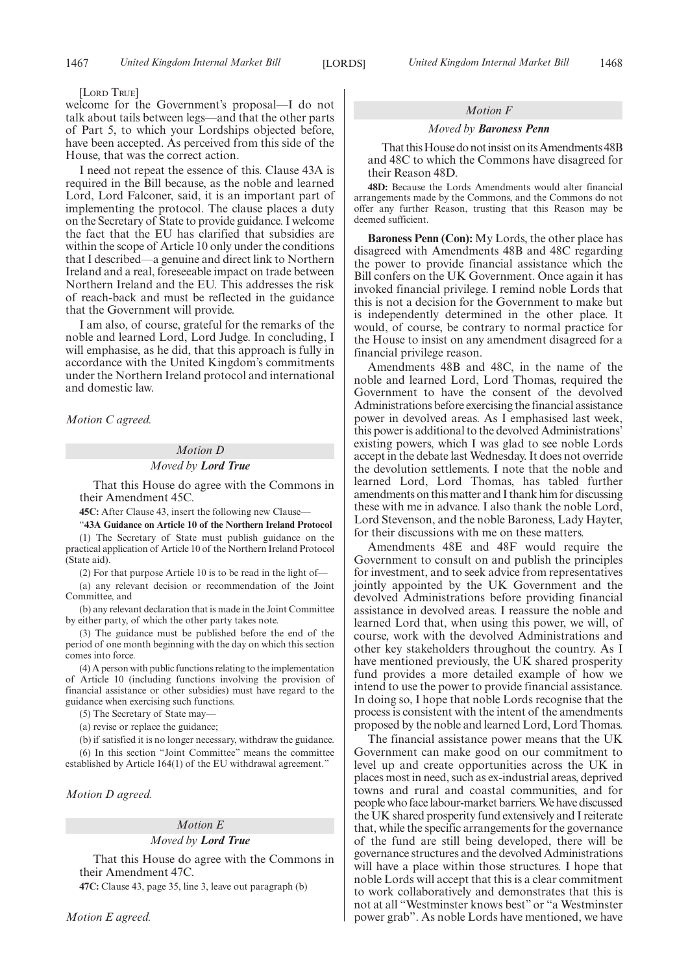[LORD TRUE]

welcome for the Government's proposal—I do not talk about tails between legs—and that the other parts of Part 5, to which your Lordships objected before, have been accepted. As perceived from this side of the House, that was the correct action.

I need not repeat the essence of this. Clause 43A is required in the Bill because, as the noble and learned Lord, Lord Falconer, said, it is an important part of implementing the protocol. The clause places a duty on the Secretary of State to provide guidance. I welcome the fact that the EU has clarified that subsidies are within the scope of Article 10 only under the conditions that I described—a genuine and direct link to Northern Ireland and a real, foreseeable impact on trade between Northern Ireland and the EU. This addresses the risk of reach-back and must be reflected in the guidance that the Government will provide.

I am also, of course, grateful for the remarks of the noble and learned Lord, Lord Judge. In concluding, I will emphasise, as he did, that this approach is fully in accordance with the United Kingdom's commitments under the Northern Ireland protocol and international and domestic law.

*Motion C agreed.*

# *Motion D*

*Moved by Lord True*

That this House do agree with the Commons in their Amendment 45C.

**45C:** After Clause 43, insert the following new Clause—

"**43A Guidance on Article 10 of the Northern Ireland Protocol**

(1) The Secretary of State must publish guidance on the practical application of Article 10 of the Northern Ireland Protocol (State aid).

(2) For that purpose Article 10 is to be read in the light of—

(a) any relevant decision or recommendation of the Joint Committee, and

(b) any relevant declaration that is made in the Joint Committee by either party, of which the other party takes note.

(3) The guidance must be published before the end of the period of one month beginning with the day on which this section comes into force.

(4) A person with public functions relating to the implementation of Article 10 (including functions involving the provision of financial assistance or other subsidies) must have regard to the guidance when exercising such functions.

(5) The Secretary of State may—

(a) revise or replace the guidance;

(b) if satisfied it is no longer necessary, withdraw the guidance. (6) In this section "Joint Committee" means the committee established by Article 164(1) of the EU withdrawal agreement."

*Motion D agreed.*

# *Motion E Moved by Lord True*

That this House do agree with the Commons in their Amendment 47C.

**47C:** Clause 43, page 35, line 3, leave out paragraph (b)

### *Motion F*

#### *Moved by Baroness Penn*

That this House do not insist on its Amendments 48B and 48C to which the Commons have disagreed for their Reason 48D.

**48D:** Because the Lords Amendments would alter financial arrangements made by the Commons, and the Commons do not offer any further Reason, trusting that this Reason may be deemed sufficient.

**Baroness Penn (Con):** My Lords, the other place has disagreed with Amendments 48B and 48C regarding the power to provide financial assistance which the Bill confers on the UK Government. Once again it has invoked financial privilege. I remind noble Lords that this is not a decision for the Government to make but is independently determined in the other place. It would, of course, be contrary to normal practice for the House to insist on any amendment disagreed for a financial privilege reason.

Amendments 48B and 48C, in the name of the noble and learned Lord, Lord Thomas, required the Government to have the consent of the devolved Administrations before exercising the financial assistance power in devolved areas. As I emphasised last week, this power is additional to the devolved Administrations' existing powers, which I was glad to see noble Lords accept in the debate last Wednesday. It does not override the devolution settlements. I note that the noble and learned Lord, Lord Thomas, has tabled further amendments on this matter and I thank him for discussing these with me in advance. I also thank the noble Lord, Lord Stevenson, and the noble Baroness, Lady Hayter, for their discussions with me on these matters.

Amendments 48E and 48F would require the Government to consult on and publish the principles for investment, and to seek advice from representatives jointly appointed by the UK Government and the devolved Administrations before providing financial assistance in devolved areas. I reassure the noble and learned Lord that, when using this power, we will, of course, work with the devolved Administrations and other key stakeholders throughout the country. As I have mentioned previously, the UK shared prosperity fund provides a more detailed example of how we intend to use the power to provide financial assistance. In doing so, I hope that noble Lords recognise that the process is consistent with the intent of the amendments proposed by the noble and learned Lord, Lord Thomas.

The financial assistance power means that the UK Government can make good on our commitment to level up and create opportunities across the UK in places most in need, such as ex-industrial areas, deprived towns and rural and coastal communities, and for people who face labour-market barriers. We have discussed the UK shared prosperity fund extensively and I reiterate that, while the specific arrangements for the governance of the fund are still being developed, there will be governance structures and the devolved Administrations will have a place within those structures. I hope that noble Lords will accept that this is a clear commitment to work collaboratively and demonstrates that this is not at all "Westminster knows best" or "a Westminster power grab". As noble Lords have mentioned, we have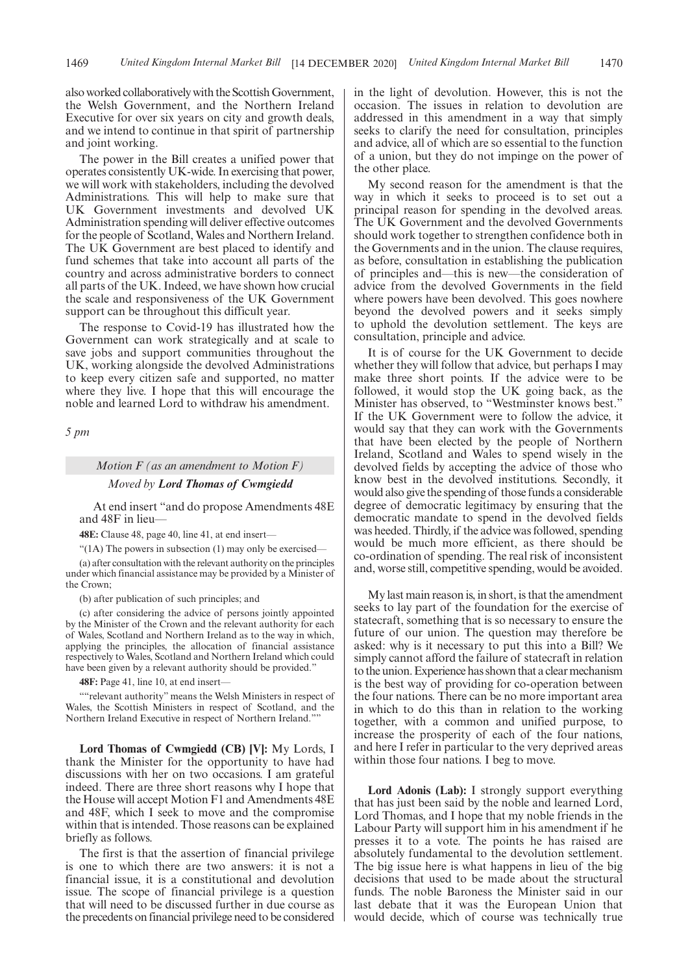also worked collaboratively with the Scottish Government, the Welsh Government, and the Northern Ireland Executive for over six years on city and growth deals, and we intend to continue in that spirit of partnership and joint working.

The power in the Bill creates a unified power that operates consistently UK-wide. In exercising that power, we will work with stakeholders, including the devolved Administrations. This will help to make sure that UK Government investments and devolved UK Administration spending will deliver effective outcomes for the people of Scotland, Wales and Northern Ireland. The UK Government are best placed to identify and fund schemes that take into account all parts of the country and across administrative borders to connect all parts of the UK. Indeed, we have shown how crucial the scale and responsiveness of the UK Government support can be throughout this difficult year.

The response to Covid-19 has illustrated how the Government can work strategically and at scale to save jobs and support communities throughout the UK, working alongside the devolved Administrations to keep every citizen safe and supported, no matter where they live. I hope that this will encourage the noble and learned Lord to withdraw his amendment.

*5 pm*

# *Motion F (as an amendment to Motion F) Moved by Lord Thomas of Cwmgiedd*

At end insert "and do propose Amendments 48E and 48F in lieu—

**48E:** Clause 48, page 40, line 41, at end insert—

" $(1)$  The powers in subsection  $(1)$  may only be exercised–

(a) after consultation with the relevant authority on the principles under which financial assistance may be provided by a Minister of the Crown;

(b) after publication of such principles; and

(c) after considering the advice of persons jointly appointed by the Minister of the Crown and the relevant authority for each of Wales, Scotland and Northern Ireland as to the way in which, applying the principles, the allocation of financial assistance respectively to Wales, Scotland and Northern Ireland which could have been given by a relevant authority should be provided."

**48F:** Page 41, line 10, at end insert—

""relevant authority" means the Welsh Ministers in respect of Wales, the Scottish Ministers in respect of Scotland, and the Northern Ireland Executive in respect of Northern Ireland.""

**Lord Thomas of Cwmgiedd (CB) [V]:** My Lords, I thank the Minister for the opportunity to have had discussions with her on two occasions. I am grateful indeed. There are three short reasons why I hope that the House will accept Motion F1 and Amendments 48E and 48F, which I seek to move and the compromise within that is intended. Those reasons can be explained briefly as follows.

The first is that the assertion of financial privilege is one to which there are two answers: it is not a financial issue, it is a constitutional and devolution issue. The scope of financial privilege is a question that will need to be discussed further in due course as the precedents on financial privilege need to be considered in the light of devolution. However, this is not the occasion. The issues in relation to devolution are addressed in this amendment in a way that simply seeks to clarify the need for consultation, principles and advice, all of which are so essential to the function of a union, but they do not impinge on the power of the other place.

My second reason for the amendment is that the way in which it seeks to proceed is to set out a principal reason for spending in the devolved areas. The UK Government and the devolved Governments should work together to strengthen confidence both in the Governments and in the union. The clause requires, as before, consultation in establishing the publication of principles and—this is new—the consideration of advice from the devolved Governments in the field where powers have been devolved. This goes nowhere beyond the devolved powers and it seeks simply to uphold the devolution settlement. The keys are consultation, principle and advice.

It is of course for the UK Government to decide whether they will follow that advice, but perhaps I may make three short points. If the advice were to be followed, it would stop the UK going back, as the Minister has observed, to "Westminster knows best." If the UK Government were to follow the advice, it would say that they can work with the Governments that have been elected by the people of Northern Ireland, Scotland and Wales to spend wisely in the devolved fields by accepting the advice of those who know best in the devolved institutions. Secondly, it would also give the spending of those funds a considerable degree of democratic legitimacy by ensuring that the democratic mandate to spend in the devolved fields was heeded. Thirdly, if the advice was followed, spending would be much more efficient, as there should be co-ordination of spending. The real risk of inconsistent and, worse still, competitive spending, would be avoided.

My last main reason is, in short, is that the amendment seeks to lay part of the foundation for the exercise of statecraft, something that is so necessary to ensure the future of our union. The question may therefore be asked: why is it necessary to put this into a Bill? We simply cannot afford the failure of statecraft in relation to the union. Experience has shown that a clear mechanism is the best way of providing for co-operation between the four nations. There can be no more important area in which to do this than in relation to the working together, with a common and unified purpose, to increase the prosperity of each of the four nations, and here I refer in particular to the very deprived areas within those four nations. I beg to move.

**Lord Adonis (Lab):** I strongly support everything that has just been said by the noble and learned Lord, Lord Thomas, and I hope that my noble friends in the Labour Party will support him in his amendment if he presses it to a vote. The points he has raised are absolutely fundamental to the devolution settlement. The big issue here is what happens in lieu of the big decisions that used to be made about the structural funds. The noble Baroness the Minister said in our last debate that it was the European Union that would decide, which of course was technically true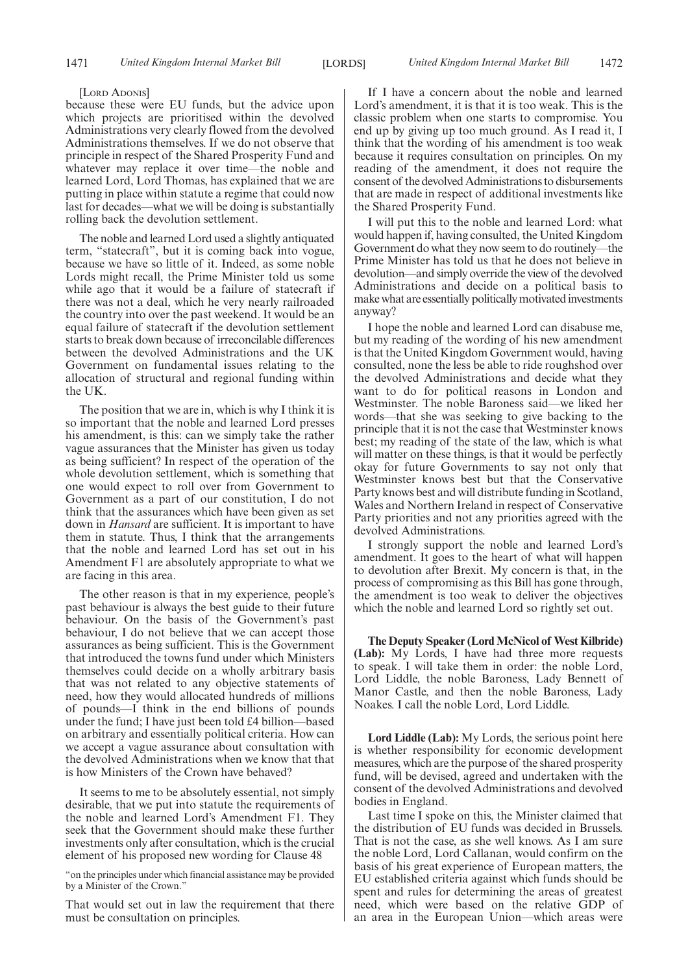#### [LORD ADONIS]

because these were EU funds, but the advice upon which projects are prioritised within the devolved Administrations very clearly flowed from the devolved Administrations themselves. If we do not observe that principle in respect of the Shared Prosperity Fund and whatever may replace it over time—the noble and learned Lord, Lord Thomas, has explained that we are putting in place within statute a regime that could now last for decades—what we will be doing is substantially rolling back the devolution settlement.

The noble and learned Lord used a slightly antiquated term, "statecraft", but it is coming back into vogue, because we have so little of it. Indeed, as some noble Lords might recall, the Prime Minister told us some while ago that it would be a failure of statecraft if there was not a deal, which he very nearly railroaded the country into over the past weekend. It would be an equal failure of statecraft if the devolution settlement starts to break down because of irreconcilable differences between the devolved Administrations and the UK Government on fundamental issues relating to the allocation of structural and regional funding within the UK.

The position that we are in, which is why I think it is so important that the noble and learned Lord presses his amendment, is this: can we simply take the rather vague assurances that the Minister has given us today as being sufficient? In respect of the operation of the whole devolution settlement, which is something that one would expect to roll over from Government to Government as a part of our constitution, I do not think that the assurances which have been given as set down in *Hansard* are sufficient. It is important to have them in statute. Thus, I think that the arrangements that the noble and learned Lord has set out in his Amendment F1 are absolutely appropriate to what we are facing in this area.

The other reason is that in my experience, people's past behaviour is always the best guide to their future behaviour. On the basis of the Government's past behaviour, I do not believe that we can accept those assurances as being sufficient. This is the Government that introduced the towns fund under which Ministers themselves could decide on a wholly arbitrary basis that was not related to any objective statements of need, how they would allocated hundreds of millions of pounds—I think in the end billions of pounds under the fund; I have just been told £4 billion—based on arbitrary and essentially political criteria. How can we accept a vague assurance about consultation with the devolved Administrations when we know that that is how Ministers of the Crown have behaved?

It seems to me to be absolutely essential, not simply desirable, that we put into statute the requirements of the noble and learned Lord's Amendment F1. They seek that the Government should make these further investments only after consultation, which is the crucial element of his proposed new wording for Clause 48

"on the principles under which financial assistance may be provided by a Minister of the Crown."

That would set out in law the requirement that there must be consultation on principles.

If I have a concern about the noble and learned Lord's amendment, it is that it is too weak. This is the classic problem when one starts to compromise. You end up by giving up too much ground. As I read it, I think that the wording of his amendment is too weak because it requires consultation on principles. On my reading of the amendment, it does not require the consent of the devolved Administrations to disbursements that are made in respect of additional investments like the Shared Prosperity Fund.

I will put this to the noble and learned Lord: what would happen if, having consulted, the United Kingdom Government do what they now seem to do routinely—the Prime Minister has told us that he does not believe in devolution—and simply override the view of the devolved Administrations and decide on a political basis to make what are essentially politically motivated investments anyway?

I hope the noble and learned Lord can disabuse me, but my reading of the wording of his new amendment is that the United Kingdom Government would, having consulted, none the less be able to ride roughshod over the devolved Administrations and decide what they want to do for political reasons in London and Westminster. The noble Baroness said—we liked her words—that she was seeking to give backing to the principle that it is not the case that Westminster knows best; my reading of the state of the law, which is what will matter on these things, is that it would be perfectly okay for future Governments to say not only that Westminster knows best but that the Conservative Party knows best and will distribute funding in Scotland, Wales and Northern Ireland in respect of Conservative Party priorities and not any priorities agreed with the devolved Administrations.

I strongly support the noble and learned Lord's amendment. It goes to the heart of what will happen to devolution after Brexit. My concern is that, in the process of compromising as this Bill has gone through, the amendment is too weak to deliver the objectives which the noble and learned Lord so rightly set out.

**The Deputy Speaker (Lord McNicol of West Kilbride) (Lab):** My Lords, I have had three more requests to speak. I will take them in order: the noble Lord, Lord Liddle, the noble Baroness, Lady Bennett of Manor Castle, and then the noble Baroness, Lady Noakes. I call the noble Lord, Lord Liddle.

**Lord Liddle (Lab):** My Lords, the serious point here is whether responsibility for economic development measures, which are the purpose of the shared prosperity fund, will be devised, agreed and undertaken with the consent of the devolved Administrations and devolved bodies in England.

Last time I spoke on this, the Minister claimed that the distribution of EU funds was decided in Brussels. That is not the case, as she well knows. As I am sure the noble Lord, Lord Callanan, would confirm on the basis of his great experience of European matters, the EU established criteria against which funds should be spent and rules for determining the areas of greatest need, which were based on the relative GDP of an area in the European Union—which areas were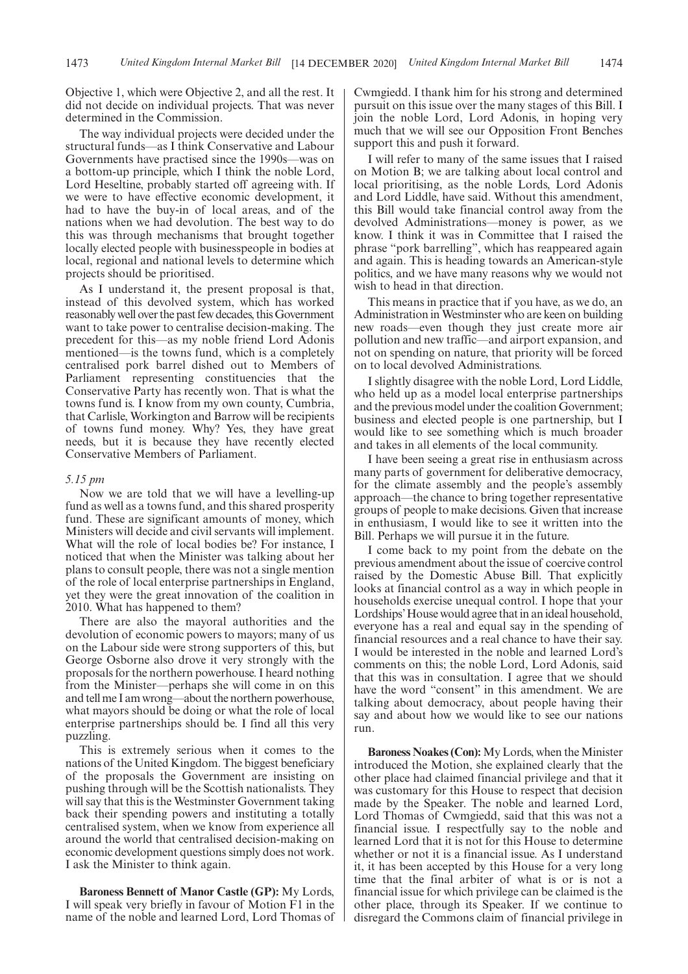Objective 1, which were Objective 2, and all the rest. It did not decide on individual projects. That was never determined in the Commission.

The way individual projects were decided under the structural funds—as I think Conservative and Labour Governments have practised since the 1990s—was on a bottom-up principle, which I think the noble Lord, Lord Heseltine, probably started off agreeing with. If we were to have effective economic development, it had to have the buy-in of local areas, and of the nations when we had devolution. The best way to do this was through mechanisms that brought together locally elected people with businesspeople in bodies at local, regional and national levels to determine which projects should be prioritised.

As I understand it, the present proposal is that, instead of this devolved system, which has worked reasonably well over the past few decades, this Government want to take power to centralise decision-making. The precedent for this—as my noble friend Lord Adonis mentioned—is the towns fund, which is a completely centralised pork barrel dished out to Members of Parliament representing constituencies that the Conservative Party has recently won. That is what the towns fund is. I know from my own county, Cumbria, that Carlisle, Workington and Barrow will be recipients of towns fund money. Why? Yes, they have great needs, but it is because they have recently elected Conservative Members of Parliament.

### *5.15 pm*

Now we are told that we will have a levelling-up fund as well as a towns fund, and this shared prosperity fund. These are significant amounts of money, which Ministers will decide and civil servants will implement. What will the role of local bodies be? For instance, I noticed that when the Minister was talking about her plans to consult people, there was not a single mention of the role of local enterprise partnerships in England, yet they were the great innovation of the coalition in 2010. What has happened to them?

There are also the mayoral authorities and the devolution of economic powers to mayors; many of us on the Labour side were strong supporters of this, but George Osborne also drove it very strongly with the proposals for the northern powerhouse. I heard nothing from the Minister—perhaps she will come in on this and tell me I am wrong—about the northern powerhouse, what mayors should be doing or what the role of local enterprise partnerships should be. I find all this very puzzling.

This is extremely serious when it comes to the nations of the United Kingdom. The biggest beneficiary of the proposals the Government are insisting on pushing through will be the Scottish nationalists. They will say that this is the Westminster Government taking back their spending powers and instituting a totally centralised system, when we know from experience all around the world that centralised decision-making on economic development questions simply does not work. I ask the Minister to think again.

**Baroness Bennett of Manor Castle (GP):** My Lords, I will speak very briefly in favour of Motion F1 in the name of the noble and learned Lord, Lord Thomas of Cwmgiedd. I thank him for his strong and determined pursuit on this issue over the many stages of this Bill. I join the noble Lord, Lord Adonis, in hoping very much that we will see our Opposition Front Benches support this and push it forward.

I will refer to many of the same issues that I raised on Motion B; we are talking about local control and local prioritising, as the noble Lords, Lord Adonis and Lord Liddle, have said. Without this amendment, this Bill would take financial control away from the devolved Administrations—money is power, as we know. I think it was in Committee that I raised the phrase "pork barrelling", which has reappeared again and again. This is heading towards an American-style politics, and we have many reasons why we would not wish to head in that direction.

This means in practice that if you have, as we do, an Administration in Westminster who are keen on building new roads—even though they just create more air pollution and new traffic—and airport expansion, and not on spending on nature, that priority will be forced on to local devolved Administrations.

I slightly disagree with the noble Lord, Lord Liddle, who held up as a model local enterprise partnerships and the previous model under the coalition Government; business and elected people is one partnership, but I would like to see something which is much broader and takes in all elements of the local community.

I have been seeing a great rise in enthusiasm across many parts of government for deliberative democracy, for the climate assembly and the people's assembly approach—the chance to bring together representative groups of people to make decisions. Given that increase in enthusiasm, I would like to see it written into the Bill. Perhaps we will pursue it in the future.

I come back to my point from the debate on the previous amendment about the issue of coercive control raised by the Domestic Abuse Bill. That explicitly looks at financial control as a way in which people in households exercise unequal control. I hope that your Lordships'House would agree that in an ideal household, everyone has a real and equal say in the spending of financial resources and a real chance to have their say. I would be interested in the noble and learned Lord's comments on this; the noble Lord, Lord Adonis, said that this was in consultation. I agree that we should have the word "consent" in this amendment. We are talking about democracy, about people having their say and about how we would like to see our nations run.

**Baroness Noakes (Con):** My Lords, when the Minister introduced the Motion, she explained clearly that the other place had claimed financial privilege and that it was customary for this House to respect that decision made by the Speaker. The noble and learned Lord, Lord Thomas of Cwmgiedd, said that this was not a financial issue. I respectfully say to the noble and learned Lord that it is not for this House to determine whether or not it is a financial issue. As I understand it, it has been accepted by this House for a very long time that the final arbiter of what is or is not a financial issue for which privilege can be claimed is the other place, through its Speaker. If we continue to disregard the Commons claim of financial privilege in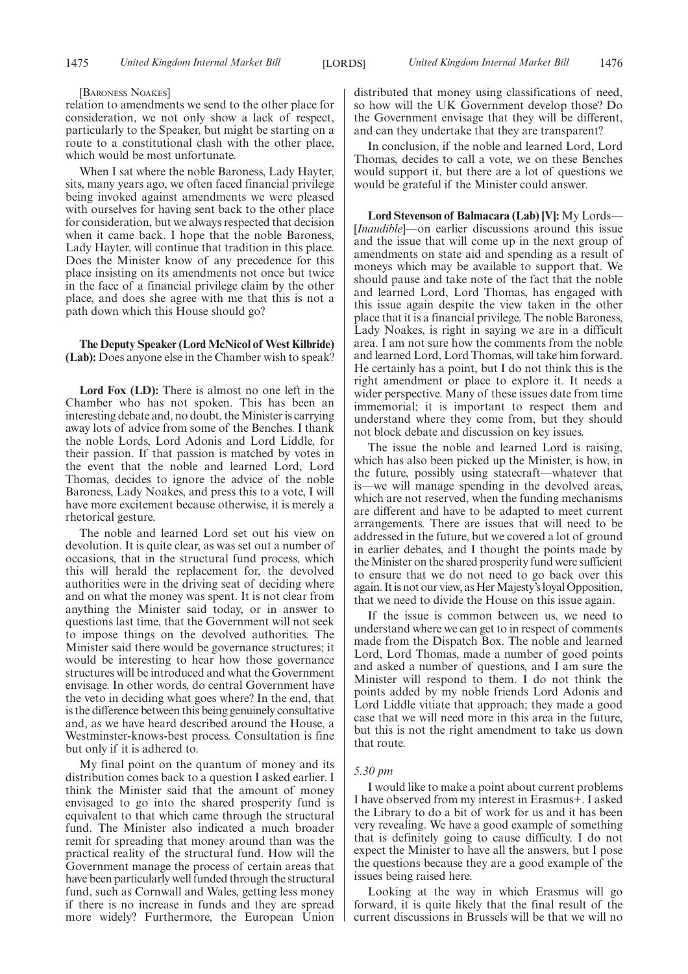#### [BARONESS NOAKES]

relation to amendments we send to the other place for consideration, we not only show a lack of respect, particularly to the Speaker, but might be starting on a route to a constitutional clash with the other place, which would be most unfortunate.

When I sat where the noble Baroness, Lady Hayter, sits, many years ago, we often faced financial privilege being invoked against amendments we were pleased with ourselves for having sent back to the other place for consideration, but we always respected that decision when it came back. I hope that the noble Baroness, Lady Hayter, will continue that tradition in this place. Does the Minister know of any precedence for this place insisting on its amendments not once but twice in the face of a financial privilege claim by the other place, and does she agree with me that this is not a path down which this House should go?

### **The Deputy Speaker (Lord McNicol of West Kilbride) (Lab):** Does anyone else in the Chamber wish to speak?

**Lord Fox (LD):** There is almost no one left in the Chamber who has not spoken. This has been an interesting debate and, no doubt, the Minister is carrying away lots of advice from some of the Benches. I thank the noble Lords, Lord Adonis and Lord Liddle, for their passion. If that passion is matched by votes in the event that the noble and learned Lord, Lord Thomas, decides to ignore the advice of the noble Baroness, Lady Noakes, and press this to a vote, I will have more excitement because otherwise, it is merely a rhetorical gesture.

The noble and learned Lord set out his view on devolution. It is quite clear, as was set out a number of occasions, that in the structural fund process, which this will herald the replacement for, the devolved authorities were in the driving seat of deciding where and on what the money was spent. It is not clear from anything the Minister said today, or in answer to questions last time, that the Government will not seek to impose things on the devolved authorities. The Minister said there would be governance structures; it would be interesting to hear how those governance structures will be introduced and what the Government envisage. In other words, do central Government have the veto in deciding what goes where? In the end, that is the difference between this being genuinely consultative and, as we have heard described around the House, a Westminster-knows-best process. Consultation is fine but only if it is adhered to.

My final point on the quantum of money and its distribution comes back to a question I asked earlier. I think the Minister said that the amount of money envisaged to go into the shared prosperity fund is equivalent to that which came through the structural fund. The Minister also indicated a much broader remit for spreading that money around than was the practical reality of the structural fund. How will the Government manage the process of certain areas that have been particularly well funded through the structural fund, such as Cornwall and Wales, getting less money if there is no increase in funds and they are spread more widely? Furthermore, the European Union distributed that money using classifications of need, so how will the UK Government develop those? Do the Government envisage that they will be different, and can they undertake that they are transparent?

In conclusion, if the noble and learned Lord, Lord Thomas, decides to call a vote, we on these Benches would support it, but there are a lot of questions we would be grateful if the Minister could answer.

**Lord Stevenson of Balmacara (Lab) [V]:** My Lords— [*Inaudible*]—on earlier discussions around this issue and the issue that will come up in the next group of amendments on state aid and spending as a result of moneys which may be available to support that. We should pause and take note of the fact that the noble and learned Lord, Lord Thomas, has engaged with this issue again despite the view taken in the other place that it is a financial privilege. The noble Baroness, Lady Noakes, is right in saying we are in a difficult area. I am not sure how the comments from the noble and learned Lord, Lord Thomas, will take him forward. He certainly has a point, but I do not think this is the right amendment or place to explore it. It needs a wider perspective. Many of these issues date from time immemorial; it is important to respect them and understand where they come from, but they should not block debate and discussion on key issues.

The issue the noble and learned Lord is raising, which has also been picked up the Minister, is how, in the future, possibly using statecraft—whatever that is—we will manage spending in the devolved areas, which are not reserved, when the funding mechanisms are different and have to be adapted to meet current arrangements. There are issues that will need to be addressed in the future, but we covered a lot of ground in earlier debates, and I thought the points made by the Minister on the shared prosperity fund were sufficient to ensure that we do not need to go back over this again. It is not our view, as Her Majesty's loyal Opposition, that we need to divide the House on this issue again.

If the issue is common between us, we need to understand where we can get to in respect of comments made from the Dispatch Box. The noble and learned Lord, Lord Thomas, made a number of good points and asked a number of questions, and I am sure the Minister will respond to them. I do not think the points added by my noble friends Lord Adonis and Lord Liddle vitiate that approach; they made a good case that we will need more in this area in the future, but this is not the right amendment to take us down that route.

#### *5.30 pm*

I would like to make a point about current problems I have observed from my interest in Erasmus+. I asked the Library to do a bit of work for us and it has been very revealing. We have a good example of something that is definitely going to cause difficulty. I do not expect the Minister to have all the answers, but I pose the questions because they are a good example of the issues being raised here.

Looking at the way in which Erasmus will go forward, it is quite likely that the final result of the current discussions in Brussels will be that we will no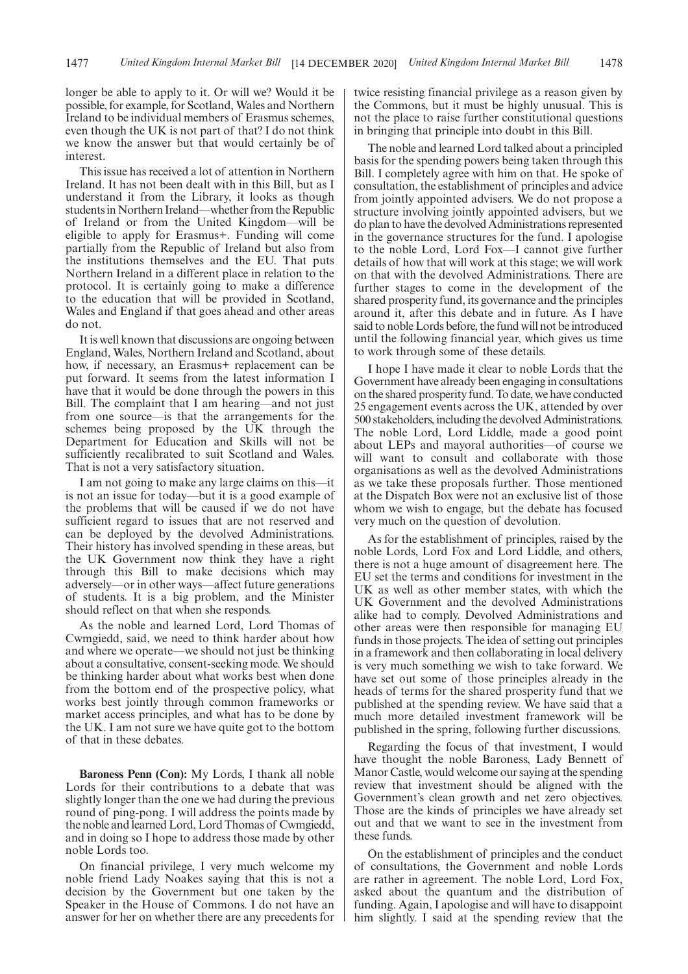longer be able to apply to it. Or will we? Would it be possible, for example, for Scotland, Wales and Northern Ireland to be individual members of Erasmus schemes, even though the UK is not part of that? I do not think we know the answer but that would certainly be of interest.

This issue has received a lot of attention in Northern Ireland. It has not been dealt with in this Bill, but as I understand it from the Library, it looks as though students in Northern Ireland—whether from the Republic of Ireland or from the United Kingdom—will be eligible to apply for Erasmus+. Funding will come partially from the Republic of Ireland but also from the institutions themselves and the EU. That puts Northern Ireland in a different place in relation to the protocol. It is certainly going to make a difference to the education that will be provided in Scotland, Wales and England if that goes ahead and other areas do not.

It is well known that discussions are ongoing between England, Wales, Northern Ireland and Scotland, about how, if necessary, an Erasmus+ replacement can be put forward. It seems from the latest information I have that it would be done through the powers in this Bill. The complaint that I am hearing—and not just from one source—is that the arrangements for the schemes being proposed by the UK through the Department for Education and Skills will not be sufficiently recalibrated to suit Scotland and Wales. That is not a very satisfactory situation.

I am not going to make any large claims on this—it is not an issue for today—but it is a good example of the problems that will be caused if we do not have sufficient regard to issues that are not reserved and can be deployed by the devolved Administrations. Their history has involved spending in these areas, but the UK Government now think they have a right through this Bill to make decisions which may adversely—or in other ways—affect future generations of students. It is a big problem, and the Minister should reflect on that when she responds.

As the noble and learned Lord, Lord Thomas of Cwmgiedd, said, we need to think harder about how and where we operate—we should not just be thinking about a consultative, consent-seeking mode. We should be thinking harder about what works best when done from the bottom end of the prospective policy, what works best jointly through common frameworks or market access principles, and what has to be done by the UK. I am not sure we have quite got to the bottom of that in these debates.

**Baroness Penn (Con):** My Lords, I thank all noble Lords for their contributions to a debate that was slightly longer than the one we had during the previous round of ping-pong. I will address the points made by the noble and learned Lord, Lord Thomas of Cwmgiedd, and in doing so I hope to address those made by other noble Lords too.

On financial privilege, I very much welcome my noble friend Lady Noakes saying that this is not a decision by the Government but one taken by the Speaker in the House of Commons. I do not have an answer for her on whether there are any precedents for twice resisting financial privilege as a reason given by the Commons, but it must be highly unusual. This is not the place to raise further constitutional questions in bringing that principle into doubt in this Bill.

The noble and learned Lord talked about a principled basis for the spending powers being taken through this Bill. I completely agree with him on that. He spoke of consultation, the establishment of principles and advice from jointly appointed advisers. We do not propose a structure involving jointly appointed advisers, but we do plan to have the devolved Administrations represented in the governance structures for the fund. I apologise to the noble Lord, Lord Fox—I cannot give further details of how that will work at this stage; we will work on that with the devolved Administrations. There are further stages to come in the development of the shared prosperity fund, its governance and the principles around it, after this debate and in future. As I have said to noble Lords before, the fund will not be introduced until the following financial year, which gives us time to work through some of these details.

I hope I have made it clear to noble Lords that the Government have already been engaging in consultations on the shared prosperity fund. To date, we have conducted 25 engagement events across the UK, attended by over 500 stakeholders, including the devolved Administrations. The noble Lord, Lord Liddle, made a good point about LEPs and mayoral authorities—of course we will want to consult and collaborate with those organisations as well as the devolved Administrations as we take these proposals further. Those mentioned at the Dispatch Box were not an exclusive list of those whom we wish to engage, but the debate has focused very much on the question of devolution.

As for the establishment of principles, raised by the noble Lords, Lord Fox and Lord Liddle, and others, there is not a huge amount of disagreement here. The EU set the terms and conditions for investment in the UK as well as other member states, with which the UK Government and the devolved Administrations alike had to comply. Devolved Administrations and other areas were then responsible for managing EU funds in those projects. The idea of setting out principles in a framework and then collaborating in local delivery is very much something we wish to take forward. We have set out some of those principles already in the heads of terms for the shared prosperity fund that we published at the spending review. We have said that a much more detailed investment framework will be published in the spring, following further discussions.

Regarding the focus of that investment, I would have thought the noble Baroness, Lady Bennett of Manor Castle, would welcome our saying at the spending review that investment should be aligned with the Government's clean growth and net zero objectives. Those are the kinds of principles we have already set out and that we want to see in the investment from these funds.

On the establishment of principles and the conduct of consultations, the Government and noble Lords are rather in agreement. The noble Lord, Lord Fox, asked about the quantum and the distribution of funding. Again, I apologise and will have to disappoint him slightly. I said at the spending review that the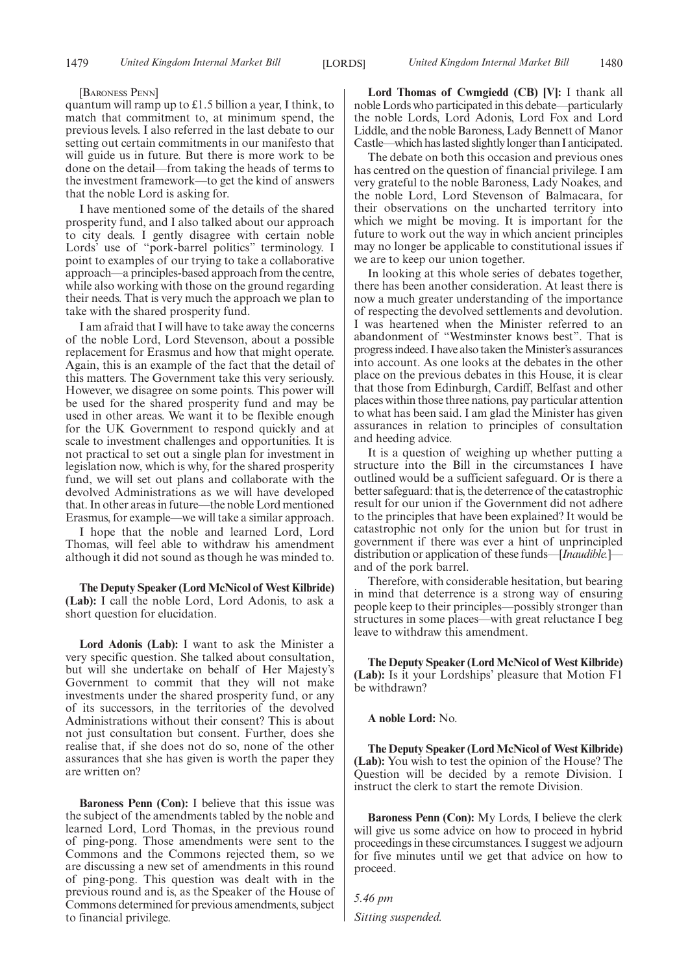#### [BARONESS PENN]

quantum will ramp up to £1.5 billion a year, I think, to match that commitment to, at minimum spend, the previous levels. I also referred in the last debate to our setting out certain commitments in our manifesto that will guide us in future. But there is more work to be done on the detail—from taking the heads of terms to the investment framework—to get the kind of answers that the noble Lord is asking for.

I have mentioned some of the details of the shared prosperity fund, and I also talked about our approach to city deals. I gently disagree with certain noble Lords' use of "pork-barrel politics" terminology. I point to examples of our trying to take a collaborative approach—a principles-based approach from the centre, while also working with those on the ground regarding their needs. That is very much the approach we plan to take with the shared prosperity fund.

I am afraid that I will have to take away the concerns of the noble Lord, Lord Stevenson, about a possible replacement for Erasmus and how that might operate. Again, this is an example of the fact that the detail of this matters. The Government take this very seriously. However, we disagree on some points. This power will be used for the shared prosperity fund and may be used in other areas. We want it to be flexible enough for the UK Government to respond quickly and at scale to investment challenges and opportunities. It is not practical to set out a single plan for investment in legislation now, which is why, for the shared prosperity fund, we will set out plans and collaborate with the devolved Administrations as we will have developed that. In other areas in future—the noble Lord mentioned Erasmus, for example—we will take a similar approach.

I hope that the noble and learned Lord, Lord Thomas, will feel able to withdraw his amendment although it did not sound as though he was minded to.

**The Deputy Speaker (Lord McNicol of West Kilbride) (Lab):** I call the noble Lord, Lord Adonis, to ask a short question for elucidation.

**Lord Adonis (Lab):** I want to ask the Minister a very specific question. She talked about consultation, but will she undertake on behalf of Her Majesty's Government to commit that they will not make investments under the shared prosperity fund, or any of its successors, in the territories of the devolved Administrations without their consent? This is about not just consultation but consent. Further, does she realise that, if she does not do so, none of the other assurances that she has given is worth the paper they are written on?

**Baroness Penn (Con):** I believe that this issue was the subject of the amendments tabled by the noble and learned Lord, Lord Thomas, in the previous round of ping-pong. Those amendments were sent to the Commons and the Commons rejected them, so we are discussing a new set of amendments in this round of ping-pong. This question was dealt with in the previous round and is, as the Speaker of the House of Commons determined for previous amendments, subject to financial privilege.

**Lord Thomas of Cwmgiedd (CB) [V]:** I thank all noble Lords who participated in this debate—particularly the noble Lords, Lord Adonis, Lord Fox and Lord Liddle, and the noble Baroness, Lady Bennett of Manor Castle—which has lasted slightly longer than I anticipated.

The debate on both this occasion and previous ones has centred on the question of financial privilege. I am very grateful to the noble Baroness, Lady Noakes, and the noble Lord, Lord Stevenson of Balmacara, for their observations on the uncharted territory into which we might be moving. It is important for the future to work out the way in which ancient principles may no longer be applicable to constitutional issues if we are to keep our union together.

In looking at this whole series of debates together, there has been another consideration. At least there is now a much greater understanding of the importance of respecting the devolved settlements and devolution. I was heartened when the Minister referred to an abandonment of "Westminster knows best". That is progress indeed. I have also taken the Minister's assurances into account. As one looks at the debates in the other place on the previous debates in this House, it is clear that those from Edinburgh, Cardiff, Belfast and other places within those three nations, pay particular attention to what has been said. I am glad the Minister has given assurances in relation to principles of consultation and heeding advice.

It is a question of weighing up whether putting a structure into the Bill in the circumstances I have outlined would be a sufficient safeguard. Or is there a better safeguard: that is, the deterrence of the catastrophic result for our union if the Government did not adhere to the principles that have been explained? It would be catastrophic not only for the union but for trust in government if there was ever a hint of unprincipled distribution or application of these funds—[*Inaudible.*] and of the pork barrel.

Therefore, with considerable hesitation, but bearing in mind that deterrence is a strong way of ensuring people keep to their principles—possibly stronger than structures in some places—with great reluctance I beg leave to withdraw this amendment.

**The Deputy Speaker (Lord McNicol of West Kilbride) (Lab):** Is it your Lordships' pleasure that Motion F1 be withdrawn?

**A noble Lord:** No.

**The Deputy Speaker (Lord McNicol of West Kilbride) (Lab):** You wish to test the opinion of the House? The Question will be decided by a remote Division. I instruct the clerk to start the remote Division.

**Baroness Penn (Con):** My Lords, I believe the clerk will give us some advice on how to proceed in hybrid proceedings in these circumstances. I suggest we adjourn for five minutes until we get that advice on how to proceed.

*5.46 pm Sitting suspended.*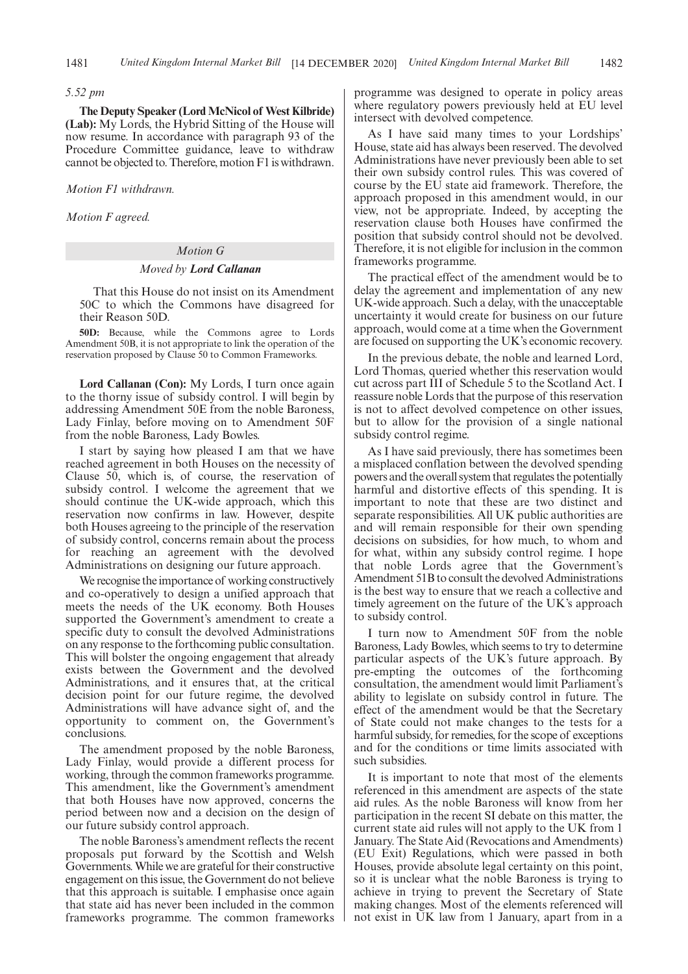#### *5.52 pm*

**The Deputy Speaker (Lord McNicol of West Kilbride) (Lab):** My Lords, the Hybrid Sitting of the House will now resume. In accordance with paragraph 93 of the Procedure Committee guidance, leave to withdraw cannot be objected to. Therefore, motion F1 is withdrawn.

*Motion F1 withdrawn.*

*Motion F agreed.*

# *Motion G*

#### *Moved by Lord Callanan*

That this House do not insist on its Amendment 50C to which the Commons have disagreed for their Reason 50D.

**50D:** Because, while the Commons agree to Lords Amendment 50B, it is not appropriate to link the operation of the reservation proposed by Clause 50 to Common Frameworks.

**Lord Callanan (Con):** My Lords, I turn once again to the thorny issue of subsidy control. I will begin by addressing Amendment 50E from the noble Baroness, Lady Finlay, before moving on to Amendment 50F from the noble Baroness, Lady Bowles.

I start by saying how pleased I am that we have reached agreement in both Houses on the necessity of Clause 50, which is, of course, the reservation of subsidy control. I welcome the agreement that we should continue the UK-wide approach, which this reservation now confirms in law. However, despite both Houses agreeing to the principle of the reservation of subsidy control, concerns remain about the process for reaching an agreement with the devolved Administrations on designing our future approach.

We recognise the importance of working constructively and co-operatively to design a unified approach that meets the needs of the UK economy. Both Houses supported the Government's amendment to create a specific duty to consult the devolved Administrations on any response to the forthcoming public consultation. This will bolster the ongoing engagement that already exists between the Government and the devolved Administrations, and it ensures that, at the critical decision point for our future regime, the devolved Administrations will have advance sight of, and the opportunity to comment on, the Government's conclusions.

The amendment proposed by the noble Baroness, Lady Finlay, would provide a different process for working, through the common frameworks programme. This amendment, like the Government's amendment that both Houses have now approved, concerns the period between now and a decision on the design of our future subsidy control approach.

The noble Baroness's amendment reflects the recent proposals put forward by the Scottish and Welsh Governments. While we are grateful for their constructive engagement on this issue, the Government do not believe that this approach is suitable. I emphasise once again that state aid has never been included in the common frameworks programme. The common frameworks programme was designed to operate in policy areas where regulatory powers previously held at EU level intersect with devolved competence.

As I have said many times to your Lordships' House, state aid has always been reserved. The devolved Administrations have never previously been able to set their own subsidy control rules. This was covered of course by the EU state aid framework. Therefore, the approach proposed in this amendment would, in our view, not be appropriate. Indeed, by accepting the reservation clause both Houses have confirmed the position that subsidy control should not be devolved. Therefore, it is not eligible for inclusion in the common frameworks programme.

The practical effect of the amendment would be to delay the agreement and implementation of any new UK-wide approach. Such a delay, with the unacceptable uncertainty it would create for business on our future approach, would come at a time when the Government are focused on supporting the UK's economic recovery.

In the previous debate, the noble and learned Lord, Lord Thomas, queried whether this reservation would cut across part III of Schedule 5 to the Scotland Act. I reassure noble Lords that the purpose of this reservation is not to affect devolved competence on other issues, but to allow for the provision of a single national subsidy control regime.

As I have said previously, there has sometimes been a misplaced conflation between the devolved spending powers and the overall system that regulates the potentially harmful and distortive effects of this spending. It is important to note that these are two distinct and separate responsibilities. All UK public authorities are and will remain responsible for their own spending decisions on subsidies, for how much, to whom and for what, within any subsidy control regime. I hope that noble Lords agree that the Government's Amendment 51B to consult the devolved Administrations is the best way to ensure that we reach a collective and timely agreement on the future of the UK's approach to subsidy control.

I turn now to Amendment 50F from the noble Baroness, Lady Bowles, which seems to try to determine particular aspects of the UK's future approach. By pre-empting the outcomes of the forthcoming consultation, the amendment would limit Parliament's ability to legislate on subsidy control in future. The effect of the amendment would be that the Secretary of State could not make changes to the tests for a harmful subsidy, for remedies, for the scope of exceptions and for the conditions or time limits associated with such subsidies.

It is important to note that most of the elements referenced in this amendment are aspects of the state aid rules. As the noble Baroness will know from her participation in the recent SI debate on this matter, the current state aid rules will not apply to the UK from 1 January. The State Aid (Revocations and Amendments) (EU Exit) Regulations, which were passed in both Houses, provide absolute legal certainty on this point, so it is unclear what the noble Baroness is trying to achieve in trying to prevent the Secretary of State making changes. Most of the elements referenced will not exist in UK law from 1 January, apart from in a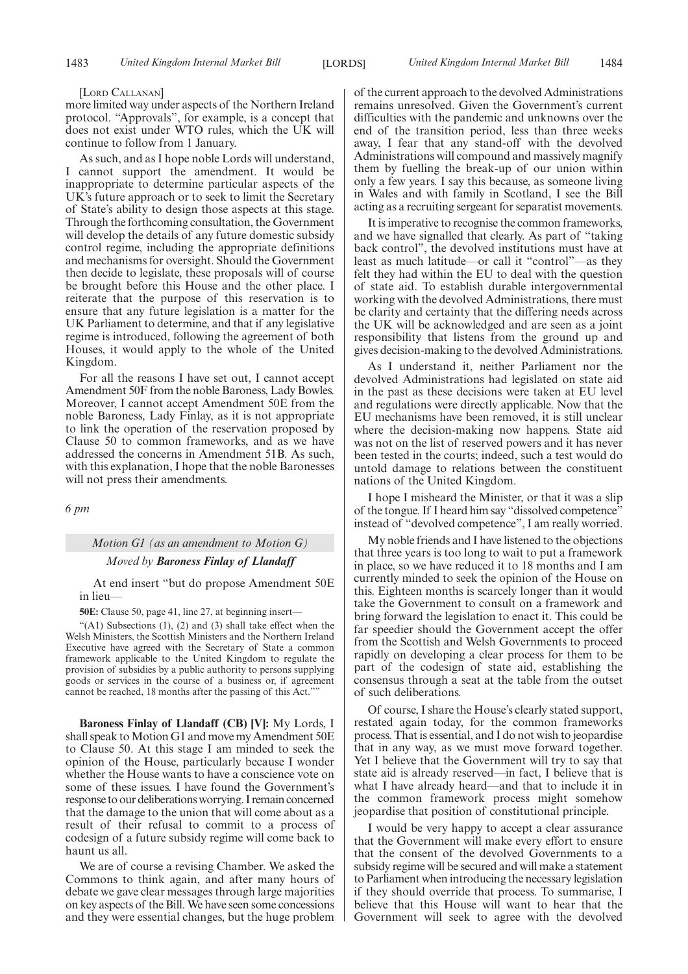#### [LORD CALLANAN]

more limited way under aspects of the Northern Ireland protocol. "Approvals", for example, is a concept that does not exist under WTO rules, which the UK will continue to follow from 1 January.

As such, and as I hope noble Lords will understand, I cannot support the amendment. It would be inappropriate to determine particular aspects of the UK's future approach or to seek to limit the Secretary of State's ability to design those aspects at this stage. Through the forthcoming consultation, the Government will develop the details of any future domestic subsidy control regime, including the appropriate definitions and mechanisms for oversight. Should the Government then decide to legislate, these proposals will of course be brought before this House and the other place. I reiterate that the purpose of this reservation is to ensure that any future legislation is a matter for the UK Parliament to determine, and that if any legislative regime is introduced, following the agreement of both Houses, it would apply to the whole of the United Kingdom.

For all the reasons I have set out, I cannot accept Amendment 50F from the noble Baroness, Lady Bowles. Moreover, I cannot accept Amendment 50E from the noble Baroness, Lady Finlay, as it is not appropriate to link the operation of the reservation proposed by Clause 50 to common frameworks, and as we have addressed the concerns in Amendment 51B. As such, with this explanation, I hope that the noble Baronesses will not press their amendments.

*6 pm*

#### *Motion G1 (as an amendment to Motion G)*

### *Moved by Baroness Finlay of Llandaff*

At end insert "but do propose Amendment 50E in lieu—

**50E:** Clause 50, page 41, line 27, at beginning insert—

" $(A1)$  Subsections  $(1)$ ,  $(2)$  and  $(3)$  shall take effect when the Welsh Ministers, the Scottish Ministers and the Northern Ireland Executive have agreed with the Secretary of State a common framework applicable to the United Kingdom to regulate the provision of subsidies by a public authority to persons supplying goods or services in the course of a business or, if agreement cannot be reached, 18 months after the passing of this Act.""

**Baroness Finlay of Llandaff (CB) [V]:** My Lords, I shall speak to Motion G1 and move my Amendment 50E to Clause 50. At this stage I am minded to seek the opinion of the House, particularly because I wonder whether the House wants to have a conscience vote on some of these issues. I have found the Government's response to our deliberations worrying. I remain concerned that the damage to the union that will come about as a result of their refusal to commit to a process of codesign of a future subsidy regime will come back to haunt us all.

We are of course a revising Chamber. We asked the Commons to think again, and after many hours of debate we gave clear messages through large majorities on key aspects of the Bill. We have seen some concessions and they were essential changes, but the huge problem

of the current approach to the devolved Administrations remains unresolved. Given the Government's current difficulties with the pandemic and unknowns over the end of the transition period, less than three weeks away, I fear that any stand-off with the devolved Administrations will compound and massively magnify them by fuelling the break-up of our union within only a few years. I say this because, as someone living in Wales and with family in Scotland, I see the Bill acting as a recruiting sergeant for separatist movements.

It is imperative to recognise the common frameworks, and we have signalled that clearly. As part of "taking back control", the devolved institutions must have at least as much latitude—or call it "control"—as they felt they had within the EU to deal with the question of state aid. To establish durable intergovernmental working with the devolved Administrations, there must be clarity and certainty that the differing needs across the UK will be acknowledged and are seen as a joint responsibility that listens from the ground up and gives decision-making to the devolved Administrations.

As I understand it, neither Parliament nor the devolved Administrations had legislated on state aid in the past as these decisions were taken at EU level and regulations were directly applicable. Now that the EU mechanisms have been removed, it is still unclear where the decision-making now happens. State aid was not on the list of reserved powers and it has never been tested in the courts; indeed, such a test would do untold damage to relations between the constituent nations of the United Kingdom.

I hope I misheard the Minister, or that it was a slip of the tongue. If I heard him say "dissolved competence" instead of "devolved competence", I am really worried.

My noble friends and I have listened to the objections that three years is too long to wait to put a framework in place, so we have reduced it to 18 months and I am currently minded to seek the opinion of the House on this. Eighteen months is scarcely longer than it would take the Government to consult on a framework and bring forward the legislation to enact it. This could be far speedier should the Government accept the offer from the Scottish and Welsh Governments to proceed rapidly on developing a clear process for them to be part of the codesign of state aid, establishing the consensus through a seat at the table from the outset of such deliberations.

Of course, I share the House's clearly stated support, restated again today, for the common frameworks process. That is essential, and I do not wish to jeopardise that in any way, as we must move forward together. Yet I believe that the Government will try to say that state aid is already reserved—in fact, I believe that is what I have already heard—and that to include it in the common framework process might somehow jeopardise that position of constitutional principle.

I would be very happy to accept a clear assurance that the Government will make every effort to ensure that the consent of the devolved Governments to a subsidy regime will be secured and will make a statement to Parliament when introducing the necessary legislation if they should override that process. To summarise, I believe that this House will want to hear that the Government will seek to agree with the devolved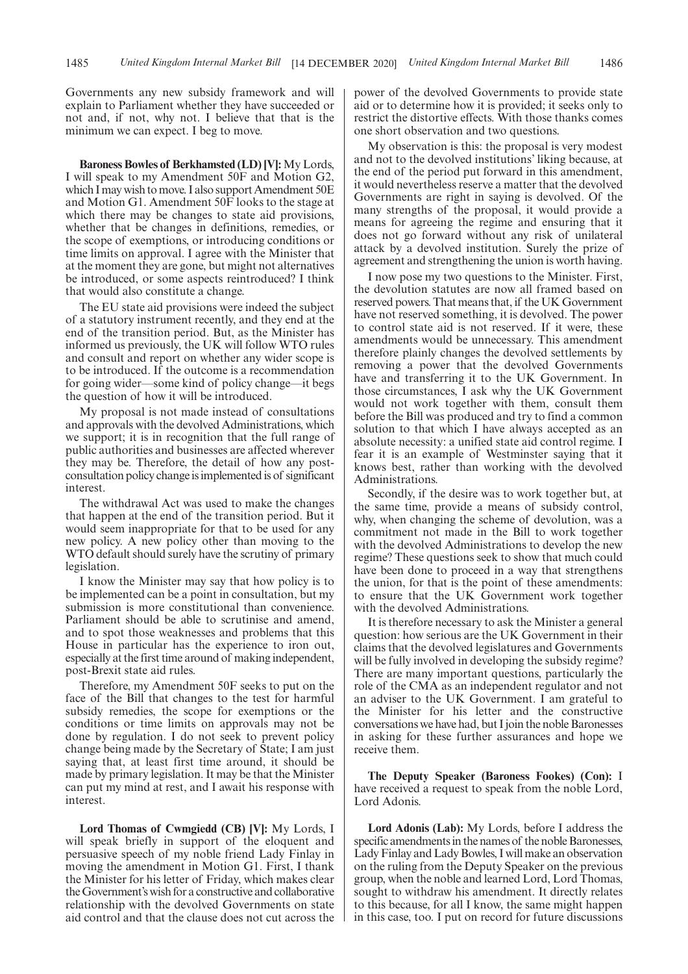Governments any new subsidy framework and will explain to Parliament whether they have succeeded or not and, if not, why not. I believe that that is the minimum we can expect. I beg to move.

**Baroness Bowles of Berkhamsted (LD) [V]:** My Lords, I will speak to my Amendment 50F and Motion G2, which I may wish to move. I also support Amendment 50E and Motion G1. Amendment 50F looks to the stage at which there may be changes to state aid provisions, whether that be changes in definitions, remedies, or the scope of exemptions, or introducing conditions or time limits on approval. I agree with the Minister that at the moment they are gone, but might not alternatives be introduced, or some aspects reintroduced? I think that would also constitute a change.

The EU state aid provisions were indeed the subject of a statutory instrument recently, and they end at the end of the transition period. But, as the Minister has informed us previously, the UK will follow WTO rules and consult and report on whether any wider scope is to be introduced. If the outcome is a recommendation for going wider—some kind of policy change—it begs the question of how it will be introduced.

My proposal is not made instead of consultations and approvals with the devolved Administrations, which we support; it is in recognition that the full range of public authorities and businesses are affected wherever they may be. Therefore, the detail of how any postconsultation policy change is implemented is of significant interest.

The withdrawal Act was used to make the changes that happen at the end of the transition period. But it would seem inappropriate for that to be used for any new policy. A new policy other than moving to the WTO default should surely have the scrutiny of primary legislation.

I know the Minister may say that how policy is to be implemented can be a point in consultation, but my submission is more constitutional than convenience. Parliament should be able to scrutinise and amend, and to spot those weaknesses and problems that this House in particular has the experience to iron out, especially at the first time around of making independent, post-Brexit state aid rules.

Therefore, my Amendment 50F seeks to put on the face of the Bill that changes to the test for harmful subsidy remedies, the scope for exemptions or the conditions or time limits on approvals may not be done by regulation. I do not seek to prevent policy change being made by the Secretary of State; I am just saying that, at least first time around, it should be made by primary legislation. It may be that the Minister can put my mind at rest, and I await his response with interest.

**Lord Thomas of Cwmgiedd (CB) [V]:** My Lords, I will speak briefly in support of the eloquent and persuasive speech of my noble friend Lady Finlay in moving the amendment in Motion G1. First, I thank the Minister for his letter of Friday, which makes clear the Government's wish for a constructive and collaborative relationship with the devolved Governments on state aid control and that the clause does not cut across the power of the devolved Governments to provide state aid or to determine how it is provided; it seeks only to restrict the distortive effects. With those thanks comes one short observation and two questions.

My observation is this: the proposal is very modest and not to the devolved institutions' liking because, at the end of the period put forward in this amendment, it would nevertheless reserve a matter that the devolved Governments are right in saying is devolved. Of the many strengths of the proposal, it would provide a means for agreeing the regime and ensuring that it does not go forward without any risk of unilateral attack by a devolved institution. Surely the prize of agreement and strengthening the union is worth having.

I now pose my two questions to the Minister. First, the devolution statutes are now all framed based on reserved powers. That means that, if the UK Government have not reserved something, it is devolved. The power to control state aid is not reserved. If it were, these amendments would be unnecessary. This amendment therefore plainly changes the devolved settlements by removing a power that the devolved Governments have and transferring it to the UK Government. In those circumstances, I ask why the UK Government would not work together with them, consult them before the Bill was produced and try to find a common solution to that which I have always accepted as an absolute necessity: a unified state aid control regime. I fear it is an example of Westminster saying that it knows best, rather than working with the devolved Administrations.

Secondly, if the desire was to work together but, at the same time, provide a means of subsidy control, why, when changing the scheme of devolution, was a commitment not made in the Bill to work together with the devolved Administrations to develop the new regime? These questions seek to show that much could have been done to proceed in a way that strengthens the union, for that is the point of these amendments: to ensure that the UK Government work together with the devolved Administrations.

It is therefore necessary to ask the Minister a general question: how serious are the UK Government in their claims that the devolved legislatures and Governments will be fully involved in developing the subsidy regime? There are many important questions, particularly the role of the CMA as an independent regulator and not an adviser to the UK Government. I am grateful to the Minister for his letter and the constructive conversations we have had, but I join the noble Baronesses in asking for these further assurances and hope we receive them.

**The Deputy Speaker (Baroness Fookes) (Con):** I have received a request to speak from the noble Lord, Lord Adonis.

**Lord Adonis (Lab):** My Lords, before I address the specific amendments in the names of the noble Baronesses, Lady Finlay and Lady Bowles, I will make an observation on the ruling from the Deputy Speaker on the previous group, when the noble and learned Lord, Lord Thomas, sought to withdraw his amendment. It directly relates to this because, for all I know, the same might happen in this case, too. I put on record for future discussions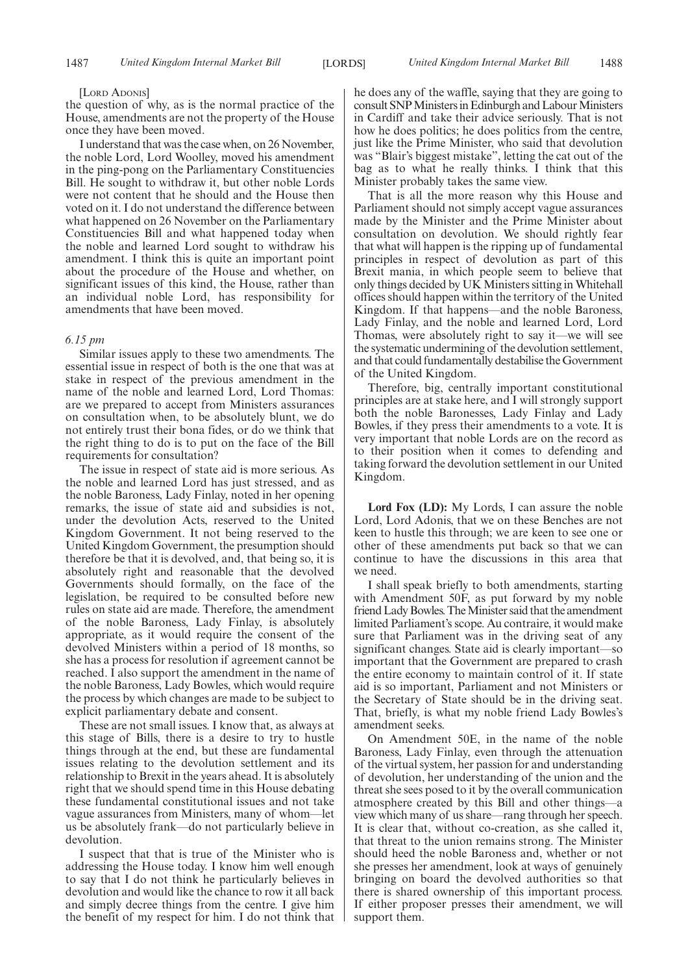#### [LORD ADONIS]

the question of why, as is the normal practice of the House, amendments are not the property of the House once they have been moved.

I understand that was the case when, on 26 November, the noble Lord, Lord Woolley, moved his amendment in the ping-pong on the Parliamentary Constituencies Bill. He sought to withdraw it, but other noble Lords were not content that he should and the House then voted on it. I do not understand the difference between what happened on 26 November on the Parliamentary Constituencies Bill and what happened today when the noble and learned Lord sought to withdraw his amendment. I think this is quite an important point about the procedure of the House and whether, on significant issues of this kind, the House, rather than an individual noble Lord, has responsibility for amendments that have been moved.

### *6.15 pm*

Similar issues apply to these two amendments. The essential issue in respect of both is the one that was at stake in respect of the previous amendment in the name of the noble and learned Lord, Lord Thomas: are we prepared to accept from Ministers assurances on consultation when, to be absolutely blunt, we do not entirely trust their bona fides, or do we think that the right thing to do is to put on the face of the Bill requirements for consultation?

The issue in respect of state aid is more serious. As the noble and learned Lord has just stressed, and as the noble Baroness, Lady Finlay, noted in her opening remarks, the issue of state aid and subsidies is not, under the devolution Acts, reserved to the United Kingdom Government. It not being reserved to the United Kingdom Government, the presumption should therefore be that it is devolved, and, that being so, it is absolutely right and reasonable that the devolved Governments should formally, on the face of the legislation, be required to be consulted before new rules on state aid are made. Therefore, the amendment of the noble Baroness, Lady Finlay, is absolutely appropriate, as it would require the consent of the devolved Ministers within a period of 18 months, so she has a process for resolution if agreement cannot be reached. I also support the amendment in the name of the noble Baroness, Lady Bowles, which would require the process by which changes are made to be subject to explicit parliamentary debate and consent.

These are not small issues. I know that, as always at this stage of Bills, there is a desire to try to hustle things through at the end, but these are fundamental issues relating to the devolution settlement and its relationship to Brexit in the years ahead. It is absolutely right that we should spend time in this House debating these fundamental constitutional issues and not take vague assurances from Ministers, many of whom—let us be absolutely frank—do not particularly believe in devolution.

I suspect that that is true of the Minister who is addressing the House today. I know him well enough to say that I do not think he particularly believes in devolution and would like the chance to row it all back and simply decree things from the centre. I give him the benefit of my respect for him. I do not think that he does any of the waffle, saying that they are going to consult SNP Ministers in Edinburgh and Labour Ministers in Cardiff and take their advice seriously. That is not how he does politics; he does politics from the centre, just like the Prime Minister, who said that devolution was "Blair's biggest mistake", letting the cat out of the bag as to what he really thinks. I think that this Minister probably takes the same view.

That is all the more reason why this House and Parliament should not simply accept vague assurances made by the Minister and the Prime Minister about consultation on devolution. We should rightly fear that what will happen is the ripping up of fundamental principles in respect of devolution as part of this Brexit mania, in which people seem to believe that only things decided by UK Ministers sitting in Whitehall offices should happen within the territory of the United Kingdom. If that happens—and the noble Baroness, Lady Finlay, and the noble and learned Lord, Lord Thomas, were absolutely right to say it—we will see the systematic undermining of the devolution settlement, and that could fundamentally destabilise the Government of the United Kingdom.

Therefore, big, centrally important constitutional principles are at stake here, and I will strongly support both the noble Baronesses, Lady Finlay and Lady Bowles, if they press their amendments to a vote. It is very important that noble Lords are on the record as to their position when it comes to defending and taking forward the devolution settlement in our United Kingdom.

**Lord Fox (LD):** My Lords, I can assure the noble Lord, Lord Adonis, that we on these Benches are not keen to hustle this through; we are keen to see one or other of these amendments put back so that we can continue to have the discussions in this area that we need.

I shall speak briefly to both amendments, starting with Amendment 50F, as put forward by my noble friend Lady Bowles. The Minister said that the amendment limited Parliament's scope. Au contraire, it would make sure that Parliament was in the driving seat of any significant changes. State aid is clearly important—so important that the Government are prepared to crash the entire economy to maintain control of it. If state aid is so important, Parliament and not Ministers or the Secretary of State should be in the driving seat. That, briefly, is what my noble friend Lady Bowles's amendment seeks.

On Amendment 50E, in the name of the noble Baroness, Lady Finlay, even through the attenuation of the virtual system, her passion for and understanding of devolution, her understanding of the union and the threat she sees posed to it by the overall communication atmosphere created by this Bill and other things—a view which many of us share—rang through her speech. It is clear that, without co-creation, as she called it, that threat to the union remains strong. The Minister should heed the noble Baroness and, whether or not she presses her amendment, look at ways of genuinely bringing on board the devolved authorities so that there is shared ownership of this important process. If either proposer presses their amendment, we will support them.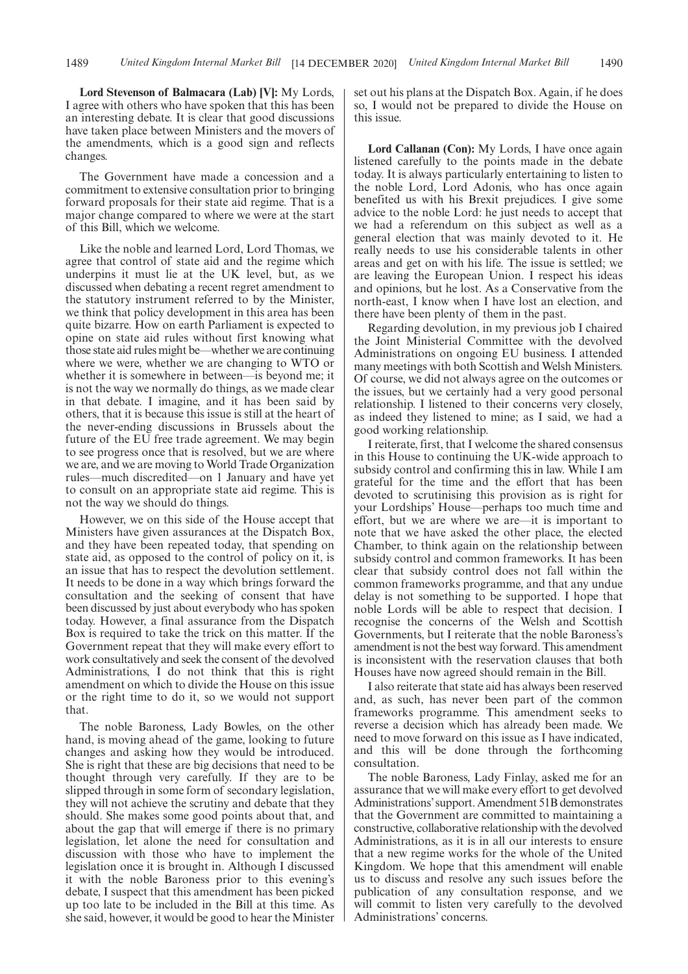**Lord Stevenson of Balmacara (Lab) [V]:** My Lords, I agree with others who have spoken that this has been an interesting debate. It is clear that good discussions have taken place between Ministers and the movers of the amendments, which is a good sign and reflects changes.

The Government have made a concession and a commitment to extensive consultation prior to bringing forward proposals for their state aid regime. That is a major change compared to where we were at the start of this Bill, which we welcome.

Like the noble and learned Lord, Lord Thomas, we agree that control of state aid and the regime which underpins it must lie at the UK level, but, as we discussed when debating a recent regret amendment to the statutory instrument referred to by the Minister, we think that policy development in this area has been quite bizarre. How on earth Parliament is expected to opine on state aid rules without first knowing what those state aid rules might be—whether we are continuing where we were, whether we are changing to WTO or whether it is somewhere in between—is beyond me; it is not the way we normally do things, as we made clear in that debate. I imagine, and it has been said by others, that it is because this issue is still at the heart of the never-ending discussions in Brussels about the future of the EU free trade agreement. We may begin to see progress once that is resolved, but we are where we are, and we are moving to World Trade Organization rules—much discredited—on 1 January and have yet to consult on an appropriate state aid regime. This is not the way we should do things.

However, we on this side of the House accept that Ministers have given assurances at the Dispatch Box, and they have been repeated today, that spending on state aid, as opposed to the control of policy on it, is an issue that has to respect the devolution settlement. It needs to be done in a way which brings forward the consultation and the seeking of consent that have been discussed by just about everybody who has spoken today. However, a final assurance from the Dispatch Box is required to take the trick on this matter. If the Government repeat that they will make every effort to work consultatively and seek the consent of the devolved Administrations, I do not think that this is right amendment on which to divide the House on this issue or the right time to do it, so we would not support that.

The noble Baroness, Lady Bowles, on the other hand, is moving ahead of the game, looking to future changes and asking how they would be introduced. She is right that these are big decisions that need to be thought through very carefully. If they are to be slipped through in some form of secondary legislation, they will not achieve the scrutiny and debate that they should. She makes some good points about that, and about the gap that will emerge if there is no primary legislation, let alone the need for consultation and discussion with those who have to implement the legislation once it is brought in. Although I discussed it with the noble Baroness prior to this evening's debate, I suspect that this amendment has been picked up too late to be included in the Bill at this time. As she said, however, it would be good to hear the Minister set out his plans at the Dispatch Box. Again, if he does so, I would not be prepared to divide the House on this issue.

**Lord Callanan (Con):** My Lords, I have once again listened carefully to the points made in the debate today. It is always particularly entertaining to listen to the noble Lord, Lord Adonis, who has once again benefited us with his Brexit prejudices. I give some advice to the noble Lord: he just needs to accept that we had a referendum on this subject as well as a general election that was mainly devoted to it. He really needs to use his considerable talents in other areas and get on with his life. The issue is settled; we are leaving the European Union. I respect his ideas and opinions, but he lost. As a Conservative from the north-east, I know when I have lost an election, and there have been plenty of them in the past.

Regarding devolution, in my previous job I chaired the Joint Ministerial Committee with the devolved Administrations on ongoing EU business. I attended many meetings with both Scottish and Welsh Ministers. Of course, we did not always agree on the outcomes or the issues, but we certainly had a very good personal relationship. I listened to their concerns very closely, as indeed they listened to mine; as I said, we had a good working relationship.

I reiterate, first, that I welcome the shared consensus in this House to continuing the UK-wide approach to subsidy control and confirming this in law. While I am grateful for the time and the effort that has been devoted to scrutinising this provision as is right for your Lordships' House—perhaps too much time and effort, but we are where we are—it is important to note that we have asked the other place, the elected Chamber, to think again on the relationship between subsidy control and common frameworks. It has been clear that subsidy control does not fall within the common frameworks programme, and that any undue delay is not something to be supported. I hope that noble Lords will be able to respect that decision. I recognise the concerns of the Welsh and Scottish Governments, but I reiterate that the noble Baroness's amendment is not the best way forward. This amendment is inconsistent with the reservation clauses that both Houses have now agreed should remain in the Bill.

I also reiterate that state aid has always been reserved and, as such, has never been part of the common frameworks programme. This amendment seeks to reverse a decision which has already been made. We need to move forward on this issue as I have indicated, and this will be done through the forthcoming consultation.

The noble Baroness, Lady Finlay, asked me for an assurance that we will make every effort to get devolved Administrations'support. Amendment 51B demonstrates that the Government are committed to maintaining a constructive, collaborative relationship with the devolved Administrations, as it is in all our interests to ensure that a new regime works for the whole of the United Kingdom. We hope that this amendment will enable us to discuss and resolve any such issues before the publication of any consultation response, and we will commit to listen very carefully to the devolved Administrations' concerns.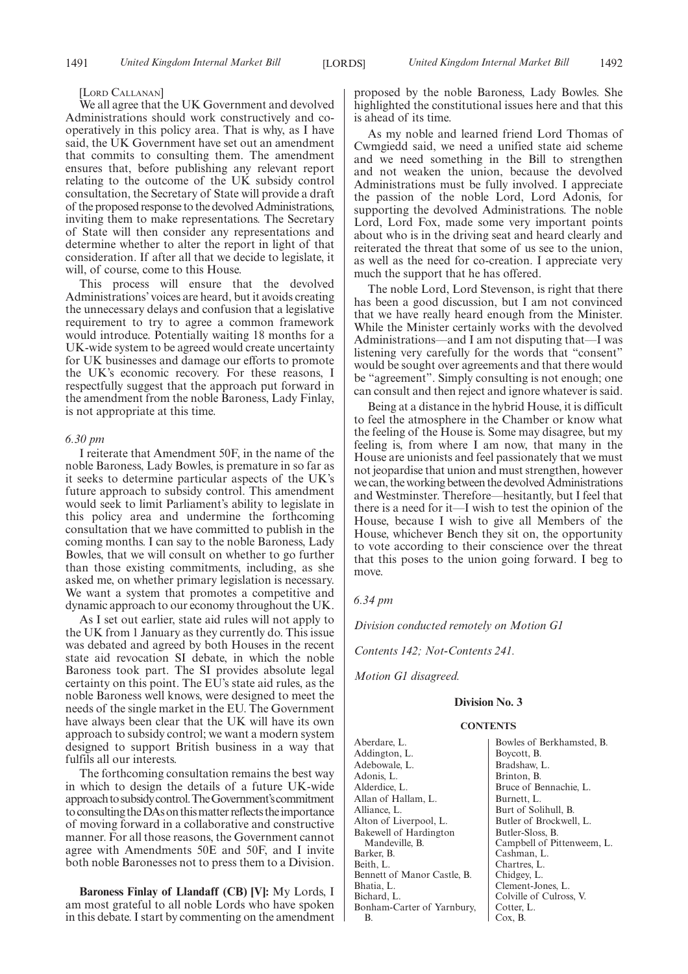#### [LORD CALLANAN]

We all agree that the UK Government and devolved Administrations should work constructively and cooperatively in this policy area. That is why, as I have said, the UK Government have set out an amendment that commits to consulting them. The amendment ensures that, before publishing any relevant report relating to the outcome of the UK subsidy control consultation, the Secretary of State will provide a draft of the proposed response to the devolved Administrations, inviting them to make representations. The Secretary of State will then consider any representations and determine whether to alter the report in light of that consideration. If after all that we decide to legislate, it will, of course, come to this House.

This process will ensure that the devolved Administrations' voices are heard, but it avoids creating the unnecessary delays and confusion that a legislative requirement to try to agree a common framework would introduce. Potentially waiting 18 months for a UK-wide system to be agreed would create uncertainty for UK businesses and damage our efforts to promote the UK's economic recovery. For these reasons, I respectfully suggest that the approach put forward in the amendment from the noble Baroness, Lady Finlay, is not appropriate at this time.

#### *6.30 pm*

I reiterate that Amendment 50F, in the name of the noble Baroness, Lady Bowles, is premature in so far as it seeks to determine particular aspects of the UK's future approach to subsidy control. This amendment would seek to limit Parliament's ability to legislate in this policy area and undermine the forthcoming consultation that we have committed to publish in the coming months. I can say to the noble Baroness, Lady Bowles, that we will consult on whether to go further than those existing commitments, including, as she asked me, on whether primary legislation is necessary. We want a system that promotes a competitive and dynamic approach to our economy throughout the UK.

As I set out earlier, state aid rules will not apply to the UK from 1 January as they currently do. This issue was debated and agreed by both Houses in the recent state aid revocation SI debate, in which the noble Baroness took part. The SI provides absolute legal certainty on this point. The EU's state aid rules, as the noble Baroness well knows, were designed to meet the needs of the single market in the EU. The Government have always been clear that the UK will have its own approach to subsidy control; we want a modern system designed to support British business in a way that fulfils all our interests.

The forthcoming consultation remains the best way in which to design the details of a future UK-wide approachtosubsidycontrol.TheGovernment'scommitment to consulting the DAs on this matter reflects the importance of moving forward in a collaborative and constructive manner. For all those reasons, the Government cannot agree with Amendments 50E and 50F, and I invite both noble Baronesses not to press them to a Division.

**Baroness Finlay of Llandaff (CB) [V]:** My Lords, I am most grateful to all noble Lords who have spoken in this debate. I start by commenting on the amendment proposed by the noble Baroness, Lady Bowles. She highlighted the constitutional issues here and that this is ahead of its time.

As my noble and learned friend Lord Thomas of Cwmgiedd said, we need a unified state aid scheme and we need something in the Bill to strengthen and not weaken the union, because the devolved Administrations must be fully involved. I appreciate the passion of the noble Lord, Lord Adonis, for supporting the devolved Administrations. The noble Lord, Lord Fox, made some very important points about who is in the driving seat and heard clearly and reiterated the threat that some of us see to the union, as well as the need for co-creation. I appreciate very much the support that he has offered.

The noble Lord, Lord Stevenson, is right that there has been a good discussion, but I am not convinced that we have really heard enough from the Minister. While the Minister certainly works with the devolved Administrations—and I am not disputing that—I was listening very carefully for the words that "consent" would be sought over agreements and that there would be "agreement". Simply consulting is not enough; one can consult and then reject and ignore whatever is said.

Being at a distance in the hybrid House, it is difficult to feel the atmosphere in the Chamber or know what the feeling of the House is. Some may disagree, but my feeling is, from where I am now, that many in the House are unionists and feel passionately that we must not jeopardise that union and must strengthen, however we can, the working between the devolved Administrations and Westminster. Therefore—hesitantly, but I feel that there is a need for it—I wish to test the opinion of the House, because I wish to give all Members of the House, whichever Bench they sit on, the opportunity to vote according to their conscience over the threat that this poses to the union going forward. I beg to move.

### *6.34 pm*

*Division conducted remotely on Motion G1*

*Contents 142; Not-Contents 241.*

*Motion G1 disagreed.*

# **Division No. 3**

#### **CONTENTS**

Aberdare, L. Addington, L. Adebowale, L. Adonis, L. Alderdice, L. Allan of Hallam, L. Alliance, L. Alton of Liverpool, L. Bakewell of Hardington Mandeville, B. Barker, B. Beith, L. Bennett of Manor Castle, B. Bhatia, L. Bichard, L. Bonham-Carter of Yarnbury, B.

Bowles of Berkhamsted, B. Boycott, B. Bradshaw, L. Brinton, B. Bruce of Bennachie, L. Burnett, L. Burt of Solihull, B. Butler of Brockwell, L. Butler-Sloss, B. Campbell of Pittenweem, L. Cashman, L. Chartres, L. Chidgey, L. Clement-Jones, L. Colville of Culross, V. Cotter, L. Cox, B.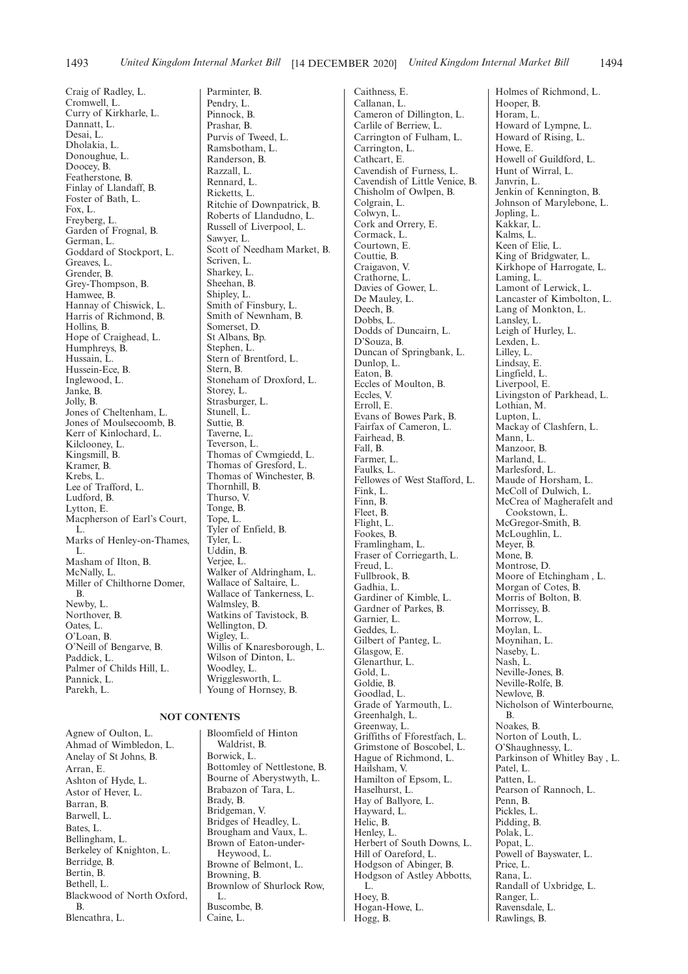Craig of Radley, L. Cromwell, L. Curry of Kirkharle, L. Dannatt, L. Desai, L. Dholakia, L. Donoughue, L. Doocey, B. Featherstone, B. Finlay of Llandaff, B. Foster of Bath, L. Fox, L. Freyberg, L. Garden of Frognal, B. German, L. Goddard of Stockport, L. Greaves, L. Grender, B. Grey-Thompson, B. Hamwee, B. Hannay of Chiswick, L. Harris of Richmond, B. Hollins, B. Hope of Craighead, L. Humphreys, B. Hussain, L. Hussein-Ece, B. Inglewood, L. Janke, B. Jolly, B. Jones of Cheltenham, L. Jones of Moulsecoomb, B. Kerr of Kinlochard, L. Kilclooney, L. Kingsmill, B. Kramer, B. Krebs, L. Lee of Trafford, L. Ludford, B. Lytton, E. Macpherson of Earl's Court, L. Marks of Henley-on-Thames, L. Masham of Ilton, B. McNally, L. Miller of Chilthorne Domer, B. Newby, L. Northover, B. Oates, L. O'Loan, B. O'Neill of Bengarve, B. Paddick, L. Palmer of Childs Hill, L. Pannick, L. Parekh, L.

#### **NOT CONTENTS**

Agnew of Oulton, L. Ahmad of Wimbledon, L. Anelay of St Johns, B. Arran, E. Ashton of Hyde, L. Astor of Hever, L. Barran, B. Barwell, L. Bates, L. Bellingham, L. Berkeley of Knighton, L. Berridge, B. Bertin, B. Bethell, L. Blackwood of North Oxford, B. Blencathra, L.

Parminter, B. Pendry, L. Pinnock, B. Prashar, B. Purvis of Tweed, L. Ramsbotham, L. Randerson, B. Razzall, L. Rennard, L. Ricketts, L. Ritchie of Downpatrick, B. Roberts of Llandudno, L. Russell of Liverpool, L. Sawyer, L. Scott of Needham Market, B. Scriven, L. Sharkey, L. Sheehan, B. Shipley, L. Smith of Finsbury, L. Smith of Newnham, B. Somerset, D. St Albans, Bp. Stephen, L. Stern of Brentford, L. Stern, B. Stoneham of Droxford, L. Storey, L. Strasburger, L. Stunell, L. Suttie, B. Taverne, L. Teverson, L. Thomas of Cwmgiedd, L. Thomas of Gresford, L. Thomas of Winchester, B. Thornhill, B. Thurso, V. Tonge, B. Tope, L. Tyler of Enfield, B. Tyler, L. Uddin, B. Verjee, L. Walker of Aldringham, L. Wallace of Saltaire, L. Wallace of Tankerness, L. Walmsley, B. Watkins of Tavistock, B. Wellington, D. Wigley, L. Willis of Knaresborough, L. Wilson of Dinton, L. Woodley, L. Wrigglesworth, L. Young of Hornsey, B.

Bloomfield of Hinton Waldrist, B. Borwick, L. Bottomley of Nettlestone, B. Bourne of Aberystwyth, L. Brabazon of Tara, L. Brady, B. Bridgeman, V. Bridges of Headley, L. Brougham and Vaux, L. Brown of Eaton-under-Heywood, L. Browne of Belmont, L. Browning, B. Brownlow of Shurlock Row, L. Buscombe, B. Caine, L.

Caithness, E. Callanan, L. Cameron of Dillington, L. Carlile of Berriew, L. Carrington of Fulham, L. Carrington, L. Cathcart, E. Cavendish of Furness, L. Cavendish of Little Venice, B. Chisholm of Owlpen, B. Colgrain, L. Colwyn, L. Cork and Orrery, E. Cormack, L. Courtown, E. Couttie, B. Craigavon, V. Crathorne, L. Davies of Gower, L. De Mauley, L. Deech, B. Dobbs, L. Dodds of Duncairn, L. D'Souza, B. Duncan of Springbank, L. Dunlop, L. Eaton, B. Eccles of Moulton, B. Eccles, V. Erroll, E. Evans of Bowes Park, B. Fairfax of Cameron, L. Fairhead, B. Fall, B. Farmer, L. Faulks, L. Fellowes of West Stafford, L. Fink, L. Finn, B. Fleet, B. Flight, L. Fookes, B. Framlingham, L. Fraser of Corriegarth, L. Freud, L. Fullbrook, B. Gadhia, L. Gardiner of Kimble, L. Gardner of Parkes, B. Garnier, L. Geddes, L. Gilbert of Panteg, L. Glasgow, E. Glenarthur, L. Gold, L. Goldie, B. Goodlad, L. Grade of Yarmouth, L. Greenhalgh, L. Greenway, L. Griffiths of Fforestfach, L. Grimstone of Boscobel, L. Hague of Richmond, L. Hailsham, V. Hamilton of Epsom, L. Haselhurst, L. Hay of Ballyore, L. Hayward, L. Helic, B. Henley, L. Herbert of South Downs, L. Hill of Oareford, L. Hodgson of Abinger, B. Hodgson of Astley Abbotts, L. Hoey, B. Hogan-Howe, L. Hogg, B.

Holmes of Richmond, L. Hooper, B. Horam, L. Howard of Lympne, L. Howard of Rising, L. Howe, E. Howell of Guildford, L. Hunt of Wirral, L. Janvrin, L. Jenkin of Kennington, B. Johnson of Marylebone, L. Jopling, L. Kakkar, L. Kalms, L. Keen of Elie, L. King of Bridgwater, L. Kirkhope of Harrogate, L. Laming, L. Lamont of Lerwick, L. Lancaster of Kimbolton, L. Lang of Monkton, L. Lansley, L. Leigh of Hurley, L. Lexden, L. Lilley, L. Lindsay, E. Lingfield, L. Liverpool, E. Livingston of Parkhead, L. Lothian, M. Lupton, L. Mackay of Clashfern, L. Mann, L. Manzoor, B. Marland, L. Marlesford, L. Maude of Horsham, L. McColl of Dulwich, L. McCrea of Magherafelt and Cookstown, L. McGregor-Smith, B. McLoughlin, L. Meyer, B. Mone, B. Montrose, D. Moore of Etchingham, L. Morgan of Cotes, B. Morris of Bolton, B. Morrissey, B. Morrow, L. Moylan, L. Moynihan, L. Naseby, L. Nash, L. Neville-Jones, B. Neville-Rolfe, B. Newlove, B. Nicholson of Winterbourne, B. Noakes, B. Norton of Louth, L. O'Shaughnessy, L. Parkinson of Whitley Bay , L. Patel, L. Patten, L. Pearson of Rannoch, L. Penn, B. Pickles, L. Pidding, B. Polak, L. Popat, L. Powell of Bayswater, L. Price, L. Rana, L. Randall of Uxbridge, L. Ranger, L. Ravensdale, L. Rawlings, B.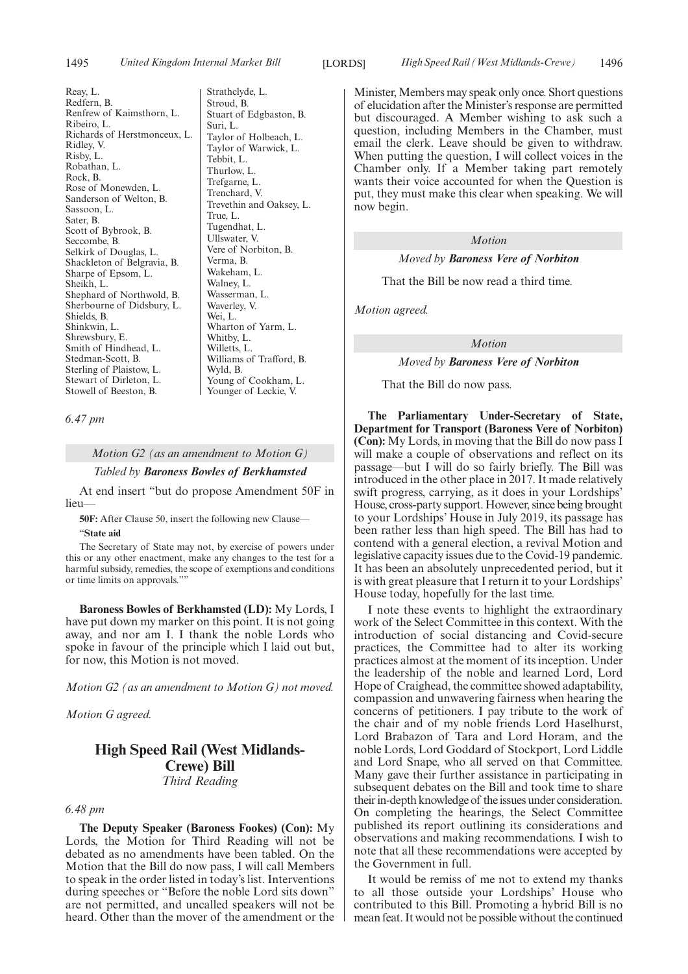Reay, L. Redfern, B. Renfrew of Kaimsthorn, L. Ribeiro, L. Richards of Herstmonceux, L. Ridley, V. Risby, L. Robathan, L. Rock, B. Rose of Monewden, L. Sanderson of Welton, B. Sassoon, L. Sater, B. Scott of Bybrook, B. Seccombe, B. Selkirk of Douglas, L. Shackleton of Belgravia, B. Sharpe of Epsom, L. Sheikh, L. Shephard of Northwold, B. Sherbourne of Didsbury, L. Shields, B. Shinkwin, L. Shrewsbury, E. Smith of Hindhead, L. Stedman-Scott, B. Sterling of Plaistow, L. Stewart of Dirleton, L. Stowell of Beeston, B.

Strathclyde, L. Stroud, B. Stuart of Edgbaston, B. Suri, L. Taylor of Holbeach, L. Taylor of Warwick, L. Tebbit, L. Thurlow, L. Trefgarne, L. Trenchard, V. Trevethin and Oaksey, L. True, L. Tugendhat, L. Ullswater, V. Vere of Norbiton, B. Verma, B. Wakeham, L. Walney, L. Wasserman, L. Waverley, V. Wei, L. Wharton of Yarm, L. Whitby, L. Willetts, L. Williams of Trafford, B. Wyld, B. Young of Cookham, L. Younger of Leckie, V.

*6.47 pm*

*Motion G2 (as an amendment to Motion G)*

*Tabled by Baroness Bowles of Berkhamsted*

At end insert "but do propose Amendment 50F in lieu—

**50F:** After Clause 50, insert the following new Clause— "**State aid**

The Secretary of State may not, by exercise of powers under this or any other enactment, make any changes to the test for a harmful subsidy, remedies, the scope of exemptions and conditions or time limits on approvals.""

**Baroness Bowles of Berkhamsted (LD):** My Lords, I have put down my marker on this point. It is not going away, and nor am I. I thank the noble Lords who spoke in favour of the principle which I laid out but, for now, this Motion is not moved.

*Motion G2 (as an amendment to Motion G) not moved.*

*Motion G agreed.*

# **High Speed Rail (West Midlands-Crewe) Bill** *Third Reading*

#### *6.48 pm*

**The Deputy Speaker (Baroness Fookes) (Con):** My Lords, the Motion for Third Reading will not be debated as no amendments have been tabled. On the Motion that the Bill do now pass, I will call Members to speak in the order listed in today's list. Interventions during speeches or "Before the noble Lord sits down" are not permitted, and uncalled speakers will not be heard. Other than the mover of the amendment or the

Minister, Members may speak only once. Short questions of elucidation after the Minister's response are permitted but discouraged. A Member wishing to ask such a question, including Members in the Chamber, must email the clerk. Leave should be given to withdraw. When putting the question, I will collect voices in the Chamber only. If a Member taking part remotely wants their voice accounted for when the Question is put, they must make this clear when speaking. We will now begin.

# *Motion*

# *Moved by Baroness Vere of Norbiton*

That the Bill be now read a third time.

*Motion agreed.*

*Motion*

# *Moved by Baroness Vere of Norbiton*

That the Bill do now pass.

**The Parliamentary Under-Secretary of State, Department for Transport (Baroness Vere of Norbiton) (Con):** My Lords, in moving that the Bill do now pass I will make a couple of observations and reflect on its passage—but I will do so fairly briefly. The Bill was introduced in the other place in 2017. It made relatively swift progress, carrying, as it does in your Lordships' House, cross-party support. However, since being brought to your Lordships' House in July 2019, its passage has been rather less than high speed. The Bill has had to contend with a general election, a revival Motion and legislative capacity issues due to the Covid-19 pandemic. It has been an absolutely unprecedented period, but it is with great pleasure that I return it to your Lordships' House today, hopefully for the last time.

I note these events to highlight the extraordinary work of the Select Committee in this context. With the introduction of social distancing and Covid-secure practices, the Committee had to alter its working practices almost at the moment of its inception. Under the leadership of the noble and learned Lord, Lord Hope of Craighead, the committee showed adaptability, compassion and unwavering fairness when hearing the concerns of petitioners. I pay tribute to the work of the chair and of my noble friends Lord Haselhurst, Lord Brabazon of Tara and Lord Horam, and the noble Lords, Lord Goddard of Stockport, Lord Liddle and Lord Snape, who all served on that Committee. Many gave their further assistance in participating in subsequent debates on the Bill and took time to share their in-depth knowledge of the issues under consideration. On completing the hearings, the Select Committee published its report outlining its considerations and observations and making recommendations. I wish to note that all these recommendations were accepted by the Government in full.

It would be remiss of me not to extend my thanks to all those outside your Lordships' House who contributed to this Bill. Promoting a hybrid Bill is no mean feat. It would not be possible without the continued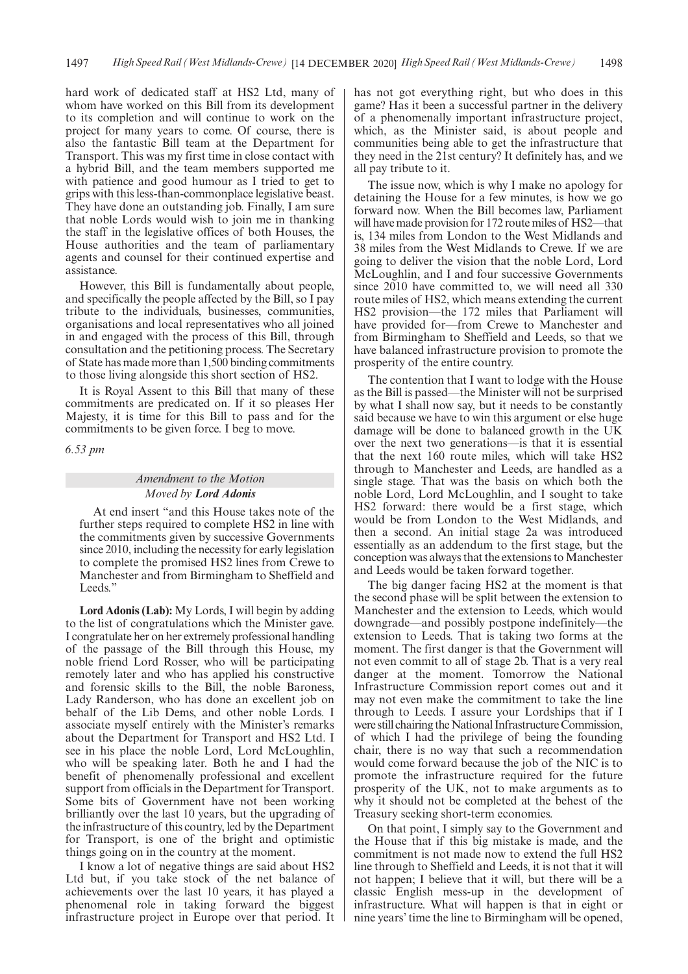hard work of dedicated staff at HS2 Ltd, many of whom have worked on this Bill from its development to its completion and will continue to work on the project for many years to come. Of course, there is also the fantastic Bill team at the Department for Transport. This was my first time in close contact with a hybrid Bill, and the team members supported me with patience and good humour as I tried to get to grips with this less-than-commonplace legislative beast. They have done an outstanding job. Finally, I am sure that noble Lords would wish to join me in thanking the staff in the legislative offices of both Houses, the House authorities and the team of parliamentary agents and counsel for their continued expertise and assistance.

However, this Bill is fundamentally about people, and specifically the people affected by the Bill, so I pay tribute to the individuals, businesses, communities, organisations and local representatives who all joined in and engaged with the process of this Bill, through consultation and the petitioning process. The Secretary of State has made more than 1,500 binding commitments to those living alongside this short section of HS2.

It is Royal Assent to this Bill that many of these commitments are predicated on. If it so pleases Her Majesty, it is time for this Bill to pass and for the commitments to be given force. I beg to move.

*6.53 pm*

# *Amendment to the Motion Moved by Lord Adonis*

At end insert "and this House takes note of the further steps required to complete HS2 in line with the commitments given by successive Governments since 2010, including the necessity for early legislation to complete the promised HS2 lines from Crewe to Manchester and from Birmingham to Sheffield and Leeds."

**Lord Adonis (Lab):** My Lords, I will begin by adding to the list of congratulations which the Minister gave. I congratulate her on her extremely professional handling of the passage of the Bill through this House, my noble friend Lord Rosser, who will be participating remotely later and who has applied his constructive and forensic skills to the Bill, the noble Baroness, Lady Randerson, who has done an excellent job on behalf of the Lib Dems, and other noble Lords. I associate myself entirely with the Minister's remarks about the Department for Transport and HS2 Ltd. I see in his place the noble Lord, Lord McLoughlin, who will be speaking later. Both he and I had the benefit of phenomenally professional and excellent support from officials in the Department for Transport. Some bits of Government have not been working brilliantly over the last 10 years, but the upgrading of the infrastructure of this country, led by the Department for Transport, is one of the bright and optimistic things going on in the country at the moment.

I know a lot of negative things are said about HS2 Ltd but, if you take stock of the net balance of achievements over the last 10 years, it has played a phenomenal role in taking forward the biggest infrastructure project in Europe over that period. It has not got everything right, but who does in this game? Has it been a successful partner in the delivery of a phenomenally important infrastructure project, which, as the Minister said, is about people and communities being able to get the infrastructure that they need in the 21st century? It definitely has, and we all pay tribute to it.

The issue now, which is why I make no apology for detaining the House for a few minutes, is how we go forward now. When the Bill becomes law, Parliament will have made provision for 172 route miles of HS2—that is, 134 miles from London to the West Midlands and 38 miles from the West Midlands to Crewe. If we are going to deliver the vision that the noble Lord, Lord McLoughlin, and I and four successive Governments since 2010 have committed to, we will need all 330 route miles of HS2, which means extending the current HS2 provision—the 172 miles that Parliament will have provided for—from Crewe to Manchester and from Birmingham to Sheffield and Leeds, so that we have balanced infrastructure provision to promote the prosperity of the entire country.

The contention that I want to lodge with the House as the Bill is passed—the Minister will not be surprised by what I shall now say, but it needs to be constantly said because we have to win this argument or else huge damage will be done to balanced growth in the UK over the next two generations—is that it is essential that the next 160 route miles, which will take HS2 through to Manchester and Leeds, are handled as a single stage. That was the basis on which both the noble Lord, Lord McLoughlin, and I sought to take HS2 forward: there would be a first stage, which would be from London to the West Midlands, and then a second. An initial stage 2a was introduced essentially as an addendum to the first stage, but the conception was always that the extensions to Manchester and Leeds would be taken forward together.

The big danger facing HS2 at the moment is that the second phase will be split between the extension to Manchester and the extension to Leeds, which would downgrade—and possibly postpone indefinitely—the extension to Leeds. That is taking two forms at the moment. The first danger is that the Government will not even commit to all of stage 2b. That is a very real danger at the moment. Tomorrow the National Infrastructure Commission report comes out and it may not even make the commitment to take the line through to Leeds. I assure your Lordships that if I were still chairing the National Infrastructure Commission, of which I had the privilege of being the founding chair, there is no way that such a recommendation would come forward because the job of the NIC is to promote the infrastructure required for the future prosperity of the UK, not to make arguments as to why it should not be completed at the behest of the Treasury seeking short-term economies.

On that point, I simply say to the Government and the House that if this big mistake is made, and the commitment is not made now to extend the full HS2 line through to Sheffield and Leeds, it is not that it will not happen; I believe that it will, but there will be a classic English mess-up in the development of infrastructure. What will happen is that in eight or nine years' time the line to Birmingham will be opened,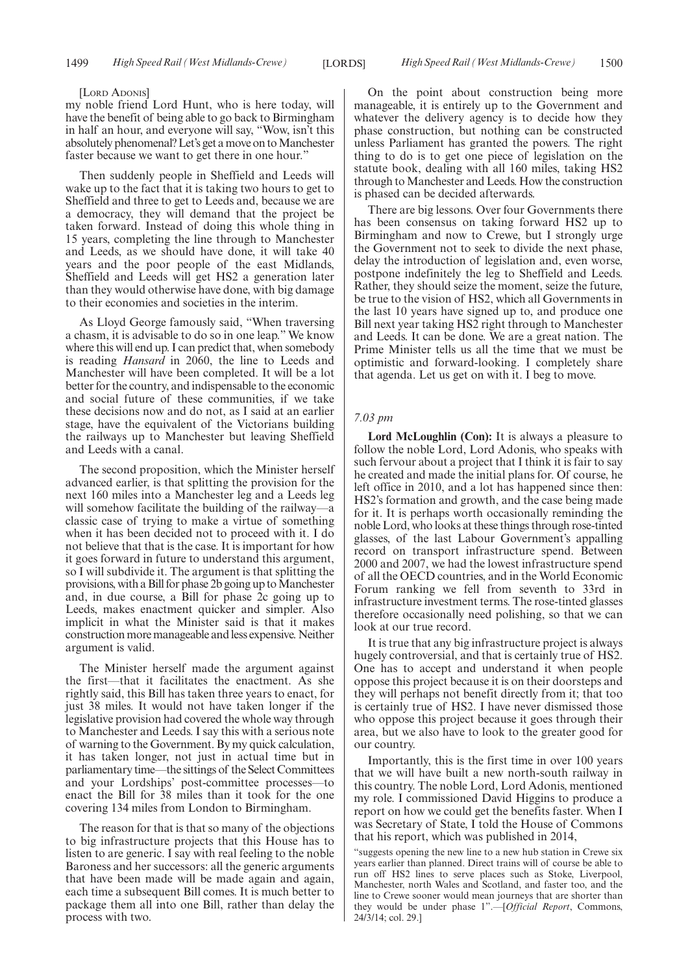#### [LORD ADONIS]

my noble friend Lord Hunt, who is here today, will have the benefit of being able to go back to Birmingham in half an hour, and everyone will say, "Wow, isn't this absolutely phenomenal? Let's get a move on to Manchester faster because we want to get there in one hour."

Then suddenly people in Sheffield and Leeds will wake up to the fact that it is taking two hours to get to Sheffield and three to get to Leeds and, because we are a democracy, they will demand that the project be taken forward. Instead of doing this whole thing in 15 years, completing the line through to Manchester and Leeds, as we should have done, it will take 40 years and the poor people of the east Midlands, Sheffield and Leeds will get HS2 a generation later than they would otherwise have done, with big damage to their economies and societies in the interim.

As Lloyd George famously said, "When traversing a chasm, it is advisable to do so in one leap." We know where this will end up. I can predict that, when somebody is reading *Hansard* in 2060, the line to Leeds and Manchester will have been completed. It will be a lot better for the country, and indispensable to the economic and social future of these communities, if we take these decisions now and do not, as I said at an earlier stage, have the equivalent of the Victorians building the railways up to Manchester but leaving Sheffield and Leeds with a canal.

The second proposition, which the Minister herself advanced earlier, is that splitting the provision for the next 160 miles into a Manchester leg and a Leeds leg will somehow facilitate the building of the railway—a classic case of trying to make a virtue of something when it has been decided not to proceed with it. I do not believe that that is the case. It is important for how it goes forward in future to understand this argument, so I will subdivide it. The argument is that splitting the provisions, with a Bill for phase 2b going up to Manchester and, in due course, a Bill for phase 2c going up to Leeds, makes enactment quicker and simpler. Also implicit in what the Minister said is that it makes construction more manageable and less expensive. Neither argument is valid.

The Minister herself made the argument against the first—that it facilitates the enactment. As she rightly said, this Bill has taken three years to enact, for just 38 miles. It would not have taken longer if the legislative provision had covered the whole way through to Manchester and Leeds. I say this with a serious note of warning to the Government. By my quick calculation, it has taken longer, not just in actual time but in parliamentary time—the sittings of the Select Committees and your Lordships' post-committee processes—to enact the Bill for 38 miles than it took for the one covering 134 miles from London to Birmingham.

The reason for that is that so many of the objections to big infrastructure projects that this House has to listen to are generic. I say with real feeling to the noble Baroness and her successors: all the generic arguments that have been made will be made again and again, each time a subsequent Bill comes. It is much better to package them all into one Bill, rather than delay the process with two.

On the point about construction being more manageable, it is entirely up to the Government and whatever the delivery agency is to decide how they phase construction, but nothing can be constructed unless Parliament has granted the powers. The right thing to do is to get one piece of legislation on the statute book, dealing with all 160 miles, taking HS2 through to Manchester and Leeds. How the construction is phased can be decided afterwards.

There are big lessons. Over four Governments there has been consensus on taking forward HS2 up to Birmingham and now to Crewe, but I strongly urge the Government not to seek to divide the next phase, delay the introduction of legislation and, even worse, postpone indefinitely the leg to Sheffield and Leeds. Rather, they should seize the moment, seize the future, be true to the vision of HS2, which all Governments in the last 10 years have signed up to, and produce one Bill next year taking HS2 right through to Manchester and Leeds. It can be done. We are a great nation. The Prime Minister tells us all the time that we must be optimistic and forward-looking. I completely share that agenda. Let us get on with it. I beg to move.

#### *7.03 pm*

**Lord McLoughlin (Con):** It is always a pleasure to follow the noble Lord, Lord Adonis, who speaks with such fervour about a project that I think it is fair to say he created and made the initial plans for. Of course, he left office in 2010, and a lot has happened since then: HS2's formation and growth, and the case being made for it. It is perhaps worth occasionally reminding the noble Lord, who looks at these things through rose-tinted glasses, of the last Labour Government's appalling record on transport infrastructure spend. Between 2000 and 2007, we had the lowest infrastructure spend of all the OECD countries, and in the World Economic Forum ranking we fell from seventh to 33rd in infrastructure investment terms. The rose-tinted glasses therefore occasionally need polishing, so that we can look at our true record.

It is true that any big infrastructure project is always hugely controversial, and that is certainly true of HS2. One has to accept and understand it when people oppose this project because it is on their doorsteps and they will perhaps not benefit directly from it; that too is certainly true of HS2. I have never dismissed those who oppose this project because it goes through their area, but we also have to look to the greater good for our country.

Importantly, this is the first time in over 100 years that we will have built a new north-south railway in this country. The noble Lord, Lord Adonis, mentioned my role. I commissioned David Higgins to produce a report on how we could get the benefits faster. When I was Secretary of State, I told the House of Commons that his report, which was published in 2014,

"suggests opening the new line to a new hub station in Crewe six years earlier than planned. Direct trains will of course be able to run off HS2 lines to serve places such as Stoke, Liverpool, Manchester, north Wales and Scotland, and faster too, and the line to Crewe sooner would mean journeys that are shorter than they would be under phase 1".—[*Official Report*, Commons, 24/3/14; col. 29.]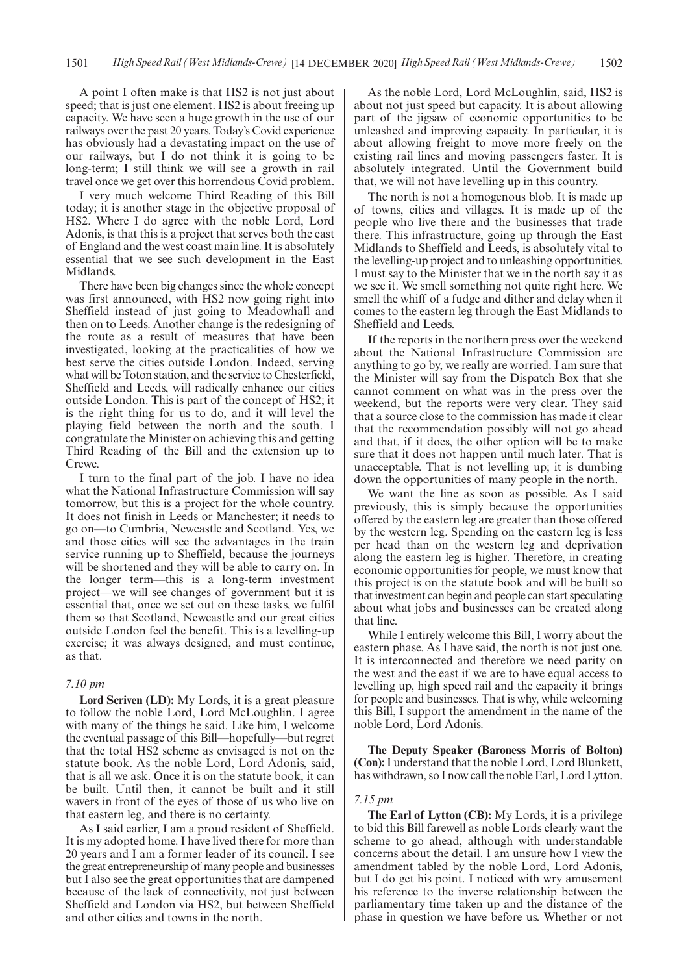A point I often make is that HS2 is not just about speed; that is just one element. HS2 is about freeing up capacity. We have seen a huge growth in the use of our railways over the past 20 years. Today's Covid experience has obviously had a devastating impact on the use of our railways, but I do not think it is going to be long-term; I still think we will see a growth in rail travel once we get over this horrendous Covid problem.

I very much welcome Third Reading of this Bill today; it is another stage in the objective proposal of HS2. Where I do agree with the noble Lord, Lord Adonis, is that this is a project that serves both the east of England and the west coast main line. It is absolutely essential that we see such development in the East Midlands.

There have been big changes since the whole concept was first announced, with HS2 now going right into Sheffield instead of just going to Meadowhall and then on to Leeds. Another change is the redesigning of the route as a result of measures that have been investigated, looking at the practicalities of how we best serve the cities outside London. Indeed, serving what will be Toton station, and the service to Chesterfield, Sheffield and Leeds, will radically enhance our cities outside London. This is part of the concept of HS2; it is the right thing for us to do, and it will level the playing field between the north and the south. I congratulate the Minister on achieving this and getting Third Reading of the Bill and the extension up to Crewe.

I turn to the final part of the job. I have no idea what the National Infrastructure Commission will say tomorrow, but this is a project for the whole country. It does not finish in Leeds or Manchester; it needs to go on—to Cumbria, Newcastle and Scotland. Yes, we and those cities will see the advantages in the train service running up to Sheffield, because the journeys will be shortened and they will be able to carry on. In the longer term—this is a long-term investment project—we will see changes of government but it is essential that, once we set out on these tasks, we fulfil them so that Scotland, Newcastle and our great cities outside London feel the benefit. This is a levelling-up exercise; it was always designed, and must continue, as that.

### *7.10 pm*

**Lord Scriven (LD):** My Lords, it is a great pleasure to follow the noble Lord, Lord McLoughlin. I agree with many of the things he said. Like him, I welcome the eventual passage of this Bill—hopefully—but regret that the total HS2 scheme as envisaged is not on the statute book. As the noble Lord, Lord Adonis, said, that is all we ask. Once it is on the statute book, it can be built. Until then, it cannot be built and it still wavers in front of the eyes of those of us who live on that eastern leg, and there is no certainty.

As I said earlier, I am a proud resident of Sheffield. It is my adopted home. I have lived there for more than 20 years and I am a former leader of its council. I see the great entrepreneurship of many people and businesses but I also see the great opportunities that are dampened because of the lack of connectivity, not just between Sheffield and London via HS2, but between Sheffield and other cities and towns in the north.

As the noble Lord, Lord McLoughlin, said, HS2 is about not just speed but capacity. It is about allowing part of the jigsaw of economic opportunities to be unleashed and improving capacity. In particular, it is about allowing freight to move more freely on the existing rail lines and moving passengers faster. It is absolutely integrated. Until the Government build that, we will not have levelling up in this country.

The north is not a homogenous blob. It is made up of towns, cities and villages. It is made up of the people who live there and the businesses that trade there. This infrastructure, going up through the East Midlands to Sheffield and Leeds, is absolutely vital to the levelling-up project and to unleashing opportunities. I must say to the Minister that we in the north say it as we see it. We smell something not quite right here. We smell the whiff of a fudge and dither and delay when it comes to the eastern leg through the East Midlands to Sheffield and Leeds.

If the reports in the northern press over the weekend about the National Infrastructure Commission are anything to go by, we really are worried. I am sure that the Minister will say from the Dispatch Box that she cannot comment on what was in the press over the weekend, but the reports were very clear. They said that a source close to the commission has made it clear that the recommendation possibly will not go ahead and that, if it does, the other option will be to make sure that it does not happen until much later. That is unacceptable. That is not levelling up; it is dumbing down the opportunities of many people in the north.

We want the line as soon as possible. As I said previously, this is simply because the opportunities offered by the eastern leg are greater than those offered by the western leg. Spending on the eastern leg is less per head than on the western leg and deprivation along the eastern leg is higher. Therefore, in creating economic opportunities for people, we must know that this project is on the statute book and will be built so that investment can begin and people can start speculating about what jobs and businesses can be created along that line.

While I entirely welcome this Bill, I worry about the eastern phase. As I have said, the north is not just one. It is interconnected and therefore we need parity on the west and the east if we are to have equal access to levelling up, high speed rail and the capacity it brings for people and businesses. That is why, while welcoming this Bill, I support the amendment in the name of the noble Lord, Lord Adonis.

**The Deputy Speaker (Baroness Morris of Bolton) (Con):**I understand that the noble Lord, Lord Blunkett, has withdrawn, so I now call the noble Earl, Lord Lytton.

#### *7.15 pm*

**The Earl of Lytton (CB):** My Lords, it is a privilege to bid this Bill farewell as noble Lords clearly want the scheme to go ahead, although with understandable concerns about the detail. I am unsure how I view the amendment tabled by the noble Lord, Lord Adonis, but I do get his point. I noticed with wry amusement his reference to the inverse relationship between the parliamentary time taken up and the distance of the phase in question we have before us. Whether or not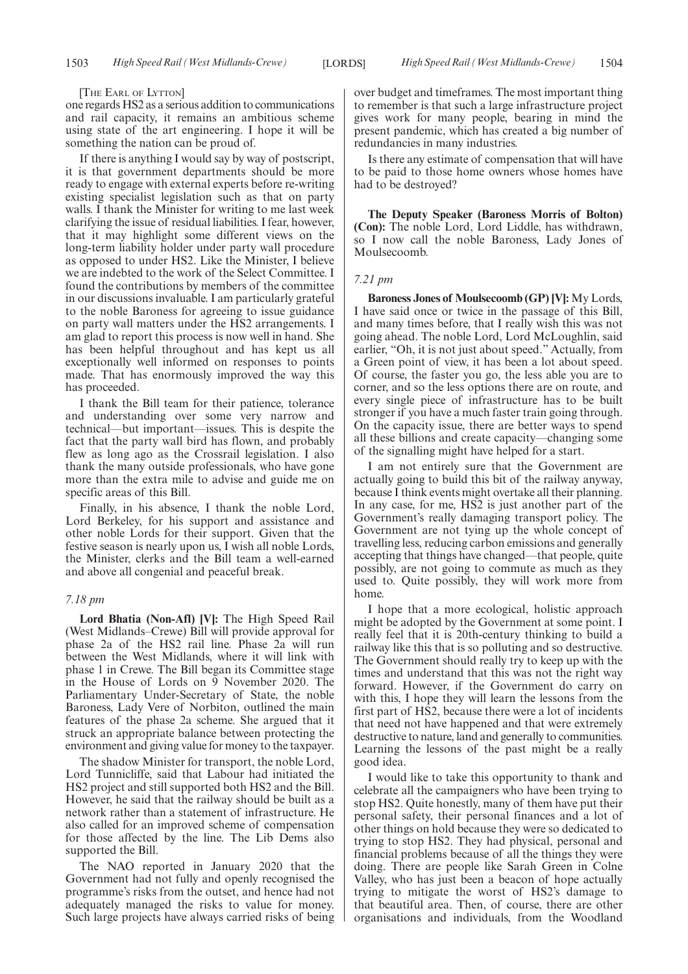#### [THE EARL OF LYTTON]

one regards HS2 as a serious addition to communications and rail capacity, it remains an ambitious scheme using state of the art engineering. I hope it will be something the nation can be proud of.

If there is anything I would say by way of postscript, it is that government departments should be more ready to engage with external experts before re-writing existing specialist legislation such as that on party walls. I thank the Minister for writing to me last week clarifying the issue of residual liabilities. I fear, however, that it may highlight some different views on the long-term liability holder under party wall procedure as opposed to under HS2. Like the Minister, I believe we are indebted to the work of the Select Committee. I found the contributions by members of the committee in our discussions invaluable. I am particularly grateful to the noble Baroness for agreeing to issue guidance on party wall matters under the HS2 arrangements. I am glad to report this process is now well in hand. She has been helpful throughout and has kept us all exceptionally well informed on responses to points made. That has enormously improved the way this has proceeded.

I thank the Bill team for their patience, tolerance and understanding over some very narrow and technical—but important—issues. This is despite the fact that the party wall bird has flown, and probably flew as long ago as the Crossrail legislation. I also thank the many outside professionals, who have gone more than the extra mile to advise and guide me on specific areas of this Bill.

Finally, in his absence, I thank the noble Lord, Lord Berkeley, for his support and assistance and other noble Lords for their support. Given that the festive season is nearly upon us, I wish all noble Lords, the Minister, clerks and the Bill team a well-earned and above all congenial and peaceful break.

### *7.18 pm*

**Lord Bhatia (Non-Afl) [V]:** The High Speed Rail (West Midlands–Crewe) Bill will provide approval for phase 2a of the HS2 rail line. Phase 2a will run between the West Midlands, where it will link with phase 1 in Crewe. The Bill began its Committee stage in the House of Lords on 9 November 2020. The Parliamentary Under-Secretary of State, the noble Baroness, Lady Vere of Norbiton, outlined the main features of the phase 2a scheme. She argued that it struck an appropriate balance between protecting the environment and giving value for money to the taxpayer.

The shadow Minister for transport, the noble Lord, Lord Tunnicliffe, said that Labour had initiated the HS2 project and still supported both HS2 and the Bill. However, he said that the railway should be built as a network rather than a statement of infrastructure. He also called for an improved scheme of compensation for those affected by the line. The Lib Dems also supported the Bill.

The NAO reported in January 2020 that the Government had not fully and openly recognised the programme's risks from the outset, and hence had not adequately managed the risks to value for money. Such large projects have always carried risks of being over budget and timeframes. The most important thing to remember is that such a large infrastructure project gives work for many people, bearing in mind the present pandemic, which has created a big number of redundancies in many industries.

Is there any estimate of compensation that will have to be paid to those home owners whose homes have had to be destroyed?

**The Deputy Speaker (Baroness Morris of Bolton) (Con):** The noble Lord, Lord Liddle, has withdrawn, so I now call the noble Baroness, Lady Jones of Moulsecoomb.

#### *7.21 pm*

**Baroness Jones of Moulsecoomb (GP) [V]:** My Lords, I have said once or twice in the passage of this Bill, and many times before, that I really wish this was not going ahead. The noble Lord, Lord McLoughlin, said earlier, "Oh, it is not just about speed." Actually, from a Green point of view, it has been a lot about speed. Of course, the faster you go, the less able you are to corner, and so the less options there are on route, and every single piece of infrastructure has to be built stronger if you have a much faster train going through. On the capacity issue, there are better ways to spend all these billions and create capacity—changing some of the signalling might have helped for a start.

I am not entirely sure that the Government are actually going to build this bit of the railway anyway, because I think events might overtake all their planning. In any case, for me, HS2 is just another part of the Government's really damaging transport policy. The Government are not tying up the whole concept of travelling less, reducing carbon emissions and generally accepting that things have changed—that people, quite possibly, are not going to commute as much as they used to. Quite possibly, they will work more from home.

I hope that a more ecological, holistic approach might be adopted by the Government at some point. I really feel that it is 20th-century thinking to build a railway like this that is so polluting and so destructive. The Government should really try to keep up with the times and understand that this was not the right way forward. However, if the Government do carry on with this, I hope they will learn the lessons from the first part of HS2, because there were a lot of incidents that need not have happened and that were extremely destructive to nature, land and generally to communities. Learning the lessons of the past might be a really good idea.

I would like to take this opportunity to thank and celebrate all the campaigners who have been trying to stop HS2. Quite honestly, many of them have put their personal safety, their personal finances and a lot of other things on hold because they were so dedicated to trying to stop HS2. They had physical, personal and financial problems because of all the things they were doing. There are people like Sarah Green in Colne Valley, who has just been a beacon of hope actually trying to mitigate the worst of HS2's damage to that beautiful area. Then, of course, there are other organisations and individuals, from the Woodland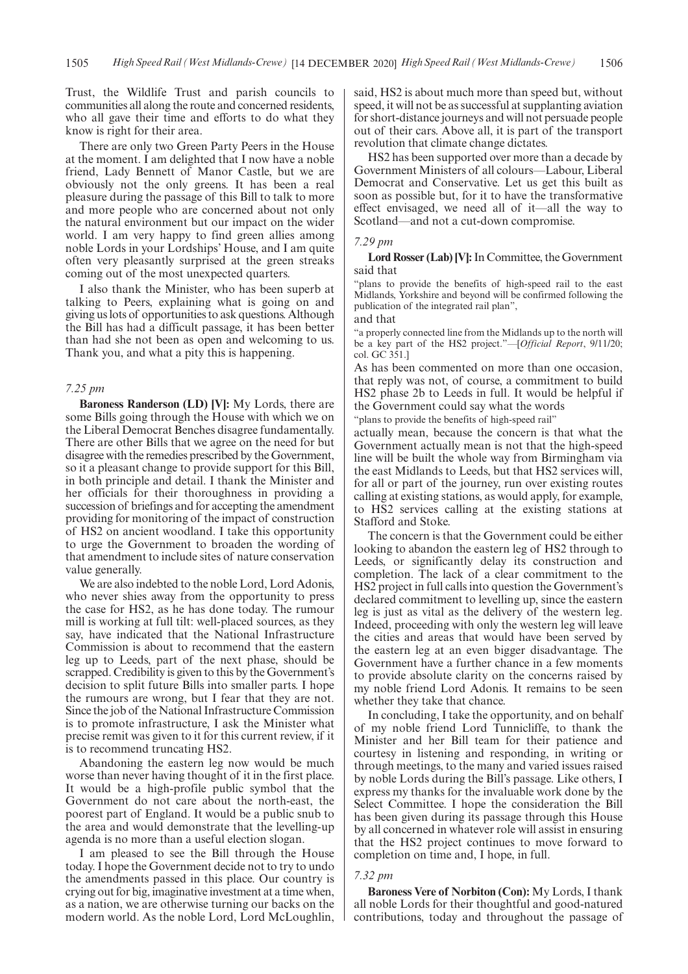Trust, the Wildlife Trust and parish councils to communities all along the route and concerned residents, who all gave their time and efforts to do what they know is right for their area.

There are only two Green Party Peers in the House at the moment. I am delighted that I now have a noble friend, Lady Bennett of Manor Castle, but we are obviously not the only greens. It has been a real pleasure during the passage of this Bill to talk to more and more people who are concerned about not only the natural environment but our impact on the wider world. I am very happy to find green allies among noble Lords in your Lordships' House, and I am quite often very pleasantly surprised at the green streaks coming out of the most unexpected quarters.

I also thank the Minister, who has been superb at talking to Peers, explaining what is going on and giving us lots of opportunities to ask questions. Although the Bill has had a difficult passage, it has been better than had she not been as open and welcoming to us. Thank you, and what a pity this is happening.

### *7.25 pm*

**Baroness Randerson (LD) [V]:** My Lords, there are some Bills going through the House with which we on the Liberal Democrat Benches disagree fundamentally. There are other Bills that we agree on the need for but disagree with the remedies prescribed by the Government, so it a pleasant change to provide support for this Bill, in both principle and detail. I thank the Minister and her officials for their thoroughness in providing a succession of briefings and for accepting the amendment providing for monitoring of the impact of construction of HS2 on ancient woodland. I take this opportunity to urge the Government to broaden the wording of that amendment to include sites of nature conservation value generally.

We are also indebted to the noble Lord, Lord Adonis, who never shies away from the opportunity to press the case for HS2, as he has done today. The rumour mill is working at full tilt: well-placed sources, as they say, have indicated that the National Infrastructure Commission is about to recommend that the eastern leg up to Leeds, part of the next phase, should be scrapped. Credibility is given to this by the Government's decision to split future Bills into smaller parts. I hope the rumours are wrong, but I fear that they are not. Since the job of the National Infrastructure Commission is to promote infrastructure, I ask the Minister what precise remit was given to it for this current review, if it is to recommend truncating HS2.

Abandoning the eastern leg now would be much worse than never having thought of it in the first place. It would be a high-profile public symbol that the Government do not care about the north-east, the poorest part of England. It would be a public snub to the area and would demonstrate that the levelling-up agenda is no more than a useful election slogan.

I am pleased to see the Bill through the House today. I hope the Government decide not to try to undo the amendments passed in this place. Our country is crying out for big, imaginative investment at a time when, as a nation, we are otherwise turning our backs on the modern world. As the noble Lord, Lord McLoughlin, said, HS2 is about much more than speed but, without speed, it will not be as successful at supplanting aviation for short-distance journeys and will not persuade people out of their cars. Above all, it is part of the transport revolution that climate change dictates.

HS2 has been supported over more than a decade by Government Ministers of all colours—Labour, Liberal Democrat and Conservative. Let us get this built as soon as possible but, for it to have the transformative effect envisaged, we need all of it—all the way to Scotland—and not a cut-down compromise.

### *7.29 pm*

**Lord Rosser (Lab) [V]:**In Committee, the Government said that

"plans to provide the benefits of high-speed rail to the east Midlands, Yorkshire and beyond will be confirmed following the publication of the integrated rail plan",

and that

"a properly connected line from the Midlands up to the north will be a key part of the HS2 project."—[*Official Report*, 9/11/20; col. GC 351.]

As has been commented on more than one occasion, that reply was not, of course, a commitment to build HS2 phase 2b to Leeds in full. It would be helpful if the Government could say what the words

"plans to provide the benefits of high-speed rail"

actually mean, because the concern is that what the Government actually mean is not that the high-speed line will be built the whole way from Birmingham via the east Midlands to Leeds, but that HS2 services will, for all or part of the journey, run over existing routes calling at existing stations, as would apply, for example, to HS2 services calling at the existing stations at Stafford and Stoke.

The concern is that the Government could be either looking to abandon the eastern leg of HS2 through to Leeds, or significantly delay its construction and completion. The lack of a clear commitment to the HS2 project in full calls into question the Government's declared commitment to levelling up, since the eastern leg is just as vital as the delivery of the western leg. Indeed, proceeding with only the western leg will leave the cities and areas that would have been served by the eastern leg at an even bigger disadvantage. The Government have a further chance in a few moments to provide absolute clarity on the concerns raised by my noble friend Lord Adonis. It remains to be seen whether they take that chance.

In concluding, I take the opportunity, and on behalf of my noble friend Lord Tunnicliffe, to thank the Minister and her Bill team for their patience and courtesy in listening and responding, in writing or through meetings, to the many and varied issues raised by noble Lords during the Bill's passage. Like others, I express my thanks for the invaluable work done by the Select Committee. I hope the consideration the Bill has been given during its passage through this House by all concerned in whatever role will assist in ensuring that the HS2 project continues to move forward to completion on time and, I hope, in full.

#### *7.32 pm*

**Baroness Vere of Norbiton (Con):** My Lords, I thank all noble Lords for their thoughtful and good-natured contributions, today and throughout the passage of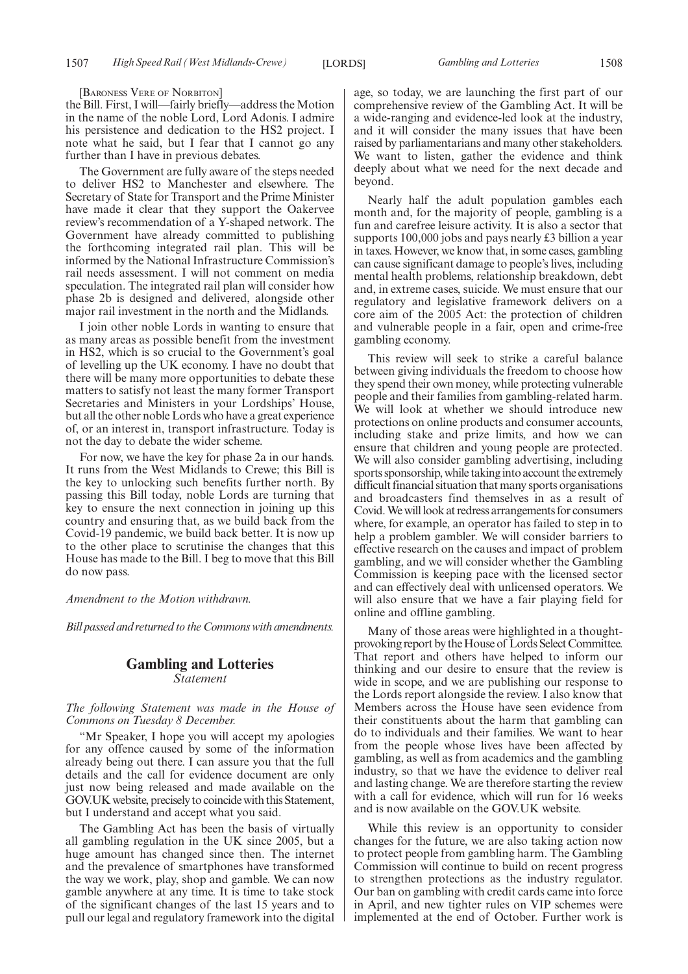[BARONESS VERE OF NORBITON]

the Bill. First, I will—fairly briefly—address the Motion in the name of the noble Lord, Lord Adonis. I admire his persistence and dedication to the HS2 project. I note what he said, but I fear that I cannot go any further than I have in previous debates.

The Government are fully aware of the steps needed to deliver HS2 to Manchester and elsewhere. The Secretary of State for Transport and the Prime Minister have made it clear that they support the Oakervee review's recommendation of a Y-shaped network. The Government have already committed to publishing the forthcoming integrated rail plan. This will be informed by the National Infrastructure Commission's rail needs assessment. I will not comment on media speculation. The integrated rail plan will consider how phase 2b is designed and delivered, alongside other major rail investment in the north and the Midlands.

I join other noble Lords in wanting to ensure that as many areas as possible benefit from the investment in HS2, which is so crucial to the Government's goal of levelling up the UK economy. I have no doubt that there will be many more opportunities to debate these matters to satisfy not least the many former Transport Secretaries and Ministers in your Lordships' House, but all the other noble Lords who have a great experience of, or an interest in, transport infrastructure. Today is not the day to debate the wider scheme.

For now, we have the key for phase 2a in our hands. It runs from the West Midlands to Crewe; this Bill is the key to unlocking such benefits further north. By passing this Bill today, noble Lords are turning that key to ensure the next connection in joining up this country and ensuring that, as we build back from the Covid-19 pandemic, we build back better. It is now up to the other place to scrutinise the changes that this House has made to the Bill. I beg to move that this Bill do now pass.

#### *Amendment to the Motion withdrawn.*

*Bill passed and returned to the Commons with amendments.*

# **Gambling and Lotteries** *Statement*

*The following Statement was made in the House of Commons on Tuesday 8 December.*

"Mr Speaker, I hope you will accept my apologies for any offence caused by some of the information already being out there. I can assure you that the full details and the call for evidence document are only just now being released and made available on the GOV.UK website, precisely to coincide with this Statement, but I understand and accept what you said.

The Gambling Act has been the basis of virtually all gambling regulation in the UK since 2005, but a huge amount has changed since then. The internet and the prevalence of smartphones have transformed the way we work, play, shop and gamble. We can now gamble anywhere at any time. It is time to take stock of the significant changes of the last 15 years and to pull our legal and regulatory framework into the digital age, so today, we are launching the first part of our comprehensive review of the Gambling Act. It will be a wide-ranging and evidence-led look at the industry, and it will consider the many issues that have been raised by parliamentarians and many other stakeholders. We want to listen, gather the evidence and think deeply about what we need for the next decade and beyond.

Nearly half the adult population gambles each month and, for the majority of people, gambling is a fun and carefree leisure activity. It is also a sector that supports 100,000 jobs and pays nearly £3 billion a year in taxes. However, we know that, in some cases, gambling can cause significant damage to people's lives, including mental health problems, relationship breakdown, debt and, in extreme cases, suicide. We must ensure that our regulatory and legislative framework delivers on a core aim of the 2005 Act: the protection of children and vulnerable people in a fair, open and crime-free gambling economy.

This review will seek to strike a careful balance between giving individuals the freedom to choose how they spend their own money, while protecting vulnerable people and their families from gambling-related harm. We will look at whether we should introduce new protections on online products and consumer accounts, including stake and prize limits, and how we can ensure that children and young people are protected. We will also consider gambling advertising, including sports sponsorship, while taking into account the extremely difficult financial situation that many sports organisations and broadcasters find themselves in as a result of Covid. We will look at redress arrangements for consumers where, for example, an operator has failed to step in to help a problem gambler. We will consider barriers to effective research on the causes and impact of problem gambling, and we will consider whether the Gambling Commission is keeping pace with the licensed sector and can effectively deal with unlicensed operators. We will also ensure that we have a fair playing field for online and offline gambling.

Many of those areas were highlighted in a thoughtprovoking report by the House of Lords Select Committee. That report and others have helped to inform our thinking and our desire to ensure that the review is wide in scope, and we are publishing our response to the Lords report alongside the review. I also know that Members across the House have seen evidence from their constituents about the harm that gambling can do to individuals and their families. We want to hear from the people whose lives have been affected by gambling, as well as from academics and the gambling industry, so that we have the evidence to deliver real and lasting change. We are therefore starting the review with a call for evidence, which will run for 16 weeks and is now available on the GOV.UK website.

While this review is an opportunity to consider changes for the future, we are also taking action now to protect people from gambling harm. The Gambling Commission will continue to build on recent progress to strengthen protections as the industry regulator. Our ban on gambling with credit cards came into force in April, and new tighter rules on VIP schemes were implemented at the end of October. Further work is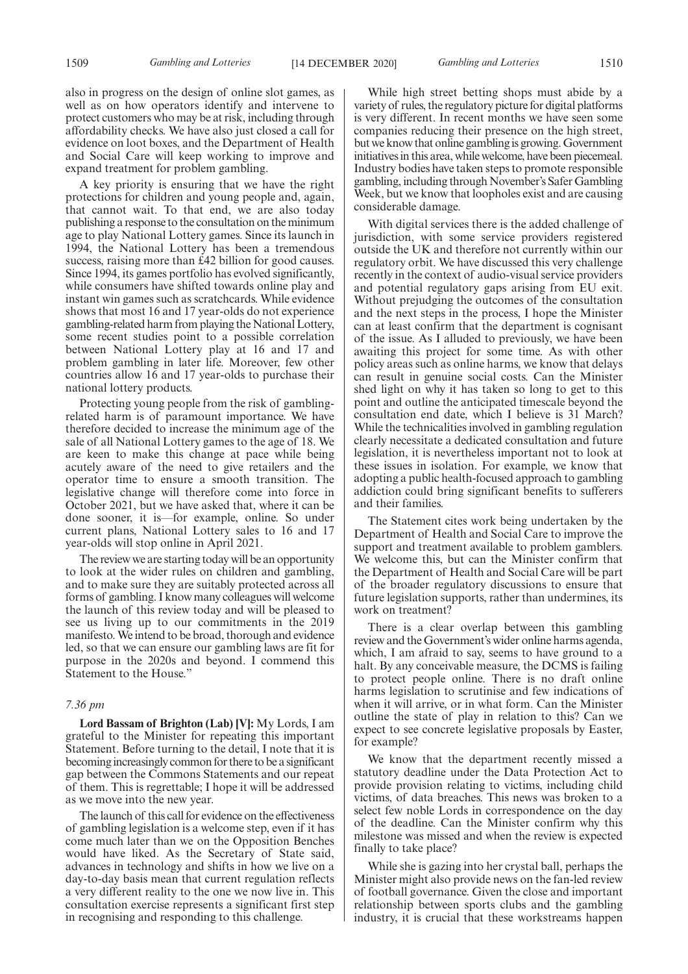1509 *Gambling and Lotteries* [14 DECEMBER 2020] *Gambling and Lotteries* 1510

also in progress on the design of online slot games, as well as on how operators identify and intervene to protect customers who may be at risk, including through affordability checks. We have also just closed a call for evidence on loot boxes, and the Department of Health and Social Care will keep working to improve and expand treatment for problem gambling.

A key priority is ensuring that we have the right protections for children and young people and, again, that cannot wait. To that end, we are also today publishing a response to the consultation on the minimum age to play National Lottery games. Since its launch in 1994, the National Lottery has been a tremendous success, raising more than £42 billion for good causes. Since 1994, its games portfolio has evolved significantly, while consumers have shifted towards online play and instant win games such as scratchcards. While evidence shows that most 16 and 17 year-olds do not experience gambling-related harm from playing the National Lottery, some recent studies point to a possible correlation between National Lottery play at 16 and 17 and problem gambling in later life. Moreover, few other countries allow 16 and 17 year-olds to purchase their national lottery products.

Protecting young people from the risk of gamblingrelated harm is of paramount importance. We have therefore decided to increase the minimum age of the sale of all National Lottery games to the age of 18. We are keen to make this change at pace while being acutely aware of the need to give retailers and the operator time to ensure a smooth transition. The legislative change will therefore come into force in October 2021, but we have asked that, where it can be done sooner, it is—for example, online. So under current plans, National Lottery sales to 16 and 17 year-olds will stop online in April 2021.

The review we are starting today will be an opportunity to look at the wider rules on children and gambling, and to make sure they are suitably protected across all forms of gambling. I know many colleagues will welcome the launch of this review today and will be pleased to see us living up to our commitments in the 2019 manifesto. We intend to be broad, thorough and evidence led, so that we can ensure our gambling laws are fit for purpose in the 2020s and beyond. I commend this Statement to the House."

## *7.36 pm*

**Lord Bassam of Brighton (Lab) [V]:** My Lords, I am grateful to the Minister for repeating this important Statement. Before turning to the detail, I note that it is becoming increasingly common for there to be a significant gap between the Commons Statements and our repeat of them. This is regrettable; I hope it will be addressed as we move into the new year.

The launch of this call for evidence on the effectiveness of gambling legislation is a welcome step, even if it has come much later than we on the Opposition Benches would have liked. As the Secretary of State said, advances in technology and shifts in how we live on a day-to-day basis mean that current regulation reflects a very different reality to the one we now live in. This consultation exercise represents a significant first step in recognising and responding to this challenge.

While high street betting shops must abide by a variety of rules, the regulatory picture for digital platforms is very different. In recent months we have seen some companies reducing their presence on the high street, but we know that online gambling is growing. Government initiatives in this area, while welcome, have been piecemeal. Industry bodies have taken steps to promote responsible gambling, including through November's Safer Gambling Week, but we know that loopholes exist and are causing considerable damage.

With digital services there is the added challenge of jurisdiction, with some service providers registered outside the UK and therefore not currently within our regulatory orbit. We have discussed this very challenge recently in the context of audio-visual service providers and potential regulatory gaps arising from EU exit. Without prejudging the outcomes of the consultation and the next steps in the process, I hope the Minister can at least confirm that the department is cognisant of the issue. As I alluded to previously, we have been awaiting this project for some time. As with other policy areas such as online harms, we know that delays can result in genuine social costs. Can the Minister shed light on why it has taken so long to get to this point and outline the anticipated timescale beyond the consultation end date, which I believe is 31 March? While the technicalities involved in gambling regulation clearly necessitate a dedicated consultation and future legislation, it is nevertheless important not to look at these issues in isolation. For example, we know that adopting a public health-focused approach to gambling addiction could bring significant benefits to sufferers and their families.

The Statement cites work being undertaken by the Department of Health and Social Care to improve the support and treatment available to problem gamblers. We welcome this, but can the Minister confirm that the Department of Health and Social Care will be part of the broader regulatory discussions to ensure that future legislation supports, rather than undermines, its work on treatment?

There is a clear overlap between this gambling review and the Government's wider online harms agenda, which, I am afraid to say, seems to have ground to a halt. By any conceivable measure, the DCMS is failing to protect people online. There is no draft online harms legislation to scrutinise and few indications of when it will arrive, or in what form. Can the Minister outline the state of play in relation to this? Can we expect to see concrete legislative proposals by Easter, for example?

We know that the department recently missed a statutory deadline under the Data Protection Act to provide provision relating to victims, including child victims, of data breaches. This news was broken to a select few noble Lords in correspondence on the day of the deadline. Can the Minister confirm why this milestone was missed and when the review is expected finally to take place?

While she is gazing into her crystal ball, perhaps the Minister might also provide news on the fan-led review of football governance. Given the close and important relationship between sports clubs and the gambling industry, it is crucial that these workstreams happen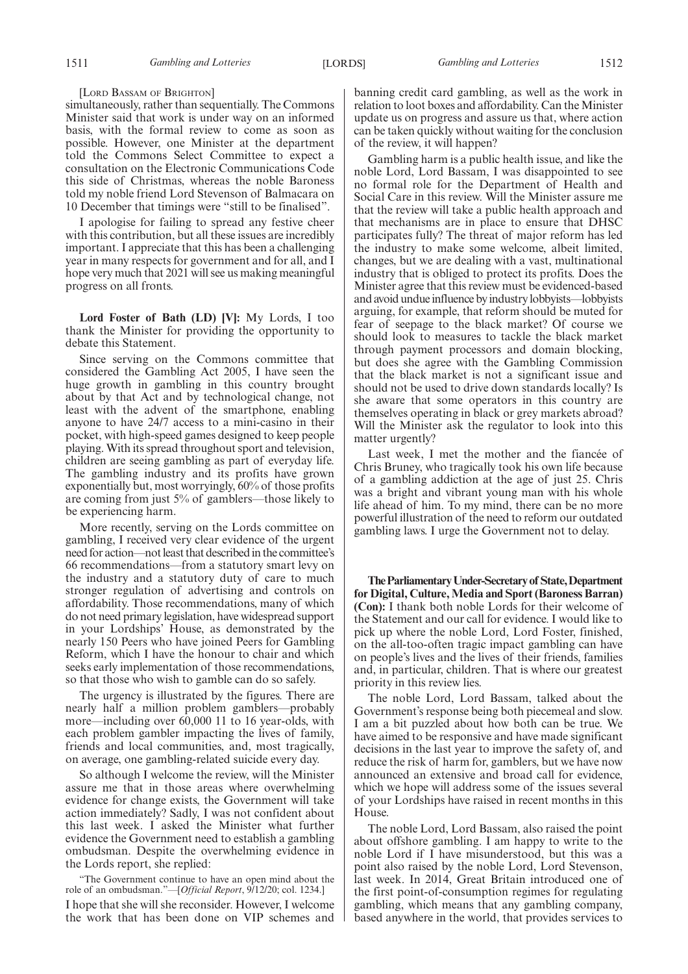#### [LORD BASSAM OF BRIGHTON]

simultaneously, rather than sequentially. The Commons Minister said that work is under way on an informed basis, with the formal review to come as soon as possible. However, one Minister at the department told the Commons Select Committee to expect a consultation on the Electronic Communications Code this side of Christmas, whereas the noble Baroness told my noble friend Lord Stevenson of Balmacara on 10 December that timings were "still to be finalised".

I apologise for failing to spread any festive cheer with this contribution, but all these issues are incredibly important. I appreciate that this has been a challenging year in many respects for government and for all, and I hope very much that 2021 will see us making meaningful progress on all fronts.

**Lord Foster of Bath (LD) [V]:** My Lords, I too thank the Minister for providing the opportunity to debate this Statement.

Since serving on the Commons committee that considered the Gambling Act 2005, I have seen the huge growth in gambling in this country brought about by that Act and by technological change, not least with the advent of the smartphone, enabling anyone to have 24/7 access to a mini-casino in their pocket, with high-speed games designed to keep people playing. With its spread throughout sport and television, children are seeing gambling as part of everyday life. The gambling industry and its profits have grown exponentially but, most worryingly, 60% of those profits are coming from just 5% of gamblers—those likely to be experiencing harm.

More recently, serving on the Lords committee on gambling, I received very clear evidence of the urgent need for action—not least that described in the committee's 66 recommendations—from a statutory smart levy on the industry and a statutory duty of care to much stronger regulation of advertising and controls on affordability. Those recommendations, many of which do not need primary legislation, have widespread support in your Lordships' House, as demonstrated by the nearly 150 Peers who have joined Peers for Gambling Reform, which I have the honour to chair and which seeks early implementation of those recommendations, so that those who wish to gamble can do so safely.

The urgency is illustrated by the figures. There are nearly half a million problem gamblers—probably more—including over 60,000 11 to 16 year-olds, with each problem gambler impacting the lives of family, friends and local communities, and, most tragically, on average, one gambling-related suicide every day.

So although I welcome the review, will the Minister assure me that in those areas where overwhelming evidence for change exists, the Government will take action immediately? Sadly, I was not confident about this last week. I asked the Minister what further evidence the Government need to establish a gambling ombudsman. Despite the overwhelming evidence in the Lords report, she replied:

"The Government continue to have an open mind about the role of an ombudsman."—[*Official Report*, 9/12/20; col. 1234.] I hope that she will she reconsider. However, I welcome the work that has been done on VIP schemes and banning credit card gambling, as well as the work in relation to loot boxes and affordability. Can the Minister update us on progress and assure us that, where action can be taken quickly without waiting for the conclusion of the review, it will happen?

Gambling harm is a public health issue, and like the noble Lord, Lord Bassam, I was disappointed to see no formal role for the Department of Health and Social Care in this review. Will the Minister assure me that the review will take a public health approach and that mechanisms are in place to ensure that DHSC participates fully? The threat of major reform has led the industry to make some welcome, albeit limited, changes, but we are dealing with a vast, multinational industry that is obliged to protect its profits. Does the Minister agree that this review must be evidenced-based and avoid undue influence by industry lobbyists—lobbyists arguing, for example, that reform should be muted for fear of seepage to the black market? Of course we should look to measures to tackle the black market through payment processors and domain blocking, but does she agree with the Gambling Commission that the black market is not a significant issue and should not be used to drive down standards locally? Is she aware that some operators in this country are themselves operating in black or grey markets abroad? Will the Minister ask the regulator to look into this matter urgently?

Last week, I met the mother and the fiancée of Chris Bruney, who tragically took his own life because of a gambling addiction at the age of just 25. Chris was a bright and vibrant young man with his whole life ahead of him. To my mind, there can be no more powerful illustration of the need to reform our outdated gambling laws. I urge the Government not to delay.

**TheParliamentaryUnder-Secretaryof State,Department for Digital, Culture, Media and Sport (Baroness Barran) (Con):** I thank both noble Lords for their welcome of the Statement and our call for evidence. I would like to pick up where the noble Lord, Lord Foster, finished, on the all-too-often tragic impact gambling can have on people's lives and the lives of their friends, families and, in particular, children. That is where our greatest priority in this review lies.

The noble Lord, Lord Bassam, talked about the Government's response being both piecemeal and slow. I am a bit puzzled about how both can be true. We have aimed to be responsive and have made significant decisions in the last year to improve the safety of, and reduce the risk of harm for, gamblers, but we have now announced an extensive and broad call for evidence, which we hope will address some of the issues several of your Lordships have raised in recent months in this House.

The noble Lord, Lord Bassam, also raised the point about offshore gambling. I am happy to write to the noble Lord if I have misunderstood, but this was a point also raised by the noble Lord, Lord Stevenson, last week. In 2014, Great Britain introduced one of the first point-of-consumption regimes for regulating gambling, which means that any gambling company, based anywhere in the world, that provides services to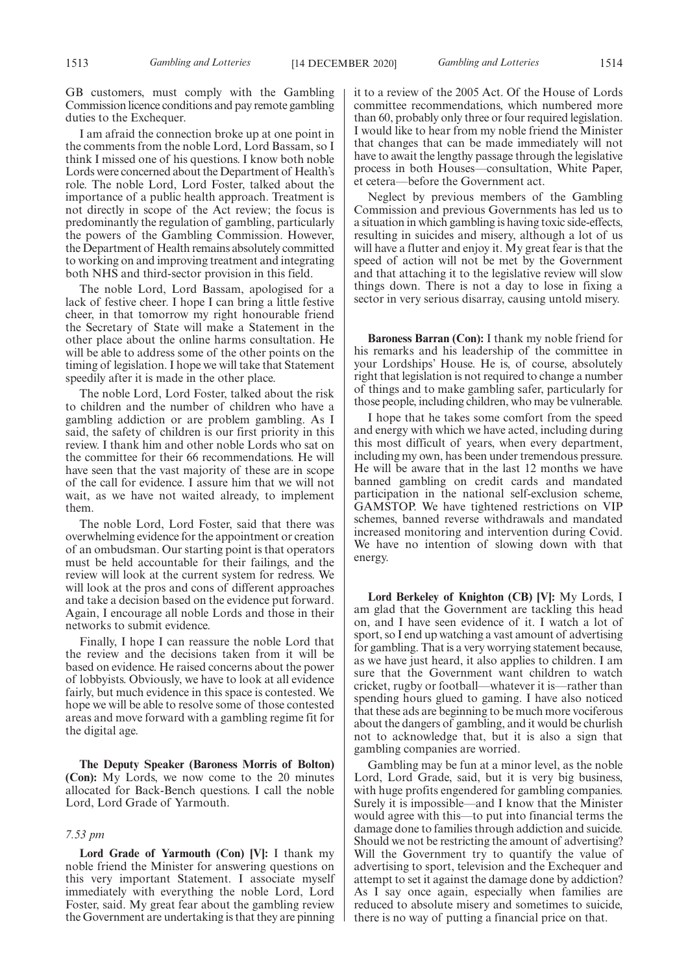GB customers, must comply with the Gambling Commission licence conditions and pay remote gambling duties to the Exchequer.

I am afraid the connection broke up at one point in the comments from the noble Lord, Lord Bassam, so I think I missed one of his questions. I know both noble Lords were concerned about the Department of Health's role. The noble Lord, Lord Foster, talked about the importance of a public health approach. Treatment is not directly in scope of the Act review; the focus is predominantly the regulation of gambling, particularly the powers of the Gambling Commission. However, the Department of Health remains absolutely committed to working on and improving treatment and integrating both NHS and third-sector provision in this field.

The noble Lord, Lord Bassam, apologised for a lack of festive cheer. I hope I can bring a little festive cheer, in that tomorrow my right honourable friend the Secretary of State will make a Statement in the other place about the online harms consultation. He will be able to address some of the other points on the timing of legislation. I hope we will take that Statement speedily after it is made in the other place.

The noble Lord, Lord Foster, talked about the risk to children and the number of children who have a gambling addiction or are problem gambling. As I said, the safety of children is our first priority in this review. I thank him and other noble Lords who sat on the committee for their 66 recommendations. He will have seen that the vast majority of these are in scope of the call for evidence. I assure him that we will not wait, as we have not waited already, to implement them.

The noble Lord, Lord Foster, said that there was overwhelming evidence for the appointment or creation of an ombudsman. Our starting point is that operators must be held accountable for their failings, and the review will look at the current system for redress. We will look at the pros and cons of different approaches and take a decision based on the evidence put forward. Again, I encourage all noble Lords and those in their networks to submit evidence.

Finally, I hope I can reassure the noble Lord that the review and the decisions taken from it will be based on evidence. He raised concerns about the power of lobbyists. Obviously, we have to look at all evidence fairly, but much evidence in this space is contested. We hope we will be able to resolve some of those contested areas and move forward with a gambling regime fit for the digital age.

**The Deputy Speaker (Baroness Morris of Bolton) (Con):** My Lords, we now come to the 20 minutes allocated for Back-Bench questions. I call the noble Lord, Lord Grade of Yarmouth.

### *7.53 pm*

**Lord Grade of Yarmouth (Con) [V]:** I thank my noble friend the Minister for answering questions on this very important Statement. I associate myself immediately with everything the noble Lord, Lord Foster, said. My great fear about the gambling review the Government are undertaking is that they are pinning it to a review of the 2005 Act. Of the House of Lords committee recommendations, which numbered more than 60, probably only three or four required legislation. I would like to hear from my noble friend the Minister that changes that can be made immediately will not have to await the lengthy passage through the legislative process in both Houses—consultation, White Paper, et cetera—before the Government act.

Neglect by previous members of the Gambling Commission and previous Governments has led us to a situation in which gambling is having toxic side-effects, resulting in suicides and misery, although a lot of us will have a flutter and enjoy it. My great fear is that the speed of action will not be met by the Government and that attaching it to the legislative review will slow things down. There is not a day to lose in fixing a sector in very serious disarray, causing untold misery.

**Baroness Barran (Con):** I thank my noble friend for his remarks and his leadership of the committee in your Lordships' House. He is, of course, absolutely right that legislation is not required to change a number of things and to make gambling safer, particularly for those people, including children, who may be vulnerable.

I hope that he takes some comfort from the speed and energy with which we have acted, including during this most difficult of years, when every department, including my own, has been under tremendous pressure. He will be aware that in the last 12 months we have banned gambling on credit cards and mandated participation in the national self-exclusion scheme, GAMSTOP. We have tightened restrictions on VIP schemes, banned reverse withdrawals and mandated increased monitoring and intervention during Covid. We have no intention of slowing down with that energy.

**Lord Berkeley of Knighton (CB) [V]:** My Lords, I am glad that the Government are tackling this head on, and I have seen evidence of it. I watch a lot of sport, so I end up watching a vast amount of advertising for gambling. That is a very worrying statement because, as we have just heard, it also applies to children. I am sure that the Government want children to watch cricket, rugby or football—whatever it is—rather than spending hours glued to gaming. I have also noticed that these ads are beginning to be much more vociferous about the dangers of gambling, and it would be churlish not to acknowledge that, but it is also a sign that gambling companies are worried.

Gambling may be fun at a minor level, as the noble Lord, Lord Grade, said, but it is very big business, with huge profits engendered for gambling companies. Surely it is impossible—and I know that the Minister would agree with this—to put into financial terms the damage done to families through addiction and suicide. Should we not be restricting the amount of advertising? Will the Government try to quantify the value of advertising to sport, television and the Exchequer and attempt to set it against the damage done by addiction? As I say once again, especially when families are reduced to absolute misery and sometimes to suicide, there is no way of putting a financial price on that.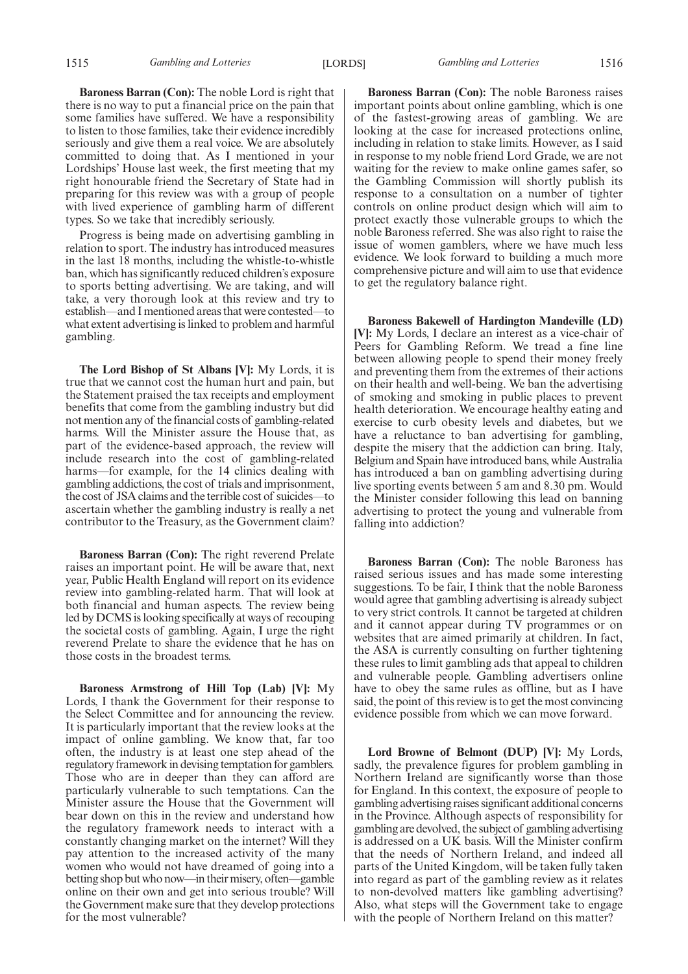**Baroness Barran (Con):** The noble Lord is right that there is no way to put a financial price on the pain that some families have suffered. We have a responsibility to listen to those families, take their evidence incredibly seriously and give them a real voice. We are absolutely committed to doing that. As I mentioned in your Lordships' House last week, the first meeting that my right honourable friend the Secretary of State had in preparing for this review was with a group of people with lived experience of gambling harm of different types. So we take that incredibly seriously.

Progress is being made on advertising gambling in relation to sport. The industry has introduced measures in the last 18 months, including the whistle-to-whistle ban, which has significantly reduced children's exposure to sports betting advertising. We are taking, and will take, a very thorough look at this review and try to establish—and I mentioned areas that were contested—to what extent advertising is linked to problem and harmful gambling.

**The Lord Bishop of St Albans [V]:** My Lords, it is true that we cannot cost the human hurt and pain, but the Statement praised the tax receipts and employment benefits that come from the gambling industry but did not mention any of the financial costs of gambling-related harms. Will the Minister assure the House that, as part of the evidence-based approach, the review will include research into the cost of gambling-related harms—for example, for the 14 clinics dealing with gambling addictions, the cost of trials and imprisonment, the cost of JSA claims and the terrible cost of suicides—to ascertain whether the gambling industry is really a net contributor to the Treasury, as the Government claim?

**Baroness Barran (Con):** The right reverend Prelate raises an important point. He will be aware that, next year, Public Health England will report on its evidence review into gambling-related harm. That will look at both financial and human aspects. The review being led by DCMS is looking specifically at ways of recouping the societal costs of gambling. Again, I urge the right reverend Prelate to share the evidence that he has on those costs in the broadest terms.

**Baroness Armstrong of Hill Top (Lab) [V]:** My Lords, I thank the Government for their response to the Select Committee and for announcing the review. It is particularly important that the review looks at the impact of online gambling. We know that, far too often, the industry is at least one step ahead of the regulatory framework in devising temptation for gamblers. Those who are in deeper than they can afford are particularly vulnerable to such temptations. Can the Minister assure the House that the Government will bear down on this in the review and understand how the regulatory framework needs to interact with a constantly changing market on the internet? Will they pay attention to the increased activity of the many women who would not have dreamed of going into a betting shop but who now—in their misery, often—gamble online on their own and get into serious trouble? Will the Government make sure that they develop protections for the most vulnerable?

**Baroness Barran (Con):** The noble Baroness raises important points about online gambling, which is one of the fastest-growing areas of gambling. We are looking at the case for increased protections online, including in relation to stake limits. However, as I said in response to my noble friend Lord Grade, we are not waiting for the review to make online games safer, so the Gambling Commission will shortly publish its response to a consultation on a number of tighter controls on online product design which will aim to protect exactly those vulnerable groups to which the noble Baroness referred. She was also right to raise the issue of women gamblers, where we have much less evidence. We look forward to building a much more comprehensive picture and will aim to use that evidence to get the regulatory balance right.

**Baroness Bakewell of Hardington Mandeville (LD) [V]:** My Lords, I declare an interest as a vice-chair of Peers for Gambling Reform. We tread a fine line between allowing people to spend their money freely and preventing them from the extremes of their actions on their health and well-being. We ban the advertising of smoking and smoking in public places to prevent health deterioration. We encourage healthy eating and exercise to curb obesity levels and diabetes, but we have a reluctance to ban advertising for gambling, despite the misery that the addiction can bring. Italy, Belgium and Spain have introduced bans, while Australia has introduced a ban on gambling advertising during live sporting events between 5 am and 8.30 pm. Would the Minister consider following this lead on banning advertising to protect the young and vulnerable from falling into addiction?

**Baroness Barran (Con):** The noble Baroness has raised serious issues and has made some interesting suggestions. To be fair, I think that the noble Baroness would agree that gambling advertising is already subject to very strict controls. It cannot be targeted at children and it cannot appear during TV programmes or on websites that are aimed primarily at children. In fact, the ASA is currently consulting on further tightening these rules to limit gambling ads that appeal to children and vulnerable people. Gambling advertisers online have to obey the same rules as offline, but as I have said, the point of this review is to get the most convincing evidence possible from which we can move forward.

**Lord Browne of Belmont (DUP) [V]:** My Lords, sadly, the prevalence figures for problem gambling in Northern Ireland are significantly worse than those for England. In this context, the exposure of people to gambling advertising raises significant additional concerns in the Province. Although aspects of responsibility for gambling are devolved, the subject of gambling advertising is addressed on a UK basis. Will the Minister confirm that the needs of Northern Ireland, and indeed all parts of the United Kingdom, will be taken fully taken into regard as part of the gambling review as it relates to non-devolved matters like gambling advertising? Also, what steps will the Government take to engage with the people of Northern Ireland on this matter?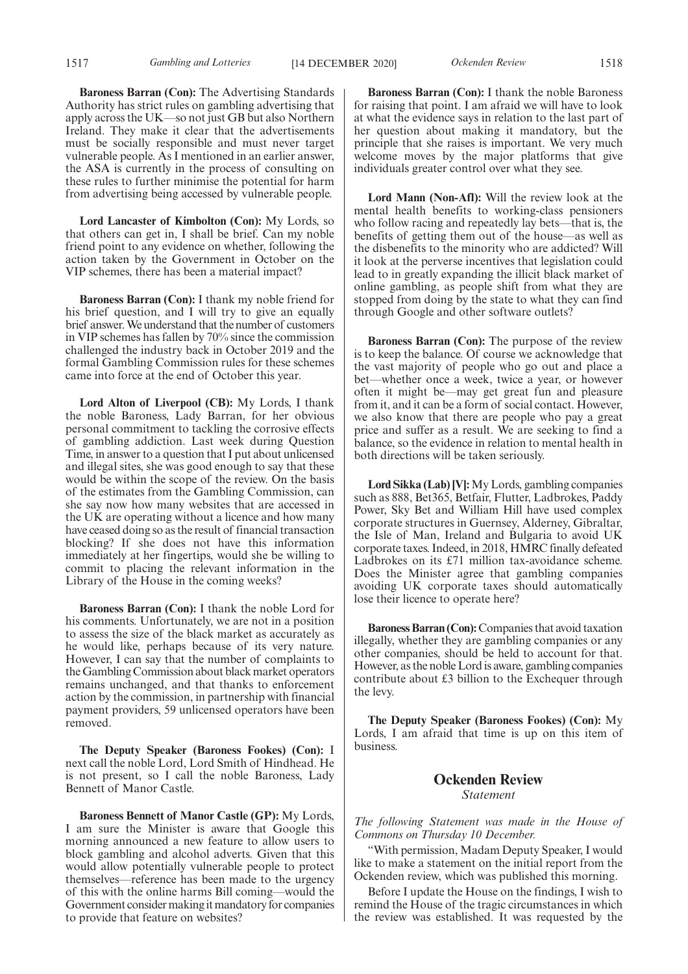**Baroness Barran (Con):** The Advertising Standards Authority has strict rules on gambling advertising that apply across the UK—so not just GB but also Northern Ireland. They make it clear that the advertisements must be socially responsible and must never target vulnerable people. As I mentioned in an earlier answer, the ASA is currently in the process of consulting on these rules to further minimise the potential for harm from advertising being accessed by vulnerable people.

**Lord Lancaster of Kimbolton (Con):** My Lords, so that others can get in, I shall be brief. Can my noble friend point to any evidence on whether, following the action taken by the Government in October on the VIP schemes, there has been a material impact?

**Baroness Barran (Con):** I thank my noble friend for his brief question, and I will try to give an equally brief answer. We understand that the number of customers in VIP schemes has fallen by 70% since the commission challenged the industry back in October 2019 and the formal Gambling Commission rules for these schemes came into force at the end of October this year.

**Lord Alton of Liverpool (CB):** My Lords, I thank the noble Baroness, Lady Barran, for her obvious personal commitment to tackling the corrosive effects of gambling addiction. Last week during Question Time, in answer to a question that I put about unlicensed and illegal sites, she was good enough to say that these would be within the scope of the review. On the basis of the estimates from the Gambling Commission, can she say now how many websites that are accessed in the UK are operating without a licence and how many have ceased doing so as the result of financial transaction blocking? If she does not have this information immediately at her fingertips, would she be willing to commit to placing the relevant information in the Library of the House in the coming weeks?

**Baroness Barran (Con):** I thank the noble Lord for his comments. Unfortunately, we are not in a position to assess the size of the black market as accurately as he would like, perhaps because of its very nature. However, I can say that the number of complaints to the Gambling Commission about black market operators remains unchanged, and that thanks to enforcement action by the commission, in partnership with financial payment providers, 59 unlicensed operators have been removed.

**The Deputy Speaker (Baroness Fookes) (Con):** I next call the noble Lord, Lord Smith of Hindhead. He is not present, so I call the noble Baroness, Lady Bennett of Manor Castle.

**Baroness Bennett of Manor Castle (GP):** My Lords, I am sure the Minister is aware that Google this morning announced a new feature to allow users to block gambling and alcohol adverts. Given that this would allow potentially vulnerable people to protect themselves—reference has been made to the urgency of this with the online harms Bill coming—would the Government consider making it mandatory for companies to provide that feature on websites?

**Baroness Barran (Con):** I thank the noble Baroness for raising that point. I am afraid we will have to look at what the evidence says in relation to the last part of her question about making it mandatory, but the principle that she raises is important. We very much welcome moves by the major platforms that give individuals greater control over what they see.

**Lord Mann (Non-Afl):** Will the review look at the mental health benefits to working-class pensioners who follow racing and repeatedly lay bets—that is, the benefits of getting them out of the house—as well as the disbenefits to the minority who are addicted? Will it look at the perverse incentives that legislation could lead to in greatly expanding the illicit black market of online gambling, as people shift from what they are stopped from doing by the state to what they can find through Google and other software outlets?

**Baroness Barran (Con):** The purpose of the review is to keep the balance. Of course we acknowledge that the vast majority of people who go out and place a bet—whether once a week, twice a year, or however often it might be—may get great fun and pleasure from it, and it can be a form of social contact. However, we also know that there are people who pay a great price and suffer as a result. We are seeking to find a balance, so the evidence in relation to mental health in both directions will be taken seriously.

**Lord Sikka (Lab) [V]:**My Lords, gambling companies such as 888, Bet365, Betfair, Flutter, Ladbrokes, Paddy Power, Sky Bet and William Hill have used complex corporate structures in Guernsey, Alderney, Gibraltar, the Isle of Man, Ireland and Bulgaria to avoid UK corporate taxes. Indeed, in 2018, HMRC finally defeated Ladbrokes on its £71 million tax-avoidance scheme. Does the Minister agree that gambling companies avoiding UK corporate taxes should automatically lose their licence to operate here?

**Baroness Barran (Con):** Companies that avoid taxation illegally, whether they are gambling companies or any other companies, should be held to account for that. However, as the noble Lord is aware, gambling companies contribute about £3 billion to the Exchequer through the levy.

**The Deputy Speaker (Baroness Fookes) (Con):** My Lords, I am afraid that time is up on this item of business.

# **Ockenden Review** *Statement*

*The following Statement was made in the House of Commons on Thursday 10 December.*

"With permission, Madam Deputy Speaker, I would like to make a statement on the initial report from the Ockenden review, which was published this morning.

Before I update the House on the findings, I wish to remind the House of the tragic circumstances in which the review was established. It was requested by the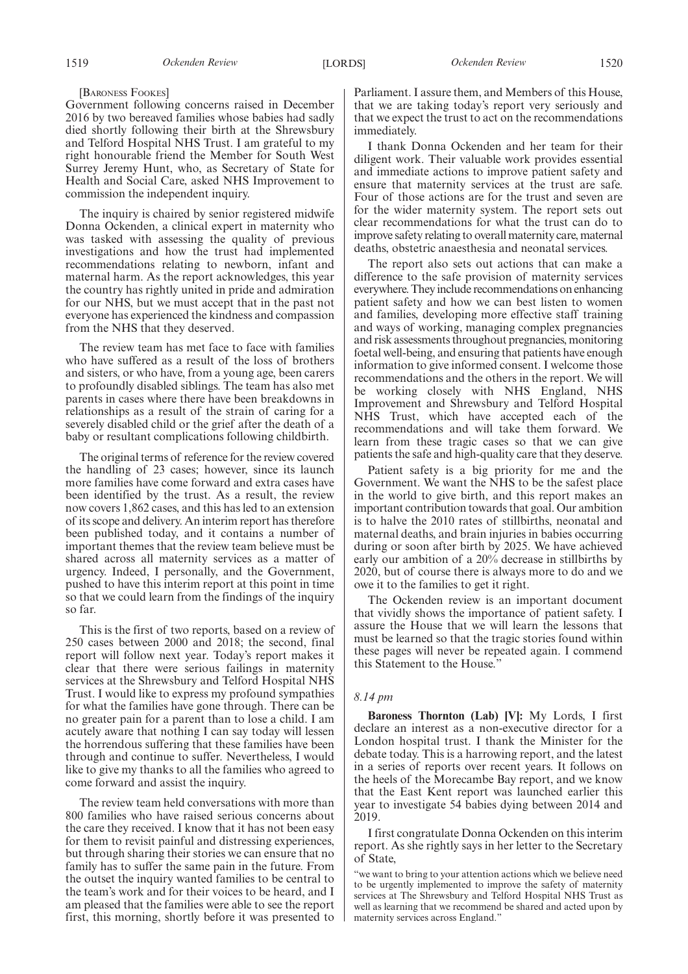#### [BARONESS FOOKES]

Government following concerns raised in December 2016 by two bereaved families whose babies had sadly died shortly following their birth at the Shrewsbury and Telford Hospital NHS Trust. I am grateful to my right honourable friend the Member for South West Surrey Jeremy Hunt, who, as Secretary of State for Health and Social Care, asked NHS Improvement to commission the independent inquiry.

The inquiry is chaired by senior registered midwife Donna Ockenden, a clinical expert in maternity who was tasked with assessing the quality of previous investigations and how the trust had implemented recommendations relating to newborn, infant and maternal harm. As the report acknowledges, this year the country has rightly united in pride and admiration for our NHS, but we must accept that in the past not everyone has experienced the kindness and compassion from the NHS that they deserved.

The review team has met face to face with families who have suffered as a result of the loss of brothers and sisters, or who have, from a young age, been carers to profoundly disabled siblings. The team has also met parents in cases where there have been breakdowns in relationships as a result of the strain of caring for a severely disabled child or the grief after the death of a baby or resultant complications following childbirth.

The original terms of reference for the review covered the handling of 23 cases; however, since its launch more families have come forward and extra cases have been identified by the trust. As a result, the review now covers 1,862 cases, and this has led to an extension of its scope and delivery. An interim report has therefore been published today, and it contains a number of important themes that the review team believe must be shared across all maternity services as a matter of urgency. Indeed, I personally, and the Government, pushed to have this interim report at this point in time so that we could learn from the findings of the inquiry so far.

This is the first of two reports, based on a review of 250 cases between 2000 and 2018; the second, final report will follow next year. Today's report makes it clear that there were serious failings in maternity services at the Shrewsbury and Telford Hospital NHS Trust. I would like to express my profound sympathies for what the families have gone through. There can be no greater pain for a parent than to lose a child. I am acutely aware that nothing I can say today will lessen the horrendous suffering that these families have been through and continue to suffer. Nevertheless, I would like to give my thanks to all the families who agreed to come forward and assist the inquiry.

The review team held conversations with more than 800 families who have raised serious concerns about the care they received. I know that it has not been easy for them to revisit painful and distressing experiences, but through sharing their stories we can ensure that no family has to suffer the same pain in the future. From the outset the inquiry wanted families to be central to the team's work and for their voices to be heard, and I am pleased that the families were able to see the report first, this morning, shortly before it was presented to Parliament. I assure them, and Members of this House, that we are taking today's report very seriously and that we expect the trust to act on the recommendations immediately.

I thank Donna Ockenden and her team for their diligent work. Their valuable work provides essential and immediate actions to improve patient safety and ensure that maternity services at the trust are safe. Four of those actions are for the trust and seven are for the wider maternity system. The report sets out clear recommendations for what the trust can do to improve safety relating to overall maternity care, maternal deaths, obstetric anaesthesia and neonatal services.

The report also sets out actions that can make a difference to the safe provision of maternity services everywhere. They include recommendations on enhancing patient safety and how we can best listen to women and families, developing more effective staff training and ways of working, managing complex pregnancies and risk assessments throughout pregnancies, monitoring foetal well-being, and ensuring that patients have enough information to give informed consent. I welcome those recommendations and the others in the report. We will be working closely with NHS England, NHS Improvement and Shrewsbury and Telford Hospital NHS Trust, which have accepted each of the recommendations and will take them forward. We learn from these tragic cases so that we can give patients the safe and high-quality care that they deserve.

Patient safety is a big priority for me and the Government. We want the NHS to be the safest place in the world to give birth, and this report makes an important contribution towards that goal. Our ambition is to halve the 2010 rates of stillbirths, neonatal and maternal deaths, and brain injuries in babies occurring during or soon after birth by 2025. We have achieved early our ambition of a 20% decrease in stillbirths by 2020, but of course there is always more to do and we owe it to the families to get it right.

The Ockenden review is an important document that vividly shows the importance of patient safety. I assure the House that we will learn the lessons that must be learned so that the tragic stories found within these pages will never be repeated again. I commend this Statement to the House."

#### *8.14 pm*

**Baroness Thornton (Lab) [V]:** My Lords, I first declare an interest as a non-executive director for a London hospital trust. I thank the Minister for the debate today. This is a harrowing report, and the latest in a series of reports over recent years. It follows on the heels of the Morecambe Bay report, and we know that the East Kent report was launched earlier this year to investigate 54 babies dying between 2014 and 2019.

I first congratulate Donna Ockenden on this interim report. As she rightly says in her letter to the Secretary of State,

"we want to bring to your attention actions which we believe need to be urgently implemented to improve the safety of maternity services at The Shrewsbury and Telford Hospital NHS Trust as well as learning that we recommend be shared and acted upon by maternity services across England."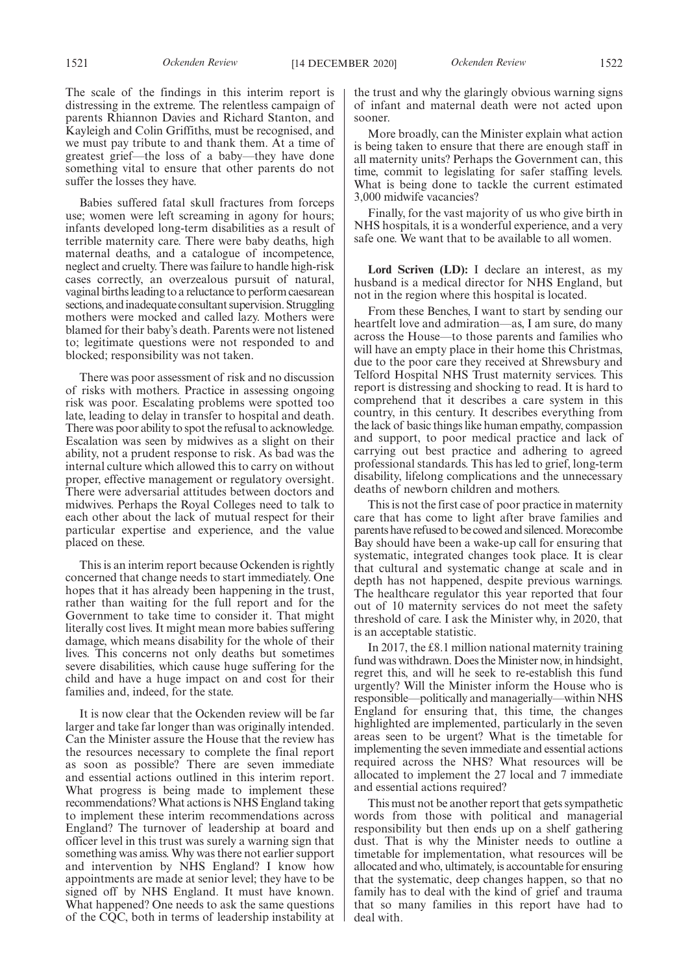Kayleigh and Colin Griffiths, must be recognised, and we must pay tribute to and thank them. At a time of greatest grief—the loss of a baby—they have done something vital to ensure that other parents do not suffer the losses they have.

Babies suffered fatal skull fractures from forceps use; women were left screaming in agony for hours; infants developed long-term disabilities as a result of terrible maternity care. There were baby deaths, high maternal deaths, and a catalogue of incompetence, neglect and cruelty. There was failure to handle high-risk cases correctly, an overzealous pursuit of natural, vaginal births leading to a reluctance to perform caesarean sections, and inadequate consultant supervision. Struggling mothers were mocked and called lazy. Mothers were blamed for their baby's death. Parents were not listened to; legitimate questions were not responded to and blocked; responsibility was not taken.

There was poor assessment of risk and no discussion of risks with mothers. Practice in assessing ongoing risk was poor. Escalating problems were spotted too late, leading to delay in transfer to hospital and death. There was poor ability to spot the refusal to acknowledge. Escalation was seen by midwives as a slight on their ability, not a prudent response to risk. As bad was the internal culture which allowed this to carry on without proper, effective management or regulatory oversight. There were adversarial attitudes between doctors and midwives. Perhaps the Royal Colleges need to talk to each other about the lack of mutual respect for their particular expertise and experience, and the value placed on these.

This is an interim report because Ockenden is rightly concerned that change needs to start immediately. One hopes that it has already been happening in the trust, rather than waiting for the full report and for the Government to take time to consider it. That might literally cost lives. It might mean more babies suffering damage, which means disability for the whole of their lives. This concerns not only deaths but sometimes severe disabilities, which cause huge suffering for the child and have a huge impact on and cost for their families and, indeed, for the state.

It is now clear that the Ockenden review will be far larger and take far longer than was originally intended. Can the Minister assure the House that the review has the resources necessary to complete the final report as soon as possible? There are seven immediate and essential actions outlined in this interim report. What progress is being made to implement these recommendations? What actions is NHS England taking to implement these interim recommendations across England? The turnover of leadership at board and officer level in this trust was surely a warning sign that something was amiss. Why was there not earlier support and intervention by NHS England? I know how appointments are made at senior level; they have to be signed off by NHS England. It must have known. What happened? One needs to ask the same questions of the CQC, both in terms of leadership instability at the trust and why the glaringly obvious warning signs of infant and maternal death were not acted upon sooner.

More broadly, can the Minister explain what action is being taken to ensure that there are enough staff in all maternity units? Perhaps the Government can, this time, commit to legislating for safer staffing levels. What is being done to tackle the current estimated 3,000 midwife vacancies?

Finally, for the vast majority of us who give birth in NHS hospitals, it is a wonderful experience, and a very safe one. We want that to be available to all women.

**Lord Scriven (LD):** I declare an interest, as my husband is a medical director for NHS England, but not in the region where this hospital is located.

From these Benches, I want to start by sending our heartfelt love and admiration—as, I am sure, do many across the House—to those parents and families who will have an empty place in their home this Christmas, due to the poor care they received at Shrewsbury and Telford Hospital NHS Trust maternity services. This report is distressing and shocking to read. It is hard to comprehend that it describes a care system in this country, in this century. It describes everything from the lack of basic things like human empathy, compassion and support, to poor medical practice and lack of carrying out best practice and adhering to agreed professional standards. This has led to grief, long-term disability, lifelong complications and the unnecessary deaths of newborn children and mothers.

This is not the first case of poor practice in maternity care that has come to light after brave families and parents have refused to be cowed and silenced. Morecombe Bay should have been a wake-up call for ensuring that systematic, integrated changes took place. It is clear that cultural and systematic change at scale and in depth has not happened, despite previous warnings. The healthcare regulator this year reported that four out of 10 maternity services do not meet the safety threshold of care. I ask the Minister why, in 2020, that is an acceptable statistic.

In 2017, the £8.1 million national maternity training fund was withdrawn. Does the Minister now, in hindsight, regret this, and will he seek to re-establish this fund urgently? Will the Minister inform the House who is responsible—politically and managerially—within NHS England for ensuring that, this time, the changes highlighted are implemented, particularly in the seven areas seen to be urgent? What is the timetable for implementing the seven immediate and essential actions required across the NHS? What resources will be allocated to implement the 27 local and 7 immediate and essential actions required?

This must not be another report that gets sympathetic words from those with political and managerial responsibility but then ends up on a shelf gathering dust. That is why the Minister needs to outline a timetable for implementation, what resources will be allocated and who, ultimately, is accountable for ensuring that the systematic, deep changes happen, so that no family has to deal with the kind of grief and trauma that so many families in this report have had to deal with.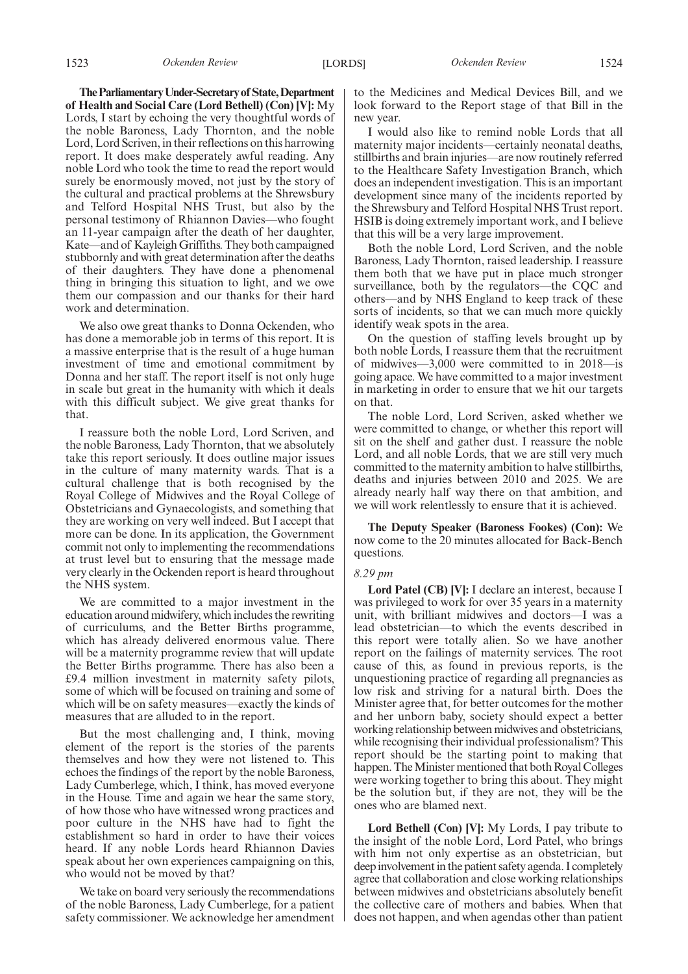**TheParliamentaryUnder-Secretaryof State,Department of Health and Social Care (Lord Bethell) (Con) [V]:** My Lords, I start by echoing the very thoughtful words of the noble Baroness, Lady Thornton, and the noble Lord, Lord Scriven, in their reflections on this harrowing report. It does make desperately awful reading. Any noble Lord who took the time to read the report would surely be enormously moved, not just by the story of the cultural and practical problems at the Shrewsbury and Telford Hospital NHS Trust, but also by the personal testimony of Rhiannon Davies—who fought an 11-year campaign after the death of her daughter, Kate—and of Kayleigh Griffiths. They both campaigned stubbornly and with great determination after the deaths of their daughters. They have done a phenomenal thing in bringing this situation to light, and we owe them our compassion and our thanks for their hard work and determination.

We also owe great thanks to Donna Ockenden, who has done a memorable job in terms of this report. It is a massive enterprise that is the result of a huge human investment of time and emotional commitment by Donna and her staff. The report itself is not only huge in scale but great in the humanity with which it deals with this difficult subject. We give great thanks for that.

I reassure both the noble Lord, Lord Scriven, and the noble Baroness, Lady Thornton, that we absolutely take this report seriously. It does outline major issues in the culture of many maternity wards. That is a cultural challenge that is both recognised by the Royal College of Midwives and the Royal College of Obstetricians and Gynaecologists, and something that they are working on very well indeed. But I accept that more can be done. In its application, the Government commit not only to implementing the recommendations at trust level but to ensuring that the message made very clearly in the Ockenden report is heard throughout the NHS system.

We are committed to a major investment in the education around midwifery, which includes the rewriting of curriculums, and the Better Births programme, which has already delivered enormous value. There will be a maternity programme review that will update the Better Births programme. There has also been a £9.4 million investment in maternity safety pilots, some of which will be focused on training and some of which will be on safety measures—exactly the kinds of measures that are alluded to in the report.

But the most challenging and, I think, moving element of the report is the stories of the parents themselves and how they were not listened to. This echoes the findings of the report by the noble Baroness, Lady Cumberlege, which, I think, has moved everyone in the House. Time and again we hear the same story, of how those who have witnessed wrong practices and poor culture in the NHS have had to fight the establishment so hard in order to have their voices heard. If any noble Lords heard Rhiannon Davies speak about her own experiences campaigning on this, who would not be moved by that?

We take on board very seriously the recommendations of the noble Baroness, Lady Cumberlege, for a patient safety commissioner. We acknowledge her amendment to the Medicines and Medical Devices Bill, and we look forward to the Report stage of that Bill in the new year.

I would also like to remind noble Lords that all maternity major incidents—certainly neonatal deaths, stillbirths and brain injuries—are now routinely referred to the Healthcare Safety Investigation Branch, which does an independent investigation. This is an important development since many of the incidents reported by the Shrewsbury and Telford Hospital NHS Trust report. HSIB is doing extremely important work, and I believe that this will be a very large improvement.

Both the noble Lord, Lord Scriven, and the noble Baroness, Lady Thornton, raised leadership. I reassure them both that we have put in place much stronger surveillance, both by the regulators—the CQC and others—and by NHS England to keep track of these sorts of incidents, so that we can much more quickly identify weak spots in the area.

On the question of staffing levels brought up by both noble Lords, I reassure them that the recruitment of midwives—3,000 were committed to in 2018—is going apace. We have committed to a major investment in marketing in order to ensure that we hit our targets on that.

The noble Lord, Lord Scriven, asked whether we were committed to change, or whether this report will sit on the shelf and gather dust. I reassure the noble Lord, and all noble Lords, that we are still very much committed to the maternity ambition to halve stillbirths, deaths and injuries between 2010 and 2025. We are already nearly half way there on that ambition, and we will work relentlessly to ensure that it is achieved.

**The Deputy Speaker (Baroness Fookes) (Con):** We now come to the 20 minutes allocated for Back-Bench questions.

#### *8.29 pm*

**Lord Patel (CB) [V]:** I declare an interest, because I was privileged to work for over 35 years in a maternity unit, with brilliant midwives and doctors—I was a lead obstetrician—to which the events described in this report were totally alien. So we have another report on the failings of maternity services. The root cause of this, as found in previous reports, is the unquestioning practice of regarding all pregnancies as low risk and striving for a natural birth. Does the Minister agree that, for better outcomes for the mother and her unborn baby, society should expect a better working relationship between midwives and obstetricians, while recognising their individual professionalism? This report should be the starting point to making that happen. The Minister mentioned that both Royal Colleges were working together to bring this about. They might be the solution but, if they are not, they will be the ones who are blamed next.

**Lord Bethell (Con) [V]:** My Lords, I pay tribute to the insight of the noble Lord, Lord Patel, who brings with him not only expertise as an obstetrician, but deep involvement in the patient safety agenda. I completely agree that collaboration and close working relationships between midwives and obstetricians absolutely benefit the collective care of mothers and babies. When that does not happen, and when agendas other than patient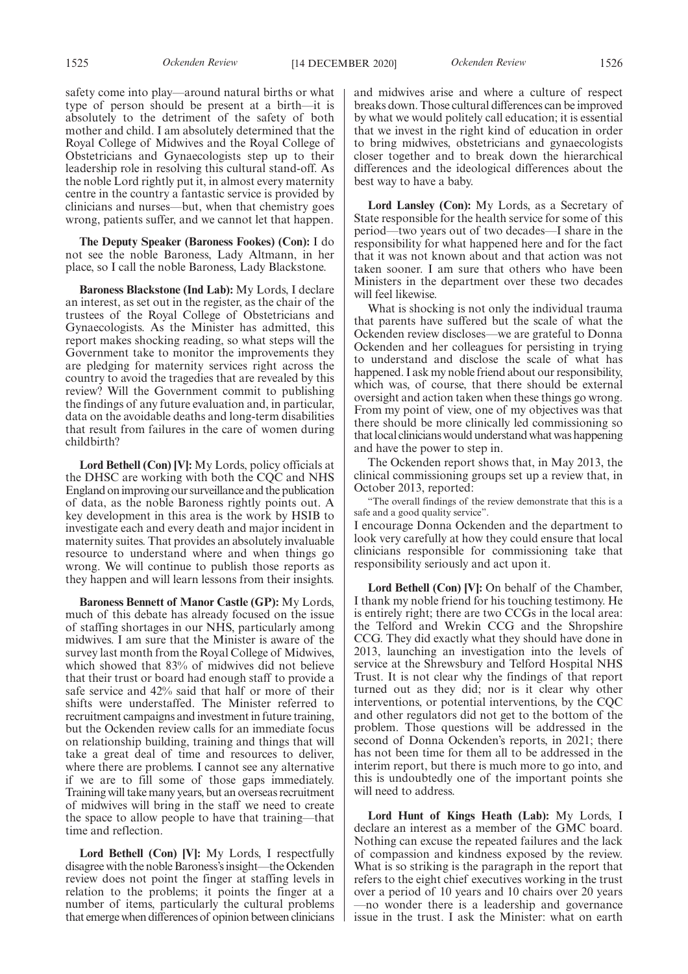1525 *Ockenden Review* [14 DECEMBER 2020] *Ockenden Review* 1526

safety come into play—around natural births or what type of person should be present at a birth—it is absolutely to the detriment of the safety of both mother and child. I am absolutely determined that the Royal College of Midwives and the Royal College of Obstetricians and Gynaecologists step up to their leadership role in resolving this cultural stand-off. As the noble Lord rightly put it, in almost every maternity centre in the country a fantastic service is provided by clinicians and nurses—but, when that chemistry goes wrong, patients suffer, and we cannot let that happen.

**The Deputy Speaker (Baroness Fookes) (Con):** I do not see the noble Baroness, Lady Altmann, in her place, so I call the noble Baroness, Lady Blackstone.

**Baroness Blackstone (Ind Lab):** My Lords, I declare an interest, as set out in the register, as the chair of the trustees of the Royal College of Obstetricians and Gynaecologists. As the Minister has admitted, this report makes shocking reading, so what steps will the Government take to monitor the improvements they are pledging for maternity services right across the country to avoid the tragedies that are revealed by this review? Will the Government commit to publishing the findings of any future evaluation and, in particular, data on the avoidable deaths and long-term disabilities that result from failures in the care of women during childbirth?

**Lord Bethell (Con) [V]:** My Lords, policy officials at the DHSC are working with both the CQC and NHS England on improving our surveillance and the publication of data, as the noble Baroness rightly points out. A key development in this area is the work by HSIB to investigate each and every death and major incident in maternity suites. That provides an absolutely invaluable resource to understand where and when things go wrong. We will continue to publish those reports as they happen and will learn lessons from their insights.

**Baroness Bennett of Manor Castle (GP):** My Lords, much of this debate has already focused on the issue of staffing shortages in our NHS, particularly among midwives. I am sure that the Minister is aware of the survey last month from the Royal College of Midwives, which showed that 83% of midwives did not believe that their trust or board had enough staff to provide a safe service and 42% said that half or more of their shifts were understaffed. The Minister referred to recruitment campaigns and investment in future training, but the Ockenden review calls for an immediate focus on relationship building, training and things that will take a great deal of time and resources to deliver, where there are problems. I cannot see any alternative if we are to fill some of those gaps immediately. Training will take many years, but an overseas recruitment of midwives will bring in the staff we need to create the space to allow people to have that training—that time and reflection.

**Lord Bethell (Con) [V]:** My Lords, I respectfully disagree with the noble Baroness's insight—the Ockenden review does not point the finger at staffing levels in relation to the problems; it points the finger at a number of items, particularly the cultural problems that emerge when differences of opinion between clinicians and midwives arise and where a culture of respect breaks down. Those cultural differences can be improved by what we would politely call education; it is essential that we invest in the right kind of education in order to bring midwives, obstetricians and gynaecologists closer together and to break down the hierarchical differences and the ideological differences about the best way to have a baby.

**Lord Lansley (Con):** My Lords, as a Secretary of State responsible for the health service for some of this period—two years out of two decades—I share in the responsibility for what happened here and for the fact that it was not known about and that action was not taken sooner. I am sure that others who have been Ministers in the department over these two decades will feel likewise.

What is shocking is not only the individual trauma that parents have suffered but the scale of what the Ockenden review discloses—we are grateful to Donna Ockenden and her colleagues for persisting in trying to understand and disclose the scale of what has happened. I ask my noble friend about our responsibility, which was, of course, that there should be external oversight and action taken when these things go wrong. From my point of view, one of my objectives was that there should be more clinically led commissioning so that local clinicians would understand what was happening and have the power to step in.

The Ockenden report shows that, in May 2013, the clinical commissioning groups set up a review that, in October 2013, reported:

"The overall findings of the review demonstrate that this is a safe and a good quality service".

I encourage Donna Ockenden and the department to look very carefully at how they could ensure that local clinicians responsible for commissioning take that responsibility seriously and act upon it.

**Lord Bethell (Con) [V]:** On behalf of the Chamber, I thank my noble friend for his touching testimony. He is entirely right; there are two CCGs in the local area: the Telford and Wrekin CCG and the Shropshire CCG. They did exactly what they should have done in 2013, launching an investigation into the levels of service at the Shrewsbury and Telford Hospital NHS Trust. It is not clear why the findings of that report turned out as they did; nor is it clear why other interventions, or potential interventions, by the CQC and other regulators did not get to the bottom of the problem. Those questions will be addressed in the second of Donna Ockenden's reports, in 2021; there has not been time for them all to be addressed in the interim report, but there is much more to go into, and this is undoubtedly one of the important points she will need to address.

**Lord Hunt of Kings Heath (Lab):** My Lords, I declare an interest as a member of the GMC board. Nothing can excuse the repeated failures and the lack of compassion and kindness exposed by the review. What is so striking is the paragraph in the report that refers to the eight chief executives working in the trust over a period of 10 years and 10 chairs over 20 years —no wonder there is a leadership and governance issue in the trust. I ask the Minister: what on earth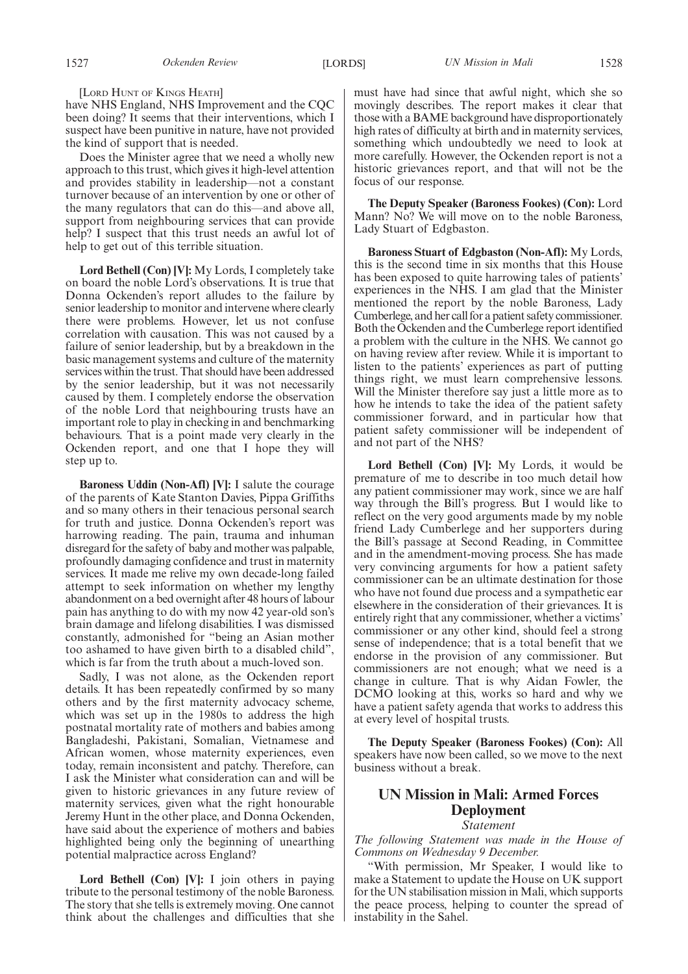#### [LORD HUNT OF KINGS HEATH]

have NHS England, NHS Improvement and the CQC been doing? It seems that their interventions, which I suspect have been punitive in nature, have not provided the kind of support that is needed.

Does the Minister agree that we need a wholly new approach to this trust, which gives it high-level attention and provides stability in leadership—not a constant turnover because of an intervention by one or other of the many regulators that can do this—and above all, support from neighbouring services that can provide help? I suspect that this trust needs an awful lot of help to get out of this terrible situation.

**Lord Bethell (Con) [V]:** My Lords, I completely take on board the noble Lord's observations. It is true that Donna Ockenden's report alludes to the failure by senior leadership to monitor and intervene where clearly there were problems. However, let us not confuse correlation with causation. This was not caused by a failure of senior leadership, but by a breakdown in the basic management systems and culture of the maternity services within the trust. That should have been addressed by the senior leadership, but it was not necessarily caused by them. I completely endorse the observation of the noble Lord that neighbouring trusts have an important role to play in checking in and benchmarking behaviours. That is a point made very clearly in the Ockenden report, and one that I hope they will step up to.

**Baroness Uddin (Non-Afl) [V]:** I salute the courage of the parents of Kate Stanton Davies, Pippa Griffiths and so many others in their tenacious personal search for truth and justice. Donna Ockenden's report was harrowing reading. The pain, trauma and inhuman disregard for the safety of baby and mother was palpable, profoundly damaging confidence and trust in maternity services. It made me relive my own decade-long failed attempt to seek information on whether my lengthy abandonment on a bed overnight after 48 hours of labour pain has anything to do with my now 42 year-old son's brain damage and lifelong disabilities. I was dismissed constantly, admonished for "being an Asian mother too ashamed to have given birth to a disabled child", which is far from the truth about a much-loved son.

Sadly, I was not alone, as the Ockenden report details. It has been repeatedly confirmed by so many others and by the first maternity advocacy scheme, which was set up in the 1980s to address the high postnatal mortality rate of mothers and babies among Bangladeshi, Pakistani, Somalian, Vietnamese and African women, whose maternity experiences, even today, remain inconsistent and patchy. Therefore, can I ask the Minister what consideration can and will be given to historic grievances in any future review of maternity services, given what the right honourable Jeremy Hunt in the other place, and Donna Ockenden, have said about the experience of mothers and babies highlighted being only the beginning of unearthing potential malpractice across England?

**Lord Bethell (Con) [V]:** I join others in paying tribute to the personal testimony of the noble Baroness. The story that she tells is extremely moving. One cannot think about the challenges and difficulties that she must have had since that awful night, which she so movingly describes. The report makes it clear that those with a BAME background have disproportionately high rates of difficulty at birth and in maternity services, something which undoubtedly we need to look at more carefully. However, the Ockenden report is not a historic grievances report, and that will not be the focus of our response.

**The Deputy Speaker (Baroness Fookes) (Con):** Lord Mann? No? We will move on to the noble Baroness, Lady Stuart of Edgbaston.

**Baroness Stuart of Edgbaston (Non-Afl):** My Lords, this is the second time in six months that this House has been exposed to quite harrowing tales of patients' experiences in the NHS. I am glad that the Minister mentioned the report by the noble Baroness, Lady Cumberlege, and her call for a patient safety commissioner. Both the Ockenden and the Cumberlege report identified a problem with the culture in the NHS. We cannot go on having review after review. While it is important to listen to the patients' experiences as part of putting things right, we must learn comprehensive lessons. Will the Minister therefore say just a little more as to how he intends to take the idea of the patient safety commissioner forward, and in particular how that patient safety commissioner will be independent of and not part of the NHS?

**Lord Bethell (Con) [V]:** My Lords, it would be premature of me to describe in too much detail how any patient commissioner may work, since we are half way through the Bill's progress. But I would like to reflect on the very good arguments made by my noble friend Lady Cumberlege and her supporters during the Bill's passage at Second Reading, in Committee and in the amendment-moving process. She has made very convincing arguments for how a patient safety commissioner can be an ultimate destination for those who have not found due process and a sympathetic ear elsewhere in the consideration of their grievances. It is entirely right that any commissioner, whether a victims' commissioner or any other kind, should feel a strong sense of independence; that is a total benefit that we endorse in the provision of any commissioner. But commissioners are not enough; what we need is a change in culture. That is why Aidan Fowler, the DCMO looking at this, works so hard and why we have a patient safety agenda that works to address this at every level of hospital trusts.

**The Deputy Speaker (Baroness Fookes) (Con):** All speakers have now been called, so we move to the next business without a break.

# **UN Mission in Mali: Armed Forces Deployment** *Statement*

*The following Statement was made in the House of Commons on Wednesday 9 December.*

"With permission, Mr Speaker, I would like to make a Statement to update the House on UK support for the UN stabilisation mission in Mali, which supports the peace process, helping to counter the spread of instability in the Sahel.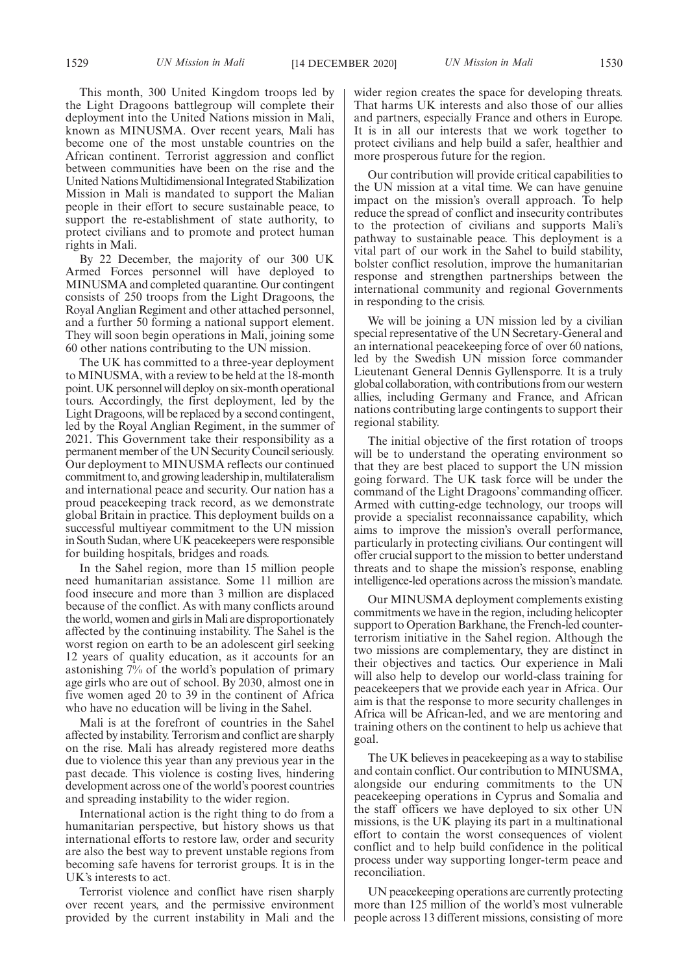This month, 300 United Kingdom troops led by the Light Dragoons battlegroup will complete their deployment into the United Nations mission in Mali, known as MINUSMA. Over recent years, Mali has become one of the most unstable countries on the African continent. Terrorist aggression and conflict between communities have been on the rise and the United Nations Multidimensional Integrated Stabilization Mission in Mali is mandated to support the Malian people in their effort to secure sustainable peace, to support the re-establishment of state authority, to protect civilians and to promote and protect human rights in Mali.

By 22 December, the majority of our 300 UK Armed Forces personnel will have deployed to MINUSMA and completed quarantine. Our contingent consists of 250 troops from the Light Dragoons, the Royal Anglian Regiment and other attached personnel, and a further 50 forming a national support element. They will soon begin operations in Mali, joining some 60 other nations contributing to the UN mission.

The UK has committed to a three-year deployment to MINUSMA, with a review to be held at the 18-month point. UK personnel will deploy on six-month operational tours. Accordingly, the first deployment, led by the Light Dragoons, will be replaced by a second contingent, led by the Royal Anglian Regiment, in the summer of 2021. This Government take their responsibility as a permanent member of the UN Security Council seriously. Our deployment to MINUSMA reflects our continued commitment to, and growing leadership in, multilateralism and international peace and security. Our nation has a proud peacekeeping track record, as we demonstrate global Britain in practice. This deployment builds on a successful multiyear commitment to the UN mission in South Sudan, where UK peacekeepers were responsible for building hospitals, bridges and roads.

In the Sahel region, more than 15 million people need humanitarian assistance. Some 11 million are food insecure and more than 3 million are displaced because of the conflict. As with many conflicts around the world, women and girls in Mali are disproportionately affected by the continuing instability. The Sahel is the worst region on earth to be an adolescent girl seeking 12 years of quality education, as it accounts for an astonishing 7% of the world's population of primary age girls who are out of school. By 2030, almost one in five women aged 20 to 39 in the continent of Africa who have no education will be living in the Sahel.

Mali is at the forefront of countries in the Sahel affected by instability. Terrorism and conflict are sharply on the rise. Mali has already registered more deaths due to violence this year than any previous year in the past decade. This violence is costing lives, hindering development across one of the world's poorest countries and spreading instability to the wider region.

International action is the right thing to do from a humanitarian perspective, but history shows us that international efforts to restore law, order and security are also the best way to prevent unstable regions from becoming safe havens for terrorist groups. It is in the UK's interests to act.

Terrorist violence and conflict have risen sharply over recent years, and the permissive environment provided by the current instability in Mali and the wider region creates the space for developing threats. That harms UK interests and also those of our allies and partners, especially France and others in Europe. It is in all our interests that we work together to protect civilians and help build a safer, healthier and more prosperous future for the region.

Our contribution will provide critical capabilities to the UN mission at a vital time. We can have genuine impact on the mission's overall approach. To help reduce the spread of conflict and insecurity contributes to the protection of civilians and supports Mali's pathway to sustainable peace. This deployment is a vital part of our work in the Sahel to build stability, bolster conflict resolution, improve the humanitarian response and strengthen partnerships between the international community and regional Governments in responding to the crisis.

We will be joining a UN mission led by a civilian special representative of the UN Secretary-General and an international peacekeeping force of over 60 nations, led by the Swedish UN mission force commander Lieutenant General Dennis Gyllensporre. It is a truly global collaboration, with contributions from our western allies, including Germany and France, and African nations contributing large contingents to support their regional stability.

The initial objective of the first rotation of troops will be to understand the operating environment so that they are best placed to support the UN mission going forward. The UK task force will be under the command of the Light Dragoons' commanding officer. Armed with cutting-edge technology, our troops will provide a specialist reconnaissance capability, which aims to improve the mission's overall performance, particularly in protecting civilians. Our contingent will offer crucial support to the mission to better understand threats and to shape the mission's response, enabling intelligence-led operations across the mission's mandate.

Our MINUSMA deployment complements existing commitments we have in the region, including helicopter support to Operation Barkhane, the French-led counterterrorism initiative in the Sahel region. Although the two missions are complementary, they are distinct in their objectives and tactics. Our experience in Mali will also help to develop our world-class training for peacekeepers that we provide each year in Africa. Our aim is that the response to more security challenges in Africa will be African-led, and we are mentoring and training others on the continent to help us achieve that goal.

The UK believes in peacekeeping as a way to stabilise and contain conflict. Our contribution to MINUSMA, alongside our enduring commitments to the UN peacekeeping operations in Cyprus and Somalia and the staff officers we have deployed to six other UN missions, is the UK playing its part in a multinational effort to contain the worst consequences of violent conflict and to help build confidence in the political process under way supporting longer-term peace and reconciliation.

UN peacekeeping operations are currently protecting more than 125 million of the world's most vulnerable people across 13 different missions, consisting of more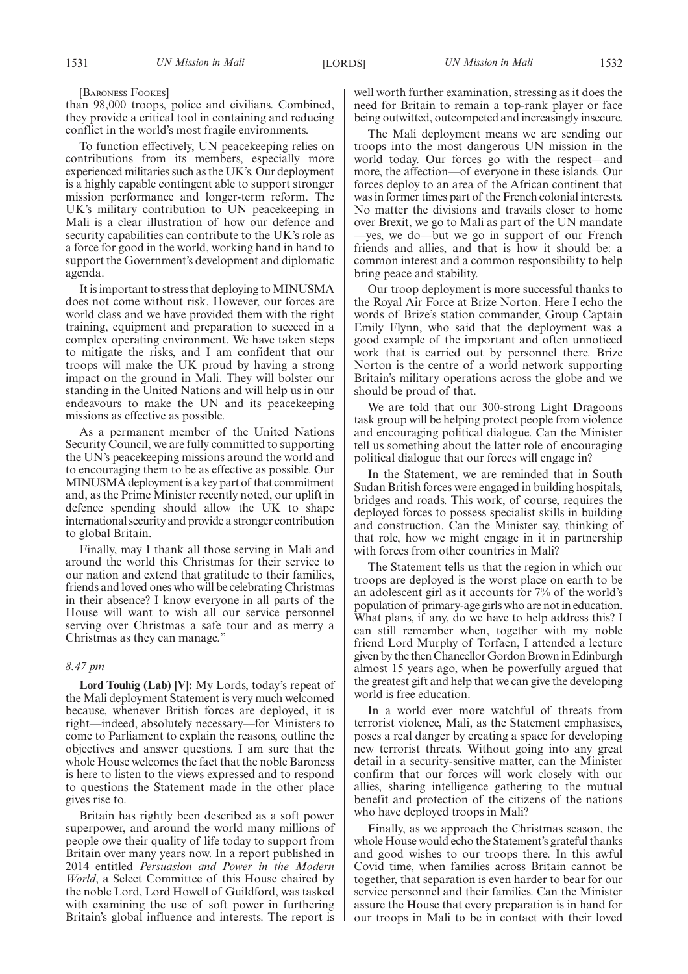[BARONESS FOOKES]

than 98,000 troops, police and civilians. Combined, they provide a critical tool in containing and reducing conflict in the world's most fragile environments.

To function effectively, UN peacekeeping relies on contributions from its members, especially more experienced militaries such as the UK's. Our deployment is a highly capable contingent able to support stronger mission performance and longer-term reform. The UK's military contribution to UN peacekeeping in Mali is a clear illustration of how our defence and security capabilities can contribute to the UK's role as a force for good in the world, working hand in hand to support the Government's development and diplomatic agenda.

It is important to stress that deploying to MINUSMA does not come without risk. However, our forces are world class and we have provided them with the right training, equipment and preparation to succeed in a complex operating environment. We have taken steps to mitigate the risks, and I am confident that our troops will make the UK proud by having a strong impact on the ground in Mali. They will bolster our standing in the United Nations and will help us in our endeavours to make the UN and its peacekeeping missions as effective as possible.

As a permanent member of the United Nations Security Council, we are fully committed to supporting the UN's peacekeeping missions around the world and to encouraging them to be as effective as possible. Our MINUSMA deployment is a key part of that commitment and, as the Prime Minister recently noted, our uplift in defence spending should allow the UK to shape international security and provide a stronger contribution to global Britain.

Finally, may I thank all those serving in Mali and around the world this Christmas for their service to our nation and extend that gratitude to their families, friends and loved ones who will be celebrating Christmas in their absence? I know everyone in all parts of the House will want to wish all our service personnel serving over Christmas a safe tour and as merry a Christmas as they can manage."

# *8.47 pm*

**Lord Touhig (Lab) [V]:** My Lords, today's repeat of the Mali deployment Statement is very much welcomed because, whenever British forces are deployed, it is right—indeed, absolutely necessary—for Ministers to come to Parliament to explain the reasons, outline the objectives and answer questions. I am sure that the whole House welcomes the fact that the noble Baroness is here to listen to the views expressed and to respond to questions the Statement made in the other place gives rise to.

Britain has rightly been described as a soft power superpower, and around the world many millions of people owe their quality of life today to support from Britain over many years now. In a report published in 2014 entitled *Persuasion and Power in the Modern World*, a Select Committee of this House chaired by the noble Lord, Lord Howell of Guildford, was tasked with examining the use of soft power in furthering Britain's global influence and interests. The report is

well worth further examination, stressing as it does the need for Britain to remain a top-rank player or face being outwitted, outcompeted and increasingly insecure.

The Mali deployment means we are sending our troops into the most dangerous UN mission in the world today. Our forces go with the respect—and more, the affection—of everyone in these islands. Our forces deploy to an area of the African continent that was in former times part of the French colonial interests. No matter the divisions and travails closer to home over Brexit, we go to Mali as part of the UN mandate —yes, we do—but we go in support of our French friends and allies, and that is how it should be: a common interest and a common responsibility to help bring peace and stability.

Our troop deployment is more successful thanks to the Royal Air Force at Brize Norton. Here I echo the words of Brize's station commander, Group Captain Emily Flynn, who said that the deployment was a good example of the important and often unnoticed work that is carried out by personnel there. Brize Norton is the centre of a world network supporting Britain's military operations across the globe and we should be proud of that.

We are told that our 300-strong Light Dragoons task group will be helping protect people from violence and encouraging political dialogue. Can the Minister tell us something about the latter role of encouraging political dialogue that our forces will engage in?

In the Statement, we are reminded that in South Sudan British forces were engaged in building hospitals, bridges and roads. This work, of course, requires the deployed forces to possess specialist skills in building and construction. Can the Minister say, thinking of that role, how we might engage in it in partnership with forces from other countries in Mali?

The Statement tells us that the region in which our troops are deployed is the worst place on earth to be an adolescent girl as it accounts for 7% of the world's population of primary-age girls who are not in education. What plans, if any, do we have to help address this? I can still remember when, together with my noble friend Lord Murphy of Torfaen, I attended a lecture given by the then Chancellor Gordon Brown in Edinburgh almost 15 years ago, when he powerfully argued that the greatest gift and help that we can give the developing world is free education.

In a world ever more watchful of threats from terrorist violence, Mali, as the Statement emphasises, poses a real danger by creating a space for developing new terrorist threats. Without going into any great detail in a security-sensitive matter, can the Minister confirm that our forces will work closely with our allies, sharing intelligence gathering to the mutual benefit and protection of the citizens of the nations who have deployed troops in Mali?

Finally, as we approach the Christmas season, the whole House would echo the Statement's grateful thanks and good wishes to our troops there. In this awful Covid time, when families across Britain cannot be together, that separation is even harder to bear for our service personnel and their families. Can the Minister assure the House that every preparation is in hand for our troops in Mali to be in contact with their loved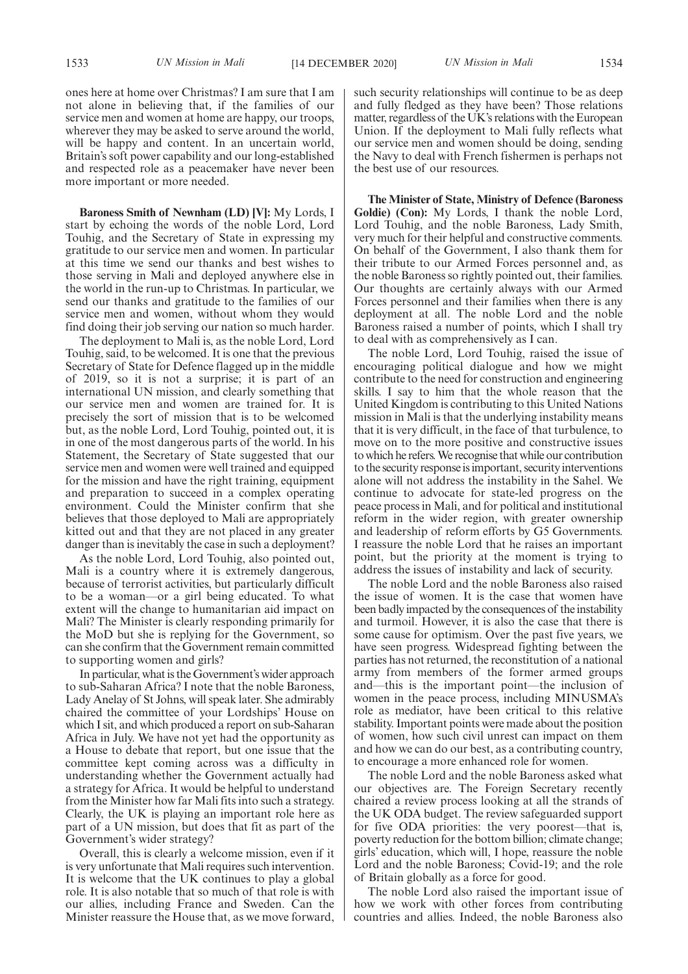**Baroness Smith of Newnham (LD) [V]:** My Lords, I start by echoing the words of the noble Lord, Lord Touhig, and the Secretary of State in expressing my gratitude to our service men and women. In particular at this time we send our thanks and best wishes to those serving in Mali and deployed anywhere else in the world in the run-up to Christmas. In particular, we send our thanks and gratitude to the families of our service men and women, without whom they would find doing their job serving our nation so much harder.

The deployment to Mali is, as the noble Lord, Lord Touhig, said, to be welcomed. It is one that the previous Secretary of State for Defence flagged up in the middle of 2019, so it is not a surprise; it is part of an international UN mission, and clearly something that our service men and women are trained for. It is precisely the sort of mission that is to be welcomed but, as the noble Lord, Lord Touhig, pointed out, it is in one of the most dangerous parts of the world. In his Statement, the Secretary of State suggested that our service men and women were well trained and equipped for the mission and have the right training, equipment and preparation to succeed in a complex operating environment. Could the Minister confirm that she believes that those deployed to Mali are appropriately kitted out and that they are not placed in any greater danger than is inevitably the case in such a deployment?

As the noble Lord, Lord Touhig, also pointed out, Mali is a country where it is extremely dangerous, because of terrorist activities, but particularly difficult to be a woman—or a girl being educated. To what extent will the change to humanitarian aid impact on Mali? The Minister is clearly responding primarily for the MoD but she is replying for the Government, so can she confirm that the Government remain committed to supporting women and girls?

In particular, what is the Government's wider approach to sub-Saharan Africa? I note that the noble Baroness, Lady Anelay of St Johns, will speak later. She admirably chaired the committee of your Lordships' House on which I sit, and which produced a report on sub-Saharan Africa in July. We have not yet had the opportunity as a House to debate that report, but one issue that the committee kept coming across was a difficulty in understanding whether the Government actually had a strategy for Africa. It would be helpful to understand from the Minister how far Mali fits into such a strategy. Clearly, the UK is playing an important role here as part of a UN mission, but does that fit as part of the Government's wider strategy?

Overall, this is clearly a welcome mission, even if it is very unfortunate that Mali requires such intervention. It is welcome that the UK continues to play a global role. It is also notable that so much of that role is with our allies, including France and Sweden. Can the Minister reassure the House that, as we move forward,

such security relationships will continue to be as deep and fully fledged as they have been? Those relations matter, regardless of the UK's relations with the European Union. If the deployment to Mali fully reflects what our service men and women should be doing, sending the Navy to deal with French fishermen is perhaps not the best use of our resources.

**The Minister of State, Ministry of Defence (Baroness Goldie) (Con):** My Lords, I thank the noble Lord, Lord Touhig, and the noble Baroness, Lady Smith, very much for their helpful and constructive comments. On behalf of the Government, I also thank them for their tribute to our Armed Forces personnel and, as the noble Baroness so rightly pointed out, their families. Our thoughts are certainly always with our Armed Forces personnel and their families when there is any deployment at all. The noble Lord and the noble Baroness raised a number of points, which I shall try to deal with as comprehensively as I can.

The noble Lord, Lord Touhig, raised the issue of encouraging political dialogue and how we might contribute to the need for construction and engineering skills. I say to him that the whole reason that the United Kingdom is contributing to this United Nations mission in Mali is that the underlying instability means that it is very difficult, in the face of that turbulence, to move on to the more positive and constructive issues to which he refers. We recognise that while our contribution to the security response is important, security interventions alone will not address the instability in the Sahel. We continue to advocate for state-led progress on the peace process in Mali, and for political and institutional reform in the wider region, with greater ownership and leadership of reform efforts by G5 Governments. I reassure the noble Lord that he raises an important point, but the priority at the moment is trying to address the issues of instability and lack of security.

The noble Lord and the noble Baroness also raised the issue of women. It is the case that women have been badly impacted by the consequences of the instability and turmoil. However, it is also the case that there is some cause for optimism. Over the past five years, we have seen progress. Widespread fighting between the parties has not returned, the reconstitution of a national army from members of the former armed groups and—this is the important point—the inclusion of women in the peace process, including MINUSMA's role as mediator, have been critical to this relative stability. Important points were made about the position of women, how such civil unrest can impact on them and how we can do our best, as a contributing country, to encourage a more enhanced role for women.

The noble Lord and the noble Baroness asked what our objectives are. The Foreign Secretary recently chaired a review process looking at all the strands of the UK ODA budget. The review safeguarded support for five ODA priorities: the very poorest—that is, poverty reduction for the bottom billion; climate change; girls' education, which will, I hope, reassure the noble Lord and the noble Baroness; Covid-19; and the role of Britain globally as a force for good.

The noble Lord also raised the important issue of how we work with other forces from contributing countries and allies. Indeed, the noble Baroness also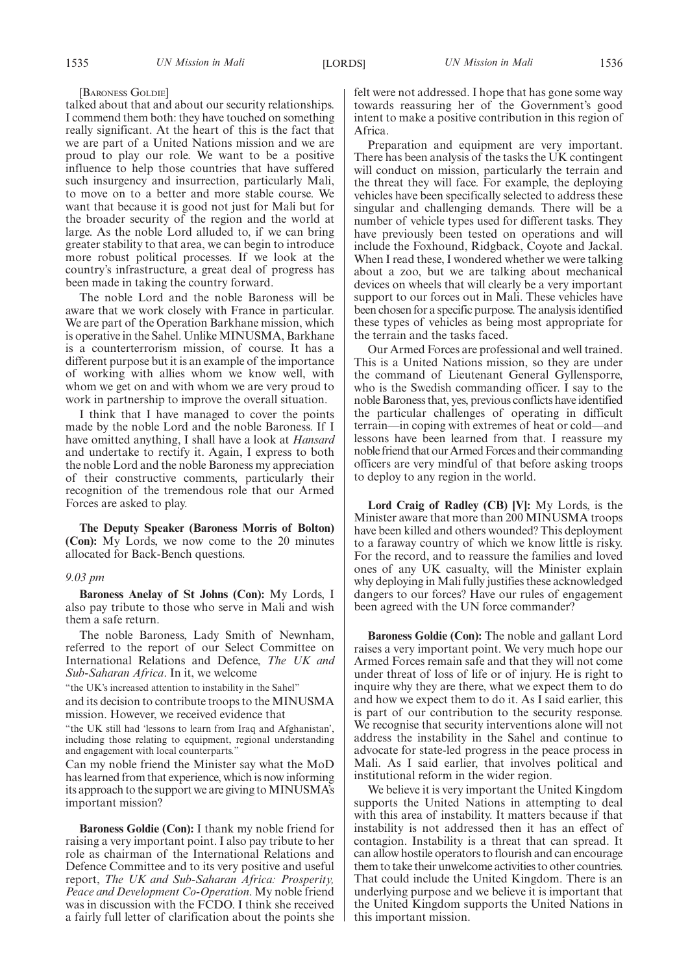[BARONESS GOLDIE]

talked about that and about our security relationships. I commend them both: they have touched on something really significant. At the heart of this is the fact that we are part of a United Nations mission and we are proud to play our role. We want to be a positive influence to help those countries that have suffered such insurgency and insurrection, particularly Mali, to move on to a better and more stable course. We want that because it is good not just for Mali but for the broader security of the region and the world at large. As the noble Lord alluded to, if we can bring greater stability to that area, we can begin to introduce more robust political processes. If we look at the country's infrastructure, a great deal of progress has been made in taking the country forward.

The noble Lord and the noble Baroness will be aware that we work closely with France in particular. We are part of the Operation Barkhane mission, which is operative in the Sahel. Unlike MINUSMA, Barkhane is a counterterrorism mission, of course. It has a different purpose but it is an example of the importance of working with allies whom we know well, with whom we get on and with whom we are very proud to work in partnership to improve the overall situation.

I think that I have managed to cover the points made by the noble Lord and the noble Baroness. If I have omitted anything, I shall have a look at *Hansard* and undertake to rectify it. Again, I express to both the noble Lord and the noble Baroness my appreciation of their constructive comments, particularly their recognition of the tremendous role that our Armed Forces are asked to play.

**The Deputy Speaker (Baroness Morris of Bolton) (Con):** My Lords, we now come to the 20 minutes allocated for Back-Bench questions.

#### *9.03 pm*

**Baroness Anelay of St Johns (Con):** My Lords, I also pay tribute to those who serve in Mali and wish them a safe return.

The noble Baroness, Lady Smith of Newnham, referred to the report of our Select Committee on International Relations and Defence, *The UK and Sub-Saharan Africa*. In it, we welcome

"the UK's increased attention to instability in the Sahel"

and its decision to contribute troops to the MINUSMA mission. However, we received evidence that

"the UK still had 'lessons to learn from Iraq and Afghanistan', including those relating to equipment, regional understanding and engagement with local counterparts."

Can my noble friend the Minister say what the MoD has learned from that experience, which is now informing its approach to the support we are giving to MINUSMA's important mission?

**Baroness Goldie (Con):** I thank my noble friend for raising a very important point. I also pay tribute to her role as chairman of the International Relations and Defence Committee and to its very positive and useful report, *The UK and Sub-Saharan Africa: Prosperity, Peace and Development Co-Operation*. My noble friend was in discussion with the FCDO. I think she received a fairly full letter of clarification about the points she felt were not addressed. I hope that has gone some way towards reassuring her of the Government's good intent to make a positive contribution in this region of Africa.

Preparation and equipment are very important. There has been analysis of the tasks the UK contingent will conduct on mission, particularly the terrain and the threat they will face. For example, the deploying vehicles have been specifically selected to address these singular and challenging demands. There will be a number of vehicle types used for different tasks. They have previously been tested on operations and will include the Foxhound, Ridgback, Coyote and Jackal. When I read these, I wondered whether we were talking about a zoo, but we are talking about mechanical devices on wheels that will clearly be a very important support to our forces out in Mali. These vehicles have been chosen for a specific purpose. The analysis identified these types of vehicles as being most appropriate for the terrain and the tasks faced.

Our Armed Forces are professional and well trained. This is a United Nations mission, so they are under the command of Lieutenant General Gyllensporre, who is the Swedish commanding officer. I say to the noble Baroness that, yes, previous conflicts have identified the particular challenges of operating in difficult terrain—in coping with extremes of heat or cold—and lessons have been learned from that. I reassure my noble friend that our Armed Forces and their commanding officers are very mindful of that before asking troops to deploy to any region in the world.

**Lord Craig of Radley (CB) [V]:** My Lords, is the Minister aware that more than 200 MINUSMA troops have been killed and others wounded? This deployment to a faraway country of which we know little is risky. For the record, and to reassure the families and loved ones of any UK casualty, will the Minister explain why deploying in Mali fully justifies these acknowledged dangers to our forces? Have our rules of engagement been agreed with the UN force commander?

**Baroness Goldie (Con):** The noble and gallant Lord raises a very important point. We very much hope our Armed Forces remain safe and that they will not come under threat of loss of life or of injury. He is right to inquire why they are there, what we expect them to do and how we expect them to do it. As I said earlier, this is part of our contribution to the security response. We recognise that security interventions alone will not address the instability in the Sahel and continue to advocate for state-led progress in the peace process in Mali. As I said earlier, that involves political and institutional reform in the wider region.

We believe it is very important the United Kingdom supports the United Nations in attempting to deal with this area of instability. It matters because if that instability is not addressed then it has an effect of contagion. Instability is a threat that can spread. It can allow hostile operators to flourish and can encourage them to take their unwelcome activities to other countries. That could include the United Kingdom. There is an underlying purpose and we believe it is important that the United Kingdom supports the United Nations in this important mission.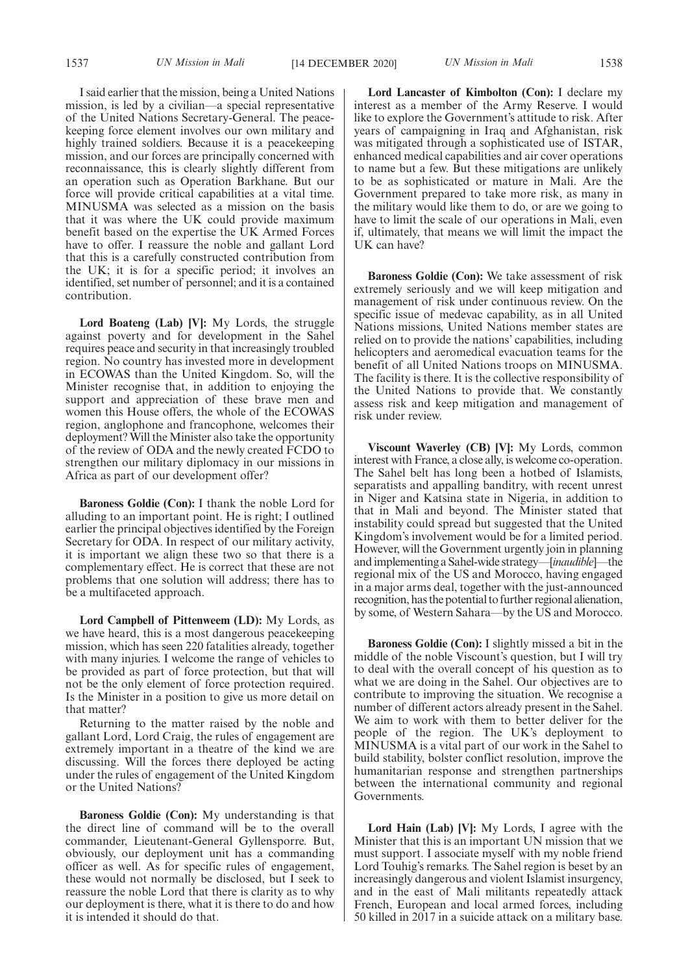I said earlier that the mission, being a United Nations mission, is led by a civilian—a special representative of the United Nations Secretary-General. The peacekeeping force element involves our own military and highly trained soldiers. Because it is a peacekeeping mission, and our forces are principally concerned with reconnaissance, this is clearly slightly different from an operation such as Operation Barkhane. But our force will provide critical capabilities at a vital time. MINUSMA was selected as a mission on the basis that it was where the UK could provide maximum benefit based on the expertise the UK Armed Forces have to offer. I reassure the noble and gallant Lord that this is a carefully constructed contribution from the UK; it is for a specific period; it involves an identified, set number of personnel; and it is a contained contribution.

**Lord Boateng (Lab) [V]:** My Lords, the struggle against poverty and for development in the Sahel requires peace and security in that increasingly troubled region. No country has invested more in development in ECOWAS than the United Kingdom. So, will the Minister recognise that, in addition to enjoying the support and appreciation of these brave men and women this House offers, the whole of the ECOWAS region, anglophone and francophone, welcomes their deployment? Will the Minister also take the opportunity of the review of ODA and the newly created FCDO to strengthen our military diplomacy in our missions in Africa as part of our development offer?

**Baroness Goldie (Con):** I thank the noble Lord for alluding to an important point. He is right; I outlined earlier the principal objectives identified by the Foreign Secretary for ODA. In respect of our military activity, it is important we align these two so that there is a complementary effect. He is correct that these are not problems that one solution will address; there has to be a multifaceted approach.

**Lord Campbell of Pittenweem (LD):** My Lords, as we have heard, this is a most dangerous peacekeeping mission, which has seen 220 fatalities already, together with many injuries. I welcome the range of vehicles to be provided as part of force protection, but that will not be the only element of force protection required. Is the Minister in a position to give us more detail on that matter?

Returning to the matter raised by the noble and gallant Lord, Lord Craig, the rules of engagement are extremely important in a theatre of the kind we are discussing. Will the forces there deployed be acting under the rules of engagement of the United Kingdom or the United Nations?

**Baroness Goldie (Con):** My understanding is that the direct line of command will be to the overall commander, Lieutenant-General Gyllensporre. But, obviously, our deployment unit has a commanding officer as well. As for specific rules of engagement, these would not normally be disclosed, but I seek to reassure the noble Lord that there is clarity as to why our deployment is there, what it is there to do and how it is intended it should do that.

**Lord Lancaster of Kimbolton (Con):** I declare my interest as a member of the Army Reserve. I would like to explore the Government's attitude to risk. After years of campaigning in Iraq and Afghanistan, risk was mitigated through a sophisticated use of ISTAR, enhanced medical capabilities and air cover operations to name but a few. But these mitigations are unlikely to be as sophisticated or mature in Mali. Are the Government prepared to take more risk, as many in the military would like them to do, or are we going to have to limit the scale of our operations in Mali, even if, ultimately, that means we will limit the impact the UK can have?

**Baroness Goldie (Con):** We take assessment of risk extremely seriously and we will keep mitigation and management of risk under continuous review. On the specific issue of medevac capability, as in all United Nations missions, United Nations member states are relied on to provide the nations' capabilities, including helicopters and aeromedical evacuation teams for the benefit of all United Nations troops on MINUSMA. The facility is there. It is the collective responsibility of the United Nations to provide that. We constantly assess risk and keep mitigation and management of risk under review.

**Viscount Waverley (CB) [V]:** My Lords, common interest with France, a close ally, is welcome co-operation. The Sahel belt has long been a hotbed of Islamists, separatists and appalling banditry, with recent unrest in Niger and Katsina state in Nigeria, in addition to that in Mali and beyond. The Minister stated that instability could spread but suggested that the United Kingdom's involvement would be for a limited period. However, will the Government urgently join in planning and implementing a Sahel-wide strategy—[*inaudible*]—the regional mix of the US and Morocco, having engaged in a major arms deal, together with the just-announced recognition, has the potential to further regional alienation, by some, of Western Sahara—by the US and Morocco.

**Baroness Goldie (Con):** I slightly missed a bit in the middle of the noble Viscount's question, but I will try to deal with the overall concept of his question as to what we are doing in the Sahel. Our objectives are to contribute to improving the situation. We recognise a number of different actors already present in the Sahel. We aim to work with them to better deliver for the people of the region. The UK's deployment to MINUSMA is a vital part of our work in the Sahel to build stability, bolster conflict resolution, improve the humanitarian response and strengthen partnerships between the international community and regional Governments.

**Lord Hain (Lab) [V]:** My Lords, I agree with the Minister that this is an important UN mission that we must support. I associate myself with my noble friend Lord Touhig's remarks. The Sahel region is beset by an increasingly dangerous and violent Islamist insurgency, and in the east of Mali militants repeatedly attack French, European and local armed forces, including 50 killed in 2017 in a suicide attack on a military base.